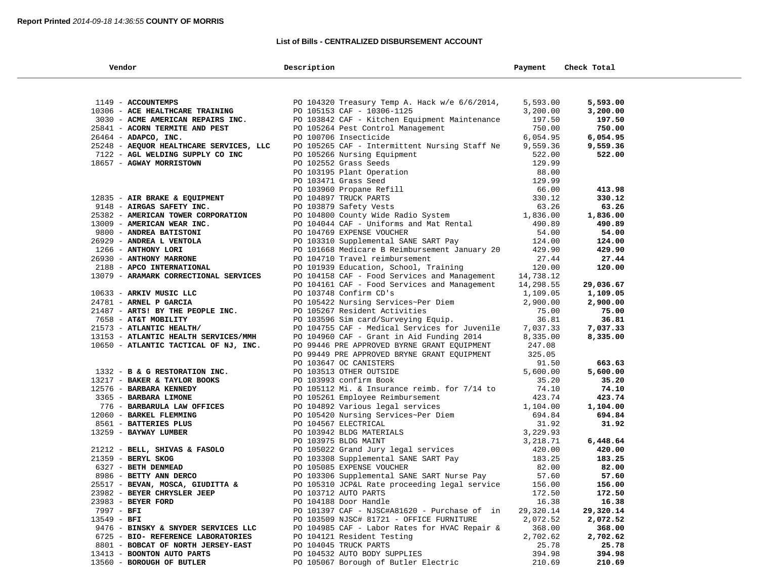## **List of Bills - CENTRALIZED DISBURSEMENT ACCOUNT**

| Vendor                                  | Description                                                                                                                                                                                             | Payment   | Check Total |
|-----------------------------------------|---------------------------------------------------------------------------------------------------------------------------------------------------------------------------------------------------------|-----------|-------------|
|                                         |                                                                                                                                                                                                         |           |             |
| 1149 - ACCOUNTEMPS                      | PO 104320 Treasury Temp A. Hack w/e 6/6/2014,                                                                                                                                                           | 5,593.00  | 5,593.00    |
| 10306 - ACE HEALTHCARE TRAINING         | PO 105153 CAF - 10306-1125                                                                                                                                                                              | 3,200.00  | 3,200.00    |
| 3030 - ACME AMERICAN REPAIRS INC.       | PO 103842 CAF - Kitchen Equipment Maintenance                                                                                                                                                           | 197.50    | 197.50      |
| 25841 - ACORN TERMITE AND PEST          |                                                                                                                                                                                                         | 750.00    | 750.00      |
|                                         | PO 105264 Pest Control Management                                                                                                                                                                       |           |             |
| 26464 - ADAPCO, INC.                    | PO 100706 Insecticide                                                                                                                                                                                   | 6,054.95  | 6,054.95    |
| 25248 - AEQUOR HEALTHCARE SERVICES, LLC | PO 105265 CAF - Intermittent Nursing Staff Ne                                                                                                                                                           | 9,559.36  | 9,559.36    |
| 7122 - AGL WELDING SUPPLY CO INC        | PO 105266 Nursing Equipment                                                                                                                                                                             | 522.00    | 522.00      |
| 18657 - AGWAY MORRISTOWN                | PO 102552 Grass Seeds<br>PO 102552 Grass Seeds<br>PO 103471 Grass Seed<br>PO 103960 Propane Refill<br>PO 104897 TRUCK PARTS<br>PO 104800 County Wide Radio System<br>PO 104800 County Wide Radio System | 129.99    |             |
|                                         |                                                                                                                                                                                                         | 88.00     |             |
|                                         |                                                                                                                                                                                                         | 129.99    |             |
|                                         |                                                                                                                                                                                                         | 66.00     | 413.98      |
| 12835 - AIR BRAKE & EQUIPMENT           |                                                                                                                                                                                                         | 330.12    | 330.12      |
| 9148 - AIRGAS SAFETY INC.               |                                                                                                                                                                                                         | 63.26     | 63.26       |
| 25382 - AMERICAN TOWER CORPORATION      |                                                                                                                                                                                                         | 1,836.00  | 1,836.00    |
| 13009 - AMERICAN WEAR INC.              | PO 104044 CAF - Uniforms and Mat Rental                                                                                                                                                                 | 490.89    | 490.89      |
| 9800 - ANDREA BATISTONI                 | PO 104769 EXPENSE VOUCHER                                                                                                                                                                               | 54.00     | 54.00       |
| 26929 - ANDREA L VENTOLA                | PO 103310 Supplemental SANE SART Pay                                                                                                                                                                    | 124.00    | 124.00      |
| 1266 - ANTHONY LORI                     | PO 101668 Medicare B Reimbursement January 20                                                                                                                                                           | 429.90    | 429.90      |
| 26930 - ANTHONY MARRONE                 | PO 104710 Travel reimbursement                                                                                                                                                                          | 27.44     | 27.44       |
| 2188 - APCO INTERNATIONAL               | PO 101939 Education, School, Training                                                                                                                                                                   | 120.00    | 120.00      |
| 13079 - ARAMARK CORRECTIONAL SERVICES   | PO 104158 CAF - Food Services and Management                                                                                                                                                            | 14,738.12 |             |
|                                         | PO 104161 CAF - Food Services and Management                                                                                                                                                            | 14,298.55 | 29,036.67   |
| 10633 - ARKIV MUSIC LLC                 | PO 103748 Confirm CD's                                                                                                                                                                                  | 1,109.05  | 1,109.05    |
| 24781 - ARNEL P GARCIA                  | PO 105422 Nursing Services~Per Diem                                                                                                                                                                     | 2,900.00  | 2,900.00    |
| 21487 - ARTS! BY THE PEOPLE INC.        | PO 105267 Resident Activities                                                                                                                                                                           | 75.00     | 75.00       |
| 7658 - AT&T MOBILITY                    | PO 103596 Sim card/Surveying Equip.                                                                                                                                                                     | 36.81     | 36.81       |
| 21573 - ATLANTIC HEALTH/                | PO 104755 CAF - Medical Services for Juvenile                                                                                                                                                           | 7,037.33  | 7,037.33    |
| 13153 - ATLANTIC HEALTH SERVICES/MMH    | PO 104960 CAF - Grant in Aid Funding 2014                                                                                                                                                               | 8,335.00  | 8,335.00    |
| 10650 - ATLANTIC TACTICAL OF NJ, INC.   | PO 99446 PRE APPROVED BYRNE GRANT EQUIPMENT                                                                                                                                                             | 247.08    |             |
|                                         | PO 99449 PRE APPROVED BRYNE GRANT EQUIPMENT                                                                                                                                                             | 325.05    |             |
|                                         | PO 103647 OC CANISTERS                                                                                                                                                                                  | 91.50     | 663.63      |
| 1332 - B & G RESTORATION INC.           | PO 103513 OTHER OUTSIDE                                                                                                                                                                                 | 5,600.00  | 5,600.00    |
| 13217 - BAKER & TAYLOR BOOKS            | PO 103993 confirm Book                                                                                                                                                                                  | 35.20     | 35.20       |
| 12576 - BARBARA KENNEDY                 | PO 105112 Mi. & Insurance reimb. for 7/14 to                                                                                                                                                            | 74.10     | 74.10       |
| 3365 - BARBARA LIMONE                   | PO 105261 Employee Reimbursement                                                                                                                                                                        | 423.74    | 423.74      |
| 776 - BARBARULA LAW OFFICES             | PO 104892 Various legal services                                                                                                                                                                        | 1,104.00  | 1,104.00    |
| 12060 - BARKEL FLEMMING                 | PO 105420 Nursing Services~Per Diem                                                                                                                                                                     | 694.84    | 694.84      |
| 8561 - BATTERIES PLUS                   | PO 104567 ELECTRICAL                                                                                                                                                                                    | 31.92     | 31.92       |
| 13259 - BAYWAY LUMBER                   | PO 103942 BLDG MATERIALS                                                                                                                                                                                | 3,229.93  |             |
|                                         | PO 103975 BLDG MAINT                                                                                                                                                                                    | 3,218.71  | 6,448.64    |
| 21212 - BELL, SHIVAS & FASOLO           | PO 105022 Grand Jury legal services                                                                                                                                                                     | 420.00    | 420.00      |
| 21359 - BERYL SKOG                      | PO 103308 Supplemental SANE SART Pay                                                                                                                                                                    | 183.25    | 183.25      |
| 6327 - BETH DENMEAD                     | PO 105085 EXPENSE VOUCHER                                                                                                                                                                               | 82.00     | 82.00       |
| 8986 - BETTY ANN DERCO                  | PO 103306 Supplemental SANE SART Nurse Pay                                                                                                                                                              | 57.60     | 57.60       |
| 25517 - BEVAN, MOSCA, GIUDITTA &        | PO 105310 JCP&L Rate proceeding legal service                                                                                                                                                           | 156.00    | 156.00      |
| 23982 - BEYER CHRYSLER JEEP             | PO 103712 AUTO PARTS                                                                                                                                                                                    | 172.50    | 172.50      |
| 23983 - BEYER FORD                      | PO 104188 Door Handle                                                                                                                                                                                   | 16.38     | 16.38       |
| 7997 - BFI                              | PO 101397 CAF - NJSC#A81620 - Purchase of in                                                                                                                                                            | 29,320.14 | 29,320.14   |
| $13549 - BFI$                           | PO 103509 NJSC# 81721 - OFFICE FURNITURE                                                                                                                                                                | 2,072.52  | 2,072.52    |
| 9476 - BINSKY & SNYDER SERVICES LLC     | PO 104985 CAF - Labor Rates for HVAC Repair &                                                                                                                                                           | 368.00    | 368.00      |
| 6725 - BIO- REFERENCE LABORATORIES      | PO 104121 Resident Testing                                                                                                                                                                              | 2,702.62  | 2,702.62    |
|                                         |                                                                                                                                                                                                         |           |             |
| 8801 - BOBCAT OF NORTH JERSEY-EAST      | PO 104045 TRUCK PARTS                                                                                                                                                                                   | 25.78     | 25.78       |
| 13413 - BOONTON AUTO PARTS              | PO 104532 AUTO BODY SUPPLIES                                                                                                                                                                            | 394.98    | 394.98      |
| 13560 - BOROUGH OF BUTLER               | PO 105067 Borough of Butler Electric                                                                                                                                                                    | 210.69    | 210.69      |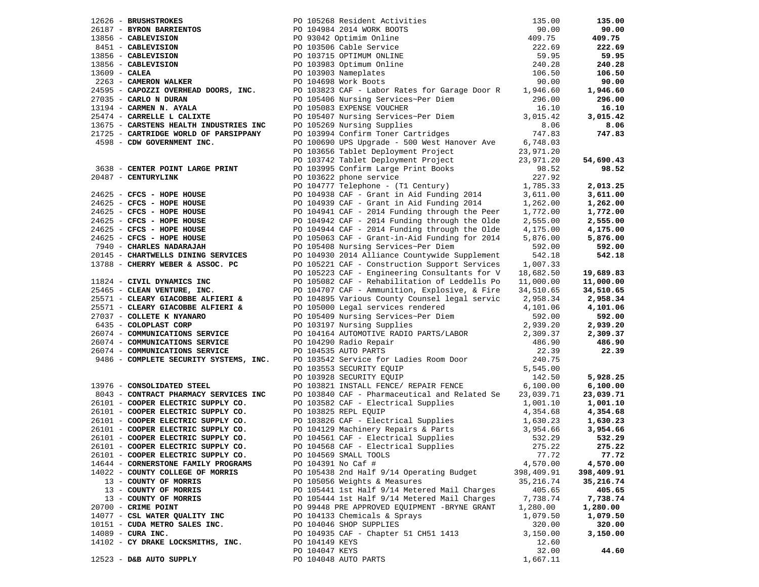|                                                                     |                                                                                                                                                                                                                                                                                         |            | 135.00     |
|---------------------------------------------------------------------|-----------------------------------------------------------------------------------------------------------------------------------------------------------------------------------------------------------------------------------------------------------------------------------------|------------|------------|
|                                                                     |                                                                                                                                                                                                                                                                                         |            | 90.00      |
|                                                                     |                                                                                                                                                                                                                                                                                         |            | 409.75     |
|                                                                     |                                                                                                                                                                                                                                                                                         |            | 222.69     |
|                                                                     |                                                                                                                                                                                                                                                                                         |            | 59.95      |
|                                                                     | 135.00<br>2626 - BRUSHSTROKES<br>2618 - BYRON BARRIENTOS<br>2618 - BYRON BARRIENTOS<br>27.5<br>27.5<br>27.5<br>27.5<br>27.5<br>27.5<br>27.5<br>27.5<br>27.5<br>27.5<br>27.5<br>27.5<br>27.5<br>27.5<br>27.5<br>27.5<br>27.5<br>27.5<br>27.5<br>27.5<br>27.5<br>27.5<br>27.5<br>27.5<br> |            | 240.28     |
|                                                                     |                                                                                                                                                                                                                                                                                         |            | 106.50     |
|                                                                     |                                                                                                                                                                                                                                                                                         |            | 90.00      |
|                                                                     |                                                                                                                                                                                                                                                                                         |            | 1,946.60   |
|                                                                     |                                                                                                                                                                                                                                                                                         |            | 296.00     |
| 27035 - CARLO N DURAN<br>13194 - CARMEN N. AYALA                    |                                                                                                                                                                                                                                                                                         |            | 16.10      |
| 25474 - CARRELLE L CALIXTE                                          |                                                                                                                                                                                                                                                                                         |            | 3,015.42   |
| 13675 - CARSTENS HEALTH INDUSTRIES INC                              |                                                                                                                                                                                                                                                                                         |            | 8.06       |
|                                                                     | PO 105406 Nursing Services~Per Diem<br>PO 105406 Nursing Services~Per Diem<br>PO 105083 EXPENSE VOUCHER<br>PO 105407 Nursing Services~Per Diem<br>9.0105407 Nursing Services~Per Diem<br>9.0105407 Nursing Supplies<br>PO 103994 Confirm T                                              |            | 747.83     |
| 21725 - CARTRIDGE WORLD OF PARSIPPANY<br>4598 - CDW GOVERNMENT INC. |                                                                                                                                                                                                                                                                                         |            |            |
|                                                                     |                                                                                                                                                                                                                                                                                         |            |            |
|                                                                     | PO 103656 Tablet Deployment Project<br>PO 103656 Tablet Deployment Project<br>PO 103742 Tablet Deployment Project<br>23,971.20<br>PO 103995 Confirm Large Print Books<br>98.52<br>PO 103622 phone service<br>227.92                                                                     |            |            |
|                                                                     |                                                                                                                                                                                                                                                                                         |            | 54,690.43  |
| 3638 - CENTER POINT LARGE PRINT                                     |                                                                                                                                                                                                                                                                                         |            | 98.52      |
| 20487 - CENTURYLINK                                                 |                                                                                                                                                                                                                                                                                         |            |            |
|                                                                     |                                                                                                                                                                                                                                                                                         |            | 2,013.25   |
|                                                                     |                                                                                                                                                                                                                                                                                         |            | 3,611.00   |
|                                                                     |                                                                                                                                                                                                                                                                                         |            | 1,262.00   |
|                                                                     |                                                                                                                                                                                                                                                                                         |            | 1,772.00   |
|                                                                     |                                                                                                                                                                                                                                                                                         |            | 2,555.00   |
|                                                                     |                                                                                                                                                                                                                                                                                         |            | 4,175.00   |
|                                                                     |                                                                                                                                                                                                                                                                                         |            | 5,876.00   |
|                                                                     | 24625 - <b>CFCS - HOPE HOUSE</b><br>24625 - <b>CFCS - HOPE HOUSE</b><br>24625 - <b>CFCS - HOPE HOUSE</b><br>24625 - <b>CFCS - HOPE HOUSE</b><br>24625 - <b>CFCS - HOPE HOUSE</b><br>24625 - <b>CFCS - HOPE HOUSE</b><br>24625 - <b>CFCS - HOPE HOUSE</b><br>24625 - <b>CFCS - HOP</b>   |            | 592.00     |
|                                                                     |                                                                                                                                                                                                                                                                                         |            | 542.18     |
|                                                                     |                                                                                                                                                                                                                                                                                         |            |            |
|                                                                     | 2014 - CHARTWELLS DINING SERVICES<br>2014 - CHARTWELLS DINING SERVICES<br>2014 - CHERRY WEBER & ASSOC. PC<br>25465 - CLEARY VERER, INC.<br>25465 - CLEARY GIACOBBE ALFIERI &<br>25571 - CLEARY GIACOBBE ALFIERI &<br>269 104707 CAF - Ammu                                              |            | 19,689.83  |
|                                                                     | PO 105082 CAF - Rehabilitation of Leddells Po 11,000.00                                                                                                                                                                                                                                 |            | 11,000.00  |
|                                                                     |                                                                                                                                                                                                                                                                                         | 34,510.65  | 34,510.65  |
|                                                                     | PO 104895 Various County Counsel legal servic 2,958.34                                                                                                                                                                                                                                  |            | 2,958.34   |
|                                                                     | 25571 - CLEARY GIACOBBE ALFIERI & PO 105000 Legal services rendered 4,101.06                                                                                                                                                                                                            |            | 4,101.06   |
| 27037 - COLLETE K NYANARO                                           | PO 105409 Nursing Services~Per Diem<br>PO 103197 Nursing Supplies                                                                                                                                                                                                                       | 592.00     | 592.00     |
| 6435 - COLOPLAST CORP                                               |                                                                                                                                                                                                                                                                                         | 2,939.20   | 2,939.20   |
| 26074 - COMMUNICATIONS SERVICE                                      |                                                                                                                                                                                                                                                                                         |            | 2,309.37   |
|                                                                     |                                                                                                                                                                                                                                                                                         |            | 486.90     |
| 26074 - COMMUNICATIONS SERVICE<br>26074 - COMMUNICATIONS SERVICE    |                                                                                                                                                                                                                                                                                         |            | 22.39      |
| 9486 - COMPLETE SECURITY SYSTEMS, INC.                              |                                                                                                                                                                                                                                                                                         |            |            |
|                                                                     |                                                                                                                                                                                                                                                                                         |            |            |
|                                                                     |                                                                                                                                                                                                                                                                                         |            | 5,928.25   |
| 13976 - CONSOLIDATED STEEL                                          | PO 104164 AUTOMOTIVE RADIO PARTS/LABOR<br>PO 104164 AUTOMOTIVE RADIO PARTS/LABOR<br>PO 104290 Radio Repair<br>PO 104535 AUTO PARTS<br>PO 103542 Service for Ladies Room Door<br>PO 103553 SECURITY EQUIP<br>PO 103928 SECURITY EQUIP<br>PO 1                                            |            | 6,100.00   |
|                                                                     |                                                                                                                                                                                                                                                                                         |            | 23,039.71  |
|                                                                     | 13976 - CONSOLIDATED STEEL<br>8043 - CONTRACT PHARMACY SERVICES INC<br>26101 - COOPER ELECTRIC SUPPLY CO.<br>26101 - COOPER ELECTRIC SUPPLY CO.<br>26101 - COOPER ELECTRIC SUPPLY CO.<br>26101 - COOPER ELECTRIC SUPPLY CO.<br>26101 - CO                                               |            | 1,001.10   |
|                                                                     |                                                                                                                                                                                                                                                                                         |            | 4,354.68   |
|                                                                     |                                                                                                                                                                                                                                                                                         |            | 1,630.23   |
|                                                                     |                                                                                                                                                                                                                                                                                         |            | 3,954.66   |
|                                                                     |                                                                                                                                                                                                                                                                                         |            | 532.29     |
| 26101 - COOPER ELECTRIC SUPPLY CO.                                  | PO 104568 CAF - Electrical Supplies 275.22 275.22                                                                                                                                                                                                                                       |            |            |
| 26101 - COOPER ELECTRIC SUPPLY CO.                                  | PO 104569 SMALL TOOLS                                                                                                                                                                                                                                                                   | 77.72      | 77.72      |
| 14644 - CORNERSTONE FAMILY PROGRAMS                                 | PO 104391 No Caf #                                                                                                                                                                                                                                                                      | 4,570.00   | 4,570.00   |
| 14022 - COUNTY COLLEGE OF MORRIS                                    | PO 105438 2nd Half 9/14 Operating Budget                                                                                                                                                                                                                                                | 398,409.91 | 398,409.91 |
|                                                                     |                                                                                                                                                                                                                                                                                         | 35, 216.74 |            |
| 13 - COUNTY OF MORRIS<br>13 - COUNTY OF MORRIS                      | PO 105056 Weights & Measures                                                                                                                                                                                                                                                            | 405.65     | 35,216.74  |
|                                                                     | PO 105441 1st Half 9/14 Metered Mail Charges                                                                                                                                                                                                                                            |            | 405.65     |
| 13 - COUNTY OF MORRIS                                               | PO 105444 1st Half 9/14 Metered Mail Charges                                                                                                                                                                                                                                            | 7,738.74   | 7,738.74   |
| 20700 - CRIME POINT                                                 | PO 99448 PRE APPROVED EOUIPMENT -BRYNE GRANT                                                                                                                                                                                                                                            | 1,280.00   | 1,280.00   |
| 14077 - CSL WATER QUALITY INC                                       | PO 104133 Chemicals & Sprays                                                                                                                                                                                                                                                            | 1,079.50   | 1,079.50   |
| 10151 - CUDA METRO SALES INC.                                       | PO 104046 SHOP SUPPLIES                                                                                                                                                                                                                                                                 | 320.00     | 320.00     |
| $14089$ - CURA INC.                                                 | PO 104935 CAF - Chapter 51 CH51 1413                                                                                                                                                                                                                                                    | 3,150.00   | 3,150.00   |
| 14102 - CY DRAKE LOCKSMITHS, INC.                                   | PO 104149 KEYS                                                                                                                                                                                                                                                                          | 12.60      |            |
|                                                                     | PO 104047 KEYS                                                                                                                                                                                                                                                                          | 32.00      | 44.60      |
| 12523 - D&B AUTO SUPPLY                                             | PO 104048 AUTO PARTS                                                                                                                                                                                                                                                                    | 1,667.11   |            |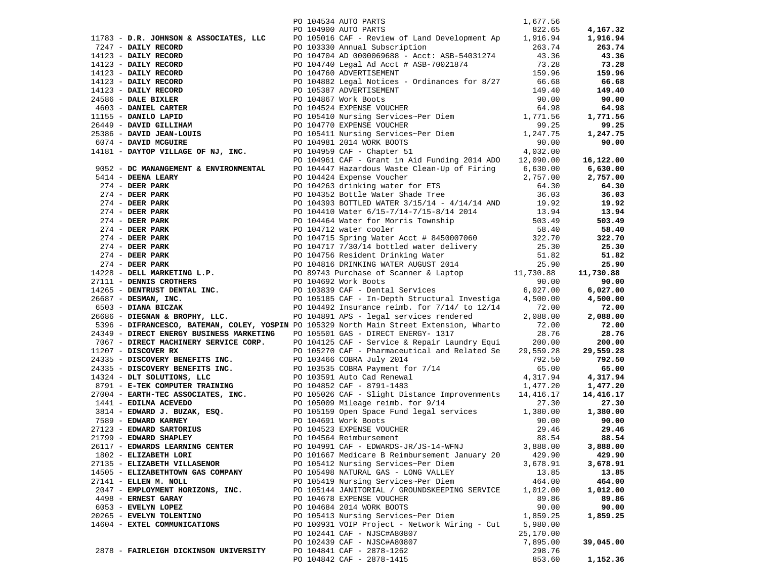|                                                                                                                                                                                                                                                                                                                                                                                                                        |  | PO 104534 AUTO PARTS                                   | 1,677.56         |           |
|------------------------------------------------------------------------------------------------------------------------------------------------------------------------------------------------------------------------------------------------------------------------------------------------------------------------------------------------------------------------------------------------------------------------|--|--------------------------------------------------------|------------------|-----------|
|                                                                                                                                                                                                                                                                                                                                                                                                                        |  | PO 104900 AUTO PARTS                                   | 822.65           | 4,167.32  |
| $[1783 - \textbf{D.R. JORMSON & ASSOCIATES, LLC \textbf{PO 104900 AUTO PARTS} \textbf{O (MPTO PARTS)} \textbf{O (MPTO PARTS)} \textbf{O (MPTO PARTS)} \textbf{O (MPTO PARTS)} \textbf{O (MPTO PARTS)} \textbf{O (MPTO PARTS)} \textbf{O (MPTO PARTS)} \textbf{O (MPTO PARTS)} \textbf{O (MPTO PARTS)}/ \textbf{O (MPTO PARTS)} \textbf{O (MPTO PARTS)}/ \textbf{O (MPTO PARTS)}/ \textbf{O (MPTO PARTS)}/ \textbf{O ($ |  |                                                        |                  | 1,916.94  |
|                                                                                                                                                                                                                                                                                                                                                                                                                        |  |                                                        |                  | 263.74    |
|                                                                                                                                                                                                                                                                                                                                                                                                                        |  |                                                        |                  | 43.36     |
|                                                                                                                                                                                                                                                                                                                                                                                                                        |  |                                                        |                  | 73.28     |
|                                                                                                                                                                                                                                                                                                                                                                                                                        |  |                                                        |                  | 159.96    |
|                                                                                                                                                                                                                                                                                                                                                                                                                        |  |                                                        |                  | 66.68     |
|                                                                                                                                                                                                                                                                                                                                                                                                                        |  |                                                        |                  |           |
|                                                                                                                                                                                                                                                                                                                                                                                                                        |  |                                                        |                  | 149.40    |
|                                                                                                                                                                                                                                                                                                                                                                                                                        |  |                                                        |                  | 90.00     |
|                                                                                                                                                                                                                                                                                                                                                                                                                        |  |                                                        |                  | 64.98     |
|                                                                                                                                                                                                                                                                                                                                                                                                                        |  |                                                        |                  | 1,771.56  |
|                                                                                                                                                                                                                                                                                                                                                                                                                        |  |                                                        |                  | 99.25     |
|                                                                                                                                                                                                                                                                                                                                                                                                                        |  |                                                        |                  | 1,247.75  |
|                                                                                                                                                                                                                                                                                                                                                                                                                        |  |                                                        |                  | 90.00     |
|                                                                                                                                                                                                                                                                                                                                                                                                                        |  |                                                        |                  |           |
|                                                                                                                                                                                                                                                                                                                                                                                                                        |  |                                                        |                  | 16,122.00 |
|                                                                                                                                                                                                                                                                                                                                                                                                                        |  |                                                        |                  | 6,630.00  |
|                                                                                                                                                                                                                                                                                                                                                                                                                        |  |                                                        |                  | 2,757.00  |
|                                                                                                                                                                                                                                                                                                                                                                                                                        |  |                                                        |                  |           |
|                                                                                                                                                                                                                                                                                                                                                                                                                        |  |                                                        |                  | 64.30     |
|                                                                                                                                                                                                                                                                                                                                                                                                                        |  |                                                        |                  | 36.03     |
|                                                                                                                                                                                                                                                                                                                                                                                                                        |  |                                                        |                  | 19.92     |
|                                                                                                                                                                                                                                                                                                                                                                                                                        |  |                                                        |                  | 13.94     |
|                                                                                                                                                                                                                                                                                                                                                                                                                        |  |                                                        |                  | 503.49    |
|                                                                                                                                                                                                                                                                                                                                                                                                                        |  |                                                        |                  | 58.40     |
|                                                                                                                                                                                                                                                                                                                                                                                                                        |  |                                                        |                  | 322.70    |
|                                                                                                                                                                                                                                                                                                                                                                                                                        |  |                                                        |                  | 25.30     |
|                                                                                                                                                                                                                                                                                                                                                                                                                        |  |                                                        |                  | 51.82     |
|                                                                                                                                                                                                                                                                                                                                                                                                                        |  |                                                        |                  | 25.90     |
| 1995 - <b>DC MANAMERY &amp; ENVIRONMENTAL</b><br><b>PO 104961 CAF - Grant in Aid Funding 2014 ADO 12,090.00 16,<br/> 1691 - <b>DC MANAMERY &amp; ENVIRONMENTAL</b><br/> 271 - <b>DEER PARK</b><br/> <b>PO 1044724 Experies Volcher</b><br/> 274 - <b>DEER PARK</b><br/> <b>PO 1044738 S</b></b>                                                                                                                        |  |                                                        |                  | 11,730.88 |
|                                                                                                                                                                                                                                                                                                                                                                                                                        |  |                                                        |                  | 90.00     |
|                                                                                                                                                                                                                                                                                                                                                                                                                        |  |                                                        |                  | 6,027.00  |
|                                                                                                                                                                                                                                                                                                                                                                                                                        |  |                                                        |                  |           |
|                                                                                                                                                                                                                                                                                                                                                                                                                        |  |                                                        |                  | 4,500.00  |
|                                                                                                                                                                                                                                                                                                                                                                                                                        |  |                                                        |                  | 72.00     |
| 1686 - DIEGNAN & BROPHY, LLC.<br>5396 - DIFRANCESCO, BATEMAN, COLEY, YOSPIN PO 105329 North Main Street Extension, Wharto 72.00<br>6396 - DIFRANCESCO, BATEMAN, COLEY, YOSPIN PO 105529 North Main Street Extension, Wharto 28.76                                                                                                                                                                                      |  |                                                        |                  | 2,088.00  |
|                                                                                                                                                                                                                                                                                                                                                                                                                        |  |                                                        |                  | 72.00     |
| 24349 - DIRECT ENERGY BUSINESS MARKETING                                                                                                                                                                                                                                                                                                                                                                               |  |                                                        |                  | 28.76     |
|                                                                                                                                                                                                                                                                                                                                                                                                                        |  |                                                        |                  | 200.00    |
|                                                                                                                                                                                                                                                                                                                                                                                                                        |  |                                                        |                  | 29,559.28 |
|                                                                                                                                                                                                                                                                                                                                                                                                                        |  |                                                        |                  | 792.50    |
|                                                                                                                                                                                                                                                                                                                                                                                                                        |  |                                                        |                  | 65.00     |
|                                                                                                                                                                                                                                                                                                                                                                                                                        |  |                                                        |                  | 4,317.94  |
|                                                                                                                                                                                                                                                                                                                                                                                                                        |  |                                                        |                  | 1,477.20  |
|                                                                                                                                                                                                                                                                                                                                                                                                                        |  |                                                        |                  | 14,416.17 |
|                                                                                                                                                                                                                                                                                                                                                                                                                        |  |                                                        |                  | 27.30     |
|                                                                                                                                                                                                                                                                                                                                                                                                                        |  |                                                        |                  |           |
|                                                                                                                                                                                                                                                                                                                                                                                                                        |  |                                                        |                  | 1,380.00  |
|                                                                                                                                                                                                                                                                                                                                                                                                                        |  |                                                        |                  | 90.00     |
|                                                                                                                                                                                                                                                                                                                                                                                                                        |  |                                                        |                  | 29.46     |
|                                                                                                                                                                                                                                                                                                                                                                                                                        |  |                                                        |                  | 88.54     |
|                                                                                                                                                                                                                                                                                                                                                                                                                        |  |                                                        |                  |           |
|                                                                                                                                                                                                                                                                                                                                                                                                                        |  |                                                        |                  | 3,888.00  |
| 1802 - ELIZABETH LORI                                                                                                                                                                                                                                                                                                                                                                                                  |  | PO 101667 Medicare B Reimbursement January 20          | 429.90           | 429.90    |
| 27135 - ELIZABETH VILLASENOR                                                                                                                                                                                                                                                                                                                                                                                           |  | PO 105412 Nursing Services~Per Diem                    | 3,678.91         | 3,678.91  |
|                                                                                                                                                                                                                                                                                                                                                                                                                        |  | PO 105498 NATURAL GAS - LONG VALLEY                    | 13.85            | 13.85     |
| 14505 - ELIZABETHTOWN GAS COMPANY                                                                                                                                                                                                                                                                                                                                                                                      |  |                                                        |                  |           |
| 27141 - ELLEN M. NOLL                                                                                                                                                                                                                                                                                                                                                                                                  |  | PO 105419 Nursing Services~Per Diem                    | 464.00           | 464.00    |
| 2047 - EMPLOYMENT HORIZONS, INC.                                                                                                                                                                                                                                                                                                                                                                                       |  | PO 105144 JANITORIAL / GROUNDSKEEPING SERVICE          | 1,012.00         | 1,012.00  |
| 4498 - ERNEST GARAY                                                                                                                                                                                                                                                                                                                                                                                                    |  | PO 104678 EXPENSE VOUCHER                              | 89.86            | 89.86     |
| 6053 - EVELYN LOPEZ                                                                                                                                                                                                                                                                                                                                                                                                    |  | PO 104684 2014 WORK BOOTS                              | 90.00            | 90.00     |
| 20265 - EVELYN TOLENTINO                                                                                                                                                                                                                                                                                                                                                                                               |  | PO 105413 Nursing Services~Per Diem                    | 1,859.25         | 1,859.25  |
| 14604 - EXTEL COMMUNICATIONS                                                                                                                                                                                                                                                                                                                                                                                           |  | PO 100931 VOIP Project - Network Wiring - Cut          | 5,980.00         |           |
|                                                                                                                                                                                                                                                                                                                                                                                                                        |  | PO 102441 CAF - NJSC#A80807                            | 25,170.00        |           |
|                                                                                                                                                                                                                                                                                                                                                                                                                        |  | PO 102439 CAF - NJSC#A80807                            | 7,895.00         | 39,045.00 |
| 2878 - FAIRLEIGH DICKINSON UNIVERSITY                                                                                                                                                                                                                                                                                                                                                                                  |  | PO 104841 CAF - 2878-1262<br>PO 104842 CAF - 2878-1415 | 298.76<br>853.60 | 1,152.36  |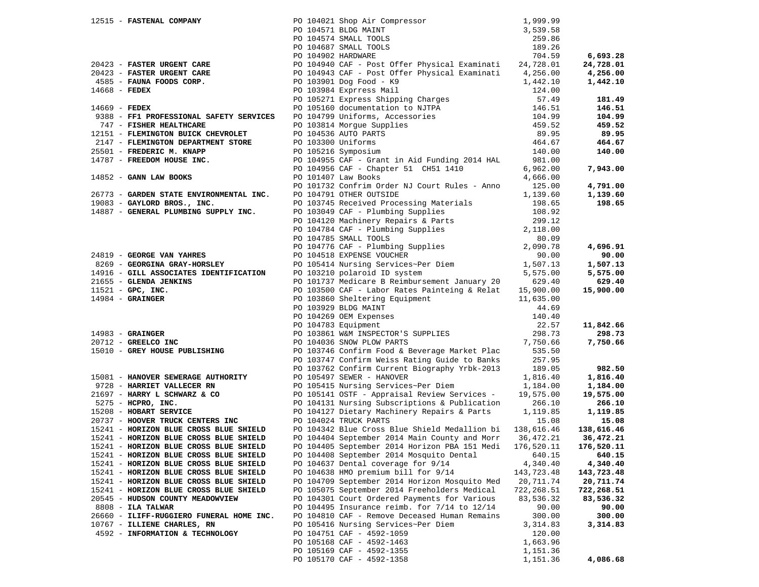|                     | 12515 - FASTENAL COMPANY                                                                       |                                                                                                                                                                                                                                                 | 1,999.99         |            |
|---------------------|------------------------------------------------------------------------------------------------|-------------------------------------------------------------------------------------------------------------------------------------------------------------------------------------------------------------------------------------------------|------------------|------------|
|                     |                                                                                                | PO 104021 Shop Air Compressor<br>PO 104571 BLDG MAINT<br>PO 104574 SMALL TOOLS<br>PO 104687 SMALL TOOLS<br>PO 104902 HARDWARE                                                                                                                   | 3,539.58         |            |
|                     |                                                                                                |                                                                                                                                                                                                                                                 | 259.86           |            |
|                     |                                                                                                |                                                                                                                                                                                                                                                 | 189.26           |            |
|                     |                                                                                                |                                                                                                                                                                                                                                                 |                  | 6,693.28   |
|                     |                                                                                                | 20423 - <b>FASTER URGENT CARE</b><br>20423 - <b>FASTER URGENT CARE</b><br>20423 - <b>FASTER URGENT CARE</b><br>20423 - PO 104943 CAF - Post Offer Physical Examinational property<br>20423 - PO 103901 Dog Food - K9<br>124.00                  |                  |            |
|                     |                                                                                                |                                                                                                                                                                                                                                                 |                  | 24,728.01  |
|                     |                                                                                                |                                                                                                                                                                                                                                                 |                  | 4,256.00   |
|                     |                                                                                                |                                                                                                                                                                                                                                                 |                  | 1,442.10   |
|                     |                                                                                                |                                                                                                                                                                                                                                                 |                  |            |
|                     |                                                                                                | Follo 15271 Express Saint<br>PO 105271 Express Shipping Charges<br>PO 105160 documentation to NJTPA<br>PO 104799 Uniforms, Accessories<br>PO 103814 Morgue Supplies<br>PO 104536 AUTO PARTS<br>PO 103300 Uniforms<br>PO 105216 Symposium        | 57.49            | 181.49     |
| $14669$ - FEDEX     |                                                                                                |                                                                                                                                                                                                                                                 | 146.51<br>104.99 | 146.51     |
|                     | 9388 - FF1 PROFESSIONAL SAFETY SERVICES                                                        |                                                                                                                                                                                                                                                 |                  | 104.99     |
|                     | 747 - FISHER HEALTHCARE                                                                        |                                                                                                                                                                                                                                                 | 459.52           | 459.52     |
|                     |                                                                                                |                                                                                                                                                                                                                                                 |                  |            |
|                     | 12151 - FLEMINGTON BUICK CHEVROLET                                                             |                                                                                                                                                                                                                                                 | 89.95            | 89.95      |
|                     |                                                                                                |                                                                                                                                                                                                                                                 | 464.67           | 464.67     |
|                     | -2147 - FLEMINGTON DEPARTMENT STORE<br>25501 - FREDERIC M. KNAPP<br>14787 - FREEDOM HOUSE INC. | PO 105216 Symposium                                                                                                                                                                                                                             | 140.00           | 140.00     |
|                     |                                                                                                | PO 104955 CAF - Grant in Aid Funding 2014 HAL                                                                                                                                                                                                   | 981.00           |            |
|                     |                                                                                                | PO 104956 CAF - Chapter 51 CH51 1410                                                                                                                                                                                                            | 6,962.00         | 7,943.00   |
|                     | 14852 - GANN LAW BOOKS                                                                         | PO 101407 Law Books                                                                                                                                                                                                                             | 4,666.00         |            |
|                     |                                                                                                |                                                                                                                                                                                                                                                 |                  |            |
|                     |                                                                                                | PO 101732 Confrim Order NJ Court Rules - Anno                                                                                                                                                                                                   | 125.00           | 4,791.00   |
|                     | 26773 - GARDEN STATE ENVIRONMENTAL INC.                                                        | PO 104791 OTHER OUTSIDE                                                                                                                                                                                                                         | 1,139.60         | 1,139.60   |
|                     | 19083 - GAYLORD BROS., INC.                                                                    | PO 103745 Received Processing Materials                                                                                                                                                                                                         | 198.65           | 198.65     |
|                     | 14887 - GENERAL PLUMBING SUPPLY INC.                                                           |                                                                                                                                                                                                                                                 | 108.92           |            |
|                     |                                                                                                | PO 103049 CAF - Plumbing Supplies<br>PO 104120 Machinery Repairs & Parts<br>PO 104784 CAF - Plumbing Supplies<br>PO 104785 SMALL TOOLS<br>PO 104776 CAF - Plumbing Supplies<br>PO 104518 EXPENSE VOUCHER<br>PO 105414 Nursing Sovuices Por Pier | 299.12           |            |
|                     |                                                                                                |                                                                                                                                                                                                                                                 | 2,118.00         |            |
|                     |                                                                                                |                                                                                                                                                                                                                                                 | 80.09            |            |
|                     |                                                                                                |                                                                                                                                                                                                                                                 |                  |            |
|                     |                                                                                                |                                                                                                                                                                                                                                                 | 2,090.78         | 4,696.91   |
|                     | 24819 - GEORGE VAN YAHRES                                                                      |                                                                                                                                                                                                                                                 | 90.00            | 90.00      |
|                     | 8269 - GEORGINA GRAY-HORSLEY                                                                   | PO 105414 Nursing Services~Per Diem<br>PO 105414 Nursing Services~Per Diem<br>PO 103210 polaroid ID system<br>5,575.00                                                                                                                          |                  | 1,507.13   |
|                     | 14916 - GILL ASSOCIATES IDENTIFICATION                                                         |                                                                                                                                                                                                                                                 |                  | 5,575.00   |
|                     |                                                                                                | PO 101737 Medicare B Reimbursement January 20                                                                                                                                                                                                   | 629.40           | 629.40     |
|                     |                                                                                                | PO 103500 CAF - Labor Rates Painteing & Relat 15,900.00                                                                                                                                                                                         |                  | 15,900.00  |
|                     |                                                                                                |                                                                                                                                                                                                                                                 | 11,635.00        |            |
|                     |                                                                                                |                                                                                                                                                                                                                                                 |                  |            |
|                     | 21655 - GLENDA JENKINS<br>11521 - GPC, INC.<br>14984 - GRAINGER                                | PO 103860 Sheltering Equipment<br>PO 103929 BLDG MAINT<br>PO 104269 OEM Expenses<br>PO 104783 Equipment                                                                                                                                         | 44.69            |            |
|                     |                                                                                                |                                                                                                                                                                                                                                                 | 140.40           |            |
|                     |                                                                                                | PO 104783 Equipment                                                                                                                                                                                                                             | 22.57            | 11,842.66  |
| $14983$ - GRAINGER  |                                                                                                | PO 104705 EQUIPMENT<br>PO 103861 W&M INSPECTOR'S SUPPLIES<br>DO 104036 SNOW PLOW PARTS                                                                                                                                                          | 298.73           | 298.73     |
|                     | $20712$ - GREELCO INC                                                                          | PO 104036 SNOW PLOW PARTS                                                                                                                                                                                                                       | 7,750.66         | 7,750.66   |
|                     | 15010 - GREY HOUSE PUBLISHING                                                                  | PO 103746 Confirm Food & Beverage Market Plac                                                                                                                                                                                                   | 535.50           |            |
|                     |                                                                                                | PO 103747 Confirm Weiss Rating Guide to Banks                                                                                                                                                                                                   | 257.95           |            |
|                     |                                                                                                | PO 103762 Confirm Current Biography Yrbk-2013                                                                                                                                                                                                   | 189.05           | 982.50     |
|                     | 15081 - HANOVER SEWERAGE AUTHORITY                                                             |                                                                                                                                                                                                                                                 |                  |            |
|                     |                                                                                                | PO 105497 SEWER - HANOVER                                                                                                                                                                                                                       | 1,816.40         | 1,816.40   |
|                     | 9728 - HARRIET VALLECER RN                                                                     | PO 105415 Nursing Services~Per Diem                                                                                                                                                                                                             | 1,184.00         | 1,184.00   |
|                     | 21697 - HARRY L SCHWARZ & CO                                                                   | PO 105141 OSTF - Appraisal Review Services -                                                                                                                                                                                                    | 19,575.00        | 19,575.00  |
|                     | 5275 - HCPRO, INC.                                                                             | PO 104131 Nursing Subscriptions & Publication                                                                                                                                                                                                   | 266.10           | 266.10     |
|                     | 15208 - HOBART SERVICE                                                                         | PO 104127 Dietary Machinery Repairs & Parts                                                                                                                                                                                                     | 1,119.85         | 1,119.85   |
|                     | 20737 - HOOVER TRUCK CENTERS INC                                                               | PO 104024 TRUCK PARTS                                                                                                                                                                                                                           | 15.08            | 15.08      |
|                     | 15241 - HORIZON BLUE CROSS BLUE SHIELD                                                         | PO 104342 Blue Cross Blue Shield Medallion bi 138,616.46                                                                                                                                                                                        |                  | 138,616.46 |
|                     | 15241 - HORIZON BLUE CROSS BLUE SHIELD                                                         | PO 104404 September 2014 Main County and Morr 36,472.21                                                                                                                                                                                         |                  | 36,472.21  |
|                     |                                                                                                |                                                                                                                                                                                                                                                 |                  |            |
|                     | 15241 - HORIZON BLUE CROSS BLUE SHIELD                                                         | PO 104405 September 2014 Horizon PBA 151 Medi                                                                                                                                                                                                   | 176,520.11       | 176,520.11 |
|                     | 15241 - HORIZON BLUE CROSS BLUE SHIELD                                                         | PO 104408 September 2014 Mosquito Dental                                                                                                                                                                                                        | 640.15           | 640.15     |
|                     | 15241 - HORIZON BLUE CROSS BLUE SHIELD                                                         | PO 104637 Dental coverage for 9/14                                                                                                                                                                                                              | 4,340.40         | 4,340.40   |
|                     | 15241 - HORIZON BLUE CROSS BLUE SHIELD                                                         | PO 104638 HMO premium bill for 9/14                                                                                                                                                                                                             | 143,723.48       | 143,723.48 |
|                     | 15241 - HORIZON BLUE CROSS BLUE SHIELD                                                         | PO 104709 September 2014 Horizon Mosquito Med                                                                                                                                                                                                   | 20,711.74        | 20,711.74  |
|                     | 15241 - HORIZON BLUE CROSS BLUE SHIELD                                                         | PO 105075 September 2014 Freeholders Medical                                                                                                                                                                                                    | 722,268.51       | 722,268.51 |
|                     | 20545 - HUDSON COUNTY MEADOWVIEW                                                               | PO 104301 Court Ordered Payments for Various                                                                                                                                                                                                    | 83,536.32        | 83,536.32  |
|                     |                                                                                                |                                                                                                                                                                                                                                                 |                  |            |
| $8808$ - ILA TALWAR |                                                                                                | PO 104495 Insurance reimb. for 7/14 to 12/14                                                                                                                                                                                                    | 90.00            | 90.00      |
|                     | 26660 - ILIFF-RUGGIERO FUNERAL HOME INC.                                                       | PO 104810 CAF - Remove Deceased Human Remains                                                                                                                                                                                                   | 300.00           | 300.00     |
|                     | 10767 - ILLIENE CHARLES, RN                                                                    | PO 105416 Nursing Services~Per Diem                                                                                                                                                                                                             | 3,314.83         | 3,314.83   |
|                     | 4592 - INFORMATION & TECHNOLOGY                                                                | PO 104751 CAF - 4592-1059                                                                                                                                                                                                                       | 120.00           |            |
|                     |                                                                                                | PO 105168 CAF - 4592-1463                                                                                                                                                                                                                       | 1,663.96         |            |
|                     |                                                                                                | PO 105169 CAF - 4592-1355                                                                                                                                                                                                                       | 1,151.36         |            |
|                     |                                                                                                | PO 105170 CAF - 4592-1358                                                                                                                                                                                                                       | 1,151.36         | 4,086.68   |
|                     |                                                                                                |                                                                                                                                                                                                                                                 |                  |            |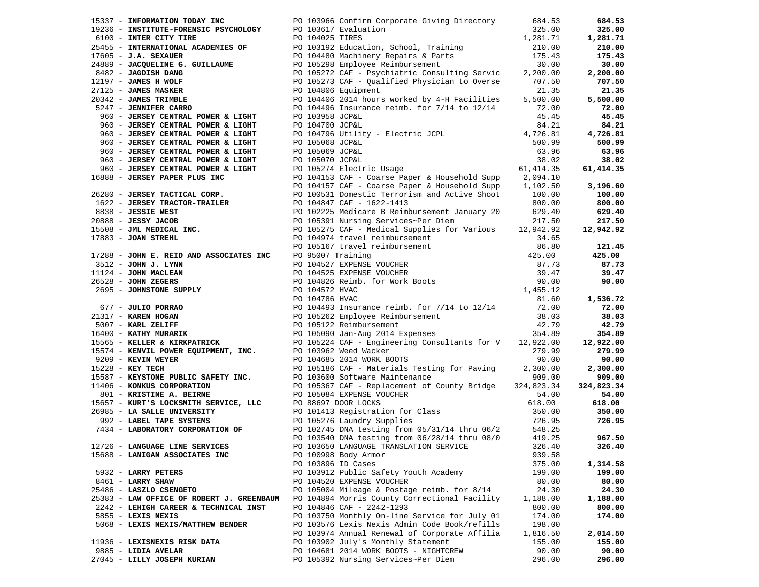| 15337 - INFORMATION TODAY INC PO 103966 Confirm Corporate Giving Directory                                                                                                                                                                                                                                                                                                                                                                                                                       |                 |                                                                                                                | 684.53   | 684.53     |
|--------------------------------------------------------------------------------------------------------------------------------------------------------------------------------------------------------------------------------------------------------------------------------------------------------------------------------------------------------------------------------------------------------------------------------------------------------------------------------------------------|-----------------|----------------------------------------------------------------------------------------------------------------|----------|------------|
| 19236 - INSTITUTE-FORENSIC PSYCHOLOGY PO 103617 Evaluation                                                                                                                                                                                                                                                                                                                                                                                                                                       |                 |                                                                                                                | 325.00   | 325.00     |
| 6100 - INTER CITY TIRE                                                                                                                                                                                                                                                                                                                                                                                                                                                                           | PO 104025 TIRES |                                                                                                                | 1,281.71 | 1,281.71   |
|                                                                                                                                                                                                                                                                                                                                                                                                                                                                                                  |                 |                                                                                                                |          | 210.00     |
|                                                                                                                                                                                                                                                                                                                                                                                                                                                                                                  |                 |                                                                                                                |          | 175.43     |
| COLORED TRIES<br>25455 - INTERNATIONAL ACADEMIES OF PO 103192 Education, School, Training<br>210.00<br>210.00<br>210.00<br>210.00<br>2175.43<br>24889 - JACQUELINE G. GUILLAUME PO 105298 Employee Reimbursement<br>24889 - JACQUELINE G. GUIL                                                                                                                                                                                                                                                   |                 |                                                                                                                |          | 30.00      |
|                                                                                                                                                                                                                                                                                                                                                                                                                                                                                                  |                 |                                                                                                                |          | 2,200.00   |
|                                                                                                                                                                                                                                                                                                                                                                                                                                                                                                  |                 | PO 105273 CAF - Qualified Physician to Overse 707.50                                                           |          | 707.50     |
| 12197 - <b>JAMES H WOLF</b><br>27125 - <b>JAMES MASKER</b>                                                                                                                                                                                                                                                                                                                                                                                                                                       |                 | PO 104806 Equipment                                                                                            | 21.35    | 21.35      |
| 20342 - <b>JAMES TRIMBLE</b><br>5247 - <b>JENNIFER CARRO</b>                                                                                                                                                                                                                                                                                                                                                                                                                                     |                 | PO 104406 2014 hours worked by 4-H Facilities                                                                  | 5,500.00 | 5,500.00   |
| 5247 - JENNIFER CARRO                                                                                                                                                                                                                                                                                                                                                                                                                                                                            |                 | PO 104496 Insurance reimb. for $7/14$ to $12/14$                                                               | 72.00    | 72.00      |
| 960 - JERSEY CENTRAL POWER & LIGHT                                                                                                                                                                                                                                                                                                                                                                                                                                                               | PO 103958 JCP&L |                                                                                                                | 45.45    | 45.45      |
| 960 - JERSEY CENTRAL POWER & LIGHT                                                                                                                                                                                                                                                                                                                                                                                                                                                               | PO 104700 JCP&L |                                                                                                                | 84.21    | 84.21      |
| 960 - JERSEY CENTRAL POWER & LIGHT                                                                                                                                                                                                                                                                                                                                                                                                                                                               |                 | PO 104796 Utility - Electric JCPL                                                                              | 4,726.81 | 4,726.81   |
| 960 - JERSEY CENTRAL POWER & LIGHT                                                                                                                                                                                                                                                                                                                                                                                                                                                               |                 |                                                                                                                |          | 500.99     |
| 960 - JERSEY CENTRAL POWER & LIGHT                                                                                                                                                                                                                                                                                                                                                                                                                                                               |                 | PO 105068 JCP&L 500.99<br>PO 105069 JCP&L 63.96<br>PO 105070 JCP&L 38.02<br>PO 105274 Electric Usage 61,414.35 |          | 63.96      |
| 960 - JERSEY CENTRAL POWER & LIGHT                                                                                                                                                                                                                                                                                                                                                                                                                                                               |                 |                                                                                                                |          | 38.02      |
|                                                                                                                                                                                                                                                                                                                                                                                                                                                                                                  |                 |                                                                                                                |          | 61,414.35  |
| 16888 - JERSEY PAPER PLUS INC                                                                                                                                                                                                                                                                                                                                                                                                                                                                    |                 | PO 104153 CAF - Coarse Paper & Household Supp 2,094.10                                                         |          |            |
|                                                                                                                                                                                                                                                                                                                                                                                                                                                                                                  |                 | PO 104157 CAF - Coarse Paper & Household Supp 1,102.50                                                         |          | 3,196.60   |
| 960 - JERSEY CENTRAL POWER & LIGHT<br>5888 - JERSEY PAPER PLUS INC<br>5280 - JERSEY TACTICAL CORP.<br>26280 - JERSEY TACTICAL CORP.                                                                                                                                                                                                                                                                                                                                                              |                 | PO 100531 Domestic Terrorism and Active Shoot 100.00                                                           |          | 100.00     |
|                                                                                                                                                                                                                                                                                                                                                                                                                                                                                                  |                 |                                                                                                                |          | 800.00     |
|                                                                                                                                                                                                                                                                                                                                                                                                                                                                                                  |                 |                                                                                                                |          | 629.40     |
|                                                                                                                                                                                                                                                                                                                                                                                                                                                                                                  |                 |                                                                                                                |          | 217.50     |
|                                                                                                                                                                                                                                                                                                                                                                                                                                                                                                  |                 |                                                                                                                |          | 12,942.92  |
|                                                                                                                                                                                                                                                                                                                                                                                                                                                                                                  |                 |                                                                                                                |          |            |
| CORRESS AND THE SERVING TRACTOR-TRAILLER<br>1622 - JERSEY VACOB<br>2088 - JESSY JACOB<br>15508 - JML MEDICAL INC.<br>17883 - JOAN STREHL<br>2088 - JOAN STREHL<br>20010974 travel reimbursement<br>20101974 travel reimbursement<br>20101974 t                                                                                                                                                                                                                                                   |                 |                                                                                                                |          | 121.45     |
|                                                                                                                                                                                                                                                                                                                                                                                                                                                                                                  |                 |                                                                                                                |          | 425.00     |
|                                                                                                                                                                                                                                                                                                                                                                                                                                                                                                  |                 |                                                                                                                |          | 87.73      |
|                                                                                                                                                                                                                                                                                                                                                                                                                                                                                                  |                 |                                                                                                                |          | 39.47      |
|                                                                                                                                                                                                                                                                                                                                                                                                                                                                                                  |                 |                                                                                                                |          | 90.00      |
|                                                                                                                                                                                                                                                                                                                                                                                                                                                                                                  |                 |                                                                                                                |          |            |
| 17883 - JOAN STREHL<br>17883 - JOAN STREHL<br>17288 - JOHN E. REID AND ASSOCIATES INC<br>2512 - JOHN J. LYNN<br>2512 - JOHN J. LYNN<br>26.80<br>2695 - JOHN MACLEAN<br>26528 - JOHN STREERS<br>2695 - JOHN STONE SUPPLY<br>2695 - JOHNSTONE SUPP<br>00 104786 HVAC<br>FO 104786 HVAC<br>PO 104786 HVAC<br>PO 10493 Insurance reimb. for 7/14 to 12/14<br>PO 105262 Employee Reimbursement<br>PO 105224 CAF – Engineering Consultants for V 12,922.00<br>PO 105122 Reimbursement<br>PO 105224 CAF |                 |                                                                                                                |          | 1,536.72   |
|                                                                                                                                                                                                                                                                                                                                                                                                                                                                                                  |                 |                                                                                                                |          | 72.00      |
|                                                                                                                                                                                                                                                                                                                                                                                                                                                                                                  |                 |                                                                                                                |          | 38.03      |
|                                                                                                                                                                                                                                                                                                                                                                                                                                                                                                  |                 |                                                                                                                |          | 42.79      |
|                                                                                                                                                                                                                                                                                                                                                                                                                                                                                                  |                 |                                                                                                                |          | 354.89     |
|                                                                                                                                                                                                                                                                                                                                                                                                                                                                                                  |                 |                                                                                                                |          | 12,922.00  |
| 15574 - KENVIL POWER EQUIPMENT, INC. PO 103962 Weed Wacker                                                                                                                                                                                                                                                                                                                                                                                                                                       |                 |                                                                                                                | 279.99   | 279.99     |
| 9209 - KEVIN WEYER                                                                                                                                                                                                                                                                                                                                                                                                                                                                               |                 | PO 104685 2014 WORK BOOTS                                                                                      | 90.00    | 90.00      |
| 15228 - KEY TECH                                                                                                                                                                                                                                                                                                                                                                                                                                                                                 |                 | PO 105186 CAF - Materials Testing for Paving                                                                   | 2,300.00 | 2,300.00   |
| 15587 - KEYSTONE PUBLIC SAFETY INC. PO 103600 Software Maintenance                                                                                                                                                                                                                                                                                                                                                                                                                               |                 |                                                                                                                | 909.00   | 909.00     |
| 11406 - KONKUS CORPORATION                                                                                                                                                                                                                                                                                                                                                                                                                                                                       |                 | PO 105367 CAF - Replacement of County Bridge 324,823.34                                                        |          | 324,823.34 |
| 801 - KRISTINE A. BEIRNE                                                                                                                                                                                                                                                                                                                                                                                                                                                                         |                 | PO 105084 EXPENSE VOUCHER                                                                                      | 54.00    | 54.00      |
|                                                                                                                                                                                                                                                                                                                                                                                                                                                                                                  |                 |                                                                                                                | 618.00   | 618.00     |
| 15657 - KURT'S LOCKSMITH SERVICE, LLC DO 88697 DOOR LOCKS 618.00<br>26985 - LA SALLE UNIVERSITY DO 101413 Registration for Class 350.00<br>26985 - LABEL TAPE SYSTEMS PO 105276 Laundry Supplies 726.95<br>26.95 PO 102745 DNA testi                                                                                                                                                                                                                                                             |                 |                                                                                                                |          | 350.00     |
|                                                                                                                                                                                                                                                                                                                                                                                                                                                                                                  |                 |                                                                                                                |          | 726.95     |
|                                                                                                                                                                                                                                                                                                                                                                                                                                                                                                  |                 |                                                                                                                |          |            |
|                                                                                                                                                                                                                                                                                                                                                                                                                                                                                                  |                 | PO 103540 DNA testing from 06/28/14 thru 08/0                                                                  | 419.25   | 967.50     |
| 12726 - LANGUAGE LINE SERVICES                                                                                                                                                                                                                                                                                                                                                                                                                                                                   |                 | PO 103650 LANGUAGE TRANSLATION SERVICE                                                                         | 326.40   | 326.40     |
| 15688 - LANIGAN ASSOCIATES INC                                                                                                                                                                                                                                                                                                                                                                                                                                                                   |                 | PO 100998 Body Armor                                                                                           | 939.58   |            |
|                                                                                                                                                                                                                                                                                                                                                                                                                                                                                                  |                 | PO 103896 ID Cases                                                                                             | 375.00   | 1,314.58   |
| 5932 - LARRY PETERS                                                                                                                                                                                                                                                                                                                                                                                                                                                                              |                 | PO 103912 Public Safety Youth Academy                                                                          | 199.00   | 199.00     |
| 8461 - LARRY SHAW                                                                                                                                                                                                                                                                                                                                                                                                                                                                                |                 | PO 104520 EXPENSE VOUCHER                                                                                      | 80.00    | 80.00      |
| 25486 - LASZLO CSENGETO                                                                                                                                                                                                                                                                                                                                                                                                                                                                          |                 | PO 105004 Mileage & Postage reimb. for 8/14                                                                    | 24.30    | 24.30      |
| 25383 - LAW OFFICE OF ROBERT J. GREENBAUM                                                                                                                                                                                                                                                                                                                                                                                                                                                        |                 | PO 104894 Morris County Correctional Facility                                                                  | 1,188.00 | 1,188.00   |
| 2242 - LEHIGH CAREER & TECHNICAL INST                                                                                                                                                                                                                                                                                                                                                                                                                                                            |                 | PO 104846 CAF - 2242-1293                                                                                      | 800.00   | 800.00     |
| 5855 - LEXIS NEXIS                                                                                                                                                                                                                                                                                                                                                                                                                                                                               |                 | PO 103750 Monthly On-line Service for July 01                                                                  | 174.00   | 174.00     |
| 5068 - LEXIS NEXIS/MATTHEW BENDER                                                                                                                                                                                                                                                                                                                                                                                                                                                                |                 | PO 103576 Lexis Nexis Admin Code Book/refills                                                                  | 198.00   |            |
|                                                                                                                                                                                                                                                                                                                                                                                                                                                                                                  |                 | PO 103974 Annual Renewal of Corporate Affilia                                                                  | 1,816.50 | 2,014.50   |
| 11936 - LEXISNEXIS RISK DATA                                                                                                                                                                                                                                                                                                                                                                                                                                                                     |                 | PO 103902 July's Monthly Statement                                                                             | 155.00   | 155.00     |
| 9885 - LIDIA AVELAR                                                                                                                                                                                                                                                                                                                                                                                                                                                                              |                 | PO 104681 2014 WORK BOOTS - NIGHTCREW                                                                          | 90.00    | 90.00      |
| 27045 - LILLY JOSEPH KURIAN                                                                                                                                                                                                                                                                                                                                                                                                                                                                      |                 | PO 105392 Nursing Services~Per Diem                                                                            | 296.00   | 296.00     |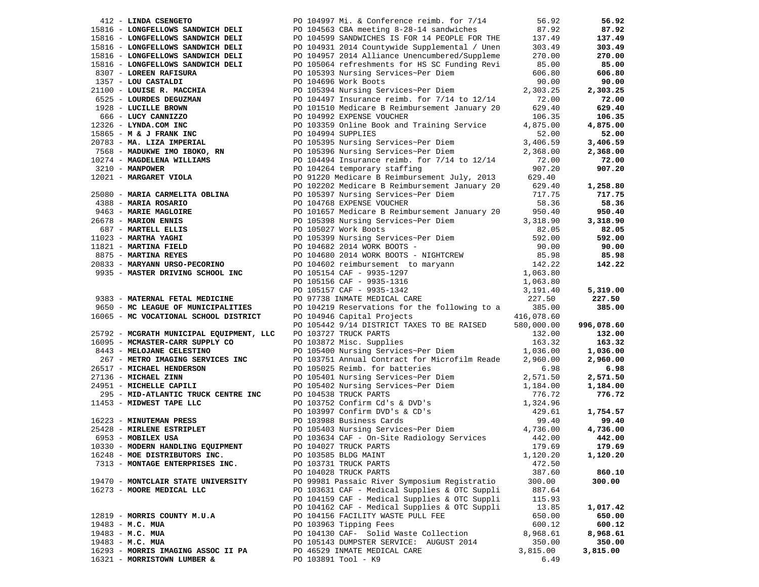| 412 - LINDA CSENGETO                     | PO 104997 Mi. & Conference reimb. for 7/14                                                                                                                                                                                                                                                     | 56.92    | 56.92      |
|------------------------------------------|------------------------------------------------------------------------------------------------------------------------------------------------------------------------------------------------------------------------------------------------------------------------------------------------|----------|------------|
| 15816 - LONGFELLOWS SANDWICH DELI        | PO 104563 CBA meeting 8-28-14 sandwiches                                                                                                                                                                                                                                                       | 87.92    | 87.92      |
| 15816 - LONGFELLOWS SANDWICH DELI        | PO 104599 SANDWICHES IS FOR 14 PEOPLE FOR THE 137.49                                                                                                                                                                                                                                           |          | 137.49     |
| 15816 - LONGFELLOWS SANDWICH DELI        |                                                                                                                                                                                                                                                                                                |          | 303.49     |
| 15816 - LONGFELLOWS SANDWICH DELI        | PO 104931 2014 Countywide Supplemental / Unen 303.49<br>PO 104957 2014 Alliance Unencumbered/Suppleme 270.00                                                                                                                                                                                   |          | 270.00     |
| 15816 - LONGFELLOWS SANDWICH DELI        | PO 105064 refreshments for HS SC Funding Revi                                                                                                                                                                                                                                                  | 85.00    | 85.00      |
| 8307 - LOREEN RAFISURA                   | PO 105393 Nursing Services~Per Diem                                                                                                                                                                                                                                                            | 606.80   | 606.80     |
| 1357 - LOU CASTALDI                      | PO 104696 Work Boots                                                                                                                                                                                                                                                                           | 90.00    | 90.00      |
|                                          |                                                                                                                                                                                                                                                                                                |          | 2,303.25   |
|                                          |                                                                                                                                                                                                                                                                                                |          | 72.00      |
|                                          |                                                                                                                                                                                                                                                                                                |          | 629.40     |
|                                          |                                                                                                                                                                                                                                                                                                |          | 106.35     |
|                                          |                                                                                                                                                                                                                                                                                                |          | 4,875.00   |
|                                          |                                                                                                                                                                                                                                                                                                |          | 52.00      |
|                                          |                                                                                                                                                                                                                                                                                                |          |            |
|                                          |                                                                                                                                                                                                                                                                                                |          | 3,406.59   |
|                                          |                                                                                                                                                                                                                                                                                                |          | 2,368.00   |
|                                          |                                                                                                                                                                                                                                                                                                |          | 72.00      |
|                                          |                                                                                                                                                                                                                                                                                                |          | 907.20     |
|                                          |                                                                                                                                                                                                                                                                                                |          |            |
|                                          |                                                                                                                                                                                                                                                                                                |          | 1,258.80   |
|                                          | 1357 - LOU CASTALDI<br>2010 - LOUISE R. MACCHIA<br>2010 - LOUISE R. MACCHIA<br>2020 - LOUISE R. MACCHIA<br>22.300 - LOUISE DROWN 220<br>1928 - LUCILLE BROWN 2020<br>22.900 - LOUISE DROWN 2020 - LOUISE DROWN 2020 - LOUISE DROWN 2021<br>                                                    |          | 717.75     |
|                                          |                                                                                                                                                                                                                                                                                                |          | 58.36      |
|                                          |                                                                                                                                                                                                                                                                                                |          | 950.40     |
|                                          |                                                                                                                                                                                                                                                                                                |          | 3,318.90   |
|                                          |                                                                                                                                                                                                                                                                                                |          | 82.05      |
|                                          |                                                                                                                                                                                                                                                                                                |          | 592.00     |
|                                          |                                                                                                                                                                                                                                                                                                |          | 90.00      |
|                                          |                                                                                                                                                                                                                                                                                                |          | 85.98      |
|                                          |                                                                                                                                                                                                                                                                                                |          | 142.22     |
|                                          |                                                                                                                                                                                                                                                                                                |          |            |
|                                          |                                                                                                                                                                                                                                                                                                |          |            |
|                                          |                                                                                                                                                                                                                                                                                                |          | 5,319.00   |
|                                          |                                                                                                                                                                                                                                                                                                |          | 227.50     |
|                                          |                                                                                                                                                                                                                                                                                                |          | 385.00     |
|                                          |                                                                                                                                                                                                                                                                                                |          |            |
|                                          |                                                                                                                                                                                                                                                                                                |          |            |
|                                          |                                                                                                                                                                                                                                                                                                |          |            |
|                                          | 12021 - MARGARET VIOLET OBLINA (PD 102202 muricing Services-Per Diem) 58.36<br>438 - MARIA ROSARIO PO 105397 Nursing Services-Per Diem<br>438 - MARIA ROSARIO PRINCIPE<br>6678 - MARIA ROSARIO PRINCIPE<br>6878 - MARIA ROSARIO PO 10<br>PO 105442 9/14 DISTRICT TAXES TO BE RAISED 580,000.00 |          | 996,078.60 |
| 25792 - MCGRATH MUNICIPAL EQUIPMENT, LLC | PO 103727 TRUCK PARTS                                                                                                                                                                                                                                                                          | 132.00   | 132.00     |
| 16095 - MCMASTER-CARR SUPPLY CO          |                                                                                                                                                                                                                                                                                                |          | 163.32     |
| 8443 - MELOJANE CELESTINO                | PO 103872 Misc. Supplies 163.32<br>PO 105400 Nursing Services~Per Diem 1,036.00                                                                                                                                                                                                                |          | 1,036.00   |
| 267 - METRO IMAGING SERVICES INC         | PO 103751 Annual Contract for Microfilm Reade                                                                                                                                                                                                                                                  | 2,960.00 | 2,960.00   |
| 26517 - MICHAEL HENDERSON                | PO 105025 Reimb. for batteries                                                                                                                                                                                                                                                                 | 6.98     | 6.98       |
| 27136 - MICHAEL ZINN                     | PO 105401 Nursing Services~Per Diem                                                                                                                                                                                                                                                            | 2,571.50 | 2,571.50   |
| 24951 - MICHELLE CAPILI                  | PO 105402 Nursing Services~Per Diem                                                                                                                                                                                                                                                            | 1,184.00 | 1,184.00   |
| 295 - MID-ATLANTIC TRUCK CENTRE INC      | PO 104538 TRUCK PARTS                                                                                                                                                                                                                                                                          | 776.72   | 776.72     |
| 11453 - MIDWEST TAPE LLC                 |                                                                                                                                                                                                                                                                                                |          |            |
|                                          |                                                                                                                                                                                                                                                                                                |          | 1,754.57   |
| 16223 - MINUTEMAN PRESS                  |                                                                                                                                                                                                                                                                                                |          | 99.40      |
| 25428 - MIRLENE ESTRIPLET                | PO 103752 Confirm Cd's & DVD's<br>PO 103752 Confirm Cd's & DVD's<br>PO 103997 Confirm DVD's & CD's<br>PO 103988 Business Cards<br>PO 105403 Nursing Services~Per Diem<br>4,736.00                                                                                                              |          | 4,736.00   |
| 6953 - MOBILEX USA                       | PO 103634 CAF - On-Site Radiology Services                                                                                                                                                                                                                                                     | 442.00   | 442.00     |
| 10330 - MODERN HANDLING EQUIPMENT        | PO 104027 TRUCK PARTS                                                                                                                                                                                                                                                                          | 179.69   | 179.69     |
| 16248 - MOE DISTRIBUTORS INC.            | PO 103585 BLDG MAINT                                                                                                                                                                                                                                                                           | 1,120.20 | 1,120.20   |
| 7313 - MONTAGE ENTERPRISES INC.          | PO 103731 TRUCK PARTS                                                                                                                                                                                                                                                                          | 472.50   |            |
|                                          | PO 104028 TRUCK PARTS                                                                                                                                                                                                                                                                          | 387.60   | 860.10     |
| 19470 - MONTCLAIR STATE UNIVERSITY       | PO 99981 Passaic River Symposium Registratio                                                                                                                                                                                                                                                   | 300.00   | 300.00     |
| 16273 - MOORE MEDICAL LLC                | PO 103631 CAF - Medical Supplies & OTC Suppli                                                                                                                                                                                                                                                  | 887.64   |            |
|                                          | PO 104159 CAF - Medical Supplies & OTC Suppli                                                                                                                                                                                                                                                  | 115.93   |            |
|                                          | PO 104162 CAF - Medical Supplies & OTC Suppli                                                                                                                                                                                                                                                  | 13.85    | 1,017.42   |
| 12819 - MORRIS COUNTY M.U.A              | PO 104156 FACILITY WASTE PULL FEE                                                                                                                                                                                                                                                              | 650.00   | 650.00     |
| 19483 - M.C. MUA                         | PO 103963 Tipping Fees                                                                                                                                                                                                                                                                         | 600.12   | 600.12     |
| $19483 - M.C. MUA$                       | PO 104130 CAF- Solid Waste Collection                                                                                                                                                                                                                                                          | 8,968.61 | 8,968.61   |
| 19483 - M.C. MUA                         | PO 105143 DUMPSTER SERVICE: AUGUST 2014                                                                                                                                                                                                                                                        | 350.00   | 350.00     |
| 16293 - MORRIS IMAGING ASSOC II PA       | PO 46529 INMATE MEDICAL CARE<br>PO 103891 Tool - K9                                                                                                                                                                                                                                            | 3,815.00 | 3,815.00   |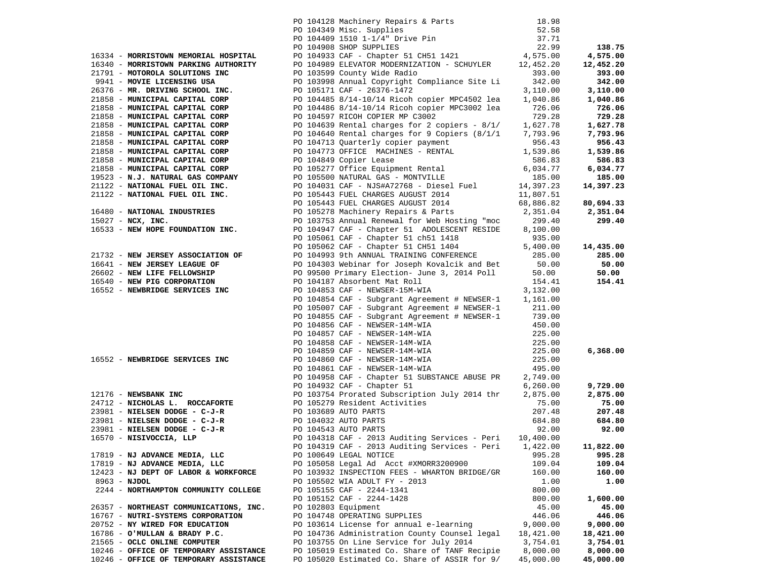|                                                                                                                                 | PO 104128 Machinery Repairs & Parts                                                                                                                                                                                                                                                                                                                                                                                                                                                | 18.98     |           |
|---------------------------------------------------------------------------------------------------------------------------------|------------------------------------------------------------------------------------------------------------------------------------------------------------------------------------------------------------------------------------------------------------------------------------------------------------------------------------------------------------------------------------------------------------------------------------------------------------------------------------|-----------|-----------|
|                                                                                                                                 |                                                                                                                                                                                                                                                                                                                                                                                                                                                                                    |           |           |
|                                                                                                                                 |                                                                                                                                                                                                                                                                                                                                                                                                                                                                                    |           |           |
|                                                                                                                                 |                                                                                                                                                                                                                                                                                                                                                                                                                                                                                    |           | 138.75    |
|                                                                                                                                 |                                                                                                                                                                                                                                                                                                                                                                                                                                                                                    |           | 4,575.00  |
|                                                                                                                                 | PO 104349 Misc. Supplies<br>PO 104349 Misc. Supplies<br>PO 104409 1510 1-1/4" Drive Pin<br>PO 104908 SHOP SUPPLIES<br>PO 104933 CAF - Chapter 51 CH51 1421<br>PO 104989 ELEVATOR MODERNIZATION - SCHUYLER<br>22.99<br>PO 104989 ELEVATOR MOD<br>16334 - MORRISTOWN MEMORIAL HOSPITAL PO 104933 CAF - Chapter 51 CH51 1421 4,575.00<br>16340 - MORRISTOWN PARKING AUTHORITY PO 104939 ELEVATOR MODERNIZATION - SCHUYLER 12,452.20<br>21791 - MOTOROLA SOLUTIONS INC PO 103599 COUnt |           | 12,452.20 |
|                                                                                                                                 |                                                                                                                                                                                                                                                                                                                                                                                                                                                                                    |           | 393.00    |
|                                                                                                                                 |                                                                                                                                                                                                                                                                                                                                                                                                                                                                                    |           | 342.00    |
|                                                                                                                                 |                                                                                                                                                                                                                                                                                                                                                                                                                                                                                    |           | 3,110.00  |
|                                                                                                                                 |                                                                                                                                                                                                                                                                                                                                                                                                                                                                                    |           | 1,040.86  |
|                                                                                                                                 |                                                                                                                                                                                                                                                                                                                                                                                                                                                                                    |           | 726.06    |
|                                                                                                                                 |                                                                                                                                                                                                                                                                                                                                                                                                                                                                                    |           | 729.28    |
|                                                                                                                                 |                                                                                                                                                                                                                                                                                                                                                                                                                                                                                    |           | 1,627.78  |
|                                                                                                                                 |                                                                                                                                                                                                                                                                                                                                                                                                                                                                                    |           | 7,793.96  |
|                                                                                                                                 |                                                                                                                                                                                                                                                                                                                                                                                                                                                                                    |           | 956.43    |
|                                                                                                                                 |                                                                                                                                                                                                                                                                                                                                                                                                                                                                                    |           | 1,539.86  |
|                                                                                                                                 |                                                                                                                                                                                                                                                                                                                                                                                                                                                                                    |           | 586.83    |
|                                                                                                                                 |                                                                                                                                                                                                                                                                                                                                                                                                                                                                                    |           | 6,034.77  |
|                                                                                                                                 | 21858 - MUNICIPAL CAPITAL CORP (2014697 RICOH COPIER MP C3002 729.28<br>21858 - MUNICIPAL CAPITAL CORP (2016693 Rental charges for 2 copiers - 8/1/ 1,627.78<br>21858 - MUNICIPAL CAPITAL CORP (2016693 Rental charges for 2 Copi                                                                                                                                                                                                                                                  |           | 185.00    |
|                                                                                                                                 |                                                                                                                                                                                                                                                                                                                                                                                                                                                                                    |           | 14,397.23 |
|                                                                                                                                 |                                                                                                                                                                                                                                                                                                                                                                                                                                                                                    |           |           |
|                                                                                                                                 |                                                                                                                                                                                                                                                                                                                                                                                                                                                                                    |           | 80,694.33 |
|                                                                                                                                 |                                                                                                                                                                                                                                                                                                                                                                                                                                                                                    |           | 2,351.04  |
|                                                                                                                                 |                                                                                                                                                                                                                                                                                                                                                                                                                                                                                    |           | 299.40    |
|                                                                                                                                 |                                                                                                                                                                                                                                                                                                                                                                                                                                                                                    |           |           |
|                                                                                                                                 |                                                                                                                                                                                                                                                                                                                                                                                                                                                                                    |           |           |
|                                                                                                                                 | PO 105062 CAF - Chapter 51 CH51 1418 935.00<br>PO 104993 9th ANNITAL TRANSILED 1404 5,400.00                                                                                                                                                                                                                                                                                                                                                                                       |           | 14,435.00 |
|                                                                                                                                 | PO 104993 9th ANNUAL TRAINING CONFERENCE                                                                                                                                                                                                                                                                                                                                                                                                                                           | 285.00    | 285.00    |
|                                                                                                                                 | PO 104303 Vehinar for Joseph Kovalcik and Bet 50.00                                                                                                                                                                                                                                                                                                                                                                                                                                |           | 50.00     |
|                                                                                                                                 | PO 104503 Weblink for observations 1.2014 Poll 50.00<br>PO 99500 Primary Election-June 3, 2014 Poll 50.00                                                                                                                                                                                                                                                                                                                                                                          |           | 50.00     |
| 21732 - NEW JERSEY ASSOCIATION OF<br>16641 - NEW JERSEY LEAGUE OF<br>26602 - NEW LIFE FELLOWSHIP<br>16540 - NEW PIG CORPORATION | PO 104187 Absorbent Mat Roll                                                                                                                                                                                                                                                                                                                                                                                                                                                       | 154.41    | 154.41    |
| 16552 - NEWBRIDGE SERVICES INC                                                                                                  | PO 104853 CAF - NEWSER-15M-WIA                                                                                                                                                                                                                                                                                                                                                                                                                                                     | 3,132.00  |           |
|                                                                                                                                 | PO 104854 CAF - Subgrant Agreement # NEWSER-1 1,161.00                                                                                                                                                                                                                                                                                                                                                                                                                             |           |           |
|                                                                                                                                 |                                                                                                                                                                                                                                                                                                                                                                                                                                                                                    | 211.00    |           |
|                                                                                                                                 | PO 105007 CAF - Subgrant Agreement # NEWSER-1<br>PO 104855 CAF - Subgrant Agreement # NEWSER-1                                                                                                                                                                                                                                                                                                                                                                                     | 739.00    |           |
|                                                                                                                                 |                                                                                                                                                                                                                                                                                                                                                                                                                                                                                    |           |           |
|                                                                                                                                 |                                                                                                                                                                                                                                                                                                                                                                                                                                                                                    |           |           |
|                                                                                                                                 |                                                                                                                                                                                                                                                                                                                                                                                                                                                                                    |           |           |
|                                                                                                                                 |                                                                                                                                                                                                                                                                                                                                                                                                                                                                                    |           | 6,368.00  |
|                                                                                                                                 | PO 104856 CAF - NEWSER-14M-WIA<br>PO 104857 CAF - NEWSER-14M-WIA<br>PO 104857 CAF - NEWSER-14M-WIA<br>PO 104858 CAF - NEWSER-14M-WIA<br>PO 104858 CAF - NEWSER-14M-WIA<br>PO 104860 CAF - NEWSER-14M-WIA<br>PO 104860 CAF - NEWSER-14M-W                                                                                                                                                                                                                                           |           |           |
|                                                                                                                                 | 2176 - <b>NEWSBANK INC</b><br>24712 - <b>NEWSBANK INC</b><br>24712 - <b>NICHOLAS L. ROCCAFORTE</b><br>23981 - <b>NICHOLAS DREP - COMPORTE</b><br>23981 - <b>NICHOLAS DREP - COMPORTE</b><br>23981 - <b>NICHOLAS DREP - C-J-R</b><br>23981 - <b>NIELSEN DODGE - C-J-R</b><br>239                                                                                                                                                                                                    |           |           |
|                                                                                                                                 |                                                                                                                                                                                                                                                                                                                                                                                                                                                                                    |           |           |
|                                                                                                                                 | PO 104958 CAF - Chapter 51 SUBSTANCE ABUSE PR 2,749.00                                                                                                                                                                                                                                                                                                                                                                                                                             |           |           |
|                                                                                                                                 |                                                                                                                                                                                                                                                                                                                                                                                                                                                                                    | 6,260.00  | 9,729.00  |
|                                                                                                                                 |                                                                                                                                                                                                                                                                                                                                                                                                                                                                                    | 2,875.00  | 2,875.00  |
|                                                                                                                                 |                                                                                                                                                                                                                                                                                                                                                                                                                                                                                    | 75.00     | 75.00     |
|                                                                                                                                 |                                                                                                                                                                                                                                                                                                                                                                                                                                                                                    | 207.48    | 207.48    |
|                                                                                                                                 |                                                                                                                                                                                                                                                                                                                                                                                                                                                                                    | 684.80    | 684.80    |
|                                                                                                                                 | PO 104318 CAF - 2013 Auditing Services - Peri 10,400.00                                                                                                                                                                                                                                                                                                                                                                                                                            | 92.00     | 92.00     |
|                                                                                                                                 |                                                                                                                                                                                                                                                                                                                                                                                                                                                                                    |           |           |
|                                                                                                                                 |                                                                                                                                                                                                                                                                                                                                                                                                                                                                                    | 1,422.00  | 11,822.00 |
| 17819 - NJ ADVANCE MEDIA, LLC                                                                                                   | PO 100649 LEGAL NOTICE                                                                                                                                                                                                                                                                                                                                                                                                                                                             | 995.28    | 995.28    |
| 17819 - NJ ADVANCE MEDIA, LLC                                                                                                   | PO 105058 Legal Ad Acct #XMORR3200900                                                                                                                                                                                                                                                                                                                                                                                                                                              | 109.04    | 109.04    |
| 12423 - NJ DEPT OF LABOR & WORKFORCE                                                                                            | PO 103932 INSPECTION FEES - WHARTON BRIDGE/GR                                                                                                                                                                                                                                                                                                                                                                                                                                      | 160.00    | 160.00    |
| 8963 - NJDOL                                                                                                                    | PO 105502 WIA ADULT FY - 2013                                                                                                                                                                                                                                                                                                                                                                                                                                                      | 1.00      | 1.00      |
| 2244 - NORTHAMPTON COMMUNITY COLLEGE                                                                                            | PO 105155 CAF - 2244-1341                                                                                                                                                                                                                                                                                                                                                                                                                                                          | 800.00    |           |
|                                                                                                                                 | PO 105152 CAF - 2244-1428                                                                                                                                                                                                                                                                                                                                                                                                                                                          | 800.00    | 1,600.00  |
| 26357 - NORTHEAST COMMUNICATIONS, INC.                                                                                          | PO 102803 Equipment                                                                                                                                                                                                                                                                                                                                                                                                                                                                | 45.00     | 45.00     |
| 16767 - NUTRI-SYSTEMS CORPORATION                                                                                               | PO 104748 OPERATING SUPPLIES                                                                                                                                                                                                                                                                                                                                                                                                                                                       | 446.06    | 446.06    |
| 20752 - NY WIRED FOR EDUCATION                                                                                                  | PO 103614 License for annual e-learning                                                                                                                                                                                                                                                                                                                                                                                                                                            | 9,000.00  | 9,000.00  |
| 16786 - O'MULLAN & BRADY P.C.                                                                                                   | PO 104736 Administration County Counsel legal                                                                                                                                                                                                                                                                                                                                                                                                                                      | 18,421.00 | 18,421.00 |
| 21565 - OCLC ONLINE COMPUTER                                                                                                    | PO 103755 On Line Service for July 2014                                                                                                                                                                                                                                                                                                                                                                                                                                            | 3,754.01  | 3,754.01  |
| 10246 - OFFICE OF TEMPORARY ASSISTANCE                                                                                          | PO 105019 Estimated Co. Share of TANF Recipie                                                                                                                                                                                                                                                                                                                                                                                                                                      | 8,000.00  | 8,000.00  |
| 10246 - OFFICE OF TEMPORARY ASSISTANCE                                                                                          | PO 105020 Estimated Co. Share of ASSIR for 9/                                                                                                                                                                                                                                                                                                                                                                                                                                      | 45,000.00 | 45,000.00 |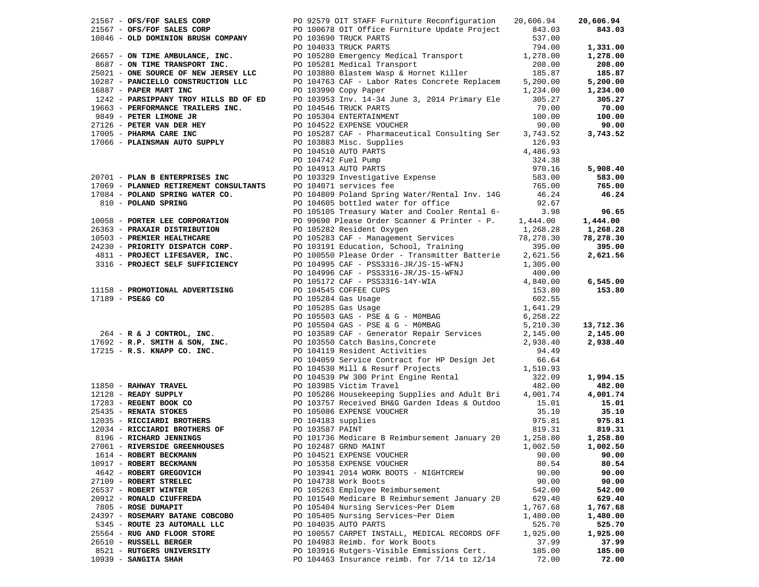|                                 |                                                                                                                                                                                                                                                          |          | 20,606.94 |
|---------------------------------|----------------------------------------------------------------------------------------------------------------------------------------------------------------------------------------------------------------------------------------------------------|----------|-----------|
|                                 |                                                                                                                                                                                                                                                          |          | 843.03    |
|                                 |                                                                                                                                                                                                                                                          |          |           |
|                                 |                                                                                                                                                                                                                                                          |          | 1,331.00  |
|                                 |                                                                                                                                                                                                                                                          |          | 1,278.00  |
|                                 |                                                                                                                                                                                                                                                          |          | 208.00    |
|                                 |                                                                                                                                                                                                                                                          |          | 185.87    |
|                                 |                                                                                                                                                                                                                                                          |          | 5,200.00  |
|                                 |                                                                                                                                                                                                                                                          |          | 1,234.00  |
|                                 |                                                                                                                                                                                                                                                          |          | 305.27    |
|                                 |                                                                                                                                                                                                                                                          |          | 70.00     |
|                                 |                                                                                                                                                                                                                                                          |          | 100.00    |
|                                 |                                                                                                                                                                                                                                                          |          | 90.00     |
|                                 |                                                                                                                                                                                                                                                          |          | 3,743.52  |
|                                 |                                                                                                                                                                                                                                                          |          |           |
|                                 |                                                                                                                                                                                                                                                          |          |           |
|                                 |                                                                                                                                                                                                                                                          |          |           |
|                                 |                                                                                                                                                                                                                                                          |          | 5,908.40  |
|                                 | 21567 - <b>OFS/FOF SALES CORP</b><br>21567 - <b>OFS/FOF SALES CORP</b><br>21567 - <b>OFS/FOF SALES CORP</b><br>21567 - <b>COLD DOMINION BRUSH COMPANY</b><br>201010578 OIT Office Purmiture Exchange and the set of the set of the set of the set of the |          | 583.00    |
|                                 |                                                                                                                                                                                                                                                          |          | 765.00    |
|                                 |                                                                                                                                                                                                                                                          |          | 46.24     |
|                                 |                                                                                                                                                                                                                                                          |          |           |
|                                 |                                                                                                                                                                                                                                                          |          | 96.65     |
|                                 |                                                                                                                                                                                                                                                          |          | 1,444.00  |
|                                 |                                                                                                                                                                                                                                                          |          | 1,268.28  |
|                                 |                                                                                                                                                                                                                                                          |          | 78,278.30 |
|                                 |                                                                                                                                                                                                                                                          |          | 395.00    |
|                                 |                                                                                                                                                                                                                                                          |          | 2,621.56  |
|                                 |                                                                                                                                                                                                                                                          |          |           |
|                                 |                                                                                                                                                                                                                                                          |          |           |
|                                 |                                                                                                                                                                                                                                                          |          | 6,545.00  |
|                                 |                                                                                                                                                                                                                                                          |          | 153.80    |
|                                 |                                                                                                                                                                                                                                                          |          |           |
|                                 |                                                                                                                                                                                                                                                          |          |           |
|                                 |                                                                                                                                                                                                                                                          |          |           |
|                                 |                                                                                                                                                                                                                                                          |          | 13,712.36 |
|                                 | 1/994 <b>- POLAND SPRING WATER CO.</b> PO 104659 Poland Spring Water-Terret and Coler Rendel 6.2.67<br>1910 <b>- POLAND SPRING</b> PO 104659 Debuted water for office<br>1910 <b>- POLAND SPRING</b> PO 109159 Pressure Coler Rendel 6.<br>1910 <b>-</b> |          | 2,145.00  |
|                                 |                                                                                                                                                                                                                                                          |          | 2,938.40  |
|                                 |                                                                                                                                                                                                                                                          |          |           |
|                                 |                                                                                                                                                                                                                                                          |          |           |
|                                 |                                                                                                                                                                                                                                                          |          |           |
|                                 |                                                                                                                                                                                                                                                          |          | 1,994.15  |
|                                 |                                                                                                                                                                                                                                                          |          | 482.00    |
|                                 |                                                                                                                                                                                                                                                          |          | 4,001.74  |
|                                 |                                                                                                                                                                                                                                                          |          | 15.01     |
|                                 |                                                                                                                                                                                                                                                          |          | 35.10     |
|                                 |                                                                                                                                                                                                                                                          |          | 975.81    |
|                                 |                                                                                                                                                                                                                                                          |          | 819.31    |
|                                 |                                                                                                                                                                                                                                                          |          | 1,258.80  |
|                                 | $27061$ - RIVERSIDE GREENHOUSES $PQ$ 102487 GRND MAINT $1,002.50$                                                                                                                                                                                        |          | 1,002.50  |
| 1614 - ROBERT BECKMANN          | PO 104521 EXPENSE VOUCHER                                                                                                                                                                                                                                | 90.00    | 90.00     |
| 10917 - ROBERT BECKMANN         | PO 105358 EXPENSE VOUCHER                                                                                                                                                                                                                                | 80.54    | 80.54     |
| 4642 - ROBERT GREGOVICH         | PO 103941 2014 WORK BOOTS - NIGHTCREW                                                                                                                                                                                                                    | 90.00    | 90.00     |
| 27109 - ROBERT STRELEC          | PO 104738 Work Boots                                                                                                                                                                                                                                     | 90.00    | 90.00     |
| 26537 - ROBERT WINTER           | PO 105263 Employee Reimbursement                                                                                                                                                                                                                         | 542.00   | 542.00    |
| 20912 - RONALD CIUFFREDA        | PO 101540 Medicare B Reimbursement January 20                                                                                                                                                                                                            | 629.40   | 629.40    |
| 7805 - ROSE DUMAPIT             | PO 105404 Nursing Services~Per Diem                                                                                                                                                                                                                      | 1,767.68 | 1,767.68  |
| 24397 - ROSEMARY BATANE COBCOBO | PO 105405 Nursing Services~Per Diem                                                                                                                                                                                                                      | 1,480.00 | 1,480.00  |
| 5345 - ROUTE 23 AUTOMALL LLC    | PO 104035 AUTO PARTS                                                                                                                                                                                                                                     | 525.70   | 525.70    |
| 25564 - RUG AND FLOOR STORE     | PO 100557 CARPET INSTALL, MEDICAL RECORDS OFF                                                                                                                                                                                                            | 1,925.00 | 1,925.00  |
| 26510 - RUSSELL BERGER          | PO 104983 Reimb. for Work Boots                                                                                                                                                                                                                          | 37.99    | 37.99     |
| 8521 - RUTGERS UNIVERSITY       | PO 103916 Rutgers-Visible Emmissions Cert.                                                                                                                                                                                                               | 185.00   | 185.00    |
| $10939$ - SANGITA SHAH          | PO 104463 Insurance reimb. for $7/14$ to $12/14$                                                                                                                                                                                                         | 72.00    | 72.00     |
|                                 |                                                                                                                                                                                                                                                          |          |           |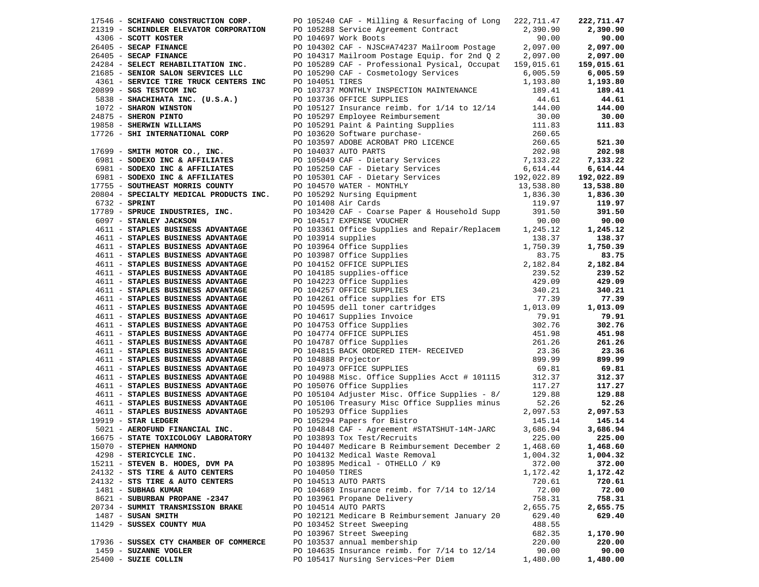|                                                                        |                 | 17546 - SCHIFANO CONSTRUCTION CORP. PO 105240 CAF - Milling & Resurfacing of Long 222,711.47<br>17946 - SCHIPANO CONSTRUCTION CORP. Thing a Resurfacing of Long 227,11.47<br>21319 - SCHIPANCE ELEVATOR CORPORATION PO 105248 Service Agreement Contract<br>23.390.90<br>24304 - SECAP FINANCE PO 104637 Work Boots Corp. 22.07.00 |                    | 222,711.47         |
|------------------------------------------------------------------------|-----------------|------------------------------------------------------------------------------------------------------------------------------------------------------------------------------------------------------------------------------------------------------------------------------------------------------------------------------------|--------------------|--------------------|
|                                                                        |                 |                                                                                                                                                                                                                                                                                                                                    |                    | 2,390.90           |
|                                                                        |                 |                                                                                                                                                                                                                                                                                                                                    |                    | 90.00              |
|                                                                        |                 |                                                                                                                                                                                                                                                                                                                                    |                    | 2,097.00           |
|                                                                        |                 |                                                                                                                                                                                                                                                                                                                                    |                    | 2,097.00           |
|                                                                        |                 |                                                                                                                                                                                                                                                                                                                                    |                    | 159,015.61         |
|                                                                        |                 |                                                                                                                                                                                                                                                                                                                                    |                    | 6,005.59           |
|                                                                        |                 |                                                                                                                                                                                                                                                                                                                                    |                    | 1,193.80           |
|                                                                        |                 |                                                                                                                                                                                                                                                                                                                                    |                    | 189.41             |
|                                                                        |                 |                                                                                                                                                                                                                                                                                                                                    |                    | 44.61              |
|                                                                        |                 |                                                                                                                                                                                                                                                                                                                                    |                    | 144.00             |
|                                                                        |                 |                                                                                                                                                                                                                                                                                                                                    |                    | $30.00$<br>111 82  |
|                                                                        |                 |                                                                                                                                                                                                                                                                                                                                    |                    | 111.83             |
|                                                                        |                 |                                                                                                                                                                                                                                                                                                                                    |                    |                    |
|                                                                        |                 |                                                                                                                                                                                                                                                                                                                                    |                    | 521.30             |
|                                                                        |                 |                                                                                                                                                                                                                                                                                                                                    |                    | 202.98             |
|                                                                        |                 |                                                                                                                                                                                                                                                                                                                                    |                    | 7,133.22           |
|                                                                        |                 |                                                                                                                                                                                                                                                                                                                                    |                    | 6,614.44           |
|                                                                        |                 |                                                                                                                                                                                                                                                                                                                                    |                    | 192,022.89         |
|                                                                        |                 |                                                                                                                                                                                                                                                                                                                                    |                    | 13,538.80          |
|                                                                        |                 |                                                                                                                                                                                                                                                                                                                                    |                    | 1,836.30           |
|                                                                        |                 |                                                                                                                                                                                                                                                                                                                                    |                    | 119.97             |
|                                                                        |                 |                                                                                                                                                                                                                                                                                                                                    |                    | 391.50             |
|                                                                        |                 |                                                                                                                                                                                                                                                                                                                                    |                    | 90.00              |
|                                                                        |                 |                                                                                                                                                                                                                                                                                                                                    |                    | 1,245.12           |
| 4611 - STAPLES BUSINESS ADVANTAGE                                      |                 | PO 103914 supplies                                                                                                                                                                                                                                                                                                                 | 138.37             | 138.37             |
| 4611 - STAPLES BUSINESS ADVANTAGE                                      |                 |                                                                                                                                                                                                                                                                                                                                    |                    | 1,750.39           |
| 4611 - STAPLES BUSINESS ADVANTAGE                                      |                 |                                                                                                                                                                                                                                                                                                                                    |                    | 83.75              |
| 4611 - STAPLES BUSINESS ADVANTAGE                                      |                 |                                                                                                                                                                                                                                                                                                                                    |                    | 2,182.84           |
| 4611 - STAPLES BUSINESS ADVANTAGE                                      |                 | PO 103914 supplies and nepart) replacement of 1,238.37<br>PO 103964 Office Supplies and nepart) replacement in 1,750.39<br>PO 103964 Office Supplies and nepart of 1,750.39<br>PO 104153 office Supplines<br>PO 104185 supplies -offic                                                                                             |                    | 239.52             |
| 4611 - STAPLES BUSINESS ADVANTAGE                                      |                 |                                                                                                                                                                                                                                                                                                                                    |                    | 429.09             |
| 4611 - STAPLES BUSINESS ADVANTAGE                                      |                 |                                                                                                                                                                                                                                                                                                                                    |                    | 340.21             |
| 4611 - STAPLES BUSINESS ADVANTAGE                                      |                 |                                                                                                                                                                                                                                                                                                                                    |                    | 77.39              |
| 4611 - STAPLES BUSINESS ADVANTAGE                                      |                 |                                                                                                                                                                                                                                                                                                                                    |                    | 1,013.09           |
| 4611 - STAPLES BUSINESS ADVANTAGE                                      |                 |                                                                                                                                                                                                                                                                                                                                    |                    | 79.91              |
| 4611 - STAPLES BUSINESS ADVANTAGE                                      |                 |                                                                                                                                                                                                                                                                                                                                    |                    | 302.76             |
| 4611 - STAPLES BUSINESS ADVANTAGE                                      |                 |                                                                                                                                                                                                                                                                                                                                    |                    | 451.98             |
| 4611 - STAPLES BUSINESS ADVANTAGE                                      |                 |                                                                                                                                                                                                                                                                                                                                    |                    | 261.26             |
| 4611 - STAPLES BUSINESS ADVANTAGE                                      |                 |                                                                                                                                                                                                                                                                                                                                    |                    | 23.36              |
| 4611 - STAPLES BUSINESS ADVANTAGE                                      |                 |                                                                                                                                                                                                                                                                                                                                    |                    | 899.99             |
| 4611 - STAPLES BUSINESS ADVANTAGE                                      |                 |                                                                                                                                                                                                                                                                                                                                    |                    | 69.81              |
| 4611 - STAPLES BUSINESS ADVANTAGE                                      |                 | PO 104988 Misc. Office Supplies Acct # 101115 312.37                                                                                                                                                                                                                                                                               |                    | 312.37             |
| 4611 - STAPLES BUSINESS ADVANTAGE                                      |                 | PO 105076 Office Supplies                                                                                                                                                                                                                                                                                                          | 117.27             | 117.27             |
|                                                                        |                 | PO 105104 Adjuster Misc. Office Supplies - $8/$ 129.88                                                                                                                                                                                                                                                                             |                    |                    |
| 4611 - STAPLES BUSINESS ADVANTAGE<br>4611 - STAPLES BUSINESS ADVANTAGE |                 | PO 105106 Treasury Misc Office Supplies minus                                                                                                                                                                                                                                                                                      | 52.26              | 129.88<br>52.26    |
|                                                                        |                 |                                                                                                                                                                                                                                                                                                                                    |                    |                    |
| 4611 - STAPLES BUSINESS ADVANTAGE<br>$19919$ - STAR LEDGER             |                 | FO 105293 OII1Ce Supplies<br>PO 105294 Papers for Bistro<br>PO 104949 317                                                                                                                                                                                                                                                          | 2,097.53<br>145.14 | 2,097.53<br>145.14 |
|                                                                        |                 | $5021 - \text{AEROFUND}\$ FO 103234 Fagels for Biscroper HSTATSHUT-14M-JARC 3,686.94                                                                                                                                                                                                                                               |                    |                    |
| 16675 - STATE TOXICOLOGY LABORATORY                                    |                 | PO 103893 Tox Test/Recruits                                                                                                                                                                                                                                                                                                        | 225.00             | 3,686.94<br>225.00 |
|                                                                        |                 |                                                                                                                                                                                                                                                                                                                                    |                    |                    |
| 15070 - STEPHEN HAMMOND                                                |                 | PO 104407 Medicare B Reimbursement December 2 1,468.60 1,468.60                                                                                                                                                                                                                                                                    |                    |                    |
| 4298 - STERICYCLE INC.                                                 |                 | PO 104132 Medical Waste Removal                                                                                                                                                                                                                                                                                                    | 1,004.32           | 1,004.32           |
| 15211 - STEVEN B. HODES, DVM PA                                        |                 | PO 103895 Medical - OTHELLO / K9                                                                                                                                                                                                                                                                                                   | 372.00             | 372.00             |
| 24132 - STS TIRE & AUTO CENTERS                                        | PO 104050 TIRES |                                                                                                                                                                                                                                                                                                                                    | 1,172.42           | 1,172.42           |
| 24132 - STS TIRE & AUTO CENTERS                                        |                 | PO 104513 AUTO PARTS                                                                                                                                                                                                                                                                                                               | 720.61             | 720.61             |
| 1481 - SUBHAG KUMAR                                                    |                 | PO 104689 Insurance reimb. for 7/14 to 12/14                                                                                                                                                                                                                                                                                       | 72.00              | 72.00              |
| 8621 - SUBURBAN PROPANE -2347                                          |                 | PO 103961 Propane Delivery                                                                                                                                                                                                                                                                                                         | 758.31             | 758.31             |
| 20734 - SUMMIT TRANSMISSION BRAKE                                      |                 | PO 104514 AUTO PARTS                                                                                                                                                                                                                                                                                                               | 2,655.75           | 2,655.75           |
| $1487$ - SUSAN SMITH                                                   |                 | PO 102121 Medicare B Reimbursement January 20                                                                                                                                                                                                                                                                                      | 629.40             | 629.40             |
| 11429 - SUSSEX COUNTY MUA                                              |                 | PO 103452 Street Sweeping                                                                                                                                                                                                                                                                                                          | 488.55             |                    |
|                                                                        |                 | PO 103967 Street Sweeping                                                                                                                                                                                                                                                                                                          | 682.35             | 1,170.90           |
| 17936 - SUSSEX CTY CHAMBER OF COMMERCE                                 |                 | PO 103537 annual membership                                                                                                                                                                                                                                                                                                        | 220.00             | 220.00             |
| 1459 - SUZANNE VOGLER                                                  |                 | PO 104635 Insurance reimb. for $7/14$ to $12/14$                                                                                                                                                                                                                                                                                   | 90.00              | 90.00              |
| 25400 - SUZIE COLLIN                                                   |                 | PO 105417 Nursing Services~Per Diem                                                                                                                                                                                                                                                                                                | 1,480.00           | 1,480.00           |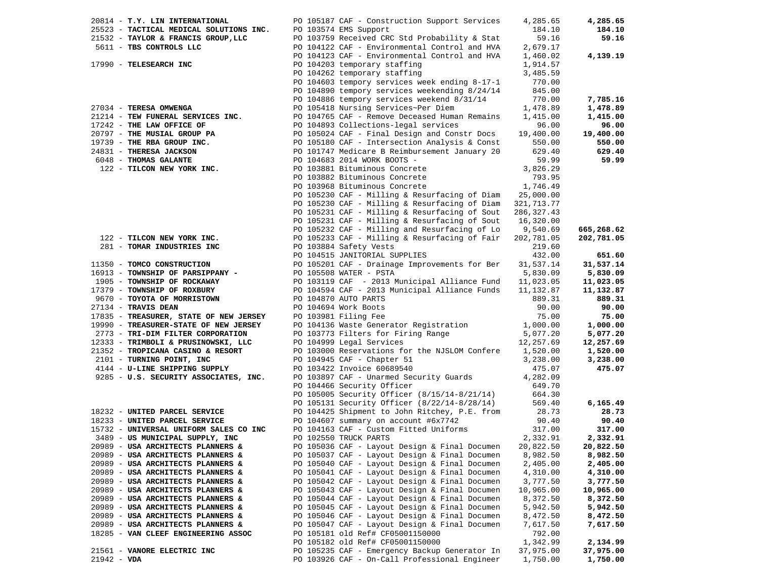| 20814 - T.Y. LIN INTERNATIONAL          | PO 105187 CAF - Construction Support Services                                              | 4,285.65    | 4,285.65   |
|-----------------------------------------|--------------------------------------------------------------------------------------------|-------------|------------|
| 25523 - TACTICAL MEDICAL SOLUTIONS INC. | PO 103574 EMS Support                                                                      | 184.10      | 184.10     |
| 21532 - TAYLOR & FRANCIS GROUP, LLC     | PO 103759 Received CRC Std Probability & Stat                                              | 59.16       | 59.16      |
| 5611 - TBS CONTROLS LLC                 | PO 104122 CAF - Environmental Control and HVA                                              | 2,679.17    |            |
|                                         | PO 104123 CAF - Environmental Control and HVA                                              | 1,460.02    | 4,139.19   |
| 17990 - TELESEARCH INC                  | PO 104203 temporary staffing                                                               | 1,914.57    |            |
|                                         | PO 104262 temporary staffing                                                               | 3,485.59    |            |
|                                         | PO 104603 tempory services week ending 8-17-1                                              | 770.00      |            |
|                                         | PO 104890 tempory services weekending 8/24/14                                              | 845.00      |            |
|                                         | PO 104886 tempory services weekend 8/31/14                                                 | 770.00      | 7,785.16   |
| 27034 - TERESA OMWENGA                  | PO 105418 Nursing Services~Per Diem                                                        | 1,478.89    | 1,478.89   |
| 21214 - TEW FUNERAL SERVICES INC.       | PO 104765 CAF - Remove Deceased Human Remains                                              | 1,415.00    | 1,415.00   |
| 17242 - THE LAW OFFICE OF               | PO 104893 Collections-legal services                                                       | 96.00       | 96.00      |
| 20797 - THE MUSIAL GROUP PA             | PO 105024 CAF - Final Design and Constr Docs                                               | 19,400.00   | 19,400.00  |
| 19739 - THE RBA GROUP INC.              | PO 105180 CAF - Intersection Analysis & Const                                              | 550.00      | 550.00     |
| 24831 - THERESA JACKSON                 | PO 101747 Medicare B Reimbursement January 20                                              | 629.40      | 629.40     |
| 6048 - THOMAS GALANTE                   | PO 104683 2014 WORK BOOTS -                                                                | 59.99       | 59.99      |
| 122 - TILCON NEW YORK INC.              | PO 103881 Bituminous Concrete                                                              | 3,826.29    |            |
|                                         |                                                                                            |             |            |
|                                         | PO 103882 Bituminous Concrete                                                              | 793.95      |            |
|                                         | PO 103968 Bituminous Concrete                                                              | 1,746.49    |            |
|                                         | PO 105230 CAF - Milling & Resurfacing of Diam                                              | 25,000.00   |            |
|                                         | PO 105230 CAF - Milling & Resurfacing of Diam                                              | 321,713.77  |            |
|                                         | PO 105231 CAF - Milling & Resurfacing of Sout                                              | 286, 327.43 |            |
|                                         | PO 105231 CAF - Milling & Resurfacing of Sout                                              | 16,320.00   |            |
|                                         | PO 105232 CAF - Milling and Resurfacing of Lo                                              | 9,540.69    | 665,268.62 |
| 122 - TILCON NEW YORK INC.              | PO 105233 CAF - Milling & Resurfacing of Fair                                              | 202,781.05  | 202,781.05 |
| 281 - TOMAR INDUSTRIES INC              | PO 103884 Safety Vests                                                                     | 219.60      |            |
|                                         | PO 104515 JANITORIAL SUPPLIES                                                              | 432.00      | 651.60     |
| 11350 - TOMCO CONSTRUCTION              | PO 105201 CAF - Drainage Improvements for Ber                                              | 31,537.14   | 31,537.14  |
| 16913 - TOWNSHIP OF PARSIPPANY -        | PO 105508 WATER - PSTA                                                                     | 5,830.09    | 5,830.09   |
| 1905 - TOWNSHIP OF ROCKAWAY             | PO 103119 CAF - 2013 Municipal Alliance Fund                                               | 11,023.05   | 11,023.05  |
| 17379 - TOWNSHIP OF ROXBURY             | PO 104594 CAF - 2013 Municipal Alliance Funds                                              | 11,132.87   | 11,132.87  |
| 9670 - TOYOTA OF MORRISTOWN             | PO 104870 AUTO PARTS                                                                       | 889.31      | 889.31     |
| 27134 - TRAVIS DEAN                     | PO 104694 Work Boots                                                                       | 90.00       | 90.00      |
| 17835 - TREASURER, STATE OF NEW JERSEY  | PO 103981 Filing Fee                                                                       | 75.00       | 75.00      |
| 19990 - TREASURER-STATE OF NEW JERSEY   | PO 104136 Waste Generator Registration                                                     | 1,000.00    | 1,000.00   |
| 2773 - TRI-DIM FILTER CORPORATION       |                                                                                            | 5,077.20    | 5,077.20   |
| 12333 - TRIMBOLI & PRUSINOWSKI, LLC     | PO 103773 Filters for Firing Range<br>PO 104999 Legal Services<br>PO 104999 Legal Services | 12,257.69   | 12,257.69  |
| 21352 - TROPICANA CASINO & RESORT       | PO 103000 Reservations for the NJSLOM Confere                                              | 1,520.00    | 1,520.00   |
| 2101 - TURNING POINT, INC               | PO 104945 CAF - Chapter 51                                                                 | 3,238.00    | 3,238.00   |
| 4144 - U-LINE SHIPPING SUPPLY           | PO 103422 Invoice 60689540                                                                 | 475.07      | 475.07     |
| 9285 - U.S. SECURITY ASSOCIATES, INC.   | PO 103897 CAF - Unarmed Security Guards                                                    | 4,282.09    |            |
|                                         | PO 104466 Security Officer                                                                 | 649.70      |            |
|                                         | PO 105005 Security Officer (8/15/14-8/21/14)                                               | 664.30      |            |
|                                         | PO 105131 Security Officer (8/22/14-8/28/14)                                               | 569.40      | 6,165.49   |
| 18232 - UNITED PARCEL SERVICE           | PO 104425 Shipment to John Ritchey, P.E. from                                              | 28.73       | 28.73      |
| 18233 - UNITED PARCEL SERVICE           | PO 104607 summary on account #6x7742                                                       | 90.40       | 90.40      |
| 15732 - UNIVERSAL UNIFORM SALES CO INC  | PO 104163 CAF - Custom Fitted Uniforms                                                     | 317.00      | 317.00     |
| 3489 - US MUNICIPAL SUPPLY, INC         | PO 102550 TRUCK PARTS                                                                      | 2,332.91    | 2,332.91   |
| 20989 - USA ARCHITECTS PLANNERS &       | PO 105036 $CAF$ - Layout Design & Final Documen                                            | 20,822.50   | 20,822.50  |
| 20989 - USA ARCHITECTS PLANNERS &       | PO 105037 CAF - Layout Design & Final Documen                                              | 8,982.50    | 8,982.50   |
| 20989 - USA ARCHITECTS PLANNERS &       | PO 105040 CAF - Layout Design & Final Documen                                              | 2,405.00    | 2,405.00   |
| 20989 - USA ARCHITECTS PLANNERS &       | PO 105041 CAF - Layout Design & Final Documen                                              | 4,310.00    | 4,310.00   |
| 20989 - USA ARCHITECTS PLANNERS &       | PO 105042 CAF - Layout Design & Final Documen                                              | 3,777.50    | 3,777.50   |
| 20989 - USA ARCHITECTS PLANNERS &       | PO 105043 CAF - Layout Design & Final Documen                                              | 10,965.00   | 10,965.00  |
| 20989 - USA ARCHITECTS PLANNERS &       | PO 105044 CAF - Layout Design & Final Documen                                              | 8,372.50    | 8,372.50   |
|                                         | PO 105045 CAF - Layout Design & Final Documen                                              |             |            |
| 20989 - USA ARCHITECTS PLANNERS &       | PO 105046 CAF - Layout Design & Final Documen                                              | 5,942.50    | 5,942.50   |
| 20989 - USA ARCHITECTS PLANNERS &       |                                                                                            | 8,472.50    | 8,472.50   |
| 20989 - USA ARCHITECTS PLANNERS &       | PO 105047 CAF - Layout Design & Final Documen                                              | 7,617.50    | 7,617.50   |
| 18285 - VAN CLEEF ENGINEERING ASSOC     | PO 105181 old Ref# CF05001150000                                                           | 792.00      |            |
|                                         | PO 105182 old Ref# CF05001150000                                                           | 1,342.99    | 2,134.99   |
| 21561 - VANORE ELECTRIC INC             | PO 105235 CAF - Emergency Backup Generator In                                              | 37,975.00   | 37,975.00  |
| $21942 - VDA$                           | PO 103926 CAF - On-Call Professional Engineer                                              | 1,750.00    | 1,750.00   |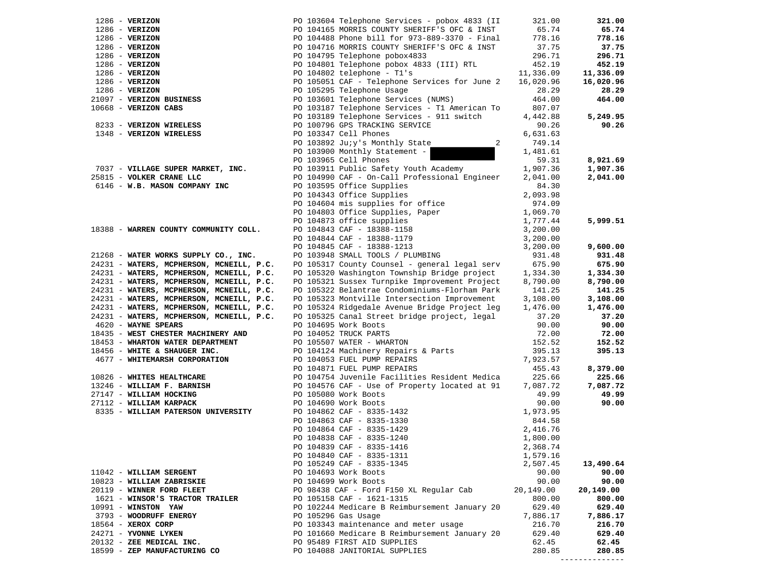| $1286$ - VERIZON                         | PO 103604 Telephone Services - pobox 4833 (II                                                                                                                              | 321.00               | 321.00             |
|------------------------------------------|----------------------------------------------------------------------------------------------------------------------------------------------------------------------------|----------------------|--------------------|
| $1286$ - VERIZON                         | PO 104165 MORRIS COUNTY SHERIFF'S OFC & INST                                                                                                                               | 65.74                | 65.74              |
| $1286$ - VERIZON                         | PO 104488 Phone bill for 973-889-3370 - Final                                                                                                                              | 778.16               | 778.16             |
| $1286$ - VERIZON                         | PO 104716 MORRIS COUNTY SHERIFF'S OFC & INST                                                                                                                               | 37.75                | 37.75              |
| $1286$ - VERIZON                         | PO 104795 Telephone pobox4833                                                                                                                                              | 296.71               | 296.71             |
| $1286$ - VERIZON                         | PO 104801 Telephone pobox 4833 (III) RTL                                                                                                                                   | 452.19               | 452.19             |
| $1286$ - VERIZON                         | PO 104802 telephone - T1's                                                                                                                                                 | 11,336.09            | 11,336.09          |
| $1286$ - VERIZON                         | PO 105051 CAF - Telephone Services for June 2                                                                                                                              | 16,020.96            | 16,020.96          |
| $1286$ - VERIZON                         | PO 105295 Telephone Usage                                                                                                                                                  | 28.29                | 28.29              |
| 21097 - VERIZON BUSINESS                 | PO 103601 Telephone Services (NUMS)                                                                                                                                        | 464.00               | 464.00             |
| 10668 - VERIZON CABS                     | PO 103187 Telephone Services - T1 American To                                                                                                                              | 807.07               |                    |
|                                          | PO 103189 Telephone Services - 911 switch                                                                                                                                  | 4,442.88             | 5,249.95           |
| 8233 - VERIZON WIRELESS                  | PO 100796 GPS TRACKING SERVICE                                                                                                                                             | 90.26                | 90.26              |
| 1348 - VERIZON WIRELESS                  | PO 103347 Cell Phones                                                                                                                                                      | 6,631.63             |                    |
|                                          | PO 103892 Juiy's Monthly State<br>2                                                                                                                                        | 749.14               |                    |
|                                          | PO 103900 Monthly Statement -                                                                                                                                              | 1,481.61             |                    |
|                                          | PO 103965 Cell Phones                                                                                                                                                      | 59.31                | 8,921.69           |
| 7037 - VILLAGE SUPER MARKET, INC.        | PO 103911 Public Safety Youth Academy                                                                                                                                      | 1,907.36             | 1,907.36           |
| 25815 - VOLKER CRANE LLC                 | PO 104990 CAF - On-Call Professional Engineer                                                                                                                              | 2,041.00             | 2,041.00           |
| 6146 - W.B. MASON COMPANY INC            | PO 103595 Office Supplies                                                                                                                                                  | 84.30                |                    |
|                                          | PO 104343 Office Supplies                                                                                                                                                  | 2,093.98             |                    |
|                                          | PO 104604 mis supplies for office                                                                                                                                          | 974.09               |                    |
|                                          |                                                                                                                                                                            | 1,069.70             |                    |
|                                          | PO 104803 Office Supplies, Paper<br>PO 104873 office supplies                                                                                                              | 1,777.44             | 5,999.51           |
| 18388 - WARREN COUNTY COMMUNITY COLL.    | PO 104843 CAF - 18388-1158<br>PO 104844 CAF - 18388-1179                                                                                                                   | 3,200.00             |                    |
|                                          |                                                                                                                                                                            | 3,200.00             |                    |
|                                          | PO 104845 CAF - 18388-1213                                                                                                                                                 | 3,200.00             | 9,600.00           |
| 21268 - WATER WORKS SUPPLY CO., INC.     | PO 103948 SMALL TOOLS / PLUMBING                                                                                                                                           | 931.48               | 931.48             |
| 24231 - WATERS, MCPHERSON, MCNEILL, P.C. | PO 105317 County Counsel - general legal serv                                                                                                                              | 675.90               | 675.90             |
| 24231 - WATERS, MCPHERSON, MCNEILL, P.C. | PO 105320 Washington Township Bridge project                                                                                                                               | 1,334.30             | 1,334.30           |
| 24231 - WATERS, MCPHERSON, MCNEILL, P.C. | PO 105321 Sussex Turnpike Improvement Project                                                                                                                              | 8,790.00             | 8,790.00           |
| 24231 - WATERS, MCPHERSON, MCNEILL, P.C. | PO 105322 Belantrae Condominiums-Florham Park                                                                                                                              | 141.25               | 141.25             |
| 24231 - WATERS, MCPHERSON, MCNEILL, P.C. | PO 105323 Montville Intersection Improvement                                                                                                                               | 3,108.00             | 3,108.00           |
| 24231 - WATERS, MCPHERSON, MCNEILL, P.C. | PO 105324 Ridgedale Avenue Bridge Project leg                                                                                                                              | 1,476.00             | 1,476.00           |
| 24231 - WATERS, MCPHERSON, MCNEILL, P.C. | PO 105325 Canal Street bridge project, legal                                                                                                                               | 37.20                | 37.20              |
| 4620 - WAYNE SPEARS                      | PO 104695 Work Boots                                                                                                                                                       | 90.00                | 90.00              |
| 18435 - WEST CHESTER MACHINERY AND       | PO 104052 TRUCK PARTS                                                                                                                                                      | 72.00                | 72.00              |
| 18453 - WHARTON WATER DEPARTMENT         | PO 105507 WATER - WHARTON                                                                                                                                                  | 152.52               | 152.52             |
| 18456 - WHITE & SHAUGER INC.             | PO 103307 MALLA Machinery Repairs & Parts<br>PO 104053 FUEL PUMP REPAIRS<br>---                                                                                            | 395.13               | 395.13             |
| 4677 - WHITEMARSH CORPORATION            |                                                                                                                                                                            | 7,923.57             |                    |
|                                          | PO 104871 FUEL PUMP REPAIRS                                                                                                                                                | 455.43               | 8,379.00           |
| 10826 - WHITES HEALTHCARE                | PO 104754 Juvenile Facilities Resident Medica                                                                                                                              | 225.66               | 225.66             |
| 13246 - WILLIAM F. BARNISH               | PO 104576 CAF - Use of Property located at 91                                                                                                                              | 7,087.72             | 7,087.72           |
| 27147 - WILLIAM HOCKING                  | PO 105080 Work Boots                                                                                                                                                       | 49.99                | 49.99              |
| 27112 - WILLIAM KARPACK                  | PO 104690 Work Boots                                                                                                                                                       | 90.00                | 90.00              |
| 8335 - WILLIAM PATERSON UNIVERSITY       | FO 104862 CAF - 8335-1432<br>PO 104863 CAF - 8335-1432<br>PO 104864 CAF - 8335-1429<br>PO 104838 CAF - 8335-1429<br>PO 104838 CAF - 8335-1240<br>PO 104839 CAF - 8335-1416 | 1,973.95             |                    |
|                                          |                                                                                                                                                                            | 844.58               |                    |
|                                          |                                                                                                                                                                            | 2,416.76             |                    |
|                                          |                                                                                                                                                                            | 1,800.00             |                    |
|                                          | PO 104839 CAF - 8335-1416                                                                                                                                                  | 2,368.74             |                    |
|                                          | PO 104840 CAF - 8335-1311<br>PO 105249 CAF - 8335-1345                                                                                                                     | 1,579.16<br>2,507.45 |                    |
| 11042 - WILLIAM SERGENT                  | PO 104693 Work Boots                                                                                                                                                       | 90.00                | 13,490.64<br>90.00 |
| 10823 - WILLIAM ZABRISKIE                | PO 104699 Work Boots                                                                                                                                                       | 90.00                | 90.00              |
| 20119 - WINNER FORD FLEET                | PO 98438 CAF - Ford F150 XL Regular Cab                                                                                                                                    | 20,149.00            | 20,149.00          |
| 1621 - WINSOR'S TRACTOR TRAILER          | PO 105158 CAF - 1621-1315                                                                                                                                                  | 800.00               | 800.00             |
| 10991 - WINSTON YAW                      | PO 102244 Medicare B Reimbursement January 20                                                                                                                              | 629.40               | 629.40             |
| 3793 - WOODRUFF ENERGY                   | PO 105296 Gas Usage                                                                                                                                                        | 7,886.17             | 7,886.17           |
| 18564 - XEROX CORP                       | PO 103343 maintenance and meter usage                                                                                                                                      | 216.70               | 216.70             |
| 24271 - YVONNE LYKEN                     | PO 101660 Medicare B Reimbursement January 20                                                                                                                              | 629.40               | 629.40             |
| 20132 - ZEE MEDICAL INC.                 | PO 95489 FIRST AID SUPPLIES                                                                                                                                                | 62.45                | 62.45              |
| 18599 - ZEP MANUFACTURING CO             | PO 104088 JANITORIAL SUPPLIES                                                                                                                                              | 280.85               | 280.85             |
|                                          |                                                                                                                                                                            |                      |                    |

--------------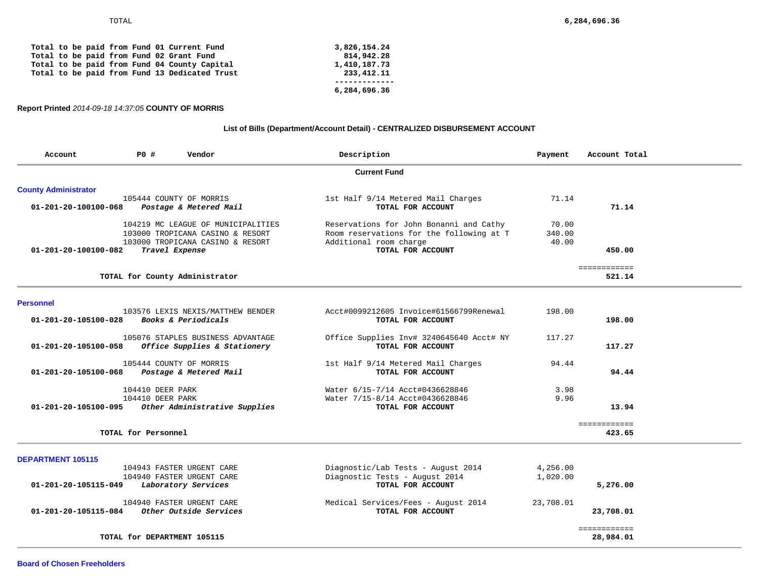| Total to be paid from Fund 13 Dedicated Trust<br>233, 412. 11 |  |  |
|---------------------------------------------------------------|--|--|
|---------------------------------------------------------------|--|--|

## **Report Printed** *2014-09-18 14:37:05* **COUNTY OF MORRIS**

# **List of Bills (Department/Account Detail) - CENTRALIZED DISBURSEMENT ACCOUNT**

| Account                        | <b>PO #</b>         | Vendor                                                                                                     | Description                                                                                                   | Payment                  | Account Total          |
|--------------------------------|---------------------|------------------------------------------------------------------------------------------------------------|---------------------------------------------------------------------------------------------------------------|--------------------------|------------------------|
|                                |                     |                                                                                                            | <b>Current Fund</b>                                                                                           |                          |                        |
| <b>County Administrator</b>    |                     |                                                                                                            |                                                                                                               |                          |                        |
| 01-201-20-100100-068           |                     | 105444 COUNTY OF MORRIS<br>Postage & Metered Mail                                                          | 1st Half 9/14 Metered Mail Charges<br>TOTAL FOR ACCOUNT                                                       | 71.14                    | 71.14                  |
|                                |                     | 104219 MC LEAGUE OF MUNICIPALITIES<br>103000 TROPICANA CASINO & RESORT<br>103000 TROPICANA CASINO & RESORT | Reservations for John Bonanni and Cathy<br>Room reservations for the following at T<br>Additional room charge | 70.00<br>340.00<br>40.00 |                        |
| $01 - 201 - 20 - 100100 - 082$ |                     | Travel Expense                                                                                             | TOTAL FOR ACCOUNT                                                                                             |                          | 450.00                 |
|                                |                     |                                                                                                            |                                                                                                               |                          | ============           |
|                                |                     | TOTAL for County Administrator                                                                             |                                                                                                               |                          | 521.14                 |
| <b>Personnel</b>               |                     |                                                                                                            |                                                                                                               |                          |                        |
| 01-201-20-105100-028           |                     | 103576 LEXIS NEXIS/MATTHEW BENDER<br>Books & Periodicals                                                   | Acct#0099212605 Invoice#61566799Renewal<br>TOTAL FOR ACCOUNT                                                  | 198.00                   | 198.00                 |
| 01-201-20-105100-058           |                     | 105076 STAPLES BUSINESS ADVANTAGE<br>Office Supplies & Stationery                                          | Office Supplies Inv# 3240645640 Acct# NY<br>TOTAL FOR ACCOUNT                                                 | 117.27                   | 117.27                 |
| 01-201-20-105100-068           |                     | 105444 COUNTY OF MORRIS<br>Postage & Metered Mail                                                          | 1st Half 9/14 Metered Mail Charges<br>TOTAL FOR ACCOUNT                                                       | 94.44                    | 94.44                  |
|                                | 104410 DEER PARK    |                                                                                                            | Water 6/15-7/14 Acct#0436628846                                                                               | 3.98                     |                        |
| 01-201-20-105100-095           | 104410 DEER PARK    | Other Administrative Supplies                                                                              | Water 7/15-8/14 Acct#0436628846<br>TOTAL FOR ACCOUNT                                                          | 9.96                     | 13.94                  |
|                                | TOTAL for Personnel |                                                                                                            |                                                                                                               |                          | ============<br>423.65 |
| <b>DEPARTMENT 105115</b>       |                     |                                                                                                            |                                                                                                               |                          |                        |
|                                |                     | 104943 FASTER URGENT CARE                                                                                  | Diagnostic/Lab Tests - August 2014                                                                            | 4,256.00                 |                        |
| 01-201-20-105115-049           |                     | 104940 FASTER URGENT CARE<br>Laboratory Services                                                           | Diagnostic Tests - August 2014<br>TOTAL FOR ACCOUNT                                                           | 1,020.00                 | 5,276.00               |
|                                |                     | 104940 FASTER URGENT CARE                                                                                  | Medical Services/Fees - August 2014                                                                           | 23,708.01                |                        |
| 01-201-20-105115-084           |                     | Other Outside Services                                                                                     | TOTAL FOR ACCOUNT                                                                                             |                          | 23,708.01              |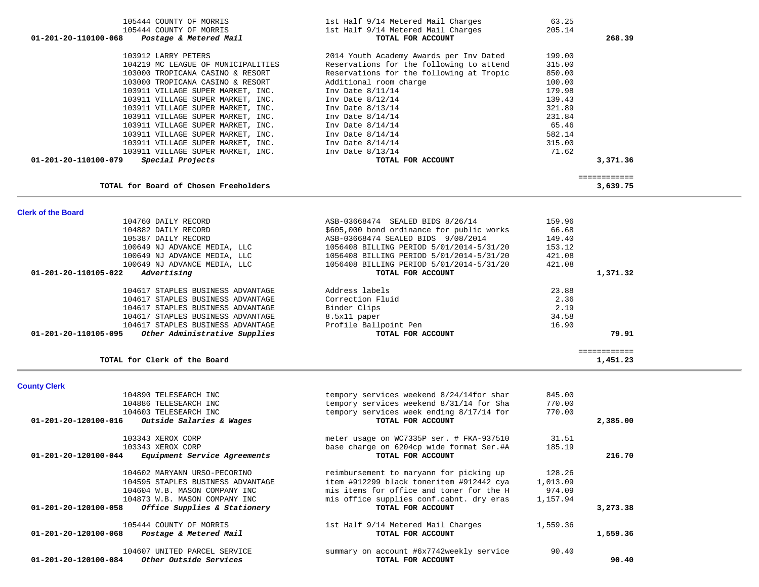| <b>County Clerk</b>                                            |                                          |          |          |
|----------------------------------------------------------------|------------------------------------------|----------|----------|
| 104890 TELESEARCH INC                                          | tempory services weekend 8/24/14for shar | 845.00   |          |
| 104886 TELESEARCH INC                                          | tempory services weekend 8/31/14 for Sha | 770.00   |          |
| 104603 TELESEARCH INC                                          | tempory services week ending 8/17/14 for | 770.00   |          |
| Outside Salaries & Wages<br>$01 - 201 - 20 - 120100 - 016$     | TOTAL FOR ACCOUNT                        |          | 2,385.00 |
| 103343 XEROX CORP                                              | meter usage on WC7335P ser. # FKA-937510 | 31.51    |          |
| 103343 XEROX CORP                                              | base charge on 6204cp wide format Ser.#A | 185.19   |          |
| Equipment Service Agreements<br>$01 - 201 - 20 - 120100 - 044$ | TOTAL FOR ACCOUNT                        |          | 216.70   |
| 104602 MARYANN URSO-PECORINO                                   | reimbursement to maryann for picking up  | 128.26   |          |
| 104595 STAPLES BUSINESS ADVANTAGE                              | item #912299 black toneritem #912442 cya | 1,013.09 |          |
| 104604 W.B. MASON COMPANY INC                                  | mis items for office and toner for the H | 974.09   |          |
| 104873 W.B. MASON COMPANY INC                                  | mis office supplies conf.cabnt. dry eras | 1,157.94 |          |
| 01-201-20-120100-058<br>Office Supplies & Stationery           | TOTAL FOR ACCOUNT                        |          | 3,273.38 |
| 105444 COUNTY OF MORRIS                                        | 1st Half 9/14 Metered Mail Charges       | 1,559.36 |          |
| 01-201-20-120100-068<br>Postage & Metered Mail                 | TOTAL FOR ACCOUNT                        |          | 1,559.36 |
| 104607 UNITED PARCEL SERVICE                                   | summary on account #6x7742weekly service | 90.40    |          |
| Other Outside Services<br>01-201-20-120100-084                 | TOTAL FOR ACCOUNT                        |          | 90.40    |

| 103911 VILLAGE SUPER MARKET, INC. Inv Date 8/13/14    |                                           | 71.62  |                          |
|-------------------------------------------------------|-------------------------------------------|--------|--------------------------|
| 01-201-20-110100-079<br>Special Projects              | TOTAL FOR ACCOUNT                         |        | 3,371.36                 |
| TOTAL for Board of Chosen Freeholders                 |                                           |        | ============<br>3,639.75 |
| <b>Clerk of the Board</b>                             |                                           |        |                          |
| 104760 DAILY RECORD                                   | ASB-03668474 SEALED BIDS 8/26/14          | 159.96 |                          |
| 104882 DAILY RECORD                                   | \$605,000 bond ordinance for public works | 66.68  |                          |
| 105387 DAILY RECORD                                   | ASB-03668474 SEALED BIDS 9/08/2014        | 149.40 |                          |
| 100649 NJ ADVANCE MEDIA, LLC                          | 1056408 BILLING PERIOD 5/01/2014-5/31/20  | 153.12 |                          |
| 100649 NJ ADVANCE MEDIA, LLC                          | 1056408 BILLING PERIOD 5/01/2014-5/31/20  | 421.08 |                          |
| 100649 NJ ADVANCE MEDIA, LLC                          | 1056408 BILLING PERIOD 5/01/2014-5/31/20  | 421.08 |                          |
| 01-201-20-110105-022<br>Advertising                   | TOTAL FOR ACCOUNT                         |        | 1,371.32                 |
| 104617 STAPLES BUSINESS ADVANTAGE                     | Address labels                            | 23.88  |                          |
| 104617 STAPLES BUSINESS ADVANTAGE                     | Correction Fluid                          | 2.36   |                          |
| 104617 STAPLES BUSINESS ADVANTAGE                     | Binder Clips                              | 2.19   |                          |
| 104617 STAPLES BUSINESS ADVANTAGE                     | 8.5x11 paper                              | 34.58  |                          |
| 104617 STAPLES BUSINESS ADVANTAGE                     | Profile Ballpoint Pen                     | 16.90  |                          |
| Other Administrative Supplies<br>01-201-20-110105-095 | TOTAL FOR ACCOUNT                         |        | 79.91                    |
|                                                       |                                           |        |                          |
| TOTAL for Clerk of the Board                          |                                           |        | ============<br>1,451.23 |
|                                                       |                                           |        |                          |

| 105444 COUNTY OF MORRIS                        | 1st Half 9/14 Metered Mail Charges       | 63.25  |          |
|------------------------------------------------|------------------------------------------|--------|----------|
| 105444 COUNTY OF MORRIS                        | 1st Half 9/14 Metered Mail Charges       | 205.14 |          |
| 01-201-20-110100-068<br>Postage & Metered Mail | TOTAL FOR ACCOUNT                        |        | 268.39   |
| 103912 LARRY PETERS                            | 2014 Youth Academy Awards per Inv Dated  | 199.00 |          |
| 104219 MC LEAGUE OF MUNICIPALITIES             | Reservations for the following to attend | 315.00 |          |
| 103000 TROPICANA CASINO & RESORT               | Reservations for the following at Tropic | 850.00 |          |
| 103000 TROPICANA CASINO & RESORT               | Additional room charge                   | 100.00 |          |
| 103911 VILLAGE SUPER MARKET, INC.              | Inv Date $8/11/14$                       | 179.98 |          |
| 103911 VILLAGE SUPER MARKET, INC.              | Inv Date $8/12/14$                       | 139.43 |          |
| 103911 VILLAGE SUPER MARKET, INC.              | Inv Date $8/13/14$                       | 321.89 |          |
| 103911 VILLAGE SUPER MARKET, INC.              | Inv Date $8/14/14$                       | 231.84 |          |
| 103911 VILLAGE SUPER MARKET, INC.              | Inv Date $8/14/14$                       | 65.46  |          |
| 103911 VILLAGE SUPER MARKET, INC.              | Inv Date $8/14/14$                       | 582.14 |          |
| 103911 VILLAGE SUPER MARKET, INC.              | Inv Date $8/14/14$                       | 315.00 |          |
| 103911 VILLAGE SUPER MARKET, INC.              | Inv Date $8/13/14$                       | 71.62  |          |
| 01-201-20-110100-079<br>Special Projects       | TOTAL FOR ACCOUNT                        |        | 3,371.36 |
|                                                |                                          |        |          |
| TOTAL for Board of Chosen Freeholders          |                                          |        | 3.639.75 |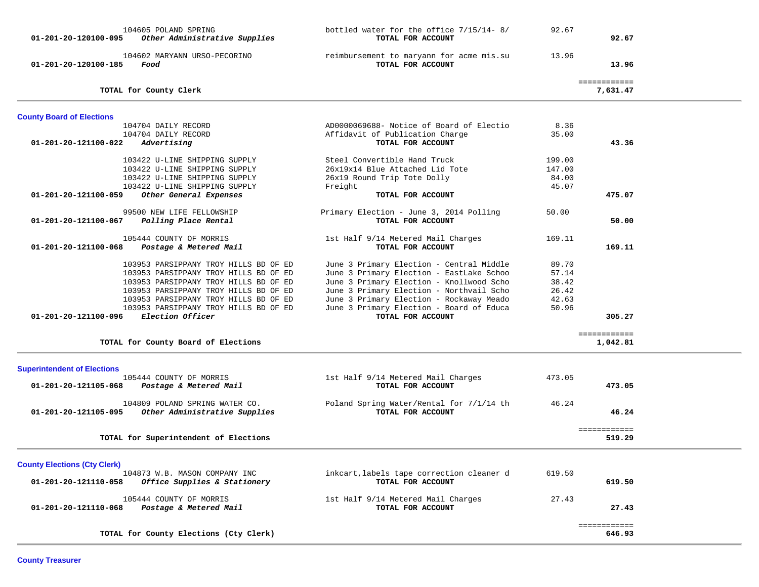| 104605 POLAND SPRING<br>Other Administrative Supplies<br>01-201-20-120100-095 | bottled water for the office 7/15/14-8/<br>TOTAL FOR ACCOUNT  | 92.67  | 92.67                    |  |
|-------------------------------------------------------------------------------|---------------------------------------------------------------|--------|--------------------------|--|
| 104602 MARYANN URSO-PECORINO<br>01-201-20-120100-185<br>Food                  | reimbursement to maryann for acme mis.su<br>TOTAL FOR ACCOUNT | 13.96  | 13.96                    |  |
| TOTAL for County Clerk                                                        |                                                               |        | ============<br>7,631.47 |  |
| <b>County Board of Elections</b>                                              |                                                               |        |                          |  |
| 104704 DAILY RECORD                                                           | AD0000069688- Notice of Board of Electio                      | 8.36   |                          |  |
| 104704 DAILY RECORD                                                           | Affidavit of Publication Charge                               | 35.00  |                          |  |
| 01-201-20-121100-022<br>Advertising                                           | TOTAL FOR ACCOUNT                                             |        | 43.36                    |  |
| 103422 U-LINE SHIPPING SUPPLY                                                 | Steel Convertible Hand Truck                                  | 199.00 |                          |  |
| 103422 U-LINE SHIPPING SUPPLY                                                 | 26x19x14 Blue Attached Lid Tote                               | 147.00 |                          |  |
| 103422 U-LINE SHIPPING SUPPLY                                                 | 26x19 Round Trip Tote Dolly                                   | 84.00  |                          |  |
| 103422 U-LINE SHIPPING SUPPLY                                                 | Freight                                                       | 45.07  |                          |  |
| 01-201-20-121100-059<br>Other General Expenses                                | TOTAL FOR ACCOUNT                                             |        | 475.07                   |  |
| 99500 NEW LIFE FELLOWSHIP                                                     | Primary Election - June 3, 2014 Polling                       | 50.00  |                          |  |
| Polling Place Rental<br>01-201-20-121100-067                                  | TOTAL FOR ACCOUNT                                             |        | 50.00                    |  |
| 105444 COUNTY OF MORRIS                                                       |                                                               | 169.11 |                          |  |
| 01-201-20-121100-068<br>Postage & Metered Mail                                | 1st Half 9/14 Metered Mail Charges<br>TOTAL FOR ACCOUNT       |        | 169.11                   |  |
|                                                                               |                                                               |        |                          |  |
| 103953 PARSIPPANY TROY HILLS BD OF ED                                         | June 3 Primary Election - Central Middle                      | 89.70  |                          |  |
| 103953 PARSIPPANY TROY HILLS BD OF ED                                         | June 3 Primary Election - EastLake Schoo                      | 57.14  |                          |  |
| 103953 PARSIPPANY TROY HILLS BD OF ED                                         | June 3 Primary Election - Knollwood Scho                      | 38.42  |                          |  |
| 103953 PARSIPPANY TROY HILLS BD OF ED                                         | June 3 Primary Election - Northvail Scho                      | 26.42  |                          |  |
| 103953 PARSIPPANY TROY HILLS BD OF ED                                         | June 3 Primary Election - Rockaway Meado                      | 42.63  |                          |  |
| 103953 PARSIPPANY TROY HILLS BD OF ED                                         | June 3 Primary Election - Board of Educa                      | 50.96  |                          |  |
| Election Officer<br>01-201-20-121100-096                                      | TOTAL FOR ACCOUNT                                             |        | 305.27                   |  |
|                                                                               |                                                               |        | ============             |  |
| TOTAL for County Board of Elections                                           |                                                               |        | 1,042.81                 |  |
|                                                                               |                                                               |        |                          |  |
| <b>Superintendent of Elections</b><br>105444 COUNTY OF MORRIS                 | 1st Half 9/14 Metered Mail Charges                            | 473.05 |                          |  |
| 01-201-20-121105-068<br>Postage & Metered Mail                                | TOTAL FOR ACCOUNT                                             |        | 473.05                   |  |
|                                                                               |                                                               |        |                          |  |
| 104809 POLAND SPRING WATER CO.                                                | Poland Spring Water/Rental for 7/1/14 th                      | 46.24  |                          |  |
| Other Administrative Supplies<br>01-201-20-121105-095                         | TOTAL FOR ACCOUNT                                             |        | 46.24                    |  |
|                                                                               |                                                               |        | ============             |  |
| TOTAL for Superintendent of Elections                                         |                                                               |        | 519.29                   |  |
|                                                                               |                                                               |        |                          |  |
| <b>County Elections (Cty Clerk)</b>                                           |                                                               |        |                          |  |
| 104873 W.B. MASON COMPANY INC                                                 | inkcart, labels tape correction cleaner d                     | 619.50 |                          |  |
| 01-201-20-121110-058<br>Office Supplies & Stationery                          | TOTAL FOR ACCOUNT                                             |        | 619.50                   |  |
| 105444 COUNTY OF MORRIS                                                       | 1st Half 9/14 Metered Mail Charges                            | 27.43  |                          |  |
| 01-201-20-121110-068<br>Postage & Metered Mail                                | TOTAL FOR ACCOUNT                                             |        | 27.43                    |  |
|                                                                               |                                                               |        |                          |  |
|                                                                               |                                                               |        | ============             |  |
| TOTAL for County Elections (Cty Clerk)                                        |                                                               |        | 646.93                   |  |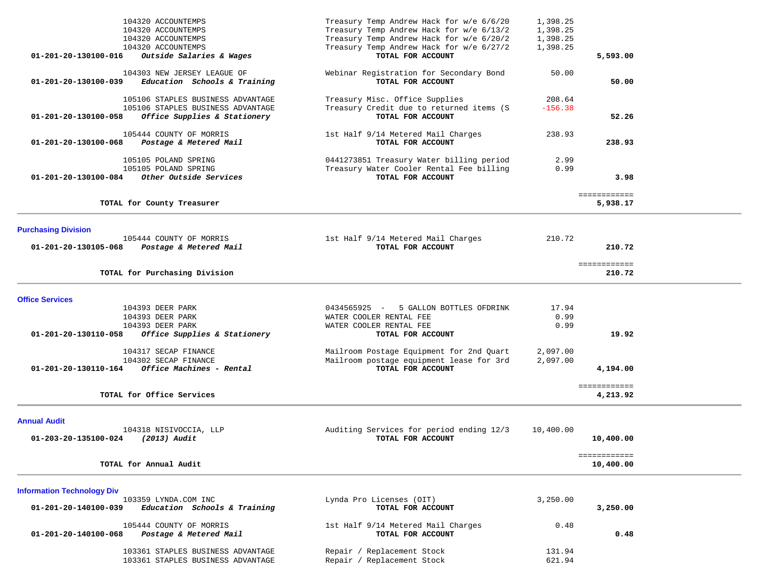| 104320 ACCOUNTEMPS                                   | Treasury Temp Andrew Hack for w/e 6/6/20                                             | 1,398.25     |              |  |
|------------------------------------------------------|--------------------------------------------------------------------------------------|--------------|--------------|--|
| 104320 ACCOUNTEMPS                                   | Treasury Temp Andrew Hack for w/e 6/13/2                                             | 1,398.25     |              |  |
| 104320 ACCOUNTEMPS                                   | Treasury Temp Andrew Hack for w/e 6/20/2                                             | 1,398.25     |              |  |
| 104320 ACCOUNTEMPS                                   | Treasury Temp Andrew Hack for w/e 6/27/2                                             | 1,398.25     |              |  |
| 01-201-20-130100-016<br>Outside Salaries & Wages     | TOTAL FOR ACCOUNT                                                                    |              | 5,593.00     |  |
|                                                      |                                                                                      |              |              |  |
| 104303 NEW JERSEY LEAGUE OF                          | Webinar Registration for Secondary Bond                                              | 50.00        |              |  |
| Education Schools & Training<br>01-201-20-130100-039 | TOTAL FOR ACCOUNT                                                                    |              | 50.00        |  |
| 105106 STAPLES BUSINESS ADVANTAGE                    | Treasury Misc. Office Supplies                                                       | 208.64       |              |  |
| 105106 STAPLES BUSINESS ADVANTAGE                    | Treasury Credit due to returned items (S                                             | $-156.38$    |              |  |
| Office Supplies & Stationery<br>01-201-20-130100-058 | TOTAL FOR ACCOUNT                                                                    |              | 52.26        |  |
|                                                      |                                                                                      |              |              |  |
| 105444 COUNTY OF MORRIS                              | 1st Half 9/14 Metered Mail Charges                                                   | 238.93       |              |  |
| Postage & Metered Mail<br>01-201-20-130100-068       | TOTAL FOR ACCOUNT                                                                    |              | 238.93       |  |
|                                                      |                                                                                      |              |              |  |
| 105105 POLAND SPRING<br>105105 POLAND SPRING         | 0441273851 Treasury Water billing period<br>Treasury Water Cooler Rental Fee billing | 2.99<br>0.99 |              |  |
| Other Outside Services<br>01-201-20-130100-084       | TOTAL FOR ACCOUNT                                                                    |              | 3.98         |  |
|                                                      |                                                                                      |              |              |  |
|                                                      |                                                                                      |              | ============ |  |
| TOTAL for County Treasurer                           |                                                                                      |              | 5,938.17     |  |
|                                                      |                                                                                      |              |              |  |
| <b>Purchasing Division</b>                           |                                                                                      |              |              |  |
| 105444 COUNTY OF MORRIS                              | 1st Half 9/14 Metered Mail Charges                                                   | 210.72       |              |  |
| Postage & Metered Mail<br>01-201-20-130105-068       | TOTAL FOR ACCOUNT                                                                    |              | 210.72       |  |
|                                                      |                                                                                      |              |              |  |
|                                                      |                                                                                      |              | ============ |  |
| TOTAL for Purchasing Division                        |                                                                                      |              | 210.72       |  |
|                                                      |                                                                                      |              |              |  |
| <b>Office Services</b>                               |                                                                                      |              |              |  |
| 104393 DEER PARK                                     | 0434565925 -<br>5 GALLON BOTTLES OFDRINK                                             | 17.94        |              |  |
| 104393 DEER PARK                                     | WATER COOLER RENTAL FEE                                                              | 0.99         |              |  |
| 104393 DEER PARK                                     | WATER COOLER RENTAL FEE                                                              | 0.99         |              |  |
| 01-201-20-130110-058<br>Office Supplies & Stationery | TOTAL FOR ACCOUNT                                                                    |              | 19.92        |  |
|                                                      |                                                                                      |              |              |  |
| 104317 SECAP FINANCE<br>104302 SECAP FINANCE         | Mailroom Postage Equipment for 2nd Quart                                             | 2,097.00     |              |  |
| Office Machines - Rental<br>01-201-20-130110-164     | Mailroom postage equipment lease for 3rd<br>TOTAL FOR ACCOUNT                        | 2,097.00     | 4,194.00     |  |
|                                                      |                                                                                      |              |              |  |
|                                                      |                                                                                      |              | ============ |  |
| TOTAL for Office Services                            |                                                                                      |              | 4,213.92     |  |
|                                                      |                                                                                      |              |              |  |
| <b>Annual Audit</b>                                  |                                                                                      |              |              |  |
| 104318 NISIVOCCIA, LLP                               | Auditing Services for period ending 12/3                                             | 10,400.00    |              |  |
| 01-203-20-135100-024<br>(2013) Audit                 | TOTAL FOR ACCOUNT                                                                    |              | 10,400.00    |  |
|                                                      |                                                                                      |              |              |  |
| TOTAL for Annual Audit                               |                                                                                      |              | ============ |  |
|                                                      |                                                                                      |              | 10,400.00    |  |
|                                                      |                                                                                      |              |              |  |
| <b>Information Technology Div</b>                    |                                                                                      |              |              |  |
| 103359 LYNDA.COM INC                                 | Lynda Pro Licenses (OIT)                                                             | 3,250.00     |              |  |
| Education Schools & Training<br>01-201-20-140100-039 | TOTAL FOR ACCOUNT                                                                    |              | 3,250.00     |  |
| 105444 COUNTY OF MORRIS                              | 1st Half 9/14 Metered Mail Charges                                                   | 0.48         |              |  |
| 01-201-20-140100-068<br>Postage & Metered Mail       | TOTAL FOR ACCOUNT                                                                    |              | 0.48         |  |
|                                                      |                                                                                      |              |              |  |
| 103361 STAPLES BUSINESS ADVANTAGE                    | Repair / Replacement Stock                                                           | 131.94       |              |  |
| 103361 STAPLES BUSINESS ADVANTAGE                    | Repair / Replacement Stock                                                           | 621.94       |              |  |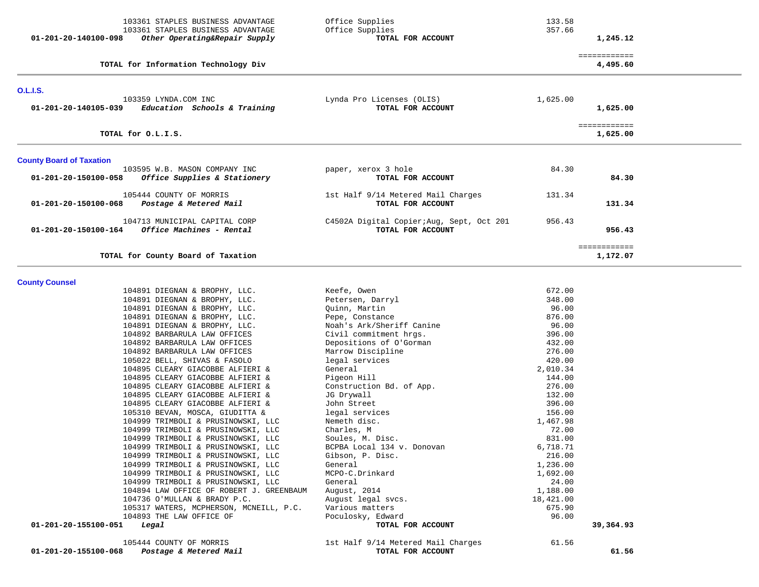| 103361 STAPLES BUSINESS ADVANTAGE<br>103361 STAPLES BUSINESS ADVANTAGE<br>Other Operating&Repair Supply<br>01-201-20-140100-098 | Office Supplies<br>Office Supplies<br>TOTAL FOR ACCOUNT        | 133.58<br>357.66      | 1,245.12                 |  |
|---------------------------------------------------------------------------------------------------------------------------------|----------------------------------------------------------------|-----------------------|--------------------------|--|
| TOTAL for Information Technology Div                                                                                            |                                                                |                       | ============<br>4,495.60 |  |
| <b>O.L.I.S.</b>                                                                                                                 |                                                                |                       |                          |  |
| 103359 LYNDA.COM INC<br>01-201-20-140105-039<br>Education Schools & Training                                                    | Lynda Pro Licenses (OLIS)<br>TOTAL FOR ACCOUNT                 | 1,625.00              | 1,625.00                 |  |
| TOTAL for O.L.I.S.                                                                                                              |                                                                |                       | ============<br>1,625.00 |  |
| <b>County Board of Taxation</b>                                                                                                 |                                                                |                       |                          |  |
| 103595 W.B. MASON COMPANY INC<br>Office Supplies & Stationery<br>01-201-20-150100-058                                           | paper, xerox 3 hole<br>TOTAL FOR ACCOUNT                       | 84.30                 | 84.30                    |  |
| 105444 COUNTY OF MORRIS<br>01-201-20-150100-068<br>Postage & Metered Mail                                                       | 1st Half 9/14 Metered Mail Charges<br>TOTAL FOR ACCOUNT        | 131.34                | 131.34                   |  |
| 104713 MUNICIPAL CAPITAL CORP<br>01-201-20-150100-164<br>Office Machines - Rental                                               | C4502A Digital Copier; Aug, Sept, Oct 201<br>TOTAL FOR ACCOUNT | 956.43                | 956.43                   |  |
| TOTAL for County Board of Taxation                                                                                              |                                                                |                       | ============<br>1,172.07 |  |
| <b>County Counsel</b>                                                                                                           |                                                                |                       |                          |  |
| 104891 DIEGNAN & BROPHY, LLC.                                                                                                   | Keefe, Owen                                                    | 672.00                |                          |  |
| 104891 DIEGNAN & BROPHY, LLC.                                                                                                   | Petersen, Darryl                                               | 348.00                |                          |  |
| 104891 DIEGNAN & BROPHY, LLC.<br>104891 DIEGNAN & BROPHY, LLC.                                                                  | Quinn, Martin<br>Pepe, Constance                               | 96.00<br>876.00       |                          |  |
| 104891 DIEGNAN & BROPHY, LLC.                                                                                                   | Noah's Ark/Sheriff Canine                                      | 96.00                 |                          |  |
| 104892 BARBARULA LAW OFFICES                                                                                                    | Civil commitment hrgs.                                         | 396.00                |                          |  |
| 104892 BARBARULA LAW OFFICES                                                                                                    | Depositions of O'Gorman                                        | 432.00                |                          |  |
| 104892 BARBARULA LAW OFFICES                                                                                                    | Marrow Discipline                                              | 276.00                |                          |  |
| 105022 BELL, SHIVAS & FASOLO                                                                                                    | legal services                                                 | 420.00                |                          |  |
| 104895 CLEARY GIACOBBE ALFIERI &                                                                                                | General                                                        | 2,010.34              |                          |  |
| 104895 CLEARY GIACOBBE ALFIERI &                                                                                                | Pigeon Hill                                                    | 144.00                |                          |  |
| 104895 CLEARY GIACOBBE ALFIERI &                                                                                                | Construction Bd. of App.                                       | 276.00                |                          |  |
| 104895 CLEARY GIACOBBE ALFIERI &<br>104895 CLEARY GIACOBBE ALFIERI &                                                            | JG Drywall<br>John Street                                      | 132.00<br>396.00      |                          |  |
| 105310 BEVAN, MOSCA, GIUDITTA &                                                                                                 | legal services                                                 | 156.00                |                          |  |
| 104999 TRIMBOLI & PRUSINOWSKI, LLC                                                                                              | Nemeth disc.                                                   | 1,467.98              |                          |  |
| 104999 TRIMBOLI & PRUSINOWSKI, LLC                                                                                              | Charles, M                                                     | 72.00                 |                          |  |
| 104999 TRIMBOLI & PRUSINOWSKI, LLC                                                                                              | Soules, M. Disc.                                               | 831.00                |                          |  |
| 104999 TRIMBOLI & PRUSINOWSKI, LLC                                                                                              | BCPBA Local 134 v. Donovan                                     | 6,718.71              |                          |  |
| 104999 TRIMBOLI & PRUSINOWSKI, LLC                                                                                              | Gibson, P. Disc.                                               | 216.00                |                          |  |
| 104999 TRIMBOLI & PRUSINOWSKI, LLC                                                                                              | General                                                        | 1,236.00              |                          |  |
| 104999 TRIMBOLI & PRUSINOWSKI, LLC                                                                                              | MCPO-C.Drinkard                                                | 1,692.00              |                          |  |
| 104999 TRIMBOLI & PRUSINOWSKI, LLC                                                                                              | General                                                        | 24.00                 |                          |  |
| 104894 LAW OFFICE OF ROBERT J. GREENBAUM<br>104736 O'MULLAN & BRADY P.C.                                                        | August, 2014<br>August legal svcs.                             | 1,188.00<br>18,421.00 |                          |  |
| 105317 WATERS, MCPHERSON, MCNEILL, P.C.                                                                                         | Various matters                                                | 675.90                |                          |  |
| 104893 THE LAW OFFICE OF                                                                                                        | Poculosky, Edward                                              | 96.00                 |                          |  |
| 01-201-20-155100-051<br>Legal                                                                                                   | TOTAL FOR ACCOUNT                                              |                       | 39,364.93                |  |
| 105444 COUNTY OF MORRIS<br>01-201-20-155100-068<br>Postage & Metered Mail                                                       | 1st Half 9/14 Metered Mail Charges<br>TOTAL FOR ACCOUNT        | 61.56                 | 61.56                    |  |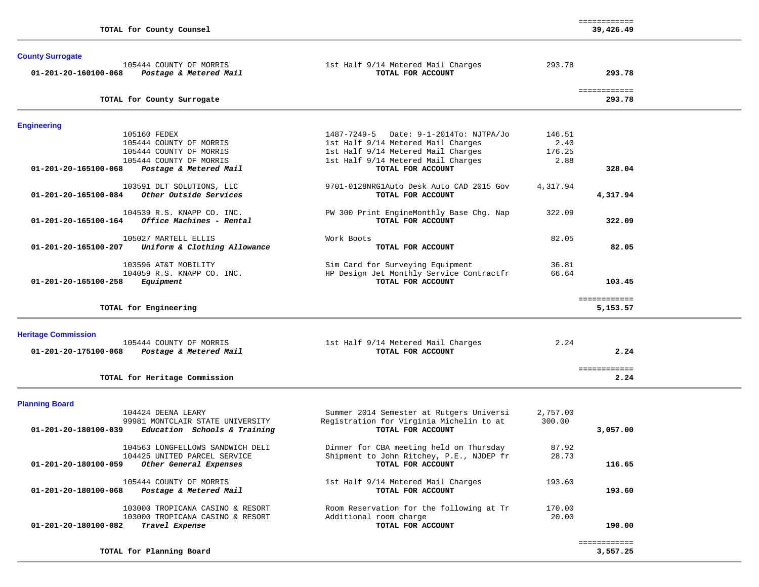| TOTAL for County Counsel                                                    |                                                               |          | ============<br>39,426.49 |  |
|-----------------------------------------------------------------------------|---------------------------------------------------------------|----------|---------------------------|--|
| <b>County Surrogate</b>                                                     |                                                               |          |                           |  |
| 105444 COUNTY OF MORRIS<br>01-201-20-160100-068<br>Postage & Metered Mail   | 1st Half 9/14 Metered Mail Charges<br>TOTAL FOR ACCOUNT       | 293.78   | 293.78                    |  |
| TOTAL for County Surrogate                                                  |                                                               |          | ============<br>293.78    |  |
| <b>Engineering</b>                                                          |                                                               |          |                           |  |
| 105160 FEDEX                                                                | 1487-7249-5 Date: 9-1-2014To: NJTPA/Jo                        | 146.51   |                           |  |
| 105444 COUNTY OF MORRIS                                                     | 1st Half 9/14 Metered Mail Charges                            | 2.40     |                           |  |
| 105444 COUNTY OF MORRIS                                                     | 1st Half 9/14 Metered Mail Charges                            | 176.25   |                           |  |
| 105444 COUNTY OF MORRIS                                                     | 1st Half 9/14 Metered Mail Charges                            | 2.88     |                           |  |
| 01-201-20-165100-068<br>Postage & Metered Mail                              | TOTAL FOR ACCOUNT                                             |          | 328.04                    |  |
|                                                                             | 9701-0128NRG1Auto Desk Auto CAD 2015 Gov                      | 4,317.94 |                           |  |
| 103591 DLT SOLUTIONS, LLC<br>Other Outside Services<br>01-201-20-165100-084 | TOTAL FOR ACCOUNT                                             |          | 4,317.94                  |  |
|                                                                             |                                                               |          |                           |  |
| 104539 R.S. KNAPP CO. INC.                                                  | PW 300 Print EngineMonthly Base Chg. Nap                      | 322.09   |                           |  |
| Office Machines - Rental<br>01-201-20-165100-164                            | TOTAL FOR ACCOUNT                                             |          | 322.09                    |  |
|                                                                             |                                                               |          |                           |  |
| 105027 MARTELL ELLIS                                                        | Work Boots                                                    | 82.05    |                           |  |
| Uniform & Clothing Allowance<br>01-201-20-165100-207                        | TOTAL FOR ACCOUNT                                             |          | 82.05                     |  |
|                                                                             |                                                               |          |                           |  |
| 103596 AT&T MOBILITY                                                        | Sim Card for Surveying Equipment                              | 36.81    |                           |  |
| 104059 R.S. KNAPP CO. INC.<br>$01 - 201 - 20 - 165100 - 258$<br>Equipment   | HP Design Jet Monthly Service Contractfr<br>TOTAL FOR ACCOUNT | 66.64    | 103.45                    |  |
|                                                                             |                                                               |          |                           |  |
|                                                                             |                                                               |          | ============              |  |
| TOTAL for Engineering                                                       |                                                               |          | 5,153.57                  |  |
| <b>Heritage Commission</b>                                                  |                                                               |          |                           |  |
| 105444 COUNTY OF MORRIS                                                     | 1st Half 9/14 Metered Mail Charges                            | 2.24     |                           |  |
| Postage & Metered Mail<br>01-201-20-175100-068                              | TOTAL FOR ACCOUNT                                             |          | 2.24                      |  |
|                                                                             |                                                               |          |                           |  |
|                                                                             |                                                               |          | ============              |  |
| TOTAL for Heritage Commission                                               |                                                               |          | 2.24                      |  |
|                                                                             |                                                               |          |                           |  |
| <b>Planning Board</b><br>104424 DEENA LEARY                                 | Summer 2014 Semester at Rutgers Universi                      | 2,757.00 |                           |  |
| 99981 MONTCLAIR STATE UNIVERSITY                                            | Registration for Virginia Michelin to at                      | 300.00   |                           |  |
| Education Schools & Training<br>$01 - 201 - 20 - 180100 - 039$              | TOTAL FOR ACCOUNT                                             |          | 3,057.00                  |  |
|                                                                             |                                                               |          |                           |  |
| 104563 LONGFELLOWS SANDWICH DELI                                            | Dinner for CBA meeting held on Thursday                       | 87.92    |                           |  |
| 104425 UNITED PARCEL SERVICE                                                | Shipment to John Ritchey, P.E., NJDEP fr                      | 28.73    |                           |  |
| 01-201-20-180100-059<br>Other General Expenses                              | TOTAL FOR ACCOUNT                                             |          | 116.65                    |  |
|                                                                             |                                                               |          |                           |  |
| 105444 COUNTY OF MORRIS                                                     | 1st Half 9/14 Metered Mail Charges                            | 193.60   |                           |  |
| Postage & Metered Mail<br>01-201-20-180100-068                              | TOTAL FOR ACCOUNT                                             |          | 193.60                    |  |
|                                                                             |                                                               |          |                           |  |
| 103000 TROPICANA CASINO & RESORT                                            | Room Reservation for the following at Tr                      | 170.00   |                           |  |
| 103000 TROPICANA CASINO & RESORT                                            | Additional room charge                                        | 20.00    |                           |  |
| Travel Expense<br>01-201-20-180100-082                                      | TOTAL FOR ACCOUNT                                             |          | 190.00                    |  |
|                                                                             |                                                               |          | ============              |  |
| TOTAL for Planning Board                                                    |                                                               |          | 3,557.25                  |  |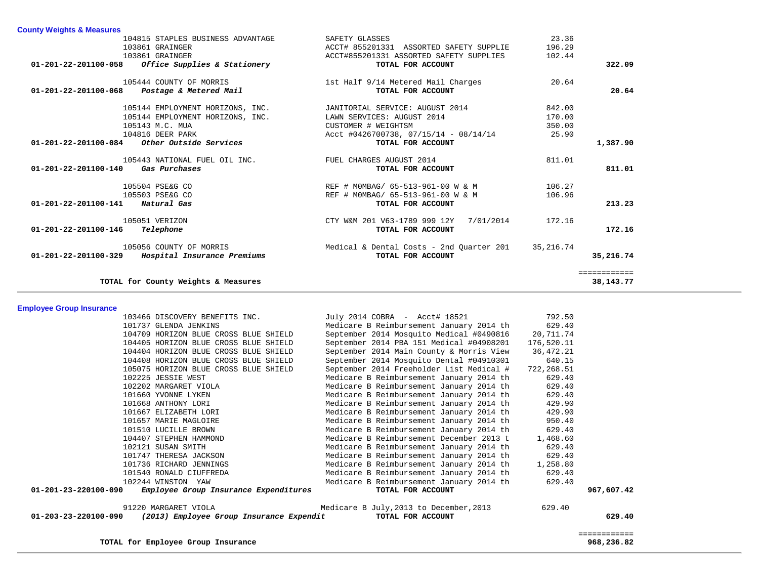| <b>County Weights &amp; Measures</b>                |                                          |           |              |
|-----------------------------------------------------|------------------------------------------|-----------|--------------|
| 104815 STAPLES BUSINESS ADVANTAGE                   | SAFETY GLASSES                           | 23.36     |              |
| 103861 GRAINGER                                     | ACCT# 855201331 ASSORTED SAFETY SUPPLIE  | 196.29    |              |
| 103861 GRAINGER                                     | ACCT#855201331 ASSORTED SAFETY SUPPLIES  | 102.44    |              |
| $01-201-22-201100-058$ Office Supplies & Stationery | TOTAL FOR ACCOUNT                        |           | 322.09       |
| 105444 COUNTY OF MORRIS                             | 1st Half 9/14 Metered Mail Charges       | 20.64     |              |
| 01-201-22-201100-068 Postage & Metered Mail         | TOTAL FOR ACCOUNT                        |           | 20.64        |
| 105144 EMPLOYMENT HORIZONS, INC.                    | JANITORIAL SERVICE: AUGUST 2014          | 842.00    |              |
| 105144 EMPLOYMENT HORIZONS, INC.                    | LAWN SERVICES: AUGUST 2014               | 170.00    |              |
| 105143 M.C. MUA                                     | CUSTOMER # WEIGHTSM                      | 350.00    |              |
| 104816 DEER PARK                                    | Acct #0426700738, 07/15/14 - 08/14/14    | 25.90     |              |
| $01-201-22-201100-084$ Other Outside Services       | TOTAL FOR ACCOUNT                        |           | 1,387.90     |
| 105443 NATIONAL FUEL OIL INC.                       | FUEL CHARGES AUGUST 2014                 | 811.01    |              |
| 01-201-22-201100-140 Gas Purchases                  | TOTAL FOR ACCOUNT                        |           | 811.01       |
| 105504 PSE&G CO                                     | REF # MOMBAG/ 65-513-961-00 W & M        | 106.27    |              |
| 105503 PSE&G CO                                     | REF # MOMBAG/ 65-513-961-00 W & M        | 106.96    |              |
| 01-201-22-201100-141 Natural Gas                    | TOTAL FOR ACCOUNT                        |           | 213.23       |
| 105051 VERIZON                                      | CTY W&M 201 V63-1789 999 12Y 7/01/2014   | 172.16    |              |
| Telephone<br>$01 - 201 - 22 - 201100 - 146$         | TOTAL FOR ACCOUNT                        |           | 172.16       |
| 105056 COUNTY OF MORRIS                             | Medical & Dental Costs - 2nd Quarter 201 | 35,216.74 |              |
| 01-201-22-201100-329 Hospital Insurance Premiums    | TOTAL FOR ACCOUNT                        |           | 35,216.74    |
|                                                     |                                          |           | ============ |
| TOTAL for County Weights & Measures                 |                                          |           | 38, 143. 77  |

**Employee Group Insurance** 

| 103466 DISCOVERY BENEFITS INC.                                   | July 2014 COBRA - Acct# 18521            | 792.50     |              |
|------------------------------------------------------------------|------------------------------------------|------------|--------------|
| 101737 GLENDA JENKINS                                            | Medicare B Reimbursement January 2014 th | 629.40     |              |
| 104709 HORIZON BLUE CROSS BLUE SHIELD                            | September 2014 Mosquito Medical #0490816 | 20,711.74  |              |
| 104405 HORIZON BLUE CROSS BLUE SHIELD                            | September 2014 PBA 151 Medical #04908201 | 176,520.11 |              |
| 104404 HORIZON BLUE CROSS BLUE SHIELD                            | September 2014 Main County & Morris View | 36,472.21  |              |
| 104408 HORIZON BLUE CROSS BLUE SHIELD                            | September 2014 Mosquito Dental #04910301 | 640.15     |              |
| 105075 HORIZON BLUE CROSS BLUE SHIELD                            | September 2014 Freeholder List Medical # | 722,268.51 |              |
| 102225 JESSIE WEST                                               | Medicare B Reimbursement January 2014 th | 629.40     |              |
| 102202 MARGARET VIOLA                                            | Medicare B Reimbursement January 2014 th | 629.40     |              |
| 101660 YVONNE LYKEN                                              | Medicare B Reimbursement January 2014 th | 629.40     |              |
| 101668 ANTHONY LORI                                              | Medicare B Reimbursement January 2014 th | 429.90     |              |
| 101667 ELIZABETH LORI                                            | Medicare B Reimbursement January 2014 th | 429.90     |              |
| 101657 MARIE MAGLOIRE                                            | Medicare B Reimbursement January 2014 th | 950.40     |              |
| 101510 LUCILLE BROWN                                             | Medicare B Reimbursement January 2014 th | 629.40     |              |
| 104407 STEPHEN HAMMOND                                           | Medicare B Reimbursement December 2013 t | 1,468.60   |              |
| 102121 SUSAN SMITH                                               | Medicare B Reimbursement January 2014 th | 629.40     |              |
| 101747 THERESA JACKSON                                           | Medicare B Reimbursement January 2014 th | 629.40     |              |
| 101736 RICHARD JENNINGS                                          | Medicare B Reimbursement January 2014 th | 1,258.80   |              |
| 101540 RONALD CIUFFREDA                                          | Medicare B Reimbursement January 2014 th | 629.40     |              |
| 102244 WINSTON YAW                                               | Medicare B Reimbursement January 2014 th | 629.40     |              |
| 01-201-23-220100-090<br>Employee Group Insurance Expenditures    | TOTAL FOR ACCOUNT                        |            | 967,607.42   |
| 91220 MARGARET VIOLA                                             | Medicare B July, 2013 to December, 2013  | 629.40     |              |
| 01-203-23-220100-090<br>(2013) Employee Group Insurance Expendit | TOTAL FOR ACCOUNT                        |            | 629.40       |
|                                                                  |                                          |            | ============ |
| TOTAL for Employee Group Insurance                               |                                          |            | 968,236.82   |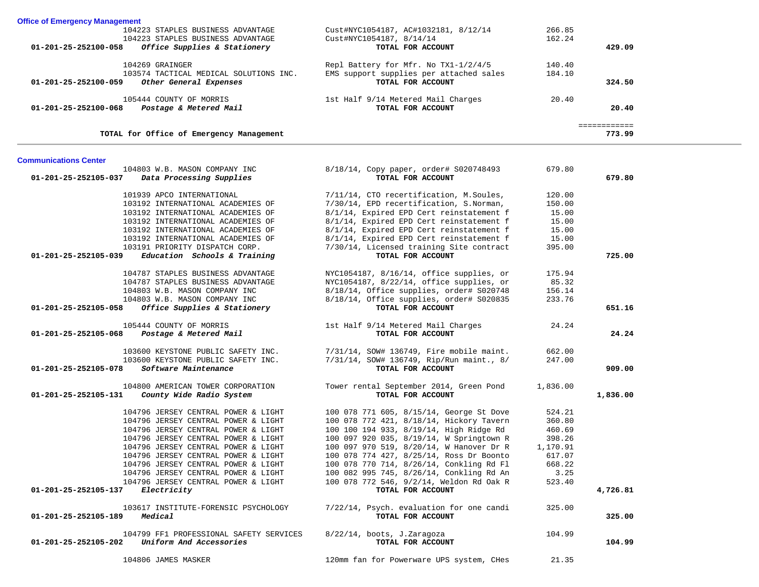| <b>Office of Emergency Management</b>                                     |                                                         |          |              |  |
|---------------------------------------------------------------------------|---------------------------------------------------------|----------|--------------|--|
| 104223 STAPLES BUSINESS ADVANTAGE                                         | Cust#NYC1054187, AC#1032181, 8/12/14                    | 266.85   |              |  |
| 104223 STAPLES BUSINESS ADVANTAGE                                         | Cust#NYC1054187, 8/14/14                                | 162.24   |              |  |
| 01-201-25-252100-058<br>Office Supplies & Stationery                      | TOTAL FOR ACCOUNT                                       |          | 429.09       |  |
|                                                                           |                                                         |          |              |  |
| 104269 GRAINGER                                                           | Repl Battery for Mfr. No TX1-1/2/4/5                    | 140.40   |              |  |
| 103574 TACTICAL MEDICAL SOLUTIONS INC.                                    | EMS support supplies per attached sales                 | 184.10   |              |  |
| 01-201-25-252100-059<br>Other General Expenses                            | TOTAL FOR ACCOUNT                                       |          | 324.50       |  |
|                                                                           |                                                         |          |              |  |
| 105444 COUNTY OF MORRIS<br>01-201-25-252100-068<br>Postage & Metered Mail | 1st Half 9/14 Metered Mail Charges<br>TOTAL FOR ACCOUNT | 20.40    | 20.40        |  |
|                                                                           |                                                         |          |              |  |
|                                                                           |                                                         |          | ============ |  |
| TOTAL for Office of Emergency Management                                  |                                                         |          | 773.99       |  |
|                                                                           |                                                         |          |              |  |
| <b>Communications Center</b>                                              |                                                         |          |              |  |
| 104803 W.B. MASON COMPANY INC                                             | 8/18/14, Copy paper, order# S020748493                  | 679.80   |              |  |
| 01-201-25-252105-037<br>Data Processing Supplies                          | TOTAL FOR ACCOUNT                                       |          | 679.80       |  |
| 101939 APCO INTERNATIONAL                                                 | 7/11/14, CTO recertification, M.Soules,                 | 120.00   |              |  |
| 103192 INTERNATIONAL ACADEMIES OF                                         | 7/30/14, EPD recertification, S.Norman,                 | 150.00   |              |  |
| 103192 INTERNATIONAL ACADEMIES OF                                         | 8/1/14, Expired EPD Cert reinstatement f                | 15.00    |              |  |
| 103192 INTERNATIONAL ACADEMIES OF                                         | 8/1/14, Expired EPD Cert reinstatement f                | 15.00    |              |  |
| 103192 INTERNATIONAL ACADEMIES OF                                         | 8/1/14, Expired EPD Cert reinstatement f                | 15.00    |              |  |
| 103192 INTERNATIONAL ACADEMIES OF                                         | 8/1/14, Expired EPD Cert reinstatement f                | 15.00    |              |  |
| 103191 PRIORITY DISPATCH CORP.                                            | 7/30/14, Licensed training Site contract                | 395.00   |              |  |
| 01-201-25-252105-039<br>Education Schools & Training                      | TOTAL FOR ACCOUNT                                       |          | 725.00       |  |
|                                                                           |                                                         |          |              |  |
| 104787 STAPLES BUSINESS ADVANTAGE                                         | NYC1054187, 8/16/14, office supplies, or                | 175.94   |              |  |
| 104787 STAPLES BUSINESS ADVANTAGE                                         | NYC1054187, 8/22/14, office supplies, or                | 85.32    |              |  |
| 104803 W.B. MASON COMPANY INC                                             | 8/18/14, Office supplies, order# S020748                | 156.14   |              |  |
| 104803 W.B. MASON COMPANY INC                                             | 8/18/14, Office supplies, order# S020835                | 233.76   |              |  |
| Office Supplies & Stationery<br>01-201-25-252105-058                      | TOTAL FOR ACCOUNT                                       |          | 651.16       |  |
|                                                                           |                                                         |          |              |  |
| 105444 COUNTY OF MORRIS                                                   | 1st Half 9/14 Metered Mail Charges                      | 24.24    |              |  |
| 01-201-25-252105-068<br>Postage & Metered Mail                            | TOTAL FOR ACCOUNT                                       |          | 24.24        |  |
| 103600 KEYSTONE PUBLIC SAFETY INC.                                        | 7/31/14, SOW# 136749, Fire mobile maint.                | 662.00   |              |  |
| 103600 KEYSTONE PUBLIC SAFETY INC.                                        | 7/31/14, SOW# 136749, Rip/Run maint., 8/                | 247.00   |              |  |
| Software Maintenance<br>01-201-25-252105-078                              | TOTAL FOR ACCOUNT                                       |          | 909.00       |  |
|                                                                           |                                                         |          |              |  |
| 104800 AMERICAN TOWER CORPORATION                                         | Tower rental September 2014, Green Pond                 | 1,836.00 |              |  |
| 01-201-25-252105-131<br>County Wide Radio System                          | TOTAL FOR ACCOUNT                                       |          | 1,836.00     |  |
|                                                                           |                                                         |          |              |  |
| 104796 JERSEY CENTRAL POWER & LIGHT                                       | 100 078 771 605, 8/15/14, George St Dove                | 524.21   |              |  |
| 104796 JERSEY CENTRAL POWER & LIGHT                                       | 100 078 772 421, 8/18/14, Hickory Tavern                | 360.80   |              |  |
| 104796 JERSEY CENTRAL POWER & LIGHT                                       | 100 100 194 933, 8/19/14, High Ridge Rd                 | 460.69   |              |  |
| 104796 JERSEY CENTRAL POWER & LIGHT                                       | 100 097 920 035, 8/19/14, W Springtown R                | 398.26   |              |  |
| 104796 JERSEY CENTRAL POWER & LIGHT                                       | 100 097 970 519, 8/20/14, W Hanover Dr R                | 1,170.91 |              |  |
| 104796 JERSEY CENTRAL POWER & LIGHT                                       | 100 078 774 427, 8/25/14, Ross Dr Boonto                | 617.07   |              |  |
| 104796 JERSEY CENTRAL POWER & LIGHT                                       | 100 078 770 714, 8/26/14, Conkling Rd Fl                | 668.22   |              |  |
| 104796 JERSEY CENTRAL POWER & LIGHT                                       | 100 082 995 745, 8/26/14, Conkling Rd An                | 3.25     |              |  |
| 104796 JERSEY CENTRAL POWER & LIGHT                                       | 100 078 772 546, 9/2/14, Weldon Rd Oak R                | 523.40   |              |  |
| $01 - 201 - 25 - 252105 - 137$ Electricity                                | TOTAL FOR ACCOUNT                                       |          | 4,726.81     |  |
| 103617 INSTITUTE-FORENSIC PSYCHOLOGY                                      | 7/22/14, Psych. evaluation for one candi                | 325.00   |              |  |
| 01-201-25-252105-189<br>Medical                                           | TOTAL FOR ACCOUNT                                       |          | 325.00       |  |
|                                                                           |                                                         |          |              |  |
| 104799 FF1 PROFESSIONAL SAFETY SERVICES                                   | 8/22/14, boots, J.Zaragoza                              | 104.99   |              |  |
| 01-201-25-252105-202<br>Uniform And Accessories                           | TOTAL FOR ACCOUNT                                       |          | 104.99       |  |
|                                                                           |                                                         |          |              |  |
| 104806 JAMES MASKER                                                       | 120mm fan for Powerware UPS system, CHes                | 21.35    |              |  |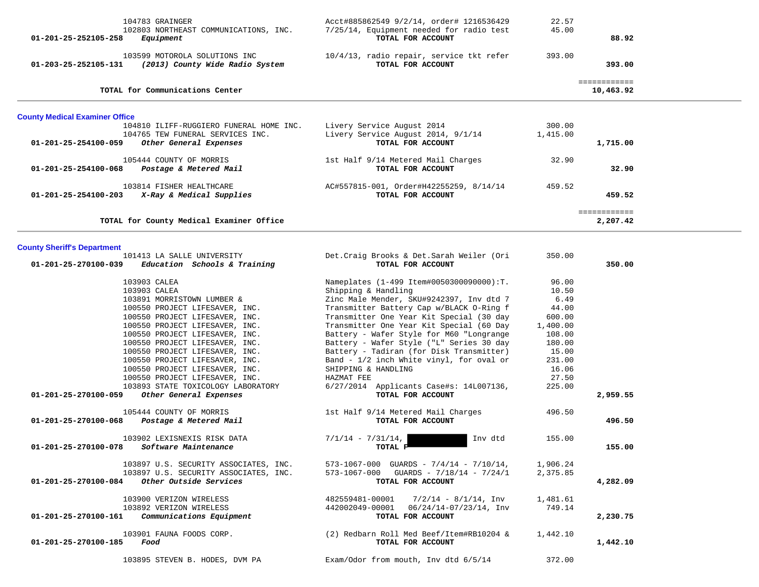| 104783 GRAINGER<br>102803 NORTHEAST COMMUNICATIONS, INC.<br>Equipment<br>01-201-25-252105-258                                                                                                                                                                                                                                                                                                                                                                                                                                                                                                                                                                                                                                                                               | Acct#885862549 9/2/14, order# 1216536429<br>7/25/14, Equipment needed for radio test<br>TOTAL FOR ACCOUNT                                                                                                                                                                                                                                                                                                                                                                                                                                                                                                                                                                                                                                                              | 22.57<br>45.00                                                                                                                                                       | 88.92                                    |  |
|-----------------------------------------------------------------------------------------------------------------------------------------------------------------------------------------------------------------------------------------------------------------------------------------------------------------------------------------------------------------------------------------------------------------------------------------------------------------------------------------------------------------------------------------------------------------------------------------------------------------------------------------------------------------------------------------------------------------------------------------------------------------------------|------------------------------------------------------------------------------------------------------------------------------------------------------------------------------------------------------------------------------------------------------------------------------------------------------------------------------------------------------------------------------------------------------------------------------------------------------------------------------------------------------------------------------------------------------------------------------------------------------------------------------------------------------------------------------------------------------------------------------------------------------------------------|----------------------------------------------------------------------------------------------------------------------------------------------------------------------|------------------------------------------|--|
| 103599 MOTOROLA SOLUTIONS INC<br>01-203-25-252105-131 (2013) County Wide Radio System                                                                                                                                                                                                                                                                                                                                                                                                                                                                                                                                                                                                                                                                                       | 10/4/13, radio repair, service tkt refer<br>TOTAL FOR ACCOUNT                                                                                                                                                                                                                                                                                                                                                                                                                                                                                                                                                                                                                                                                                                          | 393.00                                                                                                                                                               | 393.00                                   |  |
| TOTAL for Communications Center                                                                                                                                                                                                                                                                                                                                                                                                                                                                                                                                                                                                                                                                                                                                             |                                                                                                                                                                                                                                                                                                                                                                                                                                                                                                                                                                                                                                                                                                                                                                        |                                                                                                                                                                      | ============<br>10,463.92                |  |
| <b>County Medical Examiner Office</b>                                                                                                                                                                                                                                                                                                                                                                                                                                                                                                                                                                                                                                                                                                                                       |                                                                                                                                                                                                                                                                                                                                                                                                                                                                                                                                                                                                                                                                                                                                                                        |                                                                                                                                                                      |                                          |  |
| 104810 ILIFF-RUGGIERO FUNERAL HOME INC.<br>104765 TEW FUNERAL SERVICES INC.<br>01-201-25-254100-059<br>Other General Expenses                                                                                                                                                                                                                                                                                                                                                                                                                                                                                                                                                                                                                                               | Livery Service August 2014<br>Livery Service August 2014, 9/1/14<br>TOTAL FOR ACCOUNT                                                                                                                                                                                                                                                                                                                                                                                                                                                                                                                                                                                                                                                                                  | 300.00<br>1,415.00                                                                                                                                                   | 1,715.00                                 |  |
| 105444 COUNTY OF MORRIS<br>01-201-25-254100-068 Postage & Metered Mail                                                                                                                                                                                                                                                                                                                                                                                                                                                                                                                                                                                                                                                                                                      | 1st Half 9/14 Metered Mail Charges<br>TOTAL FOR ACCOUNT                                                                                                                                                                                                                                                                                                                                                                                                                                                                                                                                                                                                                                                                                                                | 32.90                                                                                                                                                                | 32.90                                    |  |
| 103814 FISHER HEALTHCARE<br>X-Ray & Medical Supplies<br>01-201-25-254100-203                                                                                                                                                                                                                                                                                                                                                                                                                                                                                                                                                                                                                                                                                                | AC#557815-001, Order#H42255259, 8/14/14<br>TOTAL FOR ACCOUNT                                                                                                                                                                                                                                                                                                                                                                                                                                                                                                                                                                                                                                                                                                           | 459.52                                                                                                                                                               | 459.52                                   |  |
| TOTAL for County Medical Examiner Office                                                                                                                                                                                                                                                                                                                                                                                                                                                                                                                                                                                                                                                                                                                                    |                                                                                                                                                                                                                                                                                                                                                                                                                                                                                                                                                                                                                                                                                                                                                                        |                                                                                                                                                                      | 2,207.42                                 |  |
| <b>County Sheriff's Department</b>                                                                                                                                                                                                                                                                                                                                                                                                                                                                                                                                                                                                                                                                                                                                          |                                                                                                                                                                                                                                                                                                                                                                                                                                                                                                                                                                                                                                                                                                                                                                        |                                                                                                                                                                      |                                          |  |
| 101413 LA SALLE UNIVERSITY<br>Education Schools & Training<br>01-201-25-270100-039                                                                                                                                                                                                                                                                                                                                                                                                                                                                                                                                                                                                                                                                                          | Det. Craig Brooks & Det. Sarah Weiler (Ori<br>TOTAL FOR ACCOUNT                                                                                                                                                                                                                                                                                                                                                                                                                                                                                                                                                                                                                                                                                                        | 350.00                                                                                                                                                               | 350.00                                   |  |
| 103903 CALEA<br>103903 CALEA<br>103891 MORRISTOWN LUMBER &<br>100550 PROJECT LIFESAVER, INC.<br>100550 PROJECT LIFESAVER, INC.<br>100550 PROJECT LIFESAVER, INC.<br>100550 PROJECT LIFESAVER, INC.<br>100550 PROJECT LIFESAVER, INC.<br>100550 PROJECT LIFESAVER, INC.<br>100550 PROJECT LIFESAVER, INC.<br>100550 PROJECT LIFESAVER, INC.<br>100550 PROJECT LIFESAVER, INC.<br>103893 STATE TOXICOLOGY LABORATORY<br>Other General Expenses<br>01-201-25-270100-059<br>105444 COUNTY OF MORRIS<br>Postage & Metered Mail<br>01-201-25-270100-068<br>103902 LEXISNEXIS RISK DATA<br>01-201-25-270100-078<br><i>Software Maintenance</i><br>103897 U.S. SECURITY ASSOCIATES, INC.<br>103897 U.S. SECURITY ASSOCIATES, INC.<br>Other Outside Services<br>01-201-25-270100-084 | Nameplates (1-499 Item#0050300090000):T.<br>Shipping & Handling<br>Zinc Male Mender, SKU#9242397, Inv dtd 7<br>Transmitter Battery Cap w/BLACK O-Ring f<br>Transmitter One Year Kit Special (30 day<br>Transmitter One Year Kit Special (60 Day<br>Battery - Wafer Style for M60 "Longrange<br>Battery - Wafer Style ("L" Series 30 day<br>Battery - Tadiran (for Disk Transmitter)<br>Band - 1/2 inch White vinyl, for oval or<br>SHIPPING & HANDLING<br>HAZMAT FEE<br>6/27/2014 Applicants Case#s: 14L007136,<br>TOTAL FOR ACCOUNT<br>1st Half 9/14 Metered Mail Charges<br>TOTAL FOR ACCOUNT<br>$7/1/14 - 7/31/14$ ,<br>Inv dtd<br>TOTAL F<br>573-1067-000 GUARDS - $7/4/14$ - $7/10/14$ ,<br>$573 - 1067 - 000$ GUARDS - $7/18/14$ - $7/24/1$<br>TOTAL FOR ACCOUNT | 96.00<br>10.50<br>6.49<br>44.00<br>600.00<br>1,400.00<br>108.00<br>180.00<br>15.00<br>231.00<br>16.06<br>27.50<br>225.00<br>496.50<br>155.00<br>1,906.24<br>2,375.85 | 2,959.55<br>496.50<br>155.00<br>4,282.09 |  |
| 103900 VERIZON WIRELESS<br>103892 VERIZON WIRELESS<br>Communications Equipment<br>01-201-25-270100-161                                                                                                                                                                                                                                                                                                                                                                                                                                                                                                                                                                                                                                                                      | 482559481-00001<br>$7/2/14 - 8/1/14$ , Inv<br>442002049-00001  06/24/14-07/23/14, Inv<br>TOTAL FOR ACCOUNT                                                                                                                                                                                                                                                                                                                                                                                                                                                                                                                                                                                                                                                             | 1,481.61<br>749.14                                                                                                                                                   | 2,230.75                                 |  |
| 103901 FAUNA FOODS CORP.<br>Food<br>01-201-25-270100-185                                                                                                                                                                                                                                                                                                                                                                                                                                                                                                                                                                                                                                                                                                                    | (2) Redbarn Roll Med Beef/Item#RB10204 &<br>TOTAL FOR ACCOUNT                                                                                                                                                                                                                                                                                                                                                                                                                                                                                                                                                                                                                                                                                                          | 1,442.10                                                                                                                                                             | 1,442.10                                 |  |
| 103895 STEVEN B. HODES, DVM PA                                                                                                                                                                                                                                                                                                                                                                                                                                                                                                                                                                                                                                                                                                                                              | Exam/Odor from mouth, Inv dtd 6/5/14                                                                                                                                                                                                                                                                                                                                                                                                                                                                                                                                                                                                                                                                                                                                   | 372.00                                                                                                                                                               |                                          |  |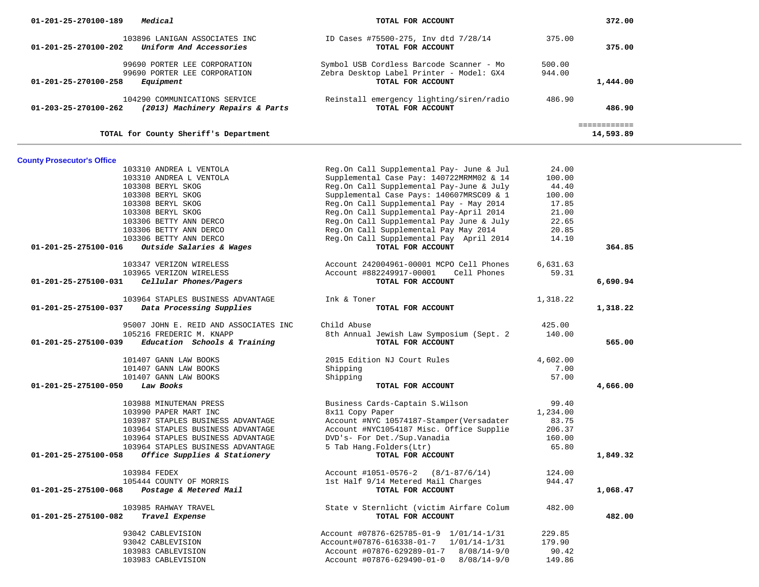| 01-201-25-270100-189              | Medical                                                                   | TOTAL FOR ACCOUNT                                                                                         |                  | 372.00                    |  |
|-----------------------------------|---------------------------------------------------------------------------|-----------------------------------------------------------------------------------------------------------|------------------|---------------------------|--|
| 01-201-25-270100-202              | 103896 LANIGAN ASSOCIATES INC<br>Uniform And Accessories                  | ID Cases #75500-275, Inv dtd 7/28/14<br>TOTAL FOR ACCOUNT                                                 | 375.00           | 375.00                    |  |
| 01-201-25-270100-258              | 99690 PORTER LEE CORPORATION<br>99690 PORTER LEE CORPORATION<br>Equipment | Symbol USB Cordless Barcode Scanner - Mo<br>Zebra Desktop Label Printer - Model: GX4<br>TOTAL FOR ACCOUNT | 500.00<br>944.00 | 1,444.00                  |  |
| 01-203-25-270100-262              | 104290 COMMUNICATIONS SERVICE<br>(2013) Machinery Repairs & Parts         | Reinstall emergency lighting/siren/radio<br>TOTAL FOR ACCOUNT                                             | 486.90           | 486.90                    |  |
|                                   | TOTAL for County Sheriff's Department                                     |                                                                                                           |                  | ============<br>14,593.89 |  |
|                                   |                                                                           |                                                                                                           |                  |                           |  |
| <b>County Prosecutor's Office</b> |                                                                           |                                                                                                           |                  |                           |  |
|                                   | 103310 ANDREA L VENTOLA                                                   | Reg.On Call Supplemental Pay- June & Jul                                                                  | 24.00            |                           |  |
|                                   | 103310 ANDREA L VENTOLA                                                   | Supplemental Case Pay: 140722MRMM02 & 14                                                                  | 100.00           |                           |  |
|                                   | 103308 BERYL SKOG                                                         | Reg.On Call Supplemental Pay-June & July                                                                  | 44.40            |                           |  |
|                                   | 103308 BERYL SKOG                                                         | Supplemental Case Pays: 140607MRSC09 & 1                                                                  | 100.00           |                           |  |
|                                   | 103308 BERYL SKOG                                                         | Reg.On Call Supplemental Pay - May 2014                                                                   | 17.85            |                           |  |
|                                   | 103308 BERYL SKOG                                                         | Reg.On Call Supplemental Pay-April 2014                                                                   | 21.00            |                           |  |
|                                   | 103306 BETTY ANN DERCO                                                    | Reg.On Call Supplemental Pay June & July                                                                  | 22.65            |                           |  |
|                                   | 103306 BETTY ANN DERCO                                                    | Reg.On Call Supplemental Pay May 2014                                                                     | 20.85            |                           |  |
|                                   | 103306 BETTY ANN DERCO                                                    | Reg.On Call Supplemental Pay April 2014                                                                   | 14.10            |                           |  |
| 01-201-25-275100-016              | Outside Salaries & Wages                                                  | TOTAL FOR ACCOUNT                                                                                         |                  | 364.85                    |  |
|                                   | 103347 VERIZON WIRELESS                                                   | Account 242004961-00001 MCPO Cell Phones                                                                  | 6,631.63         |                           |  |
|                                   | 103965 VERIZON WIRELESS                                                   | Cell Phones<br>Account #882249917-00001                                                                   | 59.31            |                           |  |
| 01-201-25-275100-031              | Cellular Phones/Pagers                                                    | TOTAL FOR ACCOUNT                                                                                         |                  | 6,690.94                  |  |
|                                   |                                                                           |                                                                                                           |                  |                           |  |
|                                   | 103964 STAPLES BUSINESS ADVANTAGE                                         | Ink & Toner                                                                                               | 1,318.22         |                           |  |
| 01-201-25-275100-037              | Data Processing Supplies                                                  | TOTAL FOR ACCOUNT                                                                                         |                  | 1,318.22                  |  |
|                                   | 95007 JOHN E. REID AND ASSOCIATES INC                                     | Child Abuse                                                                                               | 425.00           |                           |  |
|                                   | 105216 FREDERIC M. KNAPP                                                  | 8th Annual Jewish Law Symposium (Sept. 2                                                                  | 140.00           |                           |  |
| 01-201-25-275100-039              | Education Schools & Training                                              | TOTAL FOR ACCOUNT                                                                                         |                  | 565.00                    |  |
|                                   | 101407 GANN LAW BOOKS                                                     | 2015 Edition NJ Court Rules                                                                               | 4,602.00         |                           |  |
|                                   | 101407 GANN LAW BOOKS                                                     | Shipping                                                                                                  | 7.00             |                           |  |
|                                   | 101407 GANN LAW BOOKS                                                     | Shipping                                                                                                  | 57.00            |                           |  |
| 01-201-25-275100-050              | Law Books                                                                 | TOTAL FOR ACCOUNT                                                                                         |                  | 4,666.00                  |  |
|                                   | 103988 MINUTEMAN PRESS                                                    | Business Cards-Captain S.Wilson                                                                           | 99.40            |                           |  |
|                                   | 103990 PAPER MART INC                                                     | 8x11 Copy Paper                                                                                           | 1,234.00         |                           |  |
|                                   | 103987 STAPLES BUSINESS ADVANTAGE                                         | Account #NYC 10574187-Stamper (Versadater                                                                 | 83.75            |                           |  |
|                                   | 103964 STAPLES BUSINESS ADVANTAGE                                         | Account #NYC1054187 Misc. Office Supplie                                                                  | 206.37           |                           |  |
|                                   | 103964 STAPLES BUSINESS ADVANTAGE                                         | DVD's- For Det./Sup.Vanadia                                                                               | 160.00           |                           |  |
|                                   | 103964 STAPLES BUSINESS ADVANTAGE                                         | 5 Tab Hang.Folders(Ltr)                                                                                   | 65.80            |                           |  |
|                                   | 01-201-25-275100-058 Office Supplies & Stationery                         | TOTAL FOR ACCOUNT                                                                                         |                  | 1,849.32                  |  |
|                                   | 103984 FEDEX                                                              | Account $\text{\#1051-0576-2}$ (8/1-87/6/14)                                                              | 124.00           |                           |  |
|                                   | 105444 COUNTY OF MORRIS                                                   | 1st Half 9/14 Metered Mail Charges                                                                        | 944.47           |                           |  |
| 01-201-25-275100-068              | Postage & Metered Mail                                                    | TOTAL FOR ACCOUNT                                                                                         |                  | 1,068.47                  |  |
|                                   |                                                                           | State v Sternlicht (victim Airfare Colum                                                                  |                  |                           |  |
| 01-201-25-275100-082              | 103985 RAHWAY TRAVEL<br>Travel Expense                                    | TOTAL FOR ACCOUNT                                                                                         | 482.00           | 482.00                    |  |
|                                   | 93042 CABLEVISION                                                         | Account #07876-625785-01-9 1/01/14-1/31                                                                   | 229.85           |                           |  |
|                                   | 93042 CABLEVISION                                                         | Account#07876-616338-01-7 1/01/14-1/31                                                                    | 179.90           |                           |  |
|                                   | 103983 CABLEVISION                                                        | Account #07876-629289-01-7<br>$8/08/14 - 9/0$                                                             | 90.42            |                           |  |
|                                   | 103983 CABLEVISION                                                        | Account #07876-629490-01-0<br>$8/08/14 - 9/0$                                                             | 149.86           |                           |  |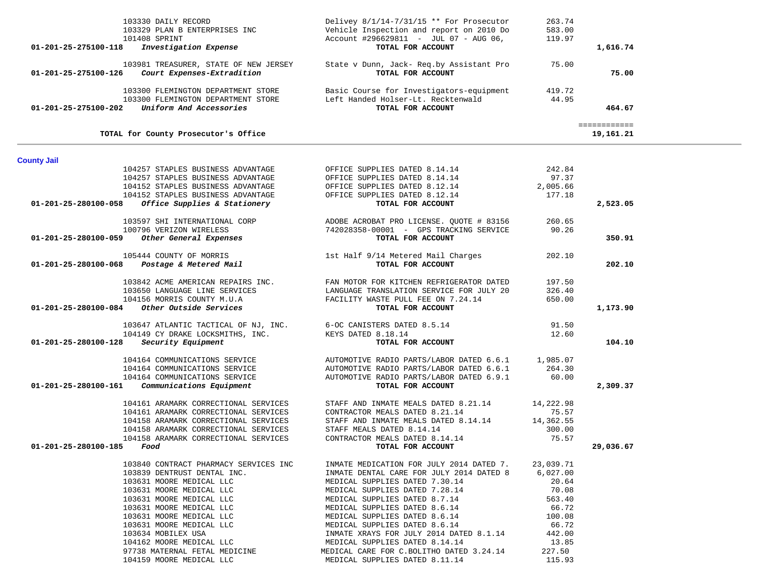| 01-201-25-275100-118 | 103330 DAILY RECORD<br>103329 PLAN B ENTERPRISES INC<br>101408 SPRINT<br><i>Investigation Expense</i>                   | Delivey $8/1/14-7/31/15$ ** For Prosecutor<br>Vehicle Inspection and report on 2010 Do<br>Account #296629811 - JUL 07 - AUG 06,<br>TOTAL FOR ACCOUNT | 263.74<br>583.00<br>119.97 | 1,616.74     |  |
|----------------------|-------------------------------------------------------------------------------------------------------------------------|------------------------------------------------------------------------------------------------------------------------------------------------------|----------------------------|--------------|--|
|                      |                                                                                                                         |                                                                                                                                                      |                            |              |  |
| 01-201-25-275100-126 | Court Expenses-Extradition                                                                                              | 103981 TREASURER, STATE OF NEW JERSEY State v Dunn, Jack- Req.by Assistant Pro<br>TOTAL FOR ACCOUNT                                                  | 75.00                      | 75.00        |  |
| 01-201-25-275100-202 | 103300 FLEMINGTON DEPARTMENT STORE<br>103300 FLEMINGTON DEPARTMENT STORE<br>Uniform And Accessories                     | Basic Course for Investigators-equipment 419.72<br>Left Handed Holser-Lt. Recktenwald<br>TOTAL FOR ACCOUNT                                           | 44.95                      | 464.67       |  |
|                      |                                                                                                                         |                                                                                                                                                      |                            | ============ |  |
|                      | TOTAL for County Prosecutor's Office                                                                                    |                                                                                                                                                      |                            | 19,161.21    |  |
| <b>County Jail</b>   |                                                                                                                         |                                                                                                                                                      |                            |              |  |
|                      | 104257 STAPLES BUSINESS ADVANTAGE                                                                                       | OFFICE SUPPLIES DATED 8.14.14                                                                                                                        | 242.84                     |              |  |
|                      | 104257 STAPLES BUSINESS ADVANTAGE                                                                                       | OFFICE SUPPLIES DATED 8.14.14                                                                                                                        | 97.37                      |              |  |
|                      | 104152 STAPLES BUSINESS ADVANTAGE                                                                                       | OFFICE SUPPLIES DATED 8.12.14                                                                                                                        | 2,005.66                   |              |  |
|                      | 104152 STAPLES BUSINESS ADVANTAGE                                                                                       | OFFICE SUPPLIES DATED 8.12.14                                                                                                                        | 177.18                     |              |  |
|                      | $01-201-25-280100-058$ Office Supplies & Stationery                                                                     | TOTAL FOR ACCOUNT                                                                                                                                    |                            | 2,523.05     |  |
|                      |                                                                                                                         |                                                                                                                                                      |                            |              |  |
|                      |                                                                                                                         | 103597 SHI INTERNATIONAL CORP                   ADOBE ACROBAT PRO LICENSE. QUOTE # 83156                                                             | 260.65                     |              |  |
|                      | 100796 VERIZON WIRELESS                                                                                                 | 742028358-00001 - GPS TRACKING SERVICE                                                                                                               | 90.26                      |              |  |
|                      | $01-201-25-280100-059$ Other General Expenses                                                                           | TOTAL FOR ACCOUNT                                                                                                                                    |                            | 350.91       |  |
|                      | 105444 COUNTY OF MORRIS                                                                                                 | 1st Half 9/14 Metered Mail Charges                                                                                                                   | 202.10                     |              |  |
|                      | 01-201-25-280100-068 Postage & Metered Mail                                                                             | TOTAL FOR ACCOUNT                                                                                                                                    |                            | 202.10       |  |
|                      |                                                                                                                         |                                                                                                                                                      |                            |              |  |
|                      | 103842 ACME AMERICAN REPAIRS INC.                                                                                       | FAN MOTOR FOR KITCHEN REFRIGERATOR DATED                                                                                                             | 197.50                     |              |  |
|                      | 103650 LANGUAGE LINE SERVICES                                                                                           | LANGUAGE TRANSLATION SERVICE FOR JULY 20                                                                                                             | 326.40                     |              |  |
|                      | 104156 MORRIS COUNTY M.U.A                                                                                              | FACILITY WASTE PULL FEE ON 7.24.14                                                                                                                   | 650.00                     |              |  |
|                      | 01-201-25-280100-084 Other Outside Services                                                                             | TOTAL FOR ACCOUNT                                                                                                                                    |                            | 1,173.90     |  |
|                      | 103647 ATLANTIC TACTICAL OF NJ, INC. 6-OC CANISTERS DATED 8.5.14<br>104149 CY DRAKE LOCKSMITHS, INC. KEYS DATED 8.18.14 |                                                                                                                                                      | 91.50                      |              |  |
|                      | 104149 CY DRAKE LOCKSMITHS, INC.                                                                                        | KEYS DATED 8.18.14                                                                                                                                   | 12.60                      |              |  |
| 01-201-25-280100-128 | Security Equipment                                                                                                      | TOTAL FOR ACCOUNT                                                                                                                                    |                            | 104.10       |  |
|                      | 104164 COMMUNICATIONS SERVICE                                                                                           | AUTOMOTIVE RADIO PARTS/LABOR DATED 6.6.1 1,985.07                                                                                                    |                            |              |  |
|                      | 104164 COMMUNICATIONS SERVICE                                                                                           | AUTOMOTIVE RADIO PARTS/LABOR DATED 6.6.1                                                                                                             | 264.30                     |              |  |
|                      | 104164 COMMUNICATIONS SERVICE                                                                                           | AUTOMOTIVE RADIO PARTS/LABOR DATED 6.9.1                                                                                                             | 60.00                      |              |  |
|                      | $01-201-25-280100-161$ Communications Equipment                                                                         | TOTAL FOR ACCOUNT                                                                                                                                    |                            | 2,309.37     |  |
|                      |                                                                                                                         |                                                                                                                                                      |                            |              |  |
|                      | 104161 ARAMARK CORRECTIONAL SERVICES                                                                                    | STAFF AND INMATE MEALS DATED 8.21.14                                                                                                                 | 14,222.98                  |              |  |
|                      | 104161 ARAMARK CORRECTIONAL SERVICES                                                                                    | CONTRACTOR MEALS DATED 8.21.14                                                                                                                       | 75.57                      |              |  |
|                      | 104158 ARAMARK CORRECTIONAL SERVICES                                                                                    | STAFF AND INMATE MEALS DATED 8.14.14                                                                                                                 | 14,362.55                  |              |  |
|                      | 104158 ARAMARK CORRECTIONAL SERVICES                                                                                    | STAFF MEALS DATED 8.14.14                                                                                                                            | 300.00                     |              |  |
| 01-201-25-280100-185 | 104158 ARAMARK CORRECTIONAL SERVICES<br>Food                                                                            | CONTRACTOR MEALS DATED 8.14.14<br>TOTAL FOR ACCOUNT                                                                                                  | 75.57                      | 29,036.67    |  |
|                      |                                                                                                                         |                                                                                                                                                      |                            |              |  |
|                      | 103840 CONTRACT PHARMACY SERVICES INC                                                                                   | INMATE MEDICATION FOR JULY 2014 DATED 7.                                                                                                             | 23,039.71                  |              |  |
|                      | 103839 DENTRUST DENTAL INC.                                                                                             | INMATE DENTAL CARE FOR JULY 2014 DATED 8                                                                                                             | 6,027.00                   |              |  |
|                      | 103631 MOORE MEDICAL LLC                                                                                                | MEDICAL SUPPLIES DATED 7.30.14                                                                                                                       | 20.64                      |              |  |
|                      | 103631 MOORE MEDICAL LLC                                                                                                | MEDICAL SUPPLIES DATED 7.28.14                                                                                                                       | 70.08                      |              |  |
|                      | 103631 MOORE MEDICAL LLC                                                                                                | MEDICAL SUPPLIES DATED 8.7.14                                                                                                                        | 563.40                     |              |  |
|                      | 103631 MOORE MEDICAL LLC                                                                                                | MEDICAL SUPPLIES DATED 8.6.14                                                                                                                        | 66.72                      |              |  |
|                      | 103631 MOORE MEDICAL LLC                                                                                                | MEDICAL SUPPLIES DATED 8.6.14                                                                                                                        | 100.08                     |              |  |
|                      | 103631 MOORE MEDICAL LLC                                                                                                | MEDICAL SUPPLIES DATED 8.6.14                                                                                                                        | 66.72                      |              |  |
|                      | 103634 MOBILEX USA                                                                                                      | INMATE XRAYS FOR JULY 2014 DATED 8.1.14                                                                                                              | 442.00                     |              |  |
|                      | 104162 MOORE MEDICAL LLC                                                                                                | MEDICAL SUPPLIES DATED 8.14.14                                                                                                                       | 13.85                      |              |  |
|                      | 97738 MATERNAL FETAL MEDICINE                                                                                           | MEDICAL CARE FOR C.BOLITHO DATED 3.24.14                                                                                                             | 227.50                     |              |  |
|                      | 104159 MOORE MEDICAL LLC                                                                                                | MEDICAL SUPPLIES DATED 8.11.14                                                                                                                       | 115.93                     |              |  |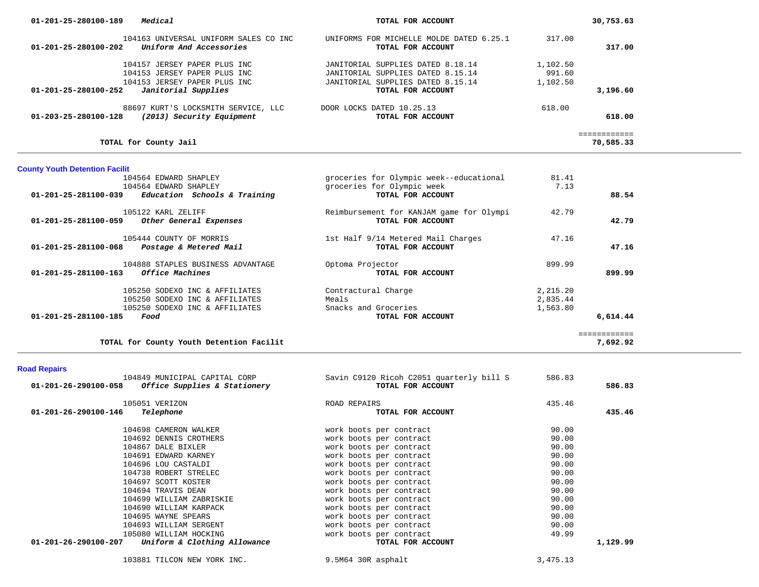| 01-201-25-280100-189<br>Medical                   | TOTAL FOR ACCOUNT                        | 30,753.63    |
|---------------------------------------------------|------------------------------------------|--------------|
| 104163 UNIVERSAL UNIFORM SALES CO INC             | UNIFORMS FOR MICHELLE MOLDE DATED 6.25.1 | 317.00       |
| 01-201-25-280100-202<br>Uniform And Accessories   | TOTAL FOR ACCOUNT                        | 317.00       |
| 104157 JERSEY PAPER PLUS INC                      | JANITORIAL SUPPLIES DATED 8.18.14        | 1,102.50     |
| 104153 JERSEY PAPER PLUS INC                      | JANITORIAL SUPPLIES DATED 8.15.14        | 991.60       |
| 104153 JERSEY PAPER PLUS INC                      | JANITORIAL SUPPLIES DATED 8.15.14        | 1,102.50     |
| Janitorial Supplies<br>01-201-25-280100-252       | TOTAL FOR ACCOUNT                        | 3,196.60     |
| 88697 KURT'S LOCKSMITH SERVICE, LLC               | DOOR LOCKS DATED 10.25.13                | 618.00       |
| 01-203-25-280100-128<br>(2013) Security Equipment | TOTAL FOR ACCOUNT                        | 618.00       |
|                                                   |                                          | ============ |
| TOTAL for County Jail                             |                                          | 70,585.33    |

# **County Youth Detention Facilit**

| 104564 EDWARD SHAPLEY                                                                              | groceries for Olympic week--educational                 | 81.41                            |              |
|----------------------------------------------------------------------------------------------------|---------------------------------------------------------|----------------------------------|--------------|
| 104564 EDWARD SHAPLEY<br>Education Schools & Training<br>$01 - 201 - 25 - 281100 - 039$            | groceries for Olympic week<br>TOTAL FOR ACCOUNT         | 7.13                             | 88.54        |
| 105122 KARL ZELIFF                                                                                 | Reimbursement for KANJAM game for Olympi                | 42.79                            |              |
| 01-201-25-281100-059<br>Other General Expenses                                                     | TOTAL FOR ACCOUNT                                       |                                  | 42.79        |
| 105444 COUNTY OF MORRIS<br>01-201-25-281100-068<br>Postage & Metered Mail                          | 1st Half 9/14 Metered Mail Charges<br>TOTAL FOR ACCOUNT | 47.16                            | 47.16        |
| 104888 STAPLES BUSINESS ADVANTAGE<br>$01 - 201 - 25 - 281100 - 163$<br>Office Machines             | Optoma Projector<br>TOTAL FOR ACCOUNT                   | 899.99                           | 899.99       |
| 105250 SODEXO INC & AFFILIATES<br>105250 SODEXO INC & AFFILIATES<br>105250 SODEXO INC & AFFILIATES | Contractural Charge<br>Meals<br>Snacks and Groceries    | 2,215.20<br>2,835.44<br>1,563.80 |              |
| 01-201-25-281100-185<br>Food                                                                       | TOTAL FOR ACCOUNT                                       |                                  | 6,614.44     |
|                                                                                                    |                                                         |                                  | :=========== |
| TOTAL for County Youth Detention Facilit                                                           |                                                         |                                  | 7,692.92     |

# **Road Repairs**

| 104849 MUNICIPAL CAPITAL CORP<br>Office Supplies & Stationery<br>01-201-26-290100-058 | Savin C9120 Ricoh C2051 quarterly bill S<br>TOTAL FOR ACCOUNT | 586.83 | 586.83   |
|---------------------------------------------------------------------------------------|---------------------------------------------------------------|--------|----------|
| 105051 VERIZON                                                                        | ROAD REPAIRS                                                  | 435.46 |          |
| 01-201-26-290100-146<br>Telephone                                                     | TOTAL FOR ACCOUNT                                             |        | 435.46   |
| 104698 CAMERON WALKER                                                                 | work boots per contract                                       | 90.00  |          |
| 104692 DENNIS CROTHERS                                                                | work boots per contract                                       | 90.00  |          |
| 104867 DALE BIXLER                                                                    | work boots per contract                                       | 90.00  |          |
| 104691 EDWARD KARNEY                                                                  | work boots per contract                                       | 90.00  |          |
| 104696 LOU CASTALDI                                                                   | work boots per contract                                       | 90.00  |          |
| 104738 ROBERT STRELEC                                                                 | work boots per contract                                       | 90.00  |          |
| 104697 SCOTT KOSTER                                                                   | work boots per contract                                       | 90.00  |          |
| 104694 TRAVIS DEAN                                                                    | work boots per contract                                       | 90.00  |          |
| 104699 WILLIAM ZABRISKIE                                                              | work boots per contract                                       | 90.00  |          |
| 104690 WILLIAM KARPACK                                                                | work boots per contract                                       | 90.00  |          |
| 104695 WAYNE SPEARS                                                                   | work boots per contract                                       | 90.00  |          |
| 104693 WILLIAM SERGENT                                                                | work boots per contract                                       | 90.00  |          |
| 105080 WILLIAM HOCKING                                                                | work boots per contract                                       | 49.99  |          |
| 01-201-26-290100-207<br>Uniform & Clothing Allowance                                  | TOTAL FOR ACCOUNT                                             |        | 1,129.99 |
|                                                                                       |                                                               |        |          |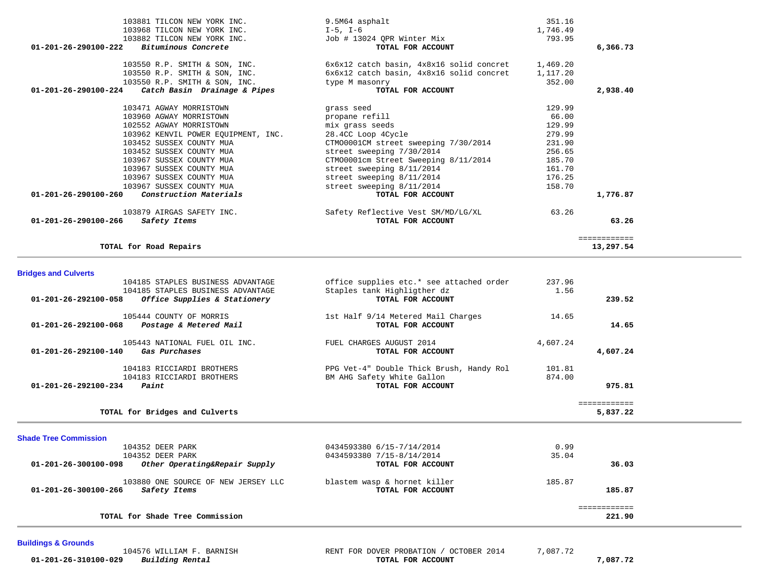| 103881 TILCON NEW YORK INC.                         | 9.5M64 asphalt                                        | 351.16   |              |
|-----------------------------------------------------|-------------------------------------------------------|----------|--------------|
| 103968 TILCON NEW YORK INC.                         | I-5, I-6                                              | 1,746.49 |              |
| 103882 TILCON NEW YORK INC.                         | Job # 13024 QPR Winter Mix                            | 793.95   |              |
| 01-201-26-290100-222 Bituminous Concrete            | TOTAL FOR ACCOUNT                                     |          | 6,366.73     |
| 103550 R.P. SMITH & SON, INC.                       | $6x6x12$ catch basin, $4x8x16$ solid concret 1,469.20 |          |              |
| 103550 R.P. SMITH & SON, INC.                       | 6x6x12 catch basin, 4x8x16 solid concret              | 1,117.20 |              |
| 103550 R.P. SMITH & SON, INC.                       | type M masonry                                        | 352.00   |              |
| $01-201-26-290100-224$ Catch Basin Drainage & Pipes | TOTAL FOR ACCOUNT                                     |          | 2,938.40     |
| 103471 AGWAY MORRISTOWN                             | grass seed                                            | 129.99   |              |
| 103960 AGWAY MORRISTOWN                             | propane refill                                        | 66.00    |              |
| 102552 AGWAY MORRISTOWN                             | mix grass seeds                                       | 129.99   |              |
| 103962 KENVIL POWER EQUIPMENT, INC.                 | 28.4CC Loop 4Cycle                                    | 279.99   |              |
| 103452 SUSSEX COUNTY MUA                            | CTM00001CM street sweeping 7/30/2014                  | 231.90   |              |
| 103452 SUSSEX COUNTY MUA                            | street sweeping 7/30/2014                             | 256.65   |              |
| 103967 SUSSEX COUNTY MUA                            | CTM00001cm Street Sweeping 8/11/2014                  | 185.70   |              |
| 103967 SUSSEX COUNTY MUA                            | street sweeping 8/11/2014                             | 161.70   |              |
| 103967 SUSSEX COUNTY MUA                            | street sweeping 8/11/2014                             | 176.25   |              |
| 103967 SUSSEX COUNTY MUA                            | street sweeping 8/11/2014                             | 158.70   |              |
| 01-201-26-290100-260<br>Construction Materials      | TOTAL FOR ACCOUNT                                     |          | 1,776.87     |
| 103879 AIRGAS SAFETY INC.                           | Safety Reflective Vest SM/MD/LG/XL                    | 63.26    |              |
| 01-201-26-290100-266<br>Safety Items                | TOTAL FOR ACCOUNT                                     |          | 63.26        |
|                                                     |                                                       |          | ============ |
| TOTAL for Road Repairs                              |                                                       |          | 13,297.54    |

# **Bridges and Culverts**

| 104185 STAPLES BUSINESS ADVANTAGE                                                         | office supplies etc.* see attached order         | 237.96   |              |
|-------------------------------------------------------------------------------------------|--------------------------------------------------|----------|--------------|
| 104185 STAPLES BUSINESS ADVANTAGE<br>01-201-26-292100-058<br>Office Supplies & Stationery | Staples tank Highligther dz<br>TOTAL FOR ACCOUNT | 1.56     | 239.52       |
| 105444 COUNTY OF MORRIS                                                                   | 1st Half 9/14 Metered Mail Charges               | 14.65    |              |
| 01-201-26-292100-068<br>Postage & Metered Mail                                            | TOTAL FOR ACCOUNT                                |          | 14.65        |
| 105443 NATIONAL FUEL OIL INC.                                                             | FUEL CHARGES AUGUST 2014                         | 4,607.24 |              |
| $01 - 201 - 26 - 292100 - 140$<br>Gas Purchases                                           | TOTAL FOR ACCOUNT                                |          | 4,607.24     |
| 104183 RICCIARDI BROTHERS                                                                 | PPG Vet-4" Double Thick Brush, Handy Rol         | 101.81   |              |
| 104183 RICCIARDI BROTHERS                                                                 | BM AHG Safety White Gallon                       | 874.00   |              |
| 01-201-26-292100-234<br>Paint                                                             | TOTAL FOR ACCOUNT                                |          | 975.81       |
|                                                                                           |                                                  |          | ============ |
| TOTAL for Bridges and Culverts                                                            |                                                  |          | 5,837.22     |

| 104352 DEER PARK                                                            | 0434593380 6/15-7/14/2014                         | 0.99   |        |
|-----------------------------------------------------------------------------|---------------------------------------------------|--------|--------|
| 104352 DEER PARK                                                            | 0434593380 7/15-8/14/2014                         | 35.04  |        |
| Other Operating&Repair Supply<br>01-201-26-300100-098                       | TOTAL FOR ACCOUNT                                 |        | 36.03  |
| 103880 ONE SOURCE OF NEW JERSEY LLC<br>01-201-26-300100-266<br>Safety Items | blastem wasp & hornet killer<br>TOTAL FOR ACCOUNT | 185.87 | 185.87 |
|                                                                             |                                                   |        |        |
| TOTAL for Shade Tree Commission                                             |                                                   |        | 221.90 |

# **Buildings & Grounds**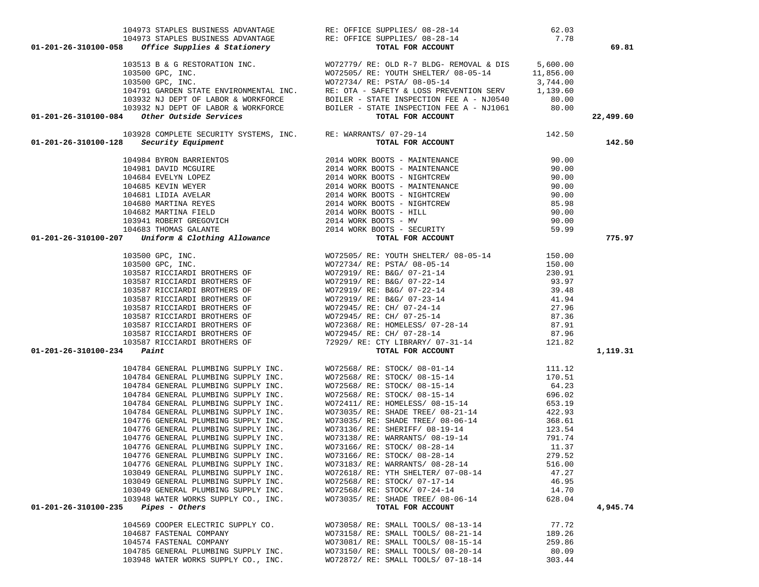|                                               |                                     | 104973 STAPLES BUSINESS ADVANTAGE RE: OFFICE SUPPLIES/ 08-28-14<br><b>01-201-26-310100-058 Office Supplies &amp; Stationery RE: OFFICE SUPPLIES/ 08-28-14 TOTAL FOR ACCOUNT</b>                                                                                                                                                |        | 69.81     |
|-----------------------------------------------|-------------------------------------|--------------------------------------------------------------------------------------------------------------------------------------------------------------------------------------------------------------------------------------------------------------------------------------------------------------------------------|--------|-----------|
|                                               |                                     |                                                                                                                                                                                                                                                                                                                                |        |           |
|                                               |                                     |                                                                                                                                                                                                                                                                                                                                |        |           |
|                                               |                                     |                                                                                                                                                                                                                                                                                                                                |        |           |
|                                               |                                     |                                                                                                                                                                                                                                                                                                                                |        |           |
|                                               |                                     |                                                                                                                                                                                                                                                                                                                                |        |           |
|                                               |                                     |                                                                                                                                                                                                                                                                                                                                |        |           |
|                                               |                                     | 103513 B & G RESTORATION INC.<br>103500 GPC, INC.<br>103500 GPC, INC.<br>103500 GPC, INC.<br>104791 GRRDEN STATE ENVIRONMENTAL INC.<br>104791 GRRDEN STATE ENVIRONMENTAL INC.<br>104791 GRRDEN STATE ENVIRONMENTAL INC.<br>104791 GRRDEN STA                                                                                   |        | 22,499.60 |
|                                               |                                     |                                                                                                                                                                                                                                                                                                                                |        |           |
|                                               |                                     |                                                                                                                                                                                                                                                                                                                                |        | 142.50    |
|                                               |                                     |                                                                                                                                                                                                                                                                                                                                |        |           |
|                                               |                                     |                                                                                                                                                                                                                                                                                                                                |        |           |
|                                               |                                     |                                                                                                                                                                                                                                                                                                                                |        |           |
|                                               |                                     |                                                                                                                                                                                                                                                                                                                                |        |           |
|                                               |                                     |                                                                                                                                                                                                                                                                                                                                |        |           |
|                                               |                                     |                                                                                                                                                                                                                                                                                                                                |        |           |
|                                               |                                     |                                                                                                                                                                                                                                                                                                                                |        |           |
|                                               |                                     |                                                                                                                                                                                                                                                                                                                                |        |           |
|                                               |                                     |                                                                                                                                                                                                                                                                                                                                |        | 775.97    |
|                                               |                                     | $104984 BYRON BARKIENTOS\n104981 DAVID MCGUIRE\n104981 DAVID MCGUIRE\n104684 EVELYN LOPEZ\n104685 KEVIN WEYER\n104685 KEVIN WEYER\n104681 LIDIA NELAR\n104681 LIDIA RVELAR\n104682 MARTINA REYES\n104682 MARTINA REYES\n104683 THOMAS GLIATE\n104683 THOMAS GLIATE\n104683 THOMAS GLIATE\n104683 THOMAS GLIATE\n104683 THOMAS$ |        |           |
|                                               |                                     |                                                                                                                                                                                                                                                                                                                                |        |           |
|                                               |                                     |                                                                                                                                                                                                                                                                                                                                |        |           |
|                                               |                                     |                                                                                                                                                                                                                                                                                                                                |        |           |
|                                               |                                     |                                                                                                                                                                                                                                                                                                                                |        |           |
|                                               |                                     |                                                                                                                                                                                                                                                                                                                                |        |           |
|                                               |                                     |                                                                                                                                                                                                                                                                                                                                |        |           |
|                                               |                                     |                                                                                                                                                                                                                                                                                                                                |        |           |
|                                               |                                     |                                                                                                                                                                                                                                                                                                                                |        |           |
|                                               |                                     |                                                                                                                                                                                                                                                                                                                                |        |           |
|                                               |                                     |                                                                                                                                                                                                                                                                                                                                |        |           |
| $01 - 201 - 26 - 310100 - 234$ Paint          |                                     |                                                                                                                                                                                                                                                                                                                                |        | 1,119.31  |
|                                               |                                     |                                                                                                                                                                                                                                                                                                                                |        |           |
|                                               |                                     |                                                                                                                                                                                                                                                                                                                                |        |           |
|                                               |                                     |                                                                                                                                                                                                                                                                                                                                |        |           |
|                                               |                                     |                                                                                                                                                                                                                                                                                                                                |        |           |
|                                               |                                     |                                                                                                                                                                                                                                                                                                                                |        |           |
|                                               |                                     |                                                                                                                                                                                                                                                                                                                                |        |           |
|                                               |                                     |                                                                                                                                                                                                                                                                                                                                |        |           |
|                                               |                                     |                                                                                                                                                                                                                                                                                                                                |        |           |
|                                               |                                     |                                                                                                                                                                                                                                                                                                                                |        |           |
|                                               |                                     |                                                                                                                                                                                                                                                                                                                                |        |           |
|                                               |                                     |                                                                                                                                                                                                                                                                                                                                |        |           |
|                                               |                                     | 104776 GENERAL PLUMBING SUPPLY INC. WO73183/ RE: WARRANTS/ 08-28-14 516.00                                                                                                                                                                                                                                                     |        |           |
|                                               | 103049 GENERAL PLUMBING SUPPLY INC. | WO72618/ RE: YTH SHELTER/ 07-08-14                                                                                                                                                                                                                                                                                             | 47.27  |           |
|                                               | 103049 GENERAL PLUMBING SUPPLY INC. | WO72568/ RE: STOCK/ 07-17-14                                                                                                                                                                                                                                                                                                   | 46.95  |           |
|                                               | 103049 GENERAL PLUMBING SUPPLY INC. | WO72568/ RE: STOCK/ 07-24-14                                                                                                                                                                                                                                                                                                   | 14.70  |           |
|                                               | 103948 WATER WORKS SUPPLY CO., INC. | WO73035/ RE: SHADE TREE/ 08-06-14                                                                                                                                                                                                                                                                                              | 628.04 |           |
| $01 - 201 - 26 - 310100 - 235$ Pipes - Others |                                     | TOTAL FOR ACCOUNT                                                                                                                                                                                                                                                                                                              |        | 4,945.74  |
|                                               | 104569 COOPER ELECTRIC SUPPLY CO.   | WO73058/ RE: SMALL TOOLS/ 08-13-14                                                                                                                                                                                                                                                                                             | 77.72  |           |
|                                               | 104687 FASTENAL COMPANY             | WO73158/ RE: SMALL TOOLS/ 08-21-14                                                                                                                                                                                                                                                                                             | 189.26 |           |
|                                               | 104574 FASTENAL COMPANY             | WO73081/ RE: SMALL TOOLS/ 08-15-14                                                                                                                                                                                                                                                                                             | 259.86 |           |
|                                               | 104785 GENERAL PLUMBING SUPPLY INC. | WO73150/ RE: SMALL TOOLS/ 08-20-14                                                                                                                                                                                                                                                                                             | 80.09  |           |
|                                               | 103948 WATER WORKS SUPPLY CO., INC. | WO72872/ RE: SMALL TOOLS/ 07-18-14                                                                                                                                                                                                                                                                                             | 303.44 |           |

104973 STAPLES BUSINESS ADVANTAGE RE: OFFICE SUPPLIES/ 08-28-14 62.03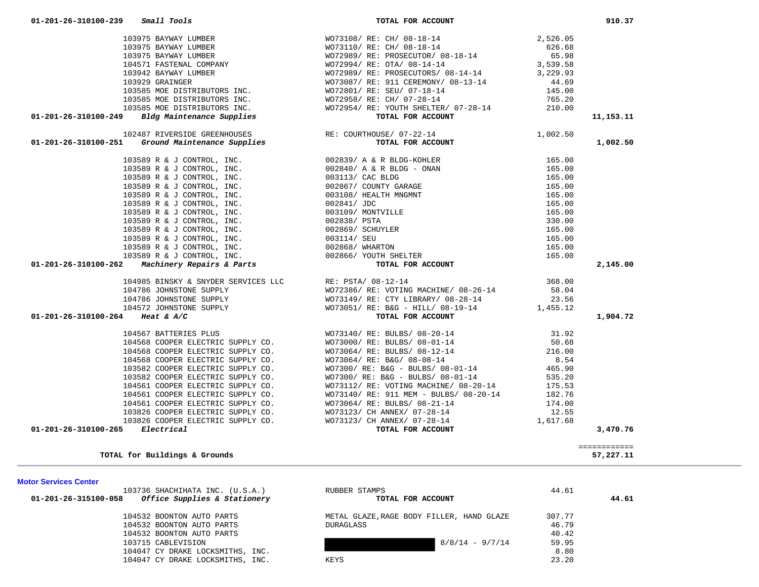|  | 104532 BOONTON AUTO PARTS        |  |
|--|----------------------------------|--|
|  | 104532 BOONTON AUTO PARTS        |  |
|  | 104532 BOONTON AUTO PARTS        |  |
|  | 103715 CABLEVISION               |  |
|  | 104047 CY DRAKE LOCKSMITHS, INC. |  |
|  | 104047 CY DRAKE LOCKSMITHS, INC. |  |
|  |                                  |  |

| MULUI JEIVICES UEIILEI                               |                                           |        |       |
|------------------------------------------------------|-------------------------------------------|--------|-------|
| 103736 SHACHIHATA INC. (U.S.A.)                      | RUBBER STAMPS                             | 44.61  |       |
| Office Supplies & Stationery<br>01-201-26-315100-058 | TOTAL FOR ACCOUNT                         |        | 44.61 |
| 104532 BOONTON AUTO PARTS                            | METAL GLAZE, RAGE BODY FILLER, HAND GLAZE | 307.77 |       |
| 104532 BOONTON AUTO PARTS                            | <b>DURAGLASS</b>                          | 46.79  |       |
| 104532 BOONTON AUTO PARTS                            |                                           | 40.42  |       |
| 103715 CABLEVISION                                   | $8/8/14 - 9/7/14$                         | 59.95  |       |
| 104047 CY DRAKE LOCKSMITHS, INC.                     |                                           | 8.80   |       |
| 104047 CY DRAKE LOCKSMITHS, INC.                     | KEYS                                      | 23.20  |       |
|                                                      |                                           |        |       |

**Motor Services Center** 

|                      | 104985 BINSKY & SNYDER SERVICES LLC |
|----------------------|-------------------------------------|
|                      | 104786 JOHNSTONE SUPPLY             |
|                      | 104786 JOHNSTONE SUPPLY             |
|                      | 104572 JOHNSTONE SUPPLY             |
| 01-201-26-310100-264 | Heat & $A/C$                        |
|                      |                                     |
|                      | 104567 BATTERIES PLUS               |
|                      | 104568 COOPER ELECTRIC SUPPLY CO.   |
|                      | 104568 COOPER ELECTRIC SUPPLY CO.   |
|                      | 104568 COOPER ELECTRIC SUPPLY CO.   |
|                      | 103582 COOPER ELECTRIC SUPPLY CO.   |
|                      | 103582 COOPER ELECTRIC SUPPLY CO.   |
|                      | 104561 COOPER ELECTRIC SUPPLY CO.   |
|                      | 104561 COOPER ELECTRIC SUPPLY CO.   |
|                      | 104561 COOPER ELECTRIC SUPPLY CO.   |
|                      | 103826 COOPER ELECTRIC SUPPLY CO.   |
|                      | 103826 COOPER ELECTRIC SUPPLY CO.   |
| 01-201-26-310100-265 | Electrical                          |

============

**TOTAL for Buildings & Grounds 57,227.11**

| 103929 GRAINGER                                  |
|--------------------------------------------------|
| 103585 MOE DISTRIBUTORS INC.                     |
| 103585 MOE DISTRIBUTORS INC.                     |
| 103585 MOE DISTRIBUTORS INC.                     |
| Bldg Maintenance Supplies                        |
|                                                  |
| 102487 RIVERSIDE GREENHOUSES                     |
| 01-201-26-310100-251 Ground Maintenance Supplies |
|                                                  |
| 103589 R & J CONTROL, INC.                       |
| 103589 R & J CONTROL, INC.                       |
| 103589 R & J CONTROL, INC.                       |
| 103589 R & J CONTROL, INC.                       |
| 103589 R & J CONTROL, INC.                       |
| 103589 R & J CONTROL, INC.                       |
| 103589 R & J CONTROL, INC.                       |
| 103589 R & J CONTROL, INC.                       |
| 103589 R & J CONTROL, INC.                       |
| 103589 R & J CONTROL, INC.                       |
| 103589 R & J CONTROL, INC.                       |
| 103589 R & J CONTROL, INC.                       |
| $01-201-26-310100-262$ Machinery Repairs & Parts |
|                                                  |
| 104985 BINSKY & SNYDER SERVICES L                |
| 104786 JOHNSTONE SUPPLY                          |
| 104786 JOHNSTONE SUPPLY                          |
| 104572 JOHNSTONE SUPPLY                          |
|                                                  |

|                                                                                                                                                                                                                                                 |                                                                                                                                                                                                                                                                                                                                                                                                                 | 11,153.11 |
|-------------------------------------------------------------------------------------------------------------------------------------------------------------------------------------------------------------------------------------------------|-----------------------------------------------------------------------------------------------------------------------------------------------------------------------------------------------------------------------------------------------------------------------------------------------------------------------------------------------------------------------------------------------------------------|-----------|
|                                                                                                                                                                                                                                                 |                                                                                                                                                                                                                                                                                                                                                                                                                 |           |
|                                                                                                                                                                                                                                                 |                                                                                                                                                                                                                                                                                                                                                                                                                 |           |
| 103975 BAYWAY LUMBER<br>103975 BAYWAY LUMBER<br>103975 BAYWAY LUMBER<br>103975 BAYWAY LUMBER<br>103975 BAYWAY LUMBER<br>104571 FASTENAL COMPANY<br>104571 FASTENAL COMPANY<br>104571 FASTENAL COMPANY<br>104571 FASTENAL COMPANY<br>104571 FAST |                                                                                                                                                                                                                                                                                                                                                                                                                 | 1,002.50  |
|                                                                                                                                                                                                                                                 |                                                                                                                                                                                                                                                                                                                                                                                                                 |           |
|                                                                                                                                                                                                                                                 |                                                                                                                                                                                                                                                                                                                                                                                                                 |           |
|                                                                                                                                                                                                                                                 |                                                                                                                                                                                                                                                                                                                                                                                                                 |           |
|                                                                                                                                                                                                                                                 |                                                                                                                                                                                                                                                                                                                                                                                                                 |           |
|                                                                                                                                                                                                                                                 |                                                                                                                                                                                                                                                                                                                                                                                                                 |           |
|                                                                                                                                                                                                                                                 |                                                                                                                                                                                                                                                                                                                                                                                                                 |           |
|                                                                                                                                                                                                                                                 |                                                                                                                                                                                                                                                                                                                                                                                                                 |           |
|                                                                                                                                                                                                                                                 |                                                                                                                                                                                                                                                                                                                                                                                                                 |           |
|                                                                                                                                                                                                                                                 |                                                                                                                                                                                                                                                                                                                                                                                                                 |           |
|                                                                                                                                                                                                                                                 |                                                                                                                                                                                                                                                                                                                                                                                                                 |           |
|                                                                                                                                                                                                                                                 |                                                                                                                                                                                                                                                                                                                                                                                                                 |           |
|                                                                                                                                                                                                                                                 |                                                                                                                                                                                                                                                                                                                                                                                                                 |           |
| 103589 R & J CONTROL, INC.<br>103589 R & J CONTROL, INC.<br>103589 R & J CONTROL, INC.<br>103589 R & J CONTROL, INC.<br>103589 R & J CONTROL, INC.<br>103589 R & J CONTROL, INC.<br>103589 R & J CONTROL, INC.<br>103589 R & J CONTROL, INC     |                                                                                                                                                                                                                                                                                                                                                                                                                 | 2,145.00  |
|                                                                                                                                                                                                                                                 |                                                                                                                                                                                                                                                                                                                                                                                                                 |           |
|                                                                                                                                                                                                                                                 |                                                                                                                                                                                                                                                                                                                                                                                                                 |           |
|                                                                                                                                                                                                                                                 |                                                                                                                                                                                                                                                                                                                                                                                                                 |           |
|                                                                                                                                                                                                                                                 |                                                                                                                                                                                                                                                                                                                                                                                                                 |           |
| 01-201-26-310100-264 Heat & A/C                                                                                                                                                                                                                 | $\begin{array}{cccccc} 104985 & \texttt{BINSKY} & \texttt{SNYDER} & \texttt{SERVICES} & \texttt{LLC} & \texttt{RE: } \texttt{PSTA} / & 08-12-14 & & & & & & & 368.00 \\ 104786 & \texttt{JOHNSTONE} & \texttt{SUPELY} & & & & & & & & 58.04 \\ 104786 & \texttt{JOHNSTONE} & \texttt{SUPELY} & & & & & & & 58.04 \\ 104786 & \texttt{JOHNSTONE} & \texttt{SUPELY} & & & & & & & 7073149 / \texttt{ RE: } \text$ | 1,904.72  |
|                                                                                                                                                                                                                                                 |                                                                                                                                                                                                                                                                                                                                                                                                                 |           |
|                                                                                                                                                                                                                                                 |                                                                                                                                                                                                                                                                                                                                                                                                                 |           |
|                                                                                                                                                                                                                                                 |                                                                                                                                                                                                                                                                                                                                                                                                                 |           |
|                                                                                                                                                                                                                                                 |                                                                                                                                                                                                                                                                                                                                                                                                                 |           |
|                                                                                                                                                                                                                                                 |                                                                                                                                                                                                                                                                                                                                                                                                                 |           |
|                                                                                                                                                                                                                                                 |                                                                                                                                                                                                                                                                                                                                                                                                                 |           |
|                                                                                                                                                                                                                                                 |                                                                                                                                                                                                                                                                                                                                                                                                                 |           |
|                                                                                                                                                                                                                                                 |                                                                                                                                                                                                                                                                                                                                                                                                                 |           |
|                                                                                                                                                                                                                                                 |                                                                                                                                                                                                                                                                                                                                                                                                                 |           |
|                                                                                                                                                                                                                                                 |                                                                                                                                                                                                                                                                                                                                                                                                                 |           |
|                                                                                                                                                                                                                                                 |                                                                                                                                                                                                                                                                                                                                                                                                                 |           |
| 01-201-26-310100-265 Electrical                                                                                                                                                                                                                 |                                                                                                                                                                                                                                                                                                                                                                                                                 | 3,470.76  |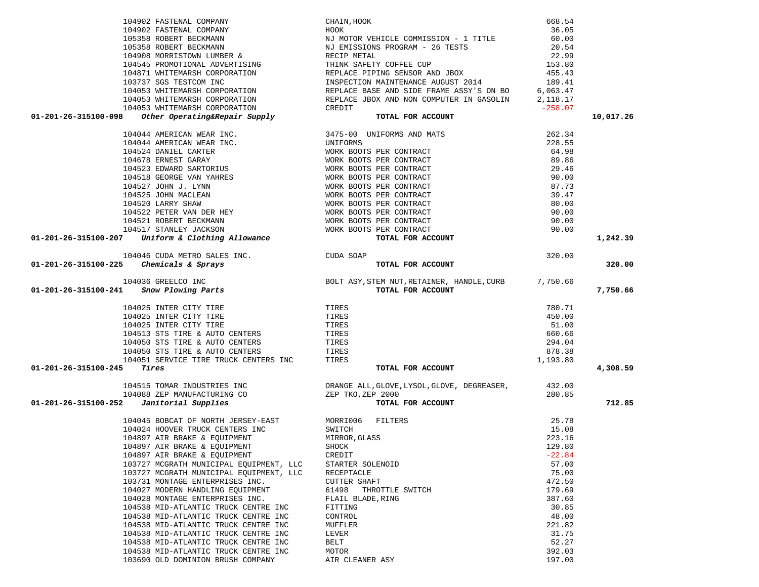|                                                                                                                                                                                                                                             | CHAIN, HOOK                                                                                                        | 668.54          |           |
|---------------------------------------------------------------------------------------------------------------------------------------------------------------------------------------------------------------------------------------------|--------------------------------------------------------------------------------------------------------------------|-----------------|-----------|
|                                                                                                                                                                                                                                             |                                                                                                                    |                 |           |
|                                                                                                                                                                                                                                             |                                                                                                                    |                 |           |
|                                                                                                                                                                                                                                             |                                                                                                                    |                 |           |
|                                                                                                                                                                                                                                             |                                                                                                                    |                 |           |
|                                                                                                                                                                                                                                             |                                                                                                                    |                 |           |
|                                                                                                                                                                                                                                             |                                                                                                                    |                 |           |
|                                                                                                                                                                                                                                             |                                                                                                                    |                 |           |
|                                                                                                                                                                                                                                             |                                                                                                                    |                 |           |
|                                                                                                                                                                                                                                             |                                                                                                                    |                 |           |
|                                                                                                                                                                                                                                             |                                                                                                                    |                 |           |
| 1940-53 WHITEWARSH CORPORATION<br>1940-53 WHITEWARSH CORPORATION<br>1940-53 WHITEWARSH CORPORATION<br>1940-44 AMERICAN WEAR INC.<br>1940-44 AMERICAN WEAR INC.<br>1940-44 AMERICAN WEAR INC.<br>1940-44 AMERICAN WEAR INC.<br>1940-44 AMERI |                                                                                                                    |                 | 10,017.26 |
|                                                                                                                                                                                                                                             |                                                                                                                    |                 |           |
|                                                                                                                                                                                                                                             |                                                                                                                    |                 |           |
|                                                                                                                                                                                                                                             |                                                                                                                    |                 |           |
|                                                                                                                                                                                                                                             |                                                                                                                    |                 |           |
|                                                                                                                                                                                                                                             |                                                                                                                    |                 |           |
|                                                                                                                                                                                                                                             |                                                                                                                    |                 |           |
|                                                                                                                                                                                                                                             |                                                                                                                    |                 |           |
|                                                                                                                                                                                                                                             |                                                                                                                    |                 |           |
|                                                                                                                                                                                                                                             |                                                                                                                    |                 |           |
|                                                                                                                                                                                                                                             |                                                                                                                    |                 |           |
|                                                                                                                                                                                                                                             |                                                                                                                    |                 |           |
|                                                                                                                                                                                                                                             |                                                                                                                    |                 |           |
|                                                                                                                                                                                                                                             |                                                                                                                    |                 | 1,242.39  |
| 104046 CUDA METRO SALES INC.<br>104046 CUDA METRO SALES INC. CUDA SOAP                                                                                                                                                                      |                                                                                                                    |                 |           |
|                                                                                                                                                                                                                                             | 320.00                                                                                                             |                 |           |
|                                                                                                                                                                                                                                             |                                                                                                                    |                 | 320.00    |
|                                                                                                                                                                                                                                             |                                                                                                                    |                 |           |
|                                                                                                                                                                                                                                             |                                                                                                                    |                 | 7,750.66  |
|                                                                                                                                                                                                                                             |                                                                                                                    |                 |           |
|                                                                                                                                                                                                                                             |                                                                                                                    |                 |           |
|                                                                                                                                                                                                                                             |                                                                                                                    |                 |           |
|                                                                                                                                                                                                                                             |                                                                                                                    |                 |           |
|                                                                                                                                                                                                                                             |                                                                                                                    |                 |           |
|                                                                                                                                                                                                                                             |                                                                                                                    |                 |           |
|                                                                                                                                                                                                                                             |                                                                                                                    |                 |           |
|                                                                                                                                                                                                                                             |                                                                                                                    |                 |           |
|                                                                                                                                                                                                                                             |                                                                                                                    |                 |           |
| 01-201-26-315100-245                                                                                                                                                                                                                        | TOTAL FOR ACCOUNT                                                                                                  |                 | 4,308.59  |
|                                                                                                                                                                                                                                             |                                                                                                                    |                 |           |
|                                                                                                                                                                                                                                             |                                                                                                                    |                 |           |
| 01-201-26-315100-252                                                                                                                                                                                                                        |                                                                                                                    |                 | 712.85    |
|                                                                                                                                                                                                                                             | 104515 TOMAR INDUSTRIES INC<br>104088 ZEP MANUFACTURING CO<br>280.85 TOTAL FOR ACCOUNT<br>280.85 TOTAL FOR ACCOUNT |                 |           |
| 104045 BOBCAT OF NORTH JERSEY-EAST MORRI006 FILTERS                                                                                                                                                                                         |                                                                                                                    | 25.78           |           |
| 104024 HOOVER TRUCK CENTERS INC                                                                                                                                                                                                             | SWITCH                                                                                                             | 15.08           |           |
| 104897 AIR BRAKE & EQUIPMENT                                                                                                                                                                                                                | MIRROR, GLASS                                                                                                      | 223.16          |           |
| 104897 AIR BRAKE & EQUIPMENT                                                                                                                                                                                                                | SHOCK                                                                                                              | 129.80          |           |
| 104897 AIR BRAKE & EQUIPMENT                                                                                                                                                                                                                | CREDIT                                                                                                             | $-22.84$        |           |
| 103727 MCGRATH MUNICIPAL EQUIPMENT, LLC                                                                                                                                                                                                     | STARTER SOLENOID                                                                                                   | 57.00           |           |
| 103727 MCGRATH MUNICIPAL EQUIPMENT, LLC                                                                                                                                                                                                     | RECEPTACLE                                                                                                         | 75.00           |           |
| 103731 MONTAGE ENTERPRISES INC.                                                                                                                                                                                                             | <b>CUTTER SHAFT</b>                                                                                                | 472.50          |           |
| 104027 MODERN HANDLING EQUIPMENT                                                                                                                                                                                                            | 61498<br>THROTTLE SWITCH                                                                                           | 179.69          |           |
| 104028 MONTAGE ENTERPRISES INC.                                                                                                                                                                                                             | FLAIL BLADE, RING                                                                                                  | 387.60          |           |
| 104538 MID-ATLANTIC TRUCK CENTRE INC                                                                                                                                                                                                        | FITTING                                                                                                            | 30.85           |           |
| 104538 MID-ATLANTIC TRUCK CENTRE INC                                                                                                                                                                                                        | CONTROL                                                                                                            | 48.00           |           |
| 104538 MID-ATLANTIC TRUCK CENTRE INC                                                                                                                                                                                                        | MUFFLER                                                                                                            | 221.82          |           |
| 104538 MID-ATLANTIC TRUCK CENTRE INC                                                                                                                                                                                                        | LEVER                                                                                                              | 31.75           |           |
| 104538 MID-ATLANTIC TRUCK CENTRE INC<br>104538 MID-ATLANTIC TRUCK CENTRE INC                                                                                                                                                                | BELT<br>MOTOR                                                                                                      | 52.27<br>392.03 |           |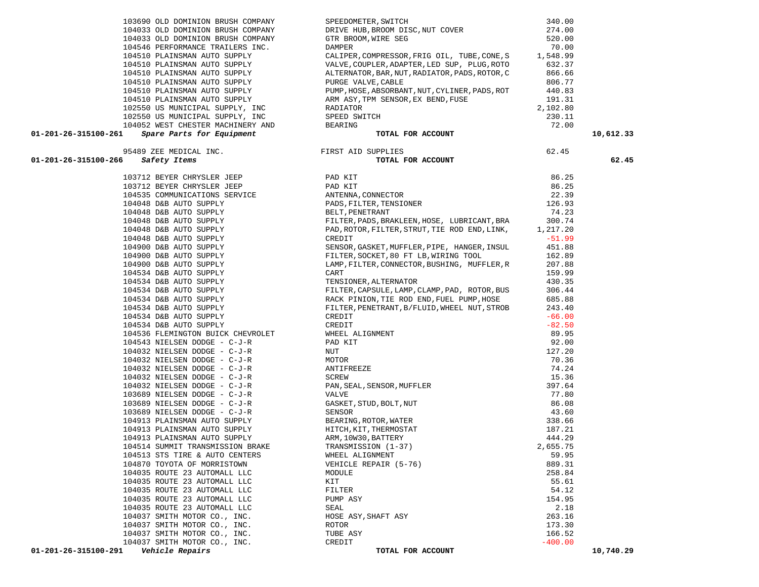| 103690 OLD DOMINION BRUSH COMPANY                                                                                                                                                                                                                         | SPEEDOMETER, SWITCH                                                                                                                                                                                                                                         | 340.00          |           |
|-----------------------------------------------------------------------------------------------------------------------------------------------------------------------------------------------------------------------------------------------------------|-------------------------------------------------------------------------------------------------------------------------------------------------------------------------------------------------------------------------------------------------------------|-----------------|-----------|
| 104033 OLD DOMINION BRUSH COMPANY                                                                                                                                                                                                                         | DRIVE HUB, BROOM DISC, NUT COVER                                                                                                                                                                                                                            | 274.00          |           |
| 104033 OLD DOMINION BRUSH COMPANY                                                                                                                                                                                                                         | GTR BROOM, WIRE SEG                                                                                                                                                                                                                                         | 520.00          |           |
| 104546 PERFORMANCE TRAILERS INC.                                                                                                                                                                                                                          | DAMPER                                                                                                                                                                                                                                                      | 70.00           |           |
| 104510 PLAINSMAN AUTO SUPPLY                                                                                                                                                                                                                              | CALIPER, COMPRESSOR, FRIG OIL, TUBE, CONE, S $1,548.99$ VALVE, COUPLER, ADAPTER, LED SUP, PLUG, ROTO 632.37                                                                                                                                                 |                 |           |
| 104510 PLAINSMAN AUTO SUPPLY                                                                                                                                                                                                                              |                                                                                                                                                                                                                                                             |                 |           |
| 104510 PLAINSMAN AUTO SUPPLY                                                                                                                                                                                                                              | ALTERNATOR, BAR, NUT, RADIATOR, PADS, ROTOR, C                                                                                                                                                                                                              | 866.66          |           |
| 104510 PLAINSMAN AUTO SUPPLY                                                                                                                                                                                                                              | PURGE VALVE, CABLE                                                                                                                                                                                                                                          | 806.77          |           |
| 104510 PLAINSMAN AUTO SUPPLY                                                                                                                                                                                                                              | PUMP, HOSE, ABSORBANT, NUT, CYLINER, PADS, ROT                                                                                                                                                                                                              | 440.83          |           |
| 104510 PLAINSMAN AUTO SUPPLY                                                                                                                                                                                                                              | ARM ASY, TPM SENSOR, EX BEND, FUSE                                                                                                                                                                                                                          | 191.31          |           |
| 102550 US MUNICIPAL SUPPLY, INC<br>102550 US MUNICIPAL SUPPLY, INC                                                                                                                                                                                        | RADIATOR                                                                                                                                                                                                                                                    | 2,102.80        |           |
| 104052 WEST CHESTER MACHINERY AND                                                                                                                                                                                                                         | SPEED SWITCH                                                                                                                                                                                                                                                | 230.11          |           |
| $01-201-26-315100-261$ Spare Parts for Equipment                                                                                                                                                                                                          | BEARING<br>TOTAL FOR ACCOUNT                                                                                                                                                                                                                                | 72.00           | 10,612.33 |
|                                                                                                                                                                                                                                                           |                                                                                                                                                                                                                                                             |                 |           |
| 95489 ZEE MEDICAL INC.<br>01-201-26-315100-266<br>Safety Items                                                                                                                                                                                            | FIRST AID SUPPLIES<br>TOTAL FOR ACCOUNT                                                                                                                                                                                                                     | 62.45           | 62.45     |
|                                                                                                                                                                                                                                                           |                                                                                                                                                                                                                                                             |                 |           |
|                                                                                                                                                                                                                                                           | 103712 BEYER CHRYSLER JEEP<br>103712 BEYER CHRYSLER JEEP<br>104535 COMMUNICATIONS SERVICE ANTENNA, CONNECTOR<br>104048 D&B AUTO SUPPLY PADS, FILTER, TENSIONER                                                                                              | 86.25           |           |
|                                                                                                                                                                                                                                                           |                                                                                                                                                                                                                                                             | 86.25           |           |
|                                                                                                                                                                                                                                                           |                                                                                                                                                                                                                                                             | 22.39           |           |
|                                                                                                                                                                                                                                                           |                                                                                                                                                                                                                                                             | 126.93          |           |
| 104048 D&B AUTO SUPPLY                                                                                                                                                                                                                                    | BELT, PENETRANT                                                                                                                                                                                                                                             | 74.23           |           |
|                                                                                                                                                                                                                                                           | FILTER, PADS, BRAKLEEN, HOSE, LUBRICANT, BRA                                                                                                                                                                                                                | 300.74          |           |
|                                                                                                                                                                                                                                                           | PAD, ROTOR, FILTER, STRUT, TIE ROD END, LINK,                                                                                                                                                                                                               | 1,217.20        |           |
|                                                                                                                                                                                                                                                           | CREDIT                                                                                                                                                                                                                                                      | $-51.99$        |           |
|                                                                                                                                                                                                                                                           | SENSOR, GASKET, MUFFLER, PIPE, HANGER, INSUL                                                                                                                                                                                                                | 451.88          |           |
|                                                                                                                                                                                                                                                           | FILTER, SOCKET, 80 FT LB, WIRING TOOL                                                                                                                                                                                                                       | 162.89          |           |
|                                                                                                                                                                                                                                                           | LAMP, FILTER, CONNECTOR, BUSHING, MUFFLER, R                                                                                                                                                                                                                | 207.88          |           |
|                                                                                                                                                                                                                                                           | CART                                                                                                                                                                                                                                                        | 159.99          |           |
|                                                                                                                                                                                                                                                           | TENSIONER, ALTERNATOR                                                                                                                                                                                                                                       | 430.35          |           |
| 104048 D&B AUTO SUPPLY<br>104048 D&B AUTO SUPPLY<br>104048 D&B AUTO SUPPLY<br>104048 D&B AUTO SUPPLY<br>104900 D&B AUTO SUPPLY<br>104900 D&B AUTO SUPPLY<br>104534 D&B AUTO SUPPLY<br>104534 D&B AUTO SUPPLY<br>104534 D&B AUTO SUPPLY<br>104534 D&B AUTO | FILTER, CAPSULE, LAMP, CLAMP, PAD, ROTOR, BUS                                                                                                                                                                                                               | 306.44          |           |
|                                                                                                                                                                                                                                                           | RACK PINION, TIE ROD END, FUEL PUMP, HOSE                                                                                                                                                                                                                   | 685.88          |           |
| 104534 D&B AUTO SUPPLY                                                                                                                                                                                                                                    | FILTER, PENETRANT, B/FLUID, WHEEL NUT, STROB                                                                                                                                                                                                                | 243.40          |           |
| 104534 D&B AUTO SUPPLY                                                                                                                                                                                                                                    | CREDIT                                                                                                                                                                                                                                                      | $-66.00$        |           |
| 104534 D&B AUTO SUPPLY                                                                                                                                                                                                                                    | CREDIT<br>CREDIT<br>WHEEL ALIGNMENT<br>PAD KIT<br>NUT<br>NUTOR<br>ANTIFREEZE<br>SCREW<br>PAN, SEAL, SENSOR, MUFFLER<br>VALVE<br>GASKET, STUD, BOLT, NUT<br>SENSOR<br>BEARING, ROTOR, WATER<br>HITCH, KIT, THERMOSTAT<br>ARM, 10W30, BATTERY<br>TRANSMISSION | $-82.50$        |           |
| 104536 FLEMINGTON BUICK CHEVROLET                                                                                                                                                                                                                         |                                                                                                                                                                                                                                                             | 89.95           |           |
| 104543 NIELSEN DODGE - C-J-R                                                                                                                                                                                                                              |                                                                                                                                                                                                                                                             | 92.00<br>127.20 |           |
| 104032 NIELSEN DODGE - C-J-R<br>104032 NIELSEN DODGE - C-J-R                                                                                                                                                                                              |                                                                                                                                                                                                                                                             | 70.36           |           |
| 104032 NIELSEN DODGE - C-J-R                                                                                                                                                                                                                              |                                                                                                                                                                                                                                                             | 74.24           |           |
| 104032 NIELSEN DODGE - C-J-R                                                                                                                                                                                                                              |                                                                                                                                                                                                                                                             | 15.36           |           |
| 104032 NIELSEN DODGE - C-J-R                                                                                                                                                                                                                              |                                                                                                                                                                                                                                                             | 397.64          |           |
| 103689 NIELSEN DODGE - C-J-R                                                                                                                                                                                                                              |                                                                                                                                                                                                                                                             | 77.80           |           |
| 103689 NIELSEN DODGE - C-J-R                                                                                                                                                                                                                              |                                                                                                                                                                                                                                                             | 86.08           |           |
| 103689 NIELSEN DODGE - C-J-R                                                                                                                                                                                                                              |                                                                                                                                                                                                                                                             | 43.60           |           |
| 104913 PLAINSMAN AUTO SUPPLY                                                                                                                                                                                                                              |                                                                                                                                                                                                                                                             | 338.66          |           |
| 104913 PLAINSMAN AUTO SUPPLY                                                                                                                                                                                                                              |                                                                                                                                                                                                                                                             | 187.21          |           |
| 104913 PLAINSMAN AUTO SUPPLY                                                                                                                                                                                                                              |                                                                                                                                                                                                                                                             | 444.29          |           |
| 104514 SUMMIT TRANSMISSION BRAKE                                                                                                                                                                                                                          | TRANSMISSION (1-37)                                                                                                                                                                                                                                         | 2,655.75        |           |
| 104513 STS TIRE & AUTO CENTERS                                                                                                                                                                                                                            | WHEEL ALIGNMENT                                                                                                                                                                                                                                             | 59.95           |           |
| 104870 TOYOTA OF MORRISTOWN                                                                                                                                                                                                                               | VEHICLE REPAIR (5-76)                                                                                                                                                                                                                                       | 889.31          |           |
| 104035 ROUTE 23 AUTOMALL LLC                                                                                                                                                                                                                              | MODULE                                                                                                                                                                                                                                                      | 258.84          |           |
| 104035 ROUTE 23 AUTOMALL LLC                                                                                                                                                                                                                              | KIT                                                                                                                                                                                                                                                         | 55.61           |           |
| 104035 ROUTE 23 AUTOMALL LLC                                                                                                                                                                                                                              | FILTER                                                                                                                                                                                                                                                      | 54.12           |           |
| 104035 ROUTE 23 AUTOMALL LLC                                                                                                                                                                                                                              | PUMP ASY                                                                                                                                                                                                                                                    | 154.95          |           |
| 104035 ROUTE 23 AUTOMALL LLC                                                                                                                                                                                                                              | SEAL                                                                                                                                                                                                                                                        | 2.18            |           |
| 104037 SMITH MOTOR CO., INC.                                                                                                                                                                                                                              | HOSE ASY, SHAFT ASY                                                                                                                                                                                                                                         | 263.16          |           |
| 104037 SMITH MOTOR CO., INC.                                                                                                                                                                                                                              | ROTOR                                                                                                                                                                                                                                                       | 173.30          |           |
| 104037 SMITH MOTOR CO., INC.                                                                                                                                                                                                                              | TUBE ASY                                                                                                                                                                                                                                                    | 166.52          |           |
| 104037 SMITH MOTOR CO., INC.<br>$01 - 201 - 26 - 315100 - 291$ Vehicle Repairs                                                                                                                                                                            | CREDIT<br>TOTAL FOR ACCOUNT                                                                                                                                                                                                                                 | $-400.00$       | 10,740.29 |
|                                                                                                                                                                                                                                                           |                                                                                                                                                                                                                                                             |                 |           |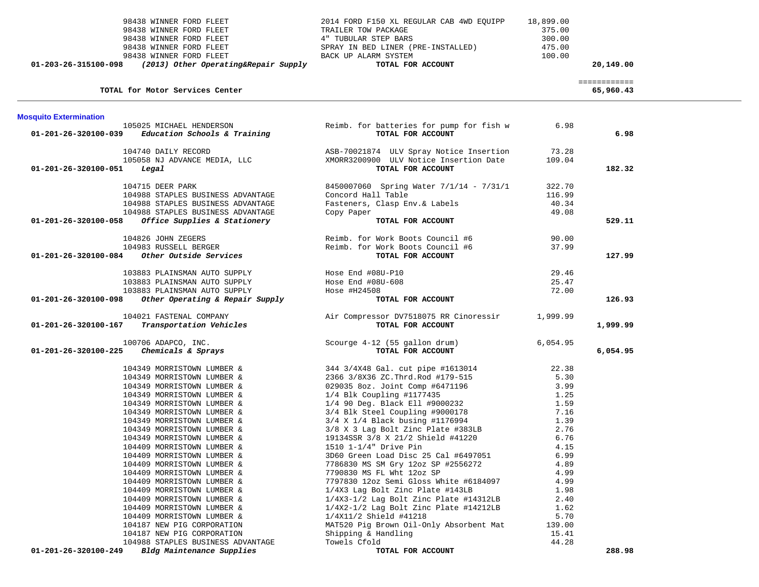| 01-203-26-315100-098          | 98438 WINNER FORD FLEET<br>98438 WINNER FORD FLEET<br>98438 WINNER FORD FLEET<br>98438 WINNER FORD FLEET<br>98438 WINNER FORD FLEET<br>(2013) Other Operating&Repair Supply | 2014 FORD F150 XL REGULAR CAB 4WD EQUIPP<br>TRAILER TOW PACKAGE<br>4" TUBULAR STEP BARS<br>SPRAY IN BED LINER (PRE-INSTALLED)<br>BACK UP ALARM SYSTEM<br>TOTAL FOR ACCOUNT | 18,899.00<br>375.00<br>300.00<br>475.00<br>100.00 | 20,149.00                 |  |
|-------------------------------|-----------------------------------------------------------------------------------------------------------------------------------------------------------------------------|----------------------------------------------------------------------------------------------------------------------------------------------------------------------------|---------------------------------------------------|---------------------------|--|
|                               | TOTAL for Motor Services Center                                                                                                                                             |                                                                                                                                                                            |                                                   | ============<br>65,960.43 |  |
| <b>Mosquito Extermination</b> |                                                                                                                                                                             |                                                                                                                                                                            |                                                   |                           |  |
| 01-201-26-320100-039          | 105025 MICHAEL HENDERSON<br>Education Schools & Training                                                                                                                    | Reimb. for batteries for pump for fish w<br>TOTAL FOR ACCOUNT                                                                                                              | 6.98                                              | 6.98                      |  |
|                               | 104740 DAILY RECORD                                                                                                                                                         | ASB-70021874 ULV Spray Notice Insertion                                                                                                                                    | 73.28                                             |                           |  |
| 01-201-26-320100-051          | 105058 NJ ADVANCE MEDIA, LLC<br>Legal                                                                                                                                       | XMORR3200900 ULV Notice Insertion Date<br>TOTAL FOR ACCOUNT                                                                                                                | 109.04                                            | 182.32                    |  |
|                               | 104715 DEER PARK<br>104988 STAPLES BUSINESS ADVANTAGE                                                                                                                       | 8450007060 Spring Water 7/1/14 - 7/31/1<br>Concord Hall Table                                                                                                              | 322.70<br>116.99                                  |                           |  |
|                               | 104988 STAPLES BUSINESS ADVANTAGE                                                                                                                                           | Fasteners, Clasp Env.& Labels                                                                                                                                              | 40.34                                             |                           |  |
|                               | 104988 STAPLES BUSINESS ADVANTAGE                                                                                                                                           | Copy Paper                                                                                                                                                                 | 49.08                                             |                           |  |
| 01-201-26-320100-058          | Office Supplies & Stationery                                                                                                                                                | TOTAL FOR ACCOUNT                                                                                                                                                          |                                                   | 529.11                    |  |
|                               | 104826 JOHN ZEGERS                                                                                                                                                          | Reimb. for Work Boots Council #6                                                                                                                                           | 90.00                                             |                           |  |
|                               | 104983 RUSSELL BERGER                                                                                                                                                       | Reimb. for Work Boots Council #6                                                                                                                                           | 37.99                                             |                           |  |
| 01-201-26-320100-084          | <i>Other Outside Services</i>                                                                                                                                               | TOTAL FOR ACCOUNT                                                                                                                                                          |                                                   | 127.99                    |  |
|                               | 103883 PLAINSMAN AUTO SUPPLY                                                                                                                                                | Hose End #08U-P10                                                                                                                                                          | 29.46                                             |                           |  |
|                               | 103883 PLAINSMAN AUTO SUPPLY                                                                                                                                                | Hose End #08U-608                                                                                                                                                          | 25.47                                             |                           |  |
|                               | 103883 PLAINSMAN AUTO SUPPLY                                                                                                                                                | Hose $#H24508$                                                                                                                                                             | 72.00                                             |                           |  |
| 01-201-26-320100-098          | Other Operating & Repair Supply                                                                                                                                             | TOTAL FOR ACCOUNT                                                                                                                                                          |                                                   | 126.93                    |  |
|                               | 104021 FASTENAL COMPANY                                                                                                                                                     | Air Compressor DV7518075 RR Cinoressir                                                                                                                                     | 1,999.99                                          |                           |  |
| 01-201-26-320100-167          | Transportation Vehicles                                                                                                                                                     | TOTAL FOR ACCOUNT                                                                                                                                                          |                                                   | 1,999.99                  |  |
|                               | 100706 ADAPCO, INC.                                                                                                                                                         | Scourge 4-12 (55 gallon drum)                                                                                                                                              | 6,054.95                                          |                           |  |
| 01-201-26-320100-225          | Chemicals & Sprays                                                                                                                                                          | TOTAL FOR ACCOUNT                                                                                                                                                          |                                                   | 6,054.95                  |  |
|                               | 104349 MORRISTOWN LUMBER &                                                                                                                                                  | 344 3/4X48 Gal. cut pipe #1613014                                                                                                                                          | 22.38                                             |                           |  |
|                               | 104349 MORRISTOWN LUMBER &                                                                                                                                                  | 2366 3/8X36 ZC.Thrd.Rod #179-515                                                                                                                                           | 5.30                                              |                           |  |
|                               | 104349 MORRISTOWN LUMBER &                                                                                                                                                  | 029035 8oz. Joint Comp #6471196                                                                                                                                            | 3.99                                              |                           |  |
|                               | 104349 MORRISTOWN LUMBER &                                                                                                                                                  | 1/4 Blk Coupling #1177435                                                                                                                                                  | 1.25                                              |                           |  |
|                               | 104349 MORRISTOWN LUMBER &                                                                                                                                                  | 1/4 90 Deg. Black Ell #9000232                                                                                                                                             | 1.59                                              |                           |  |
|                               | 104349 MORRISTOWN LUMBER &                                                                                                                                                  | 3/4 Blk Steel Coupling #9000178<br>3/4 X 1/4 Black busing #1176994                                                                                                         | 7.16                                              |                           |  |
|                               | 104349 MORRISTOWN LUMBER &<br>104349 MORRISTOWN LUMBER &                                                                                                                    | 3/8 X 3 Lag Bolt Zinc Plate #383LB                                                                                                                                         | 1.39<br>2.76                                      |                           |  |
|                               | 104349 MORRISTOWN LUMBER &                                                                                                                                                  | 19134SSR 3/8 X 21/2 Shield #41220                                                                                                                                          | 6.76                                              |                           |  |
|                               | 104409 MORRISTOWN LUMBER &                                                                                                                                                  | 1510 1-1/4" Drive Pin                                                                                                                                                      | 4.15                                              |                           |  |
|                               | 104409 MORRISTOWN LUMBER &                                                                                                                                                  | 3D60 Green Load Disc 25 Cal #6497051                                                                                                                                       | 6.99                                              |                           |  |
|                               | 104409 MORRISTOWN LUMBER &                                                                                                                                                  | 7786830 MS SM Gry 12oz SP #2556272                                                                                                                                         | 4.89                                              |                           |  |
|                               | 104409 MORRISTOWN LUMBER &                                                                                                                                                  | 7790830 MS FL Wht 12oz SP                                                                                                                                                  | 4.99                                              |                           |  |
|                               | 104409 MORRISTOWN LUMBER &                                                                                                                                                  | 7797830 12oz Semi Gloss White #6184097                                                                                                                                     | 4.99                                              |                           |  |
|                               | 104409 MORRISTOWN LUMBER &                                                                                                                                                  | 1/4X3 Lag Bolt Zinc Plate #143LB                                                                                                                                           | 1.98                                              |                           |  |
|                               | 104409 MORRISTOWN LUMBER &                                                                                                                                                  | 1/4X3-1/2 Lag Bolt Zinc Plate #14312LB                                                                                                                                     | 2.40                                              |                           |  |
|                               | 104409 MORRISTOWN LUMBER &                                                                                                                                                  | 1/4X2-1/2 Lag Bolt Zinc Plate #14212LB                                                                                                                                     | 1.62                                              |                           |  |
|                               | 104409 MORRISTOWN LUMBER &                                                                                                                                                  | 1/4X11/2 Shield #41218                                                                                                                                                     | 5.70                                              |                           |  |
|                               | 104187 NEW PIG CORPORATION<br>104187 NEW PIG CORPORATION                                                                                                                    | MAT520 Pig Brown Oil-Only Absorbent Mat<br>Shipping & Handling                                                                                                             | 139.00<br>15.41                                   |                           |  |
|                               | 104988 STAPLES BUSINESS ADVANTAGE                                                                                                                                           | Towels Cfold                                                                                                                                                               | 44.28                                             |                           |  |
| 01-201-26-320100-249          | Bldg Maintenance Supplies                                                                                                                                                   | TOTAL FOR ACCOUNT                                                                                                                                                          |                                                   | 288.98                    |  |
|                               |                                                                                                                                                                             |                                                                                                                                                                            |                                                   |                           |  |

 $\sim$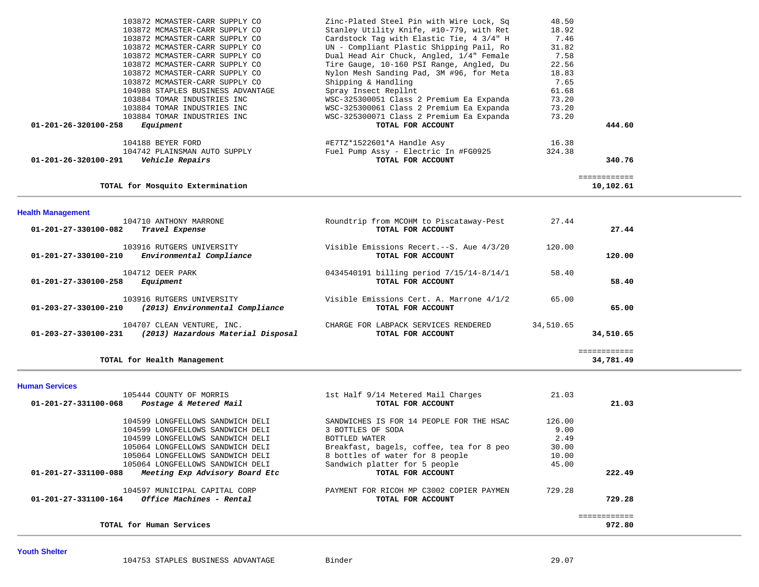| Cardstock Tag with Elastic Tie, 4 3/4" H<br>7.46<br>103872 MCMASTER-CARR SUPPLY CO<br>UN - Compliant Plastic Shipping Pail, Ro<br>31.82<br>103872 MCMASTER-CARR SUPPLY CO<br>Dual Head Air Chuck, Angled, 1/4" Female<br>103872 MCMASTER-CARR SUPPLY CO<br>7.58<br>Tire Gauge, 10-160 PSI Range, Angled, Du<br>22.56<br>103872 MCMASTER-CARR SUPPLY CO<br>103872 MCMASTER-CARR SUPPLY CO<br>Nylon Mesh Sanding Pad, 3M #96, for Meta<br>18.83<br>Shipping & Handling<br>7.65<br>103872 MCMASTER-CARR SUPPLY CO<br>Spray Insect Repllnt<br>61.68<br>104988 STAPLES BUSINESS ADVANTAGE<br>WSC-325300051 Class 2 Premium Ea Expanda<br>73.20<br>103884 TOMAR INDUSTRIES INC<br>WSC-325300061 Class 2 Premium Ea Expanda<br>73.20<br>103884 TOMAR INDUSTRIES INC<br>103884 TOMAR INDUSTRIES INC<br>WSC-325300071 Class 2 Premium Ea Expanda<br>73.20<br>444.60<br>01-201-26-320100-258<br>Equipment<br>TOTAL FOR ACCOUNT<br>104188 BEYER FORD<br>#E7TZ*1522601*A Handle Asy<br>16.38<br>104742 PLAINSMAN AUTO SUPPLY<br>Fuel Pump Assy - Electric In #FG0925<br>324.38<br>01-201-26-320100-291<br>Vehicle Repairs<br>TOTAL FOR ACCOUNT<br>340.76<br>============<br>TOTAL for Mosquito Extermination<br>10,102.61<br><b>Health Management</b><br>104710 ANTHONY MARRONE<br>Roundtrip from MCOHM to Piscataway-Pest<br>27.44<br>TOTAL FOR ACCOUNT<br>27.44<br>01-201-27-330100-082<br>Travel Expense<br>103916 RUTGERS UNIVERSITY<br>Visible Emissions Recert.--S. Aue 4/3/20<br>120.00<br>Environmental Compliance<br>120.00<br>01-201-27-330100-210<br>TOTAL FOR ACCOUNT<br>104712 DEER PARK<br>0434540191 billing period 7/15/14-8/14/1<br>58.40<br>TOTAL FOR ACCOUNT<br>58.40<br>01-201-27-330100-258<br>Equipment<br>103916 RUTGERS UNIVERSITY<br>65.00<br>Visible Emissions Cert. A. Marrone 4/1/2<br>(2013) Environmental Compliance<br>$01 - 203 - 27 - 330100 - 210$<br>65.00<br>TOTAL FOR ACCOUNT<br>104707 CLEAN VENTURE, INC.<br>CHARGE FOR LABPACK SERVICES RENDERED<br>34,510.65<br>(2013) Hazardous Material Disposal<br>$01 - 203 - 27 - 330100 - 231$<br>TOTAL FOR ACCOUNT<br>34,510.65<br>============ |  |  |  |
|---------------------------------------------------------------------------------------------------------------------------------------------------------------------------------------------------------------------------------------------------------------------------------------------------------------------------------------------------------------------------------------------------------------------------------------------------------------------------------------------------------------------------------------------------------------------------------------------------------------------------------------------------------------------------------------------------------------------------------------------------------------------------------------------------------------------------------------------------------------------------------------------------------------------------------------------------------------------------------------------------------------------------------------------------------------------------------------------------------------------------------------------------------------------------------------------------------------------------------------------------------------------------------------------------------------------------------------------------------------------------------------------------------------------------------------------------------------------------------------------------------------------------------------------------------------------------------------------------------------------------------------------------------------------------------------------------------------------------------------------------------------------------------------------------------------------------------------------------------------------------------------------------------------------------------------------------------------------------------------------------------------------------------------------------------------------------------------------------------------------|--|--|--|
|                                                                                                                                                                                                                                                                                                                                                                                                                                                                                                                                                                                                                                                                                                                                                                                                                                                                                                                                                                                                                                                                                                                                                                                                                                                                                                                                                                                                                                                                                                                                                                                                                                                                                                                                                                                                                                                                                                                                                                                                                                                                                                                     |  |  |  |
|                                                                                                                                                                                                                                                                                                                                                                                                                                                                                                                                                                                                                                                                                                                                                                                                                                                                                                                                                                                                                                                                                                                                                                                                                                                                                                                                                                                                                                                                                                                                                                                                                                                                                                                                                                                                                                                                                                                                                                                                                                                                                                                     |  |  |  |
|                                                                                                                                                                                                                                                                                                                                                                                                                                                                                                                                                                                                                                                                                                                                                                                                                                                                                                                                                                                                                                                                                                                                                                                                                                                                                                                                                                                                                                                                                                                                                                                                                                                                                                                                                                                                                                                                                                                                                                                                                                                                                                                     |  |  |  |
|                                                                                                                                                                                                                                                                                                                                                                                                                                                                                                                                                                                                                                                                                                                                                                                                                                                                                                                                                                                                                                                                                                                                                                                                                                                                                                                                                                                                                                                                                                                                                                                                                                                                                                                                                                                                                                                                                                                                                                                                                                                                                                                     |  |  |  |
|                                                                                                                                                                                                                                                                                                                                                                                                                                                                                                                                                                                                                                                                                                                                                                                                                                                                                                                                                                                                                                                                                                                                                                                                                                                                                                                                                                                                                                                                                                                                                                                                                                                                                                                                                                                                                                                                                                                                                                                                                                                                                                                     |  |  |  |
|                                                                                                                                                                                                                                                                                                                                                                                                                                                                                                                                                                                                                                                                                                                                                                                                                                                                                                                                                                                                                                                                                                                                                                                                                                                                                                                                                                                                                                                                                                                                                                                                                                                                                                                                                                                                                                                                                                                                                                                                                                                                                                                     |  |  |  |
|                                                                                                                                                                                                                                                                                                                                                                                                                                                                                                                                                                                                                                                                                                                                                                                                                                                                                                                                                                                                                                                                                                                                                                                                                                                                                                                                                                                                                                                                                                                                                                                                                                                                                                                                                                                                                                                                                                                                                                                                                                                                                                                     |  |  |  |
|                                                                                                                                                                                                                                                                                                                                                                                                                                                                                                                                                                                                                                                                                                                                                                                                                                                                                                                                                                                                                                                                                                                                                                                                                                                                                                                                                                                                                                                                                                                                                                                                                                                                                                                                                                                                                                                                                                                                                                                                                                                                                                                     |  |  |  |
|                                                                                                                                                                                                                                                                                                                                                                                                                                                                                                                                                                                                                                                                                                                                                                                                                                                                                                                                                                                                                                                                                                                                                                                                                                                                                                                                                                                                                                                                                                                                                                                                                                                                                                                                                                                                                                                                                                                                                                                                                                                                                                                     |  |  |  |

| 105444 COUNTY OF MORRIS                                 | 1st Half 9/14 Metered Mail Charges       | 21.03  |        |
|---------------------------------------------------------|------------------------------------------|--------|--------|
| 01-201-27-331100-068<br>Postage & Metered Mail          | TOTAL FOR ACCOUNT                        |        | 21.03  |
| 104599 LONGFELLOWS SANDWICH DELI                        | SANDWICHES IS FOR 14 PEOPLE FOR THE HSAC | 126.00 |        |
| 104599 LONGFELLOWS SANDWICH DELI                        | 3 BOTTLES OF SODA                        | 9.00   |        |
| 104599 LONGFELLOWS SANDWICH DELI                        | BOTTLED WATER                            | 2.49   |        |
| 105064 LONGFELLOWS SANDWICH DELI                        | Breakfast, bagels, coffee, tea for 8 peo | 30.00  |        |
| 105064 LONGFELLOWS SANDWICH DELI                        | 8 bottles of water for 8 people          | 10.00  |        |
| 105064 LONGFELLOWS SANDWICH DELI                        | Sandwich platter for 5 people            | 45.00  |        |
| 01-201-27-331100-088<br>Meeting Exp Advisory Board Etc  | TOTAL FOR ACCOUNT                        |        | 222.49 |
| 104597 MUNICIPAL CAPITAL CORP                           | PAYMENT FOR RICOH MP C3002 COPIER PAYMEN | 729.28 |        |
| 01-201-27-331100-164<br><i>Office Machines - Rental</i> | TOTAL FOR ACCOUNT                        |        | 729.28 |
|                                                         |                                          |        |        |
| TOTAL for Human Services                                |                                          |        | 972.80 |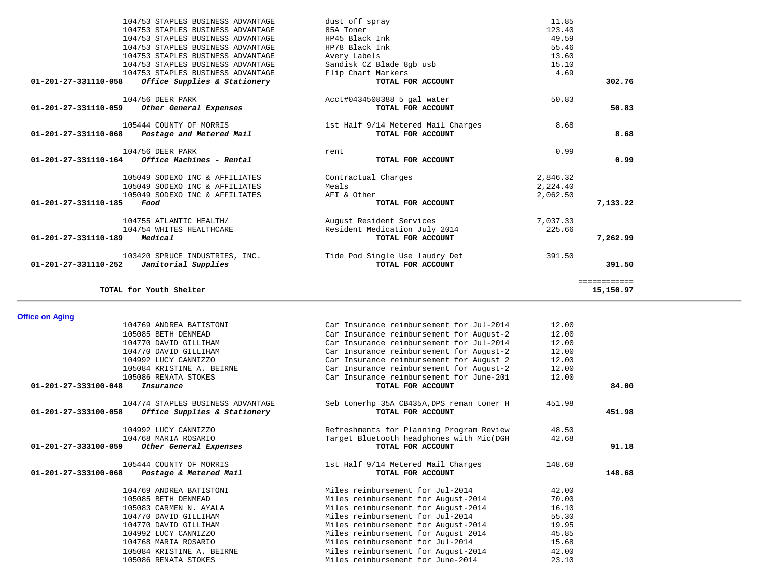|              | 11.85    | dust off spray                     | 104753 STAPLES BUSINESS ADVANTAGE                    |  |
|--------------|----------|------------------------------------|------------------------------------------------------|--|
|              | 123.40   | 85A Toner                          | 104753 STAPLES BUSINESS ADVANTAGE                    |  |
|              | 49.59    | HP45 Black Ink                     | 104753 STAPLES BUSINESS ADVANTAGE                    |  |
|              | 55.46    | HP78 Black Ink                     | 104753 STAPLES BUSINESS ADVANTAGE                    |  |
|              | 13.60    | Avery Labels                       | 104753 STAPLES BUSINESS ADVANTAGE                    |  |
|              | 15.10    | Sandisk CZ Blade 8qb usb           | 104753 STAPLES BUSINESS ADVANTAGE                    |  |
|              | 4.69     | Flip Chart Markers                 | 104753 STAPLES BUSINESS ADVANTAGE                    |  |
| 302.76       |          | TOTAL FOR ACCOUNT                  | 01-201-27-331110-058<br>Office Supplies & Stationery |  |
|              | 50.83    | Acct#0434508388 5 gal water        | 104756 DEER PARK                                     |  |
| 50.83        |          | TOTAL FOR ACCOUNT                  | 01-201-27-331110-059 Other General Expenses          |  |
|              | 8.68     | 1st Half 9/14 Metered Mail Charges | 105444 COUNTY OF MORRIS                              |  |
| 8.68         |          | TOTAL FOR ACCOUNT                  | 01-201-27-331110-068 Postage and Metered Mail        |  |
|              | 0.99     | rent                               | 104756 DEER PARK                                     |  |
| 0.99         |          | TOTAL FOR ACCOUNT                  |                                                      |  |
|              | 2,846.32 | Contractual Charges                | 105049 SODEXO INC & AFFILIATES                       |  |
|              | 2,224.40 | Meals                              | 105049 SODEXO INC & AFFILIATES                       |  |
|              | 2,062.50 | AFI & Other                        | 105049 SODEXO INC & AFFILIATES                       |  |
| 7,133.22     |          | TOTAL FOR ACCOUNT                  | 01-201-27-331110-185<br>Food                         |  |
|              | 7,037.33 | August Resident Services           | 104755 ATLANTIC HEALTH/                              |  |
|              | 225.66   | Resident Medication July 2014      | 104754 WHITES HEALTHCARE                             |  |
| 7,262.99     |          | TOTAL FOR ACCOUNT                  | 01-201-27-331110-189<br>Medical                      |  |
|              | 391.50   | Tide Pod Single Use laudry Det     | 103420 SPRUCE INDUSTRIES, INC.                       |  |
| 391.50       |          | TOTAL FOR ACCOUNT                  | $01-201-27-331110-252$ Janitorial Supplies           |  |
| ============ |          |                                    |                                                      |  |
| 15,150.97    |          |                                    | TOTAL for Youth Shelter                              |  |
|              |          |                                    |                                                      |  |

# **Office on Aging**

| 104769 ANDREA BATISTONI                              | Car Insurance reimbursement for Jul-2014                                 | 12.00          |        |
|------------------------------------------------------|--------------------------------------------------------------------------|----------------|--------|
| 105085 BETH DENMEAD                                  | Car Insurance reimbursement for August-2                                 | 12.00          |        |
| 104770 DAVID GILLIHAM                                | Car Insurance reimbursement for Jul-2014                                 | 12.00          |        |
| 104770 DAVID GILLIHAM                                | Car Insurance reimbursement for August-2                                 | 12.00          |        |
| 104992 LUCY CANNIZZO                                 | Car Insurance reimbursement for August 2                                 | 12.00          |        |
| 105084 KRISTINE A. BEIRNE                            | Car Insurance reimbursement for August-2                                 | 12.00          |        |
| 105086 RENATA STOKES                                 | Car Insurance reimbursement for June-201                                 | 12.00          |        |
| 01-201-27-333100-048<br>Insurance                    | TOTAL FOR ACCOUNT                                                        |                | 84.00  |
| 104774 STAPLES BUSINESS ADVANTAGE                    | Seb tonerhp 35A CB435A, DPS reman toner H                                | 451.98         |        |
| Office Supplies & Stationery<br>01-201-27-333100-058 | TOTAL FOR ACCOUNT                                                        |                | 451.98 |
| 104992 LUCY CANNIZZO                                 | Refreshments for Planning Program Review                                 | 48.50          |        |
| 104768 MARIA ROSARIO                                 | Target Bluetooth headphones with Mic(DGH                                 | 42.68          |        |
|                                                      |                                                                          |                |        |
| 01-201-27-333100-059<br>Other General Expenses       | TOTAL FOR ACCOUNT                                                        |                | 91.18  |
| 105444 COUNTY OF MORRIS                              | 1st Half 9/14 Metered Mail Charges                                       | 148.68         |        |
| 01-201-27-333100-068<br>Postage & Metered Mail       | TOTAL FOR ACCOUNT                                                        |                | 148.68 |
| 104769 ANDREA BATISTONI                              | Miles reimbursement for Jul-2014                                         | 42.00          |        |
| 105085 BETH DENMEAD                                  | Miles reimbursement for August-2014                                      | 70.00          |        |
| 105083 CARMEN N. AYALA                               | Miles reimbursement for August-2014                                      | 16.10          |        |
| 104770 DAVID GILLIHAM                                | Miles reimbursement for Jul-2014                                         | 55.30          |        |
| 104770 DAVID GILLIHAM                                | Miles reimbursement for August-2014                                      | 19.95          |        |
| 104992 LUCY CANNIZZO                                 | Miles reimbursement for August 2014                                      | 45.85          |        |
| 104768 MARIA ROSARIO                                 | Miles reimbursement for Jul-2014                                         | 15.68          |        |
| 105084 KRISTINE A. BEIRNE<br>105086 RENATA STOKES    | Miles reimbursement for August-2014<br>Miles reimbursement for June-2014 | 42.00<br>23.10 |        |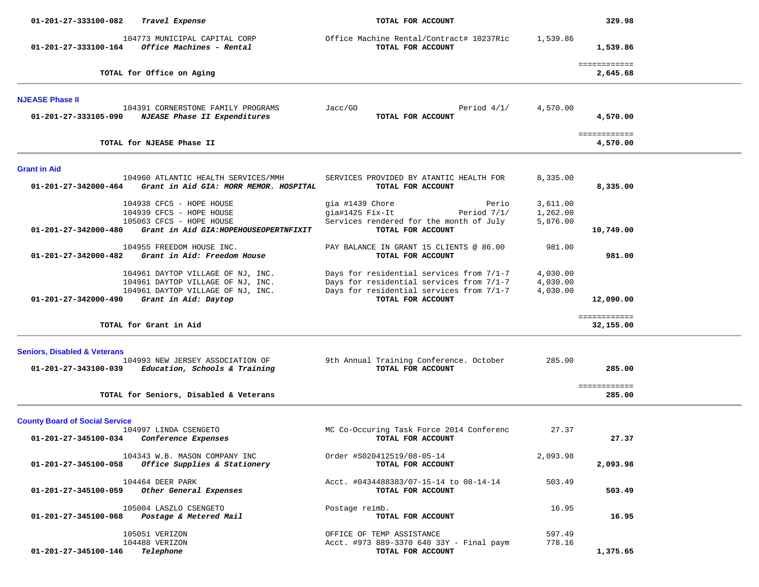| 01-201-27-333100-082<br>Travel Expense                                                                                                                      | TOTAL FOR ACCOUNT                                                                                                                                     | 329.98                                                                  |
|-------------------------------------------------------------------------------------------------------------------------------------------------------------|-------------------------------------------------------------------------------------------------------------------------------------------------------|-------------------------------------------------------------------------|
| 104773 MUNICIPAL CAPITAL CORP<br>Office Machines - Rental<br>01-201-27-333100-164                                                                           | Office Machine Rental/Contract# 10237Ric<br>TOTAL FOR ACCOUNT                                                                                         | 1,539.86<br>1,539.86                                                    |
| TOTAL for Office on Aging                                                                                                                                   |                                                                                                                                                       | ============<br>2,645.68                                                |
| <b>NJEASE Phase II</b>                                                                                                                                      |                                                                                                                                                       |                                                                         |
| 104391 CORNERSTONE FAMILY PROGRAMS<br>01-201-27-333105-090<br><i>NJEASE Phase II Expenditures</i>                                                           | Jacc/G0<br>TOTAL FOR ACCOUNT                                                                                                                          | Period $4/1/$<br>4,570.00<br>4,570.00                                   |
| TOTAL for NJEASE Phase II                                                                                                                                   |                                                                                                                                                       | ============<br>4,570.00                                                |
| <b>Grant in Aid</b>                                                                                                                                         |                                                                                                                                                       |                                                                         |
| 104960 ATLANTIC HEALTH SERVICES/MMH<br>Grant in Aid GIA: MORR MEMOR. HOSPITAL<br>01-201-27-342000-464                                                       | SERVICES PROVIDED BY ATANTIC HEALTH FOR<br>TOTAL FOR ACCOUNT                                                                                          | 8,335.00<br>8,335.00                                                    |
| 104938 CFCS - HOPE HOUSE<br>104939 CFCS - HOPE HOUSE<br>105063 CFCS - HOPE HOUSE<br>01-201-27-342000-480<br>Grant in Aid GIA: HOPEHOUSEOPERTNFIXIT          | gia #1439 Chore<br>gia#1425 Fix-It<br>Services rendered for the month of July<br>TOTAL FOR ACCOUNT                                                    | Perio<br>3,611.00<br>Period $7/1/$<br>1,262.00<br>5,876.00<br>10,749.00 |
| 104955 FREEDOM HOUSE INC.<br>01-201-27-342000-482<br>Grant in Aid: Freedom House                                                                            | PAY BALANCE IN GRANT 15 CLIENTS @ 86.00<br>TOTAL FOR ACCOUNT                                                                                          | 981.00<br>981.00                                                        |
| 104961 DAYTOP VILLAGE OF NJ, INC.<br>104961 DAYTOP VILLAGE OF NJ, INC.<br>104961 DAYTOP VILLAGE OF NJ, INC.<br>01-201-27-342000-490<br>Grant in Aid: Daytop | Days for residential services from 7/1-7<br>Days for residential services from 7/1-7<br>Days for residential services from 7/1-7<br>TOTAL FOR ACCOUNT | 4,030.00<br>4,030.00<br>4,030.00<br>12,090.00                           |
| TOTAL for Grant in Aid                                                                                                                                      |                                                                                                                                                       | ============<br>32,155.00                                               |
| <b>Seniors, Disabled &amp; Veterans</b>                                                                                                                     |                                                                                                                                                       |                                                                         |
| 104993 NEW JERSEY ASSOCIATION OF<br>01-201-27-343100-039<br>Education, Schools & Training                                                                   | 9th Annual Training Conference. October<br>TOTAL FOR ACCOUNT                                                                                          | 285.00<br>285.00                                                        |
| TOTAL for Seniors, Disabled & Veterans                                                                                                                      |                                                                                                                                                       | ============<br>285.00                                                  |
| <b>County Board of Social Service</b>                                                                                                                       |                                                                                                                                                       |                                                                         |
| 104997 LINDA CSENGETO<br>01-201-27-345100-034<br>Conference Expenses                                                                                        | MC Co-Occuring Task Force 2014 Conferenc<br>TOTAL FOR ACCOUNT                                                                                         | 27.37<br>27.37                                                          |
| 104343 W.B. MASON COMPANY INC<br>01-201-27-345100-058<br><i>Office Supplies &amp; Stationery</i>                                                            | Order #S020412519/08-05-14<br>TOTAL FOR ACCOUNT                                                                                                       | 2,093.98<br>2,093.98                                                    |
| 104464 DEER PARK<br>Other General Expenses<br>01-201-27-345100-059                                                                                          | Acct. #0434488383/07-15-14 to 08-14-14<br>TOTAL FOR ACCOUNT                                                                                           | 503.49<br>503.49                                                        |
| 105004 LASZLO CSENGETO<br>Postage & Metered Mail<br>01-201-27-345100-068                                                                                    | Postage reimb.<br>TOTAL FOR ACCOUNT                                                                                                                   | 16.95<br>16.95                                                          |
| 105051 VERIZON<br>104488 VERIZON<br>01-201-27-345100-146<br>Telephone                                                                                       | OFFICE OF TEMP ASSISTANCE<br>Acct. #973 889-3370 640 33Y - Final paym<br>TOTAL FOR ACCOUNT                                                            | 597.49<br>778.16<br>1,375.65                                            |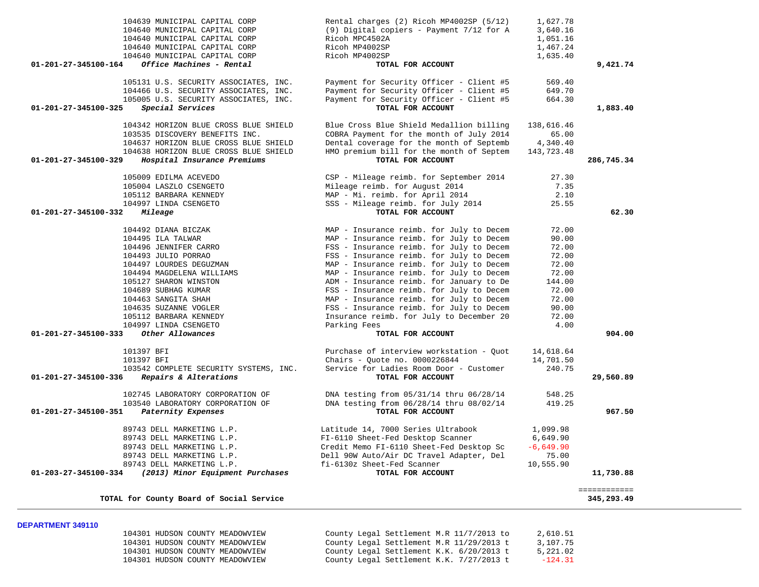| 104639 MUNICIPAL CAPITAL CORP                                     | Rental charges (2) Ricoh MP4002SP (5/12)                                  | 1,627.78               |              |
|-------------------------------------------------------------------|---------------------------------------------------------------------------|------------------------|--------------|
| 104640 MUNICIPAL CAPITAL CORP                                     | (9) Digital copiers - Payment 7/12 for A                                  | 3,640.16               |              |
| 104640 MUNICIPAL CAPITAL CORP                                     | Ricoh MPC4502A                                                            | 1,051.16               |              |
| 104640 MUNICIPAL CAPITAL CORP                                     | Ricoh MP4002SP                                                            | 1,467.24               |              |
| 104640 MUNICIPAL CAPITAL CORP                                     | Ricoh MP4002SP                                                            | 1,635.40               |              |
| Office Machines - Rental<br>01-201-27-345100-164                  | TOTAL FOR ACCOUNT                                                         |                        | 9,421.74     |
| 105131 U.S. SECURITY ASSOCIATES, INC.                             | Payment for Security Officer - Client #5                                  | 569.40                 |              |
| 104466 U.S. SECURITY ASSOCIATES, INC.                             | Payment for Security Officer - Client #5                                  | 649.70                 |              |
| 105005 U.S. SECURITY ASSOCIATES, INC.                             | Payment for Security Officer - Client #5                                  | 664.30                 |              |
| Special Services<br>01-201-27-345100-325                          | TOTAL FOR ACCOUNT                                                         |                        | 1,883.40     |
| 104342 HORIZON BLUE CROSS BLUE SHIELD                             | Blue Cross Blue Shield Medallion billing                                  | 138,616.46             |              |
| 103535 DISCOVERY BENEFITS INC.                                    | COBRA Payment for the month of July 2014                                  | 65.00                  |              |
| 104637 HORIZON BLUE CROSS BLUE SHIELD                             | Dental coverage for the month of Septemb                                  | 4,340.40               |              |
| 104638 HORIZON BLUE CROSS BLUE SHIELD                             | HMO premium bill for the month of Septem                                  | 143,723.48             |              |
| 01-201-27-345100-329<br>Hospital Insurance Premiums               | TOTAL FOR ACCOUNT                                                         |                        | 286,745.34   |
| 105009 EDILMA ACEVEDO                                             | CSP - Mileage reimb. for September 2014                                   | 27.30                  |              |
| 105004 LASZLO CSENGETO                                            | Mileage reimb. for August 2014                                            | 7.35                   |              |
| 105112 BARBARA KENNEDY                                            | MAP - Mi. reimb. for April 2014                                           | 2.10                   |              |
| 104997 LINDA CSENGETO                                             | SSS - Mileage reimb. for July 2014                                        | 25.55                  |              |
| 01-201-27-345100-332<br>Mileage                                   | TOTAL FOR ACCOUNT                                                         |                        | 62.30        |
| 104492 DIANA BICZAK                                               | MAP - Insurance reimb. for July to Decem                                  | 72.00                  |              |
| 104495 ILA TALWAR                                                 | MAP - Insurance reimb. for July to Decem                                  | 90.00                  |              |
| 104496 JENNIFER CARRO                                             | FSS - Insurance reimb. for July to Decem                                  | 72.00                  |              |
| 104493 JULIO PORRAO                                               | FSS - Insurance reimb. for July to Decem                                  | 72.00                  |              |
| 104497 LOURDES DEGUZMAN                                           | MAP - Insurance reimb. for July to Decem                                  | 72.00                  |              |
| 104494 MAGDELENA WILLIAMS                                         | MAP - Insurance reimb. for July to Decem                                  | 72.00                  |              |
| 105127 SHARON WINSTON                                             | ADM - Insurance reimb. for January to De                                  | 144.00                 |              |
| 104689 SUBHAG KUMAR                                               | FSS - Insurance reimb. for July to Decem                                  | 72.00                  |              |
| 104463 SANGITA SHAH                                               | MAP - Insurance reimb. for July to Decem                                  | 72.00                  |              |
| 104635 SUZANNE VOGLER                                             | FSS - Insurance reimb. for July to Decem                                  | 90.00                  |              |
| 105112 BARBARA KENNEDY                                            | Insurance reimb. for July to December 20                                  | 72.00                  |              |
| 104997 LINDA CSENGETO<br>Other Allowances<br>01-201-27-345100-333 | Parking Fees<br>TOTAL FOR ACCOUNT                                         | 4.00                   | 904.00       |
|                                                                   |                                                                           |                        |              |
| 101397 BFI<br>101397 BFI                                          | Purchase of interview workstation - Quot<br>Chairs - Ouote no. 0000226844 | 14,618.64<br>14,701.50 |              |
| 103542 COMPLETE SECURITY SYSTEMS, INC.                            | Service for Ladies Room Door - Customer                                   | 240.75                 |              |
| Repairs & Alterations<br>01-201-27-345100-336                     | TOTAL FOR ACCOUNT                                                         |                        | 29,560.89    |
| 102745 LABORATORY CORPORATION OF                                  | DNA testing from 05/31/14 thru 06/28/14                                   | 548.25                 |              |
| 103540 LABORATORY CORPORATION OF                                  | DNA testing from 06/28/14 thru 08/02/14                                   | 419.25                 |              |
| 01-201-27-345100-351<br>Paternity Expenses                        | TOTAL FOR ACCOUNT                                                         |                        | 967.50       |
| 89743 DELL MARKETING L.P.                                         | Latitude 14, 7000 Series Ultrabook                                        | 1,099.98               |              |
| 89743 DELL MARKETING L.P.                                         | FI-6110 Sheet-Fed Desktop Scanner                                         | 6,649.90               |              |
| 89743 DELL MARKETING L.P.                                         | Credit Memo FI-6110 Sheet-Fed Desktop Sc                                  | $-6,649.90$            |              |
| 89743 DELL MARKETING L.P.                                         | Dell 90W Auto/Air DC Travel Adapter, Del                                  | 75.00                  |              |
| 89743 DELL MARKETING L.P.                                         | fi-6130z Sheet-Fed Scanner                                                | 10,555.90              |              |
| (2013) Minor Equipment Purchases<br>01-203-27-345100-334          | TOTAL FOR ACCOUNT                                                         |                        | 11,730.88    |
|                                                                   |                                                                           |                        | ============ |
| TOTAL for County Board of Social Service                          |                                                                           |                        | 345,293.49   |

### **DEPARTMENT 349110**

| 104301 HUDSON COUNTY MEADOWVIEW | County Legal Settlement M.R 11/7/2013 to | 2,610.51  |
|---------------------------------|------------------------------------------|-----------|
| 104301 HUDSON COUNTY MEADOWVIEW | County Legal Settlement M.R 11/29/2013 t | 3,107.75  |
| 104301 HUDSON COUNTY MEADOWVIEW | County Legal Settlement K.K. 6/20/2013 t | 5,221.02  |
| 104301 HUDSON COUNTY MEADOWVIEW | County Legal Settlement K.K. 7/27/2013 t | $-124.31$ |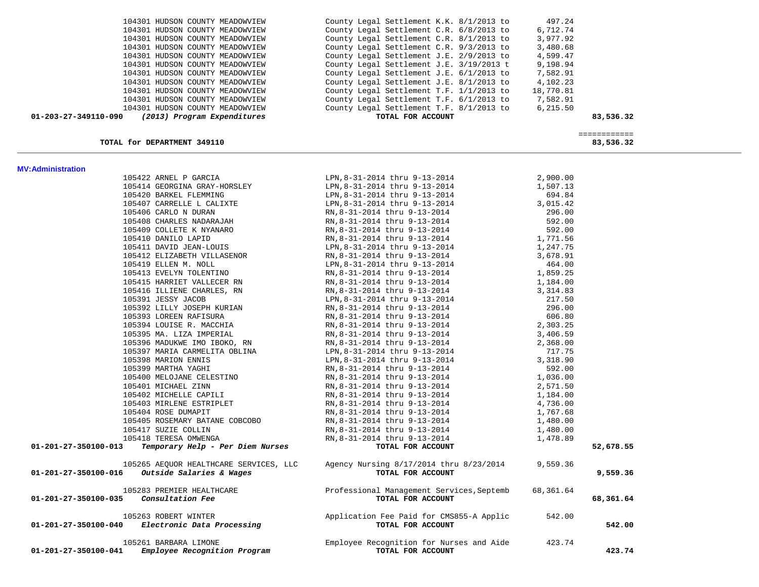| 104301 HUDSON COUNTY MEADOWVIEW<br>104301 HUDSON COUNTY MEADOWVIEW                                        | County Legal Settlement C.R. 9/3/2013 to<br>County Legal Settlement J.E. 2/9/2013 to 4,599.47                                                                                                                                                       | 3,480.68         |                           |
|-----------------------------------------------------------------------------------------------------------|-----------------------------------------------------------------------------------------------------------------------------------------------------------------------------------------------------------------------------------------------------|------------------|---------------------------|
| 104301 HUDSON COUNTY MEADOWVIEW                                                                           | County Legal Settlement J.E. 3/19/2013 t 9,198.94<br>County Legal Settlement J.E. 6/1/2013 to 7,582.91                                                                                                                                              |                  |                           |
| 104301 HUDSON COUNTY MEADOWVIEW                                                                           |                                                                                                                                                                                                                                                     |                  |                           |
| 104301 HUDSON COUNTY MEADOWVIEW                                                                           | County Legal Settlement J.E. $8/1/2013$ to 4,102.23                                                                                                                                                                                                 |                  |                           |
| 104301 HUDSON COUNTY MEADOWVIEW                                                                           | County Legal Settlement T.F. 1/1/2013 to 18,770.81                                                                                                                                                                                                  |                  |                           |
| 104301 HUDSON COUNTY MEADOWVIEW                                                                           | County Legal Settlement T.F. 6/1/2013 to 7,582.91                                                                                                                                                                                                   |                  |                           |
| 104301 HUDSON COUNTY MEADOWVIEW                                                                           | County Legal Settlement T.F. 8/1/2013 to                                                                                                                                                                                                            | 6,215.50         |                           |
| 01-203-27-349110-090 (2013) Program Expenditures                                                          | TOTAL FOR ACCOUNT                                                                                                                                                                                                                                   |                  | 83,536.32                 |
| TOTAL for DEPARTMENT 349110                                                                               |                                                                                                                                                                                                                                                     |                  | ============<br>83,536.32 |
| <b>MV: Administration</b>                                                                                 |                                                                                                                                                                                                                                                     |                  |                           |
| 105422 ARNEL P GARCIA                                                                                     | LPN, 8-31-2014 thru 9-13-2014                                                                                                                                                                                                                       | 2,900.00         |                           |
| 105414 GEORGINA GRAY-HORSLEY                                                                              | LPN, 8-31-2014 thru 9-13-2014<br>LPN, 8-31-2014 thru 9-13-2014<br>LPN, 8-31-2014 thru 9-13-2014<br>RN, 8-31-2014 thru 9-13-2014<br>RN, 8-31-2014 thru 9-13-2014<br>RN, 8-31-2014 thru 9-13-2014<br>RN, 8-31-2014 thru 9-13-2014<br>RN, 8-31-2014 th | 1,507.13         |                           |
| 105420 BARKEL FLEMMING                                                                                    |                                                                                                                                                                                                                                                     | 694.84           |                           |
| 105407 CARRELLE L CALIXTE                                                                                 |                                                                                                                                                                                                                                                     | 3,015.42         |                           |
| 105406 CARLO N DURAN                                                                                      |                                                                                                                                                                                                                                                     | 296.00           |                           |
| 105408 CHARLES NADARAJAH                                                                                  |                                                                                                                                                                                                                                                     | 592.00           |                           |
| 105409 COLLETE K NYANARO                                                                                  |                                                                                                                                                                                                                                                     | 592.00           |                           |
| 105410 DANILO LAPID                                                                                       | RN, 8-31-2014 thru 9-13-2014                                                                                                                                                                                                                        | 1,771.56         |                           |
| 105411 DAVID JEAN-LOUIS                                                                                   | LPN,8-31-2014 thru 9-13-2014                                                                                                                                                                                                                        | 1,247.75         |                           |
| 105412 ELIZABETH VILLASENOR                                                                               | LPN, 8-31-2014 thru 9-13-2014<br>RN, 8-31-2014 thru 9-13-2014<br>LPN, 8-31-2014 thru 9-13-2014<br>RN, 8-31-2014 thru 9-13-2014<br>RN, 8-31-2014 thru 9-13-2014<br>RN, 8-31-2014 thru 9-13-2014<br>RN, 8-31-2014 thru 9-13-2014<br>RN, 8-31-2        | 3,678.91         |                           |
| 105419 ELLEN M. NOLL                                                                                      |                                                                                                                                                                                                                                                     | 464.00           |                           |
| 105413 EVELYN TOLENTINO                                                                                   |                                                                                                                                                                                                                                                     | 1,859.25         |                           |
| 105415 HARRIET VALLECER RN                                                                                |                                                                                                                                                                                                                                                     | 1,184.00         |                           |
| 105416 ILLIENE CHARLES, RN                                                                                | RN, 8-31-2014 thru 9-13-2014                                                                                                                                                                                                                        | 3, 314.83        |                           |
| 105391 JESSY JACOB<br>105392 LILLY JOSEPH KURIAN                                                          |                                                                                                                                                                                                                                                     | 217.50<br>296.00 |                           |
| 105393 LOREEN RAFISURA                                                                                    | RN, 8-31-2014 thru 9-13-2014                                                                                                                                                                                                                        | 606.80           |                           |
| 105394 LOUISE R. MACCHIA                                                                                  |                                                                                                                                                                                                                                                     | 2,303.25         |                           |
| 105395 MA. LIZA IMPERIAL                                                                                  |                                                                                                                                                                                                                                                     | 3,406.59         |                           |
| 105396 MADUKWE IMO IBOKO, RN                                                                              |                                                                                                                                                                                                                                                     | 2,368.00         |                           |
| 105397 MARIA CARMELITA OBLINA                                                                             |                                                                                                                                                                                                                                                     | 717.75           |                           |
| 105398 MARION ENNIS                                                                                       |                                                                                                                                                                                                                                                     | 3,318.90         |                           |
| 105399 MARTHA YAGHI                                                                                       |                                                                                                                                                                                                                                                     | 592.00           |                           |
| 105400 MELOJANE CELESTINO                                                                                 | RN,8-31-2014 thru 9-13-2014                                                                                                                                                                                                                         | 1,036.00         |                           |
| 105401 MICHAEL ZINN                                                                                       | RN,8-31-2014 thru 9-13-2014                                                                                                                                                                                                                         | 2,571.50         |                           |
| 105402 MICHELLE CAPILI                                                                                    | RN,8-31-2014 thru 9-13-2014                                                                                                                                                                                                                         | 1,184.00         |                           |
| 105403 MIRLENE ESTRIPLET                                                                                  | RN,8-31-2014 thru 9-13-2014                                                                                                                                                                                                                         | 4,736.00         |                           |
| 105404 ROSE DUMAPIT                                                                                       | RN,8-31-2014 thru 9-13-2014                                                                                                                                                                                                                         | 1,767.68         |                           |
| 105405 ROSEMARY BATANE COBCOBO                                                                            | RN,8-31-2014 thru 9-13-2014                                                                                                                                                                                                                         | 1,480.00         |                           |
| 105417 SUZIE COLLIN                                                                                       | RN, 8-31-2014 thru 9-13-2014                                                                                                                                                                                                                        | 1,480.00         |                           |
| 105418 TERESA OMWENGA                                                                                     | RN, 8-31-2014 thru 9-13-2014                                                                                                                                                                                                                        | 1,478.89         |                           |
| Temporary Help - Per Diem Nurses<br>01-201-27-350100-013                                                  | TOTAL FOR ACCOUNT                                                                                                                                                                                                                                   |                  | 52,678.55                 |
| 105265 AEQUOR HEALTHCARE SERVICES, LLC<br>01-201-27-350100-016 Outside Salaries & Wages TOTAL FOR ACCOUNT | Agency Nursing 8/17/2014 thru 8/23/2014 9,559.36                                                                                                                                                                                                    |                  | 9,559.36                  |
|                                                                                                           |                                                                                                                                                                                                                                                     |                  |                           |
| 105283 PREMIER HEALTHCARE<br>Consultation Fee<br>01-201-27-350100-035                                     | Professional Management Services, Septemb<br>TOTAL FOR ACCOUNT                                                                                                                                                                                      | 68,361.64        |                           |
|                                                                                                           |                                                                                                                                                                                                                                                     |                  | 68,361.64                 |
| 105263 ROBERT WINTER<br>Electronic Data Processing<br>01-201-27-350100-040                                | Application Fee Paid for CMS855-A Applic<br>TOTAL FOR ACCOUNT                                                                                                                                                                                       | 542.00           | 542.00                    |
|                                                                                                           |                                                                                                                                                                                                                                                     |                  |                           |
| 105261 BARBARA LIMONE<br>Employee Recognition Program<br>01-201-27-350100-041                             | Employee Recognition for Nurses and Aide<br>TOTAL FOR ACCOUNT                                                                                                                                                                                       | 423.74           | 423.74                    |

104301 HUDSON COUNTY MEADOWVIEW County Legal Settlement K.K. 8/1/2013 to 497.24<br>104301 HUDSON COUNTY MEADOWVIEW County Legal Settlement C.R. 6/8/2013 to 6,712.74 104301 HUDSON COUNTY MEADOWVIEW County Legal Settlement C.R. 6/8/2013 to 6,712.74 104301 HUDSON COUNTY MEADOWVIEW County Legal Settlement C.R. 8/1/2013 to 3,977.92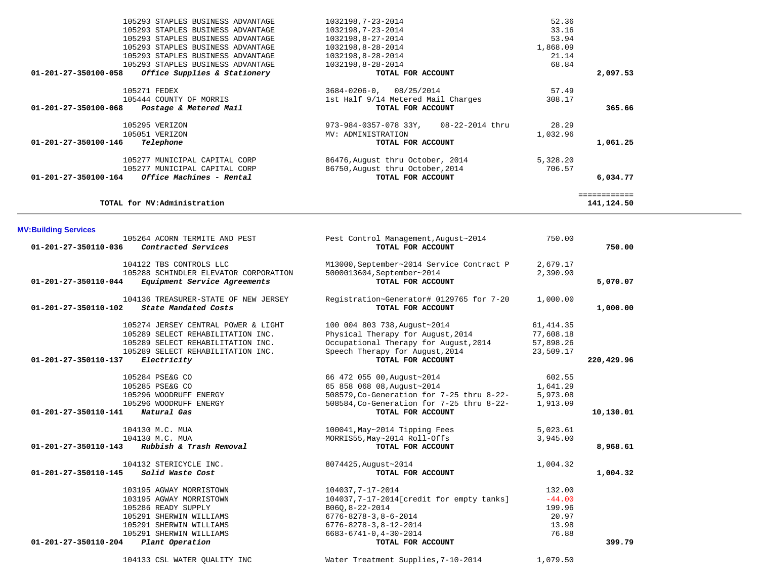| 105293 STAPLES BUSINESS ADVANTAGE                    | 1032198, 7-23-2014                         | 52.36     |              |  |
|------------------------------------------------------|--------------------------------------------|-----------|--------------|--|
| 105293 STAPLES BUSINESS ADVANTAGE                    | 1032198, 7-23-2014                         | 33.16     |              |  |
| 105293 STAPLES BUSINESS ADVANTAGE                    | 1032198,8-27-2014                          | 53.94     |              |  |
| 105293 STAPLES BUSINESS ADVANTAGE                    | 1032198,8-28-2014                          | 1,868.09  |              |  |
| 105293 STAPLES BUSINESS ADVANTAGE                    | 1032198,8-28-2014                          | 21.14     |              |  |
| 105293 STAPLES BUSINESS ADVANTAGE                    | 1032198,8-28-2014                          | 68.84     |              |  |
| Office Supplies & Stationery<br>01-201-27-350100-058 | TOTAL FOR ACCOUNT                          |           | 2,097.53     |  |
|                                                      |                                            |           |              |  |
| 105271 FEDEX                                         | $3684 - 0206 - 0$ , 08/25/2014             | 57.49     |              |  |
| 105444 COUNTY OF MORRIS                              | 1st Half 9/14 Metered Mail Charges         | 308.17    |              |  |
| 01-201-27-350100-068 Postage & Metered Mail          | TOTAL FOR ACCOUNT                          |           | 365.66       |  |
|                                                      |                                            |           |              |  |
| 105295 VERIZON                                       | 973-984-0357-078 33Y,<br>08-22-2014 thru   | 28.29     |              |  |
| 105051 VERIZON                                       | MV: ADMINISTRATION                         | 1,032.96  |              |  |
| 01-201-27-350100-146<br>Telephone                    | TOTAL FOR ACCOUNT                          |           | 1,061.25     |  |
|                                                      |                                            |           |              |  |
| 105277 MUNICIPAL CAPITAL CORP                        | 86476, August thru October, 2014           | 5,328.20  |              |  |
| 105277 MUNICIPAL CAPITAL CORP                        | 86750, August thru October, 2014           | 706.57    |              |  |
| Office Machines - Rental<br>01-201-27-350100-164     | TOTAL FOR ACCOUNT                          |           | 6,034.77     |  |
|                                                      |                                            |           |              |  |
| TOTAL for MV:Administration                          |                                            |           | ============ |  |
|                                                      |                                            |           | 141,124.50   |  |
|                                                      |                                            |           |              |  |
| <b>MV:Building Services</b>                          |                                            |           |              |  |
| 105264 ACORN TERMITE AND PEST                        | Pest Control Management, August~2014       | 750.00    |              |  |
| Contracted Services<br>01-201-27-350110-036          | TOTAL FOR ACCOUNT                          |           | 750.00       |  |
|                                                      |                                            |           |              |  |
| 104122 TBS CONTROLS LLC                              | M13000, September~2014 Service Contract P  | 2,679.17  |              |  |
| 105288 SCHINDLER ELEVATOR CORPORATION                | 5000013604, September~2014                 | 2,390.90  |              |  |
| 01-201-27-350110-044<br>Equipment Service Agreements | TOTAL FOR ACCOUNT                          |           | 5,070.07     |  |
|                                                      |                                            |           |              |  |
| 104136 TREASURER-STATE OF NEW JERSEY                 | Registration~Generator# 0129765 for 7-20   | 1,000.00  |              |  |
| State Mandated Costs<br>01-201-27-350110-102         | TOTAL FOR ACCOUNT                          |           | 1,000.00     |  |
|                                                      |                                            |           |              |  |
| 105274 JERSEY CENTRAL POWER & LIGHT                  | 100 004 803 738, August-2014               | 61,414.35 |              |  |
| 105289 SELECT REHABILITATION INC.                    | Physical Therapy for August, 2014          | 77,608.18 |              |  |
| 105289 SELECT REHABILITATION INC.                    | Occupational Therapy for August, 2014      | 57,898.26 |              |  |
| 105289 SELECT REHABILITATION INC.                    | Speech Therapy for August, 2014            | 23,509.17 |              |  |
| 01-201-27-350110-137<br>Electricity                  | TOTAL FOR ACCOUNT                          |           | 220,429.96   |  |
|                                                      |                                            |           |              |  |
| 105284 PSE&G CO                                      | 66 472 055 00, August~2014                 | 602.55    |              |  |
| 105285 PSE&G CO                                      | 65 858 068 08, August~2014                 | 1,641.29  |              |  |
| 105296 WOODRUFF ENERGY                               | 508579, Co-Generation for 7-25 thru 8-22-  | 5,973.08  |              |  |
| 105296 WOODRUFF ENERGY                               | 508584, Co-Generation for 7-25 thru 8-22-  | 1,913.09  |              |  |
| 01-201-27-350110-141<br>Natural Gas                  | TOTAL FOR ACCOUNT                          |           | 10,130.01    |  |
| 104130 M.C. MUA                                      | 100041, May~2014 Tipping Fees              | 5,023.61  |              |  |
| 104130 M.C. MUA                                      | MORRIS55, May~2014 Roll-Offs               | 3,945.00  |              |  |
| 01-201-27-350110-143<br>Rubbish & Trash Removal      | TOTAL FOR ACCOUNT                          |           | 8,968.61     |  |
|                                                      |                                            |           |              |  |
| 104132 STERICYCLE INC.                               | 8074425, August~2014                       | 1,004.32  |              |  |
| Solid Waste Cost<br>01-201-27-350110-145             | TOTAL FOR ACCOUNT                          |           | 1,004.32     |  |
|                                                      |                                            |           |              |  |
| 103195 AGWAY MORRISTOWN                              | 104037, 7-17-2014                          | 132.00    |              |  |
| 103195 AGWAY MORRISTOWN                              | 104037, 7-17-2014 [credit for empty tanks] | $-44.00$  |              |  |
| 105286 READY SUPPLY                                  | B06Q, 8-22-2014                            | 199.96    |              |  |
| 105291 SHERWIN WILLIAMS                              | $6776 - 8278 - 3, 8 - 6 - 2014$            | 20.97     |              |  |
| 105291 SHERWIN WILLIAMS                              | $6776 - 8278 - 3, 8 - 12 - 2014$           | 13.98     |              |  |
| 105291 SHERWIN WILLIAMS                              | $6683 - 6741 - 0$ , $4 - 30 - 2014$        | 76.88     |              |  |
| 01-201-27-350110-204<br>Plant Operation              | TOTAL FOR ACCOUNT                          |           | 399.79       |  |
|                                                      |                                            |           |              |  |
| 104133 CSL WATER OUALITY INC                         | Water Treatment Supplies, 7-10-2014        | 1,079.50  |              |  |

 $\bar{a}$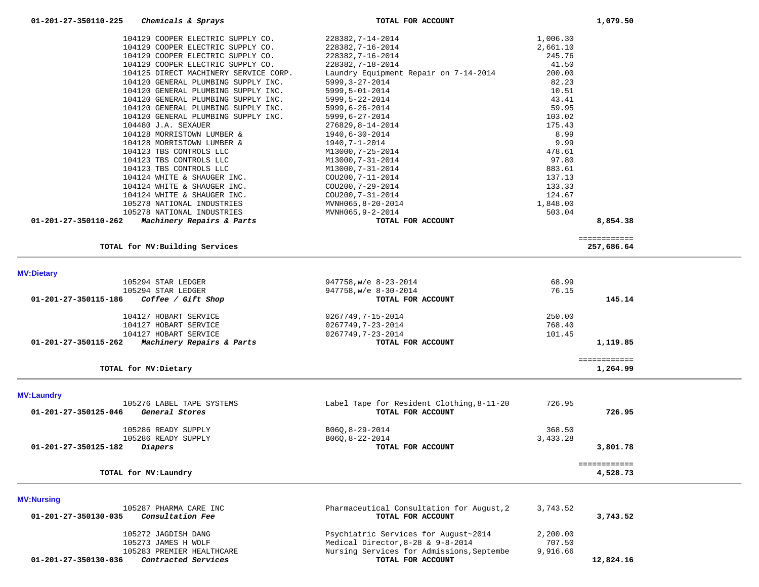|                      | 104129 COOPER ELECTRIC SUPPLY CO.     | 228382, 7-14-2014                         | 1,006.30 |                          |
|----------------------|---------------------------------------|-------------------------------------------|----------|--------------------------|
|                      | 104129 COOPER ELECTRIC SUPPLY CO.     | 228382, 7-16-2014                         | 2,661.10 |                          |
|                      | 104129 COOPER ELECTRIC SUPPLY CO.     | 228382, 7-16-2014                         | 245.76   |                          |
|                      | 104129 COOPER ELECTRIC SUPPLY CO.     | 228382, 7-18-2014                         | 41.50    |                          |
|                      | 104125 DIRECT MACHINERY SERVICE CORP. | Laundry Equipment Repair on 7-14-2014     | 200.00   |                          |
|                      | 104120 GENERAL PLUMBING SUPPLY INC.   | $5999, 3 - 27 - 2014$                     | 82.23    |                          |
|                      | 104120 GENERAL PLUMBING SUPPLY INC.   | 5999,5-01-2014                            | 10.51    |                          |
|                      | 104120 GENERAL PLUMBING SUPPLY INC.   | 5999, 5-22-2014                           | 43.41    |                          |
|                      | 104120 GENERAL PLUMBING SUPPLY INC.   | 5999,6-26-2014                            | 59.95    |                          |
|                      | 104120 GENERAL PLUMBING SUPPLY INC.   | $5999, 6 - 27 - 2014$                     | 103.02   |                          |
|                      | 104480 J.A. SEXAUER                   | 276829, 8-14-2014                         | 175.43   |                          |
|                      | 104128 MORRISTOWN LUMBER &            | 1940,6-30-2014                            | 8.99     |                          |
|                      | 104128 MORRISTOWN LUMBER &            | $1940, 7 - 1 - 2014$                      | 9.99     |                          |
|                      | 104123 TBS CONTROLS LLC               | M13000, 7-25-2014                         | 478.61   |                          |
|                      | 104123 TBS CONTROLS LLC               | M13000, 7-31-2014                         | 97.80    |                          |
|                      | 104123 TBS CONTROLS LLC               | M13000, 7-31-2014                         | 883.61   |                          |
|                      | 104124 WHITE & SHAUGER INC.           | COU200, 7-11-2014                         | 137.13   |                          |
|                      | 104124 WHITE & SHAUGER INC.           | COU200, 7-29-2014                         | 133.33   |                          |
|                      | 104124 WHITE & SHAUGER INC.           | COU200, 7-31-2014                         | 124.67   |                          |
|                      | 105278 NATIONAL INDUSTRIES            |                                           | 1,848.00 |                          |
|                      | 105278 NATIONAL INDUSTRIES            | MVNH065,8-20-2014<br>MVNH065, 9-2-2014    | 503.04   |                          |
| 01-201-27-350110-262 | Machinery Repairs & Parts             | TOTAL FOR ACCOUNT                         |          | 8,854.38                 |
|                      |                                       |                                           |          |                          |
|                      |                                       |                                           |          | ============             |
|                      | TOTAL for MV: Building Services       |                                           |          | 257,686.64               |
| <b>MV:Dietary</b>    |                                       |                                           |          |                          |
|                      | 105294 STAR LEDGER                    | 947758, w/e 8-23-2014                     | 68.99    |                          |
|                      | 105294 STAR LEDGER                    | 947758, w/e 8-30-2014                     | 76.15    |                          |
| 01-201-27-350115-186 | Coffee / Gift Shop                    | TOTAL FOR ACCOUNT                         |          | 145.14                   |
|                      |                                       |                                           |          |                          |
|                      | 104127 HOBART SERVICE                 | 0267749,7-15-2014                         | 250.00   |                          |
|                      | 104127 HOBART SERVICE                 | 0267749,7-23-2014                         | 768.40   |                          |
|                      | 104127 HOBART SERVICE                 | 0267749,7-23-2014                         | 101.45   |                          |
| 01-201-27-350115-262 | Machinery Repairs & Parts             | TOTAL FOR ACCOUNT                         |          | 1,119.85                 |
|                      |                                       |                                           |          |                          |
|                      | TOTAL for MV: Dietary                 |                                           |          | ============<br>1,264.99 |
| <b>MV:Laundry</b>    |                                       |                                           |          |                          |
|                      | 105276 LABEL TAPE SYSTEMS             | Label Tape for Resident Clothing, 8-11-20 | 726.95   |                          |
| 01-201-27-350125-046 | General Stores                        | TOTAL FOR ACCOUNT                         |          | 726.95                   |
|                      |                                       |                                           |          |                          |
|                      | 105286 READY SUPPLY                   | $B06Q, 8-29-2014$                         | 368.50   |                          |
|                      | 105286 READY SUPPLY                   | B060, 8-22-2014                           | 3,433.28 |                          |
|                      |                                       |                                           |          |                          |
| 01-201-27-350125-182 | Diapers                               | TOTAL FOR ACCOUNT                         |          | 3,801.78                 |

| 105287 PHARMA CARE INC<br><i>Consultation Fee</i><br>01-201-27-350130-035 | Pharmaceutical Consultation for August, 2<br>TOTAL FOR ACCOUNT | 3,743.52 | 3,743.52  |
|---------------------------------------------------------------------------|----------------------------------------------------------------|----------|-----------|
| 105272 JAGDISH DANG                                                       | Psychiatric Services for August~2014                           | 2,200.00 |           |
| 105273 JAMES H WOLF                                                       | Medical Director, $8-28$ & $9-8-2014$                          | 707.50   |           |
| 105283 PREMIER HEALTHCARE                                                 | Nursing Services for Admissions, Septembe                      | 9,916.66 |           |
| <i>Contracted Services</i><br>01-201-27-350130-036                        | TOTAL FOR ACCOUNT                                              |          | 12,824.16 |

**MV:Nursing**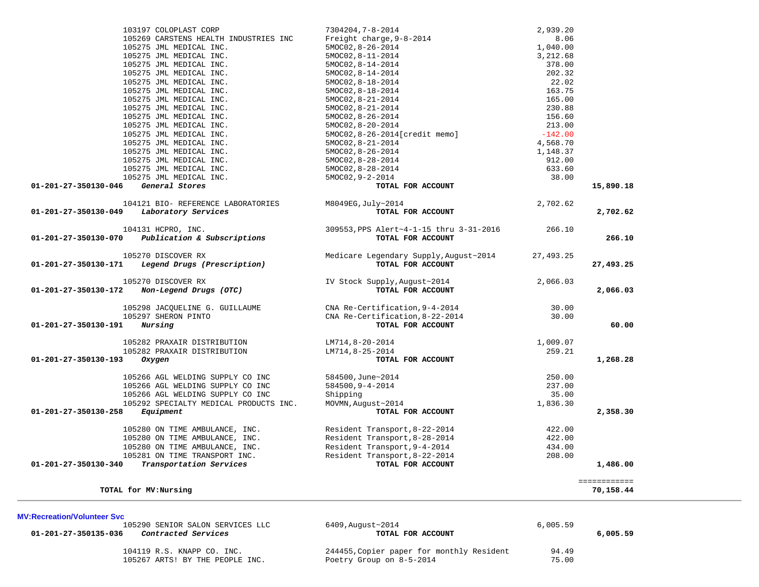| 103197 COLOPLAST CORP                               | 7304204,7-8-2014                        | 2,939.20  |                           |
|-----------------------------------------------------|-----------------------------------------|-----------|---------------------------|
| 105269 CARSTENS HEALTH INDUSTRIES INC               | Freight charge, 9-8-2014                | 8.06      |                           |
| 105275 JML MEDICAL INC.                             | 5MOC02, 8-26-2014                       | 1,040.00  |                           |
| 105275 JML MEDICAL INC.                             | 5MOC02, 8-11-2014                       | 3,212.68  |                           |
| 105275 JML MEDICAL INC.                             | 5MOC02, 8-14-2014                       | 378.00    |                           |
| 105275 JML MEDICAL INC.                             | 5MOC02, 8-14-2014                       | 202.32    |                           |
| 105275 JML MEDICAL INC.                             | 5MOC02, 8-18-2014                       | 22.02     |                           |
| 105275 JML MEDICAL INC.                             | 5MOC02, 8-18-2014                       | 163.75    |                           |
| 105275 JML MEDICAL INC.                             | 5MOC02, 8-21-2014                       | 165.00    |                           |
| 105275 JML MEDICAL INC.                             | 5MOC02, 8-21-2014                       | 230.88    |                           |
| 105275 JML MEDICAL INC.                             | 5MOC02, 8-26-2014                       | 156.60    |                           |
| 105275 JML MEDICAL INC.                             | 5MOC02, 8-20-2014                       | 213.00    |                           |
| 105275 JML MEDICAL INC.                             |                                         |           |                           |
|                                                     | 5MOC02, 8-26-2014 [credit memo]         | $-142.00$ |                           |
| 105275 JML MEDICAL INC.                             | 5MOC02, 8-21-2014                       | 4,568.70  |                           |
| 105275 JML MEDICAL INC.                             | 5MOC02, 8-26-2014                       | 1,148.37  |                           |
| 105275 JML MEDICAL INC.                             | 5MOC02, 8-28-2014                       | 912.00    |                           |
| 105275 JML MEDICAL INC.                             | 5MOC02, 8-28-2014                       | 633.60    |                           |
| 105275 JML MEDICAL INC.                             | 5MOC02, 9-2-2014                        | 38.00     |                           |
| General Stores<br>01-201-27-350130-046              | TOTAL FOR ACCOUNT                       |           | 15,890.18                 |
| 104121 BIO- REFERENCE LABORATORIES                  | M8049EG, July~2014                      | 2,702.62  |                           |
| 01-201-27-350130-049<br>Laboratory Services         | TOTAL FOR ACCOUNT                       |           | 2,702.62                  |
| 104131 HCPRO, INC.                                  | 309553, PPS Alert~4-1-15 thru 3-31-2016 | 266.10    |                           |
|                                                     |                                         |           |                           |
| Publication & Subscriptions<br>01-201-27-350130-070 | TOTAL FOR ACCOUNT                       |           | 266.10                    |
| 105270 DISCOVER RX                                  | Medicare Legendary Supply, August~2014  | 27,493.25 |                           |
| 01-201-27-350130-171<br>Legend Drugs (Prescription) | TOTAL FOR ACCOUNT                       |           | 27,493.25                 |
|                                                     |                                         |           |                           |
| 105270 DISCOVER RX                                  | IV Stock Supply, August~2014            | 2,066.03  |                           |
| 01-201-27-350130-172<br>Non-Legend Drugs (OTC)      | TOTAL FOR ACCOUNT                       |           | 2,066.03                  |
|                                                     |                                         |           |                           |
| 105298 JACQUELINE G. GUILLAUME                      | CNA Re-Certification, 9-4-2014          | 30.00     |                           |
| 105297 SHERON PINTO                                 | CNA Re-Certification, 8-22-2014         | 30.00     |                           |
| Nursing<br>01-201-27-350130-191                     | TOTAL FOR ACCOUNT                       |           | 60.00                     |
|                                                     |                                         |           |                           |
| 105282 PRAXAIR DISTRIBUTION                         | LM714,8-20-2014                         | 1,009.07  |                           |
| 105282 PRAXAIR DISTRIBUTION                         | LM714,8-25-2014                         | 259.21    |                           |
| 01-201-27-350130-193<br>Oxygen                      | TOTAL FOR ACCOUNT                       |           | 1,268.28                  |
| 105266 AGL WELDING SUPPLY CO INC                    | 584500, June~2014                       | 250.00    |                           |
|                                                     |                                         |           |                           |
| 105266 AGL WELDING SUPPLY CO INC                    | 584500, 9-4-2014                        | 237.00    |                           |
| 105266 AGL WELDING SUPPLY CO INC                    | Shipping                                | 35.00     |                           |
| 105292 SPECIALTY MEDICAL PRODUCTS INC.              | MOVMN, August~2014                      | 1,836.30  |                           |
| 01-201-27-350130-258<br>Equipment                   | TOTAL FOR ACCOUNT                       |           | 2,358.30                  |
| 105280 ON TIME AMBULANCE, INC.                      | Resident Transport, 8-22-2014           | 422.00    |                           |
| 105280 ON TIME AMBULANCE, INC.                      | Resident Transport, 8-28-2014           | 422.00    |                           |
| 105280 ON TIME AMBULANCE, INC.                      | Resident Transport, 9-4-2014            | 434.00    |                           |
| 105281 ON TIME TRANSPORT INC.                       | Resident Transport, 8-22-2014           | 208.00    |                           |
| 01-201-27-350130-340<br>Transportation Services     | TOTAL FOR ACCOUNT                       |           | 1,486.00                  |
|                                                     |                                         |           |                           |
| TOTAL for MV: Nursing                               |                                         |           | ============<br>70,158.44 |
|                                                     |                                         |           |                           |

### **MV:Recreation/Volunteer Svc**

105290 SENIOR SALON SERVICES LLC 6409,August~2014 **6.005.59**<br>**6 Contracted Services** LLC **1005.59 TOTAL FOR ACCOUNT 01-201-27-350135-036** *Contracted Services* **TOTAL FOR ACCOUNT 6,005.59**

105267 ARTS! BY THE PEOPLE INC.

104119 R.S. KNAPP CO. INC.<br>
105267 ARTS! BY THE PEOPLE INC.<br>
2001 Poetry Group on 8-5-2014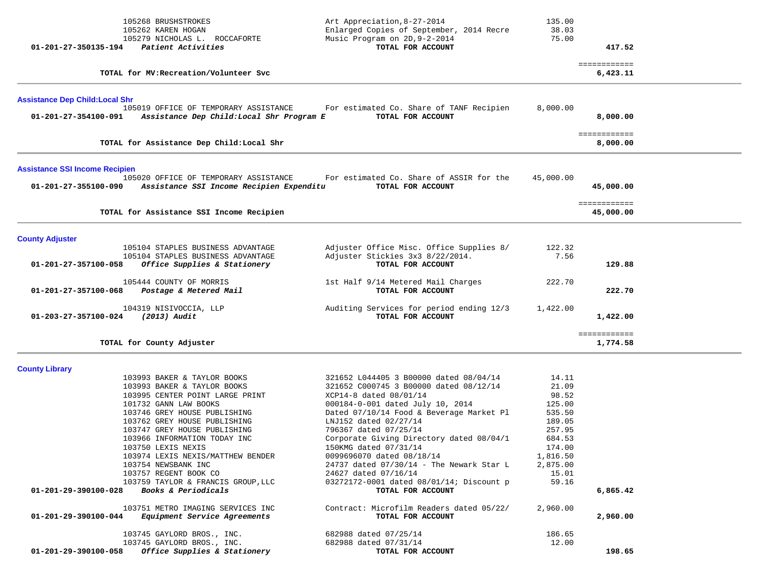| 105268 BRUSHSTROKES<br>105262 KAREN HOGAN<br>105279 NICHOLAS L. ROCCAFORTE<br>Patient Activities<br>01-201-27-350135-194                                                                                                                                                                                                                                                                                                                                                                                                                                                          | Art Appreciation, 8-27-2014<br>Enlarged Copies of September, 2014 Recre<br>Music Program on 2D, 9-2-2014<br>TOTAL FOR ACCOUNT                                                                                                                                                                                                                                                                                                                                                                                                                                                 | 135.00<br>38.03<br>75.00                                                                                                                            | 417.52<br>============    |  |
|-----------------------------------------------------------------------------------------------------------------------------------------------------------------------------------------------------------------------------------------------------------------------------------------------------------------------------------------------------------------------------------------------------------------------------------------------------------------------------------------------------------------------------------------------------------------------------------|-------------------------------------------------------------------------------------------------------------------------------------------------------------------------------------------------------------------------------------------------------------------------------------------------------------------------------------------------------------------------------------------------------------------------------------------------------------------------------------------------------------------------------------------------------------------------------|-----------------------------------------------------------------------------------------------------------------------------------------------------|---------------------------|--|
| TOTAL for MV: Recreation/Volunteer Svc                                                                                                                                                                                                                                                                                                                                                                                                                                                                                                                                            |                                                                                                                                                                                                                                                                                                                                                                                                                                                                                                                                                                               |                                                                                                                                                     | 6,423.11                  |  |
| <b>Assistance Dep Child: Local Shr</b>                                                                                                                                                                                                                                                                                                                                                                                                                                                                                                                                            |                                                                                                                                                                                                                                                                                                                                                                                                                                                                                                                                                                               |                                                                                                                                                     |                           |  |
| 105019 OFFICE OF TEMPORARY ASSISTANCE<br>01-201-27-354100-091<br>Assistance Dep Child: Local Shr Program E                                                                                                                                                                                                                                                                                                                                                                                                                                                                        | For estimated Co. Share of TANF Recipien<br>TOTAL FOR ACCOUNT                                                                                                                                                                                                                                                                                                                                                                                                                                                                                                                 | 8,000.00                                                                                                                                            | 8,000.00                  |  |
| TOTAL for Assistance Dep Child: Local Shr                                                                                                                                                                                                                                                                                                                                                                                                                                                                                                                                         |                                                                                                                                                                                                                                                                                                                                                                                                                                                                                                                                                                               |                                                                                                                                                     | ============<br>8,000.00  |  |
| <b>Assistance SSI Income Recipien</b>                                                                                                                                                                                                                                                                                                                                                                                                                                                                                                                                             |                                                                                                                                                                                                                                                                                                                                                                                                                                                                                                                                                                               |                                                                                                                                                     |                           |  |
| 105020 OFFICE OF TEMPORARY ASSISTANCE<br>01-201-27-355100-090<br>Assistance SSI Income Recipien Expenditu                                                                                                                                                                                                                                                                                                                                                                                                                                                                         | For estimated Co. Share of ASSIR for the<br>TOTAL FOR ACCOUNT                                                                                                                                                                                                                                                                                                                                                                                                                                                                                                                 | 45,000.00                                                                                                                                           | 45,000.00                 |  |
| TOTAL for Assistance SSI Income Recipien                                                                                                                                                                                                                                                                                                                                                                                                                                                                                                                                          |                                                                                                                                                                                                                                                                                                                                                                                                                                                                                                                                                                               |                                                                                                                                                     | ============<br>45,000.00 |  |
| <b>County Adjuster</b>                                                                                                                                                                                                                                                                                                                                                                                                                                                                                                                                                            |                                                                                                                                                                                                                                                                                                                                                                                                                                                                                                                                                                               |                                                                                                                                                     |                           |  |
| 105104 STAPLES BUSINESS ADVANTAGE<br>105104 STAPLES BUSINESS ADVANTAGE<br>01-201-27-357100-058<br>Office Supplies & Stationery                                                                                                                                                                                                                                                                                                                                                                                                                                                    | Adjuster Office Misc. Office Supplies 8/<br>Adjuster Stickies 3x3 8/22/2014.<br>TOTAL FOR ACCOUNT                                                                                                                                                                                                                                                                                                                                                                                                                                                                             | 122.32<br>7.56                                                                                                                                      | 129.88                    |  |
| 105444 COUNTY OF MORRIS<br>Postage & Metered Mail<br>01-201-27-357100-068                                                                                                                                                                                                                                                                                                                                                                                                                                                                                                         | 1st Half 9/14 Metered Mail Charges<br>TOTAL FOR ACCOUNT                                                                                                                                                                                                                                                                                                                                                                                                                                                                                                                       | 222.70                                                                                                                                              | 222.70                    |  |
| 104319 NISIVOCCIA, LLP<br>01-203-27-357100-024<br>(2013) Audit                                                                                                                                                                                                                                                                                                                                                                                                                                                                                                                    | Auditing Services for period ending 12/3<br>TOTAL FOR ACCOUNT                                                                                                                                                                                                                                                                                                                                                                                                                                                                                                                 | 1,422.00                                                                                                                                            | 1,422.00                  |  |
| TOTAL for County Adjuster                                                                                                                                                                                                                                                                                                                                                                                                                                                                                                                                                         |                                                                                                                                                                                                                                                                                                                                                                                                                                                                                                                                                                               |                                                                                                                                                     | ============<br>1,774.58  |  |
| <b>County Library</b>                                                                                                                                                                                                                                                                                                                                                                                                                                                                                                                                                             |                                                                                                                                                                                                                                                                                                                                                                                                                                                                                                                                                                               |                                                                                                                                                     |                           |  |
| 103993 BAKER & TAYLOR BOOKS<br>103993 BAKER & TAYLOR BOOKS<br>103995 CENTER POINT LARGE PRINT<br>101732 GANN LAW BOOKS<br>103746 GREY HOUSE PUBLISHING<br>103762 GREY HOUSE PUBLISHING<br>103747 GREY HOUSE PUBLISHING<br>103966 INFORMATION TODAY INC<br>103750 LEXIS NEXIS<br>103974 LEXIS NEXIS/MATTHEW BENDER<br>103754 NEWSBANK INC<br>103757 REGENT BOOK CO<br>103759 TAYLOR & FRANCIS GROUP, LLC<br>Books & Periodicals<br>01-201-29-390100-028<br>103751 METRO IMAGING SERVICES INC<br>Equipment Service Agreements<br>01-201-29-390100-044<br>103745 GAYLORD BROS., INC. | 321652 L044405 3 B00000 dated 08/04/14<br>321652 C000745 3 B00000 dated 08/12/14<br>XCP14-8 dated 08/01/14<br>000184-0-001 dated July 10, 2014<br>Dated 07/10/14 Food & Beverage Market Pl<br>LNJ152 dated 02/27/14<br>796367 dated 07/25/14<br>Corporate Giving Directory dated 08/04/1<br>150KMG dated 07/31/14<br>0099696070 dated 08/18/14<br>24737 dated 07/30/14 - The Newark Star L<br>24627 dated 07/16/14<br>03272172-0001 dated 08/01/14; Discount p<br>TOTAL FOR ACCOUNT<br>Contract: Microfilm Readers dated 05/22/<br>TOTAL FOR ACCOUNT<br>682988 dated 07/25/14 | 14.11<br>21.09<br>98.52<br>125.00<br>535.50<br>189.05<br>257.95<br>684.53<br>174.00<br>1,816.50<br>2,875.00<br>15.01<br>59.16<br>2,960.00<br>186.65 | 6,865.42<br>2,960.00      |  |
| 103745 GAYLORD BROS., INC.<br>01-201-29-390100-058<br>Office Supplies & Stationery                                                                                                                                                                                                                                                                                                                                                                                                                                                                                                | 682988 dated 07/31/14<br>TOTAL FOR ACCOUNT                                                                                                                                                                                                                                                                                                                                                                                                                                                                                                                                    | 12.00                                                                                                                                               | 198.65                    |  |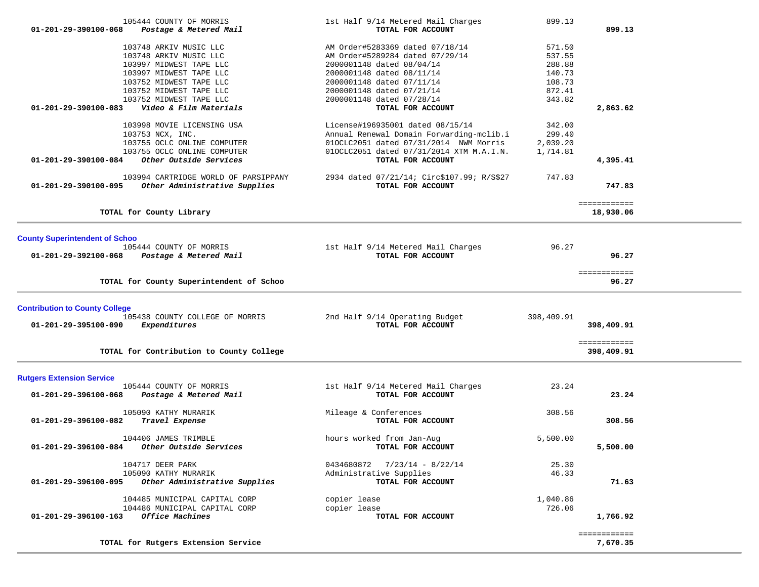| 105444 COUNTY OF MORRIS<br>$01 - 201 - 29 - 390100 - 068$<br>Postage & Metered Mail | 1st Half 9/14 Metered Mail Charges<br>TOTAL FOR ACCOUNT      | 899.13             | 899.13                     |  |
|-------------------------------------------------------------------------------------|--------------------------------------------------------------|--------------------|----------------------------|--|
|                                                                                     |                                                              |                    |                            |  |
| 103748 ARKIV MUSIC LLC                                                              | AM Order#5283369 dated 07/18/14                              | 571.50             |                            |  |
| 103748 ARKIV MUSIC LLC<br>103997 MIDWEST TAPE LLC                                   | AM Order#5289284 dated 07/29/14<br>2000001148 dated 08/04/14 | 537.55<br>288.88   |                            |  |
| 103997 MIDWEST TAPE LLC                                                             | 2000001148 dated 08/11/14                                    | 140.73             |                            |  |
| 103752 MIDWEST TAPE LLC                                                             | 2000001148 dated 07/11/14                                    | 108.73             |                            |  |
| 103752 MIDWEST TAPE LLC                                                             | 2000001148 dated 07/21/14                                    | 872.41             |                            |  |
| 103752 MIDWEST TAPE LLC                                                             | 2000001148 dated 07/28/14                                    | 343.82             |                            |  |
| Video & Film Materials<br>01-201-29-390100-083                                      | TOTAL FOR ACCOUNT                                            |                    | 2,863.62                   |  |
| 103998 MOVIE LICENSING USA                                                          | License#196935001 dated 08/15/14                             | 342.00             |                            |  |
| 103753 NCX, INC.                                                                    | Annual Renewal Domain Forwarding-mclib.i                     | 299.40             |                            |  |
| 103755 OCLC ONLINE COMPUTER                                                         | 010CLC2051 dated 07/31/2014 NWM Morris                       | 2,039.20           |                            |  |
| 103755 OCLC ONLINE COMPUTER                                                         | 010CLC2051 dated 07/31/2014 XTM M.A.I.N.                     | 1,714.81           |                            |  |
| 01-201-29-390100-084<br>Other Outside Services                                      | TOTAL FOR ACCOUNT                                            |                    | 4,395.41                   |  |
| 103994 CARTRIDGE WORLD OF PARSIPPANY                                                | 2934 dated 07/21/14; Circ\$107.99; R/S\$27                   | 747.83             |                            |  |
| Other Administrative Supplies<br>01-201-29-390100-095                               | TOTAL FOR ACCOUNT                                            |                    | 747.83                     |  |
|                                                                                     |                                                              |                    | ============               |  |
| TOTAL for County Library                                                            |                                                              |                    | 18,930.06                  |  |
|                                                                                     |                                                              |                    |                            |  |
| <b>County Superintendent of Schoo</b>                                               |                                                              |                    |                            |  |
| 105444 COUNTY OF MORRIS<br>01-201-29-392100-068<br>Postage & Metered Mail           | 1st Half 9/14 Metered Mail Charges<br>TOTAL FOR ACCOUNT      | 96.27              | 96.27                      |  |
|                                                                                     |                                                              |                    |                            |  |
| TOTAL for County Superintendent of Schoo                                            |                                                              |                    | ============               |  |
|                                                                                     |                                                              |                    | 96.27                      |  |
| <b>Contribution to County College</b>                                               |                                                              |                    |                            |  |
| 105438 COUNTY COLLEGE OF MORRIS                                                     | 2nd Half 9/14 Operating Budget                               | 398,409.91         |                            |  |
| 01-201-29-395100-090<br>Expenditures                                                | TOTAL FOR ACCOUNT                                            |                    | 398,409.91                 |  |
|                                                                                     |                                                              |                    |                            |  |
| TOTAL for Contribution to County College                                            |                                                              |                    | ============<br>398,409.91 |  |
|                                                                                     |                                                              |                    |                            |  |
| <b>Rutgers Extension Service</b><br>105444 COUNTY OF MORRIS                         | 1st Half 9/14 Metered Mail Charges                           | 23.24              |                            |  |
| 01-201-29-396100-068<br>Postage & Metered Mail                                      | TOTAL FOR ACCOUNT                                            |                    | 23.24                      |  |
|                                                                                     |                                                              |                    |                            |  |
| 105090 KATHY MURARIK                                                                | Mileage & Conferences                                        | 308.56             |                            |  |
| 01-201-29-396100-082<br>Travel Expense                                              | TOTAL FOR ACCOUNT                                            |                    | 308.56                     |  |
| 104406 JAMES TRIMBLE                                                                | hours worked from Jan-Aug                                    | 5,500.00           |                            |  |
| 01-201-29-396100-084<br>Other Outside Services                                      | TOTAL FOR ACCOUNT                                            |                    | 5,500.00                   |  |
|                                                                                     |                                                              |                    |                            |  |
| 104717 DEER PARK<br>105090 KATHY MURARIK                                            | $0434680872$ $7/23/14$ - 8/22/14<br>Administrative Supplies  | 25.30<br>46.33     |                            |  |
| Other Administrative Supplies<br>01-201-29-396100-095                               | TOTAL FOR ACCOUNT                                            |                    | 71.63                      |  |
|                                                                                     |                                                              |                    |                            |  |
| 104485 MUNICIPAL CAPITAL CORP<br>104486 MUNICIPAL CAPITAL CORP                      | copier lease                                                 | 1,040.86<br>726.06 |                            |  |
| Office Machines<br>01-201-29-396100-163                                             | copier lease<br>TOTAL FOR ACCOUNT                            |                    | 1,766.92                   |  |
|                                                                                     |                                                              |                    |                            |  |
|                                                                                     |                                                              |                    | ============               |  |
| TOTAL for Rutgers Extension Service                                                 |                                                              |                    | 7,670.35                   |  |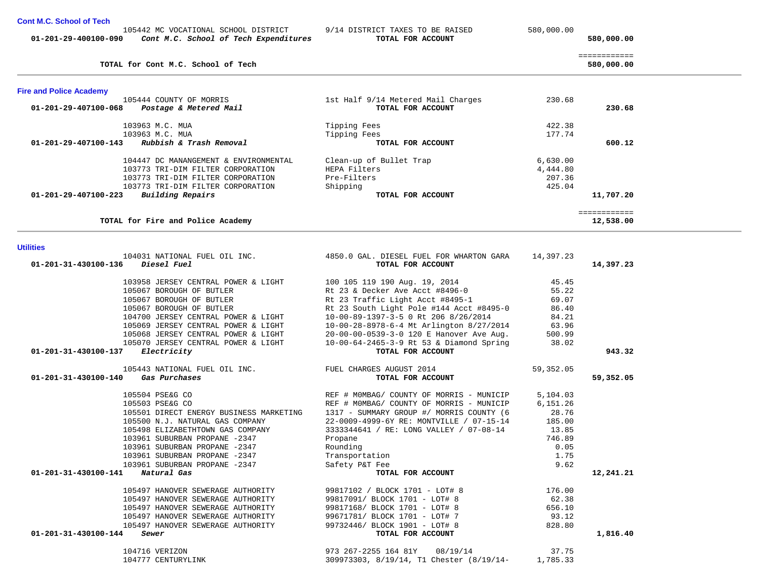| 01-201-29-400100-090             | Cont M.C. School of Tech Expenditures                             | TOTAL FOR ACCOUNT                                                                    |           | 580,000.00   |  |
|----------------------------------|-------------------------------------------------------------------|--------------------------------------------------------------------------------------|-----------|--------------|--|
|                                  |                                                                   |                                                                                      |           | ============ |  |
|                                  | TOTAL for Cont M.C. School of Tech                                |                                                                                      |           | 580,000.00   |  |
| <b>Fire and Police Academy</b>   |                                                                   |                                                                                      |           |              |  |
|                                  | 105444 COUNTY OF MORRIS                                           | 1st Half 9/14 Metered Mail Charges                                                   | 230.68    |              |  |
| 01-201-29-407100-068             | Postage & Metered Mail                                            | TOTAL FOR ACCOUNT                                                                    |           | 230.68       |  |
|                                  | 103963 M.C. MUA                                                   | Tipping Fees                                                                         | 422.38    |              |  |
|                                  | 103963 M.C. MUA                                                   | Tipping Fees                                                                         | 177.74    |              |  |
| 01-201-29-407100-143             | Rubbish & Trash Removal                                           | TOTAL FOR ACCOUNT                                                                    |           | 600.12       |  |
|                                  | 104447 DC MANANGEMENT & ENVIRONMENTAL                             | Clean-up of Bullet Trap                                                              | 6,630.00  |              |  |
|                                  | 103773 TRI-DIM FILTER CORPORATION                                 | HEPA Filters                                                                         | 4,444.80  |              |  |
|                                  | 103773 TRI-DIM FILTER CORPORATION                                 | Pre-Filters                                                                          | 207.36    |              |  |
|                                  | 103773 TRI-DIM FILTER CORPORATION                                 | Shipping                                                                             | 425.04    |              |  |
| 01-201-29-407100-223             | Building Repairs                                                  | TOTAL FOR ACCOUNT                                                                    |           | 11,707.20    |  |
|                                  |                                                                   |                                                                                      |           | ============ |  |
|                                  | TOTAL for Fire and Police Academy                                 |                                                                                      |           | 12,538.00    |  |
| <b>Utilities</b>                 |                                                                   |                                                                                      |           |              |  |
|                                  | 104031 NATIONAL FUEL OIL INC.                                     | 4850.0 GAL. DIESEL FUEL FOR WHARTON GARA                                             | 14,397.23 |              |  |
| 01-201-31-430100-136             | <i>Diesel Fuel</i>                                                | TOTAL FOR ACCOUNT                                                                    |           | 14,397.23    |  |
|                                  |                                                                   |                                                                                      |           |              |  |
|                                  | 103958 JERSEY CENTRAL POWER & LIGHT                               | 100 105 119 190 Aug. 19, 2014                                                        | 45.45     |              |  |
|                                  | 105067 BOROUGH OF BUTLER                                          | Rt 23 & Decker Ave Acct #8496-0                                                      | 55.22     |              |  |
|                                  | 105067 BOROUGH OF BUTLER                                          | Rt 23 Traffic Light Acct #8495-1                                                     | 69.07     |              |  |
|                                  | 105067 BOROUGH OF BUTLER                                          | Rt 23 South Light Pole #144 Acct #8495-0                                             | 86.40     |              |  |
|                                  | 104700 JERSEY CENTRAL POWER & LIGHT                               | 10-00-89-1397-3-5 0 Rt 206 8/26/2014                                                 | 84.21     |              |  |
|                                  | 105069 JERSEY CENTRAL POWER & LIGHT                               | 10-00-28-8978-6-4 Mt Arlington 8/27/2014                                             | 63.96     |              |  |
|                                  | 105068 JERSEY CENTRAL POWER & LIGHT                               | 20-00-00-0539-3-0 120 E Hanover Ave Aug.                                             | 500.99    |              |  |
|                                  | 105070 JERSEY CENTRAL POWER & LIGHT                               | 10-00-64-2465-3-9 Rt 53 & Diamond Spring                                             | 38.02     |              |  |
| 01-201-31-430100-137             | Electricity                                                       | TOTAL FOR ACCOUNT                                                                    |           | 943.32       |  |
|                                  | 105443 NATIONAL FUEL OIL INC.                                     | FUEL CHARGES AUGUST 2014                                                             | 59,352.05 |              |  |
| 01-201-31-430100-140             | Gas Purchases                                                     | TOTAL FOR ACCOUNT                                                                    |           | 59,352.05    |  |
|                                  | 105504 PSE&G CO                                                   | REF # MOMBAG/ COUNTY OF MORRIS - MUNICIP                                             | 5,104.03  |              |  |
|                                  | 105503 PSE&G CO                                                   |                                                                                      | 6,151.26  |              |  |
|                                  | 105501 DIRECT ENERGY BUSINESS MARKETING                           | REF # MOMBAG/ COUNTY OF MORRIS - MUNICIP                                             | 28.76     |              |  |
|                                  | 105500 N.J. NATURAL GAS COMPANY                                   | 1317 - SUMMARY GROUP #/ MORRIS COUNTY (6<br>22-0009-4999-6Y RE: MONTVILLE / 07-15-14 | 185.00    |              |  |
|                                  |                                                                   |                                                                                      | 13.85     |              |  |
|                                  | 105498 ELIZABETHTOWN GAS COMPANY<br>103961 SUBURBAN PROPANE -2347 | 3333344641 / RE: LONG VALLEY / 07-08-14                                              | 746.89    |              |  |
|                                  | 103961 SUBURBAN PROPANE -2347                                     | Propane                                                                              | 0.05      |              |  |
|                                  | 103961 SUBURBAN PROPANE -2347                                     | Rounding                                                                             |           |              |  |
|                                  |                                                                   | Transportation                                                                       | 1.75      |              |  |
|                                  | 103961 SUBURBAN PROPANE -2347                                     | Safety P&T Fee                                                                       | 9.62      |              |  |
| 01-201-31-430100-141 Natural Gas |                                                                   | TOTAL FOR ACCOUNT                                                                    |           | 12,241.21    |  |
|                                  | 105497 HANOVER SEWERAGE AUTHORITY                                 | 99817102 / BLOCK 1701 - LOT# 8                                                       | 176.00    |              |  |
|                                  | 105497 HANOVER SEWERAGE AUTHORITY                                 | 99817091/ BLOCK 1701 - LOT# 8                                                        | 62.38     |              |  |
|                                  | 105497 HANOVER SEWERAGE AUTHORITY                                 | 99817168/ BLOCK 1701 - LOT# 8                                                        | 656.10    |              |  |
|                                  | 105497 HANOVER SEWERAGE AUTHORITY                                 | 99671781/ BLOCK 1701 - LOT# 7                                                        | 93.12     |              |  |
|                                  | 105497 HANOVER SEWERAGE AUTHORITY                                 | 99732446/ BLOCK 1901 - LOT# 8                                                        | 828.80    |              |  |
| 01-201-31-430100-144             | Sewer                                                             | TOTAL FOR ACCOUNT                                                                    |           | 1,816.40     |  |
|                                  |                                                                   |                                                                                      |           |              |  |
|                                  | 104716 VERIZON                                                    | 973 267-2255 164 81Y 08/19/14                                                        | 37.75     |              |  |
|                                  | 104777 CENTURYLINK                                                | 309973303, 8/19/14, T1 Chester (8/19/14-                                             | 1,785.33  |              |  |

105442 MC VOCATIONAL SCHOOL DISTRICT 9/14 DISTRICT TAXES TO BE RAISED 580,000.00

**Cont M.C. School of Tech**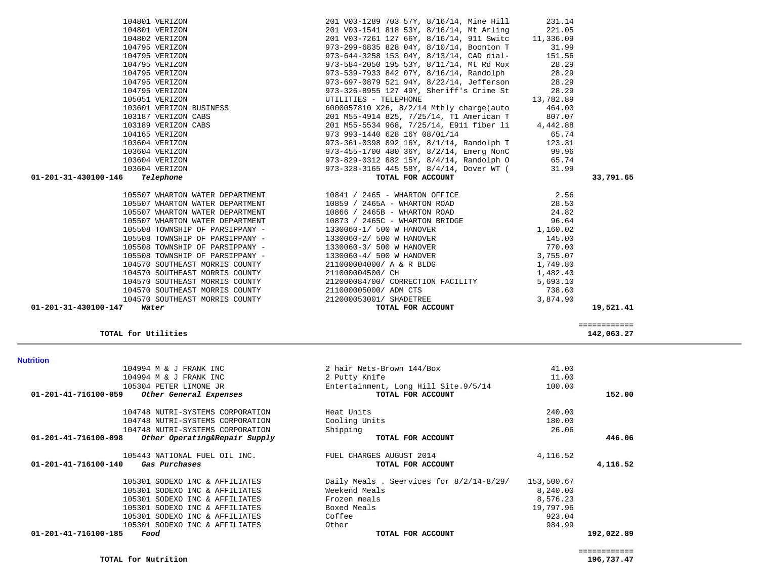| 2 hair Nets-Brown 144/Box               | 41.00      |            |
|-----------------------------------------|------------|------------|
| 2 Putty Knife                           | 11.00      |            |
| Entertainment, Long Hill Site.9/5/14    | 100.00     |            |
| TOTAL FOR ACCOUNT                       |            | 152.00     |
| Heat Units                              | 240.00     |            |
| Cooling Units                           | 180.00     |            |
| Shipping                                | 26.06      |            |
| TOTAL FOR ACCOUNT                       |            | 446.06     |
| FUEL CHARGES AUGUST 2014                | 4,116.52   |            |
| TOTAL FOR ACCOUNT                       |            | 4,116.52   |
| Daily Meals. Seervices for 8/2/14-8/29/ | 153,500.67 |            |
| Weekend Meals                           | 8,240.00   |            |
| Frozen meals                            | 8,576.23   |            |
| Boxed Meals                             | 19,797.96  |            |
| Coffee                                  | 923.04     |            |
| Other                                   | 984.99     |            |
| TOTAL FOR ACCOUNT                       |            | 192,022.89 |
|                                         |            |            |

### **Nutrition**

#### ============ **TOTAL for Utilities 142,063.27**

| TU4T05 VERIZON                    | 973 993-1440 628 161 08/01/14            | 65.74    |           |
|-----------------------------------|------------------------------------------|----------|-----------|
| 103604 VERIZON                    | 973-361-0398 892 16Y, 8/1/14, Randolph T | 123.31   |           |
| 103604 VERIZON                    | 973-455-1700 480 36Y, 8/2/14, Emerg NonC | 99.96    |           |
| 103604 VERIZON                    | 973-829-0312 882 15Y, 8/4/14, Randolph O | 65.74    |           |
| 103604 VERIZON                    | 973-328-3165 445 58Y, 8/4/14, Dover WT ( | 31.99    |           |
| 01-201-31-430100-146<br>Telephone | TOTAL FOR ACCOUNT                        |          | 33,791.65 |
| 105507 WHARTON WATER DEPARTMENT   | 10841 / 2465 - WHARTON OFFICE            | 2.56     |           |
| 105507 WHARTON WATER DEPARTMENT   | 10859 / 2465A - WHARTON ROAD             | 28.50    |           |
| 105507 WHARTON WATER DEPARTMENT   | 10866 / 2465B - WHARTON ROAD             | 24.82    |           |
| 105507 WHARTON WATER DEPARTMENT   | $10873$ / $2465C$ - WHARTON BRIDGE       | 96.64    |           |
| 105508 TOWNSHIP OF PARSIPPANY -   | 1330060-1/ 500 W HANOVER                 | 1,160.02 |           |
| 105508 TOWNSHIP OF PARSIPPANY -   | 1330060-2/ 500 W HANOVER                 | 145.00   |           |
| 105508 TOWNSHIP OF PARSIPPANY -   | 1330060-3/ 500 W HANOVER                 | 770.00   |           |
| 105508 TOWNSHIP OF PARSIPPANY -   | 1330060-4/ 500 W HANOVER                 | 3,755.07 |           |
| 104570 SOUTHEAST MORRIS COUNTY    | 211000004000/ A & R BLDG                 | 1,749.80 |           |
| 104570 SOUTHEAST MORRIS COUNTY    | 211000004500/ CH                         | 1,482.40 |           |
| 104570 SOUTHEAST MORRIS COUNTY    | 212000084700/ CORRECTION FACILITY        | 5,693.10 |           |
| 104570 SOUTHEAST MORRIS COUNTY    | 211000005000/ ADM CTS                    | 738.60   |           |
| 104570 SOUTHEAST MORRIS COUNTY    | 212000053001/ SHADETREE                  | 3,874.90 |           |
| 01-201-31-430100-147<br>Water     | TOTAL FOR ACCOUNT                        |          | 19,521.41 |

| 104801 VERIZON                  | 201 V03-1289 703 57Y, 8/16/14, Mine Hill           | 231.14    |
|---------------------------------|----------------------------------------------------|-----------|
| 104801 VERIZON                  | 201 V03-1541 818 53Y, 8/16/14, Mt Arling           | 221.05    |
| 104802 VERIZON                  | 201 V03-7261 127 66Y, 8/16/14, 911 Switc 11,336.09 |           |
| 104795 VERIZON                  | 973-299-6835 828 04Y, 8/10/14, Boonton T           | 31.99     |
| 104795 VERIZON                  | 973-644-3258 153 04Y, 8/13/14, CAD dial-           | 151.56    |
| 104795 VERIZON                  | 973-584-2050 195 53Y, 8/11/14, Mt Rd Rox           | 28.29     |
| 104795 VERIZON                  | 973-539-7933 842 07Y, 8/16/14, Randolph            | 28.29     |
| 104795 VERIZON                  | 973-697-0879 521 94Y, 8/22/14, Jefferson           | 28.29     |
| 104795 VERIZON                  | 973-326-8955 127 49Y, Sheriff's Crime St           | 28.29     |
| 105051 VERIZON                  | UTILITIES - TELEPHONE                              | 13,782.89 |
| 103601 VERIZON BUSINESS         | 6000057810 X26, 8/2/14 Mthly charge(auto           | 464.00    |
| 103187 VERIZON CABS             | 201 M55-4914 825, 7/25/14, T1 American T           | 807.07    |
| 103189 VERIZON CABS             | 201 M55-5534 968, 7/25/14, E911 fiber li           | 4,442.88  |
| 104165 VERIZON                  | 973 993-1440 628 16Y 08/01/14                      | 65.74     |
| 103604 VERIZON                  | 973-361-0398 892 16Y, 8/1/14, Randolph T           | 123.31    |
| 103604 VERIZON                  | 973-455-1700 480 36Y, 8/2/14, Emerg NonC           | 99.96     |
| 103604 VERIZON                  | 973-829-0312 882 15Y, 8/4/14, Randolph O           | 65.74     |
| 103604 VERIZON                  | 973-328-3165 445 58Y, 8/4/14, Dover WT (           | 31.99     |
| 01-201-31-430100-146 Telephone  | TOTAL FOR ACCOUNT                                  |           |
| 105507 WHARTON WATER DEPARTMENT | 10841 / 2465 - WHARTON OFFICE                      | 2.56      |
| 105507 WHARTON WATER DEPARTMENT | 10859 / 2465A - WHARTON ROAD                       | 28.50     |
| 105507 WHARTON WATER DEPARTMENT | 10866 / 2465B - WHARTON ROAD                       | 24.82     |
| 105507 WHARTON WATER DEPARTMENT | 10873 / 2465C - WHARTON BRIDGE                     | 96.64     |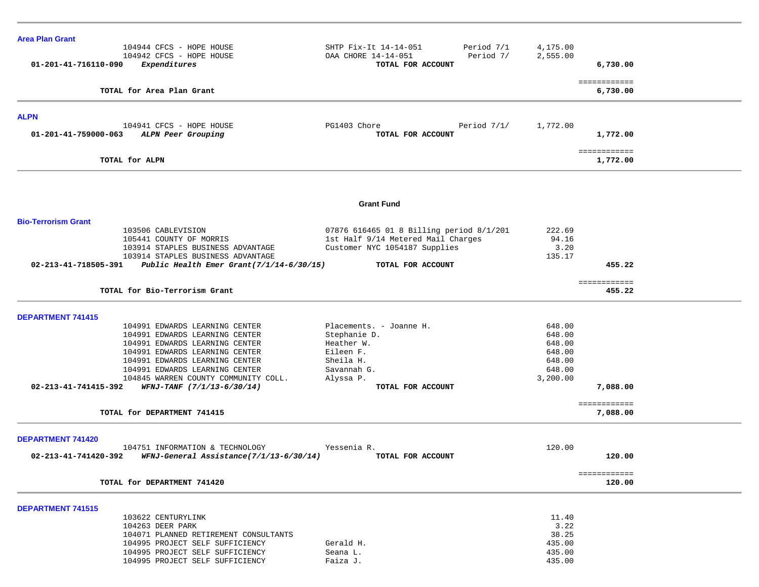| <b>Area Plan Grant</b>     |                                                                        |                                                       |                |                          |
|----------------------------|------------------------------------------------------------------------|-------------------------------------------------------|----------------|--------------------------|
|                            | 104944 CFCS - HOPE HOUSE                                               | Period 7/1<br>SHTP Fix-It 14-14-051                   | 4,175.00       |                          |
| 01-201-41-716110-090       | 104942 CFCS - HOPE HOUSE<br>Expenditures                               | Period 7/<br>OAA CHORE 14-14-051<br>TOTAL FOR ACCOUNT | 2,555.00       | 6,730.00                 |
|                            |                                                                        |                                                       |                |                          |
|                            | TOTAL for Area Plan Grant                                              |                                                       |                | ============<br>6,730.00 |
|                            |                                                                        |                                                       |                |                          |
| <b>ALPN</b>                |                                                                        |                                                       |                |                          |
| 01-201-41-759000-063       | 104941 CFCS - HOPE HOUSE<br>ALPN Peer Grouping                         | PG1403 Chore<br>Period $7/1/$<br>TOTAL FOR ACCOUNT    | 1,772.00       | 1,772.00                 |
|                            |                                                                        |                                                       |                |                          |
|                            | TOTAL for ALPN                                                         |                                                       |                | ============<br>1,772.00 |
|                            |                                                                        |                                                       |                |                          |
|                            |                                                                        |                                                       |                |                          |
|                            |                                                                        | <b>Grant Fund</b>                                     |                |                          |
| <b>Bio-Terrorism Grant</b> |                                                                        |                                                       |                |                          |
|                            | 103506 CABLEVISION                                                     | 07876 616465 01 8 Billing period 8/1/201              | 222.69         |                          |
|                            | 105441 COUNTY OF MORRIS                                                | 1st Half 9/14 Metered Mail Charges                    | 94.16          |                          |
|                            | 103914 STAPLES BUSINESS ADVANTAGE<br>103914 STAPLES BUSINESS ADVANTAGE | Customer NYC 1054187 Supplies                         | 3.20<br>135.17 |                          |
| 02-213-41-718505-391       | Public Health Emer Grant $(7/1/14-6/30/15)$                            | TOTAL FOR ACCOUNT                                     |                | 455.22                   |
|                            |                                                                        |                                                       |                |                          |
|                            | TOTAL for Bio-Terrorism Grant                                          |                                                       |                | ============<br>455.22   |
|                            |                                                                        |                                                       |                |                          |
| <b>DEPARTMENT 741415</b>   | 104991 EDWARDS LEARNING CENTER                                         | Placements. - Joanne H.                               | 648.00         |                          |
|                            | 104991 EDWARDS LEARNING CENTER                                         | Stephanie D.                                          | 648.00         |                          |
|                            | 104991 EDWARDS LEARNING CENTER                                         | Heather W.                                            | 648.00         |                          |
|                            | 104991 EDWARDS LEARNING CENTER                                         | Eileen F.                                             | 648.00         |                          |
|                            | 104991 EDWARDS LEARNING CENTER                                         | Sheila H.                                             | 648.00         |                          |
|                            | 104991 EDWARDS LEARNING CENTER                                         | Savannah G.                                           | 648.00         |                          |
|                            | 104845 WARREN COUNTY COMMUNITY COLL.                                   | Alyssa P.                                             | 3,200.00       |                          |
| 02-213-41-741415-392       | WFNJ-TANF (7/1/13-6/30/14)                                             | TOTAL FOR ACCOUNT                                     |                | 7,088.00                 |
|                            |                                                                        |                                                       |                | ============             |
|                            | TOTAL for DEPARTMENT 741415                                            |                                                       |                | 7,088.00                 |
| <b>DEPARTMENT 741420</b>   |                                                                        |                                                       |                |                          |
|                            | 104751 INFORMATION & TECHNOLOGY                                        | Yessenia R.                                           | 120.00         |                          |
| 02-213-41-741420-392       | WFNJ-General Assistance(7/1/13-6/30/14)                                | TOTAL FOR ACCOUNT                                     |                | 120.00                   |
|                            |                                                                        |                                                       |                | ============             |
|                            | TOTAL for DEPARTMENT 741420                                            |                                                       |                | 120.00                   |
| <b>DEPARTMENT 741515</b>   |                                                                        |                                                       |                |                          |
|                            | 103622 CENTURYLINK                                                     |                                                       | 11.40          |                          |
|                            | 104263 DEER PARK                                                       |                                                       | 3.22           |                          |
|                            | 104071 PLANNED RETIREMENT CONSULTANTS                                  |                                                       | 38.25          |                          |
|                            | 104995 PROJECT SELF SUFFICIENCY                                        | Gerald H.                                             | 435.00         |                          |
|                            | 104995 PROJECT SELF SUFFICIENCY                                        | Seana L.                                              | 435.00         |                          |
|                            | 104995 PROJECT SELF SUFFICIENCY                                        | Faiza J.                                              | 435.00         |                          |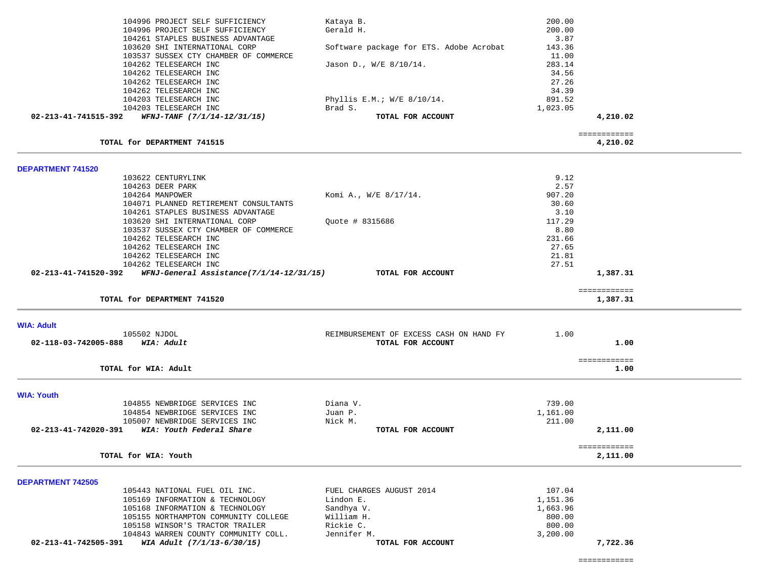|                          | 104996 PROJECT SELF SUFFICIENCY<br>104996 PROJECT SELF SUFFICIENCY<br>104261 STAPLES BUSINESS ADVANTAGE | Kataya B.<br>Gerald H.                  | 200.00<br>200.00<br>3.87 |                          |  |
|--------------------------|---------------------------------------------------------------------------------------------------------|-----------------------------------------|--------------------------|--------------------------|--|
|                          | 103620 SHI INTERNATIONAL CORP                                                                           | Software package for ETS. Adobe Acrobat | 143.36                   |                          |  |
|                          | 103537 SUSSEX CTY CHAMBER OF COMMERCE                                                                   |                                         | 11.00                    |                          |  |
|                          | 104262 TELESEARCH INC<br>104262 TELESEARCH INC                                                          | Jason D., W/E 8/10/14.                  | 283.14<br>34.56          |                          |  |
|                          | 104262 TELESEARCH INC                                                                                   |                                         | 27.26                    |                          |  |
|                          | 104262 TELESEARCH INC                                                                                   |                                         | 34.39                    |                          |  |
|                          | 104203 TELESEARCH INC<br>104203 TELESEARCH INC                                                          | Phyllis E.M.; $W/E$ 8/10/14.<br>Brad S. | 891.52<br>1,023.05       |                          |  |
|                          | 02-213-41-741515-392 WFNJ-TANF $(7/1/14 - 12/31/15)$                                                    | TOTAL FOR ACCOUNT                       |                          | 4,210.02                 |  |
|                          | TOTAL for DEPARTMENT 741515                                                                             |                                         |                          | ============<br>4,210.02 |  |
| <b>DEPARTMENT 741520</b> |                                                                                                         |                                         |                          |                          |  |
|                          | 103622 CENTURYLINK                                                                                      |                                         | 9.12                     |                          |  |
|                          | 104263 DEER PARK                                                                                        |                                         | 2.57                     |                          |  |
|                          | 104264 MANPOWER                                                                                         | Komi A., W/E 8/17/14.                   | 907.20                   |                          |  |
|                          | 104071 PLANNED RETIREMENT CONSULTANTS<br>104261 STAPLES BUSINESS ADVANTAGE                              |                                         | 30.60<br>3.10            |                          |  |
|                          | 103620 SHI INTERNATIONAL CORP                                                                           | Quote # 8315686                         | 117.29                   |                          |  |
|                          | 103537 SUSSEX CTY CHAMBER OF COMMERCE                                                                   |                                         | 8.80                     |                          |  |
|                          | 104262 TELESEARCH INC                                                                                   |                                         | 231.66                   |                          |  |
|                          | 104262 TELESEARCH INC<br>104262 TELESEARCH INC                                                          |                                         | 27.65<br>21.81           |                          |  |
|                          | 104262 TELESEARCH INC                                                                                   |                                         | 27.51                    |                          |  |
|                          | $02 - 213 - 41 - 741520 - 392$ WFNJ-General Assistance(7/1/14-12/31/15)                                 | TOTAL FOR ACCOUNT                       |                          | 1,387.31                 |  |
|                          | TOTAL for DEPARTMENT 741520                                                                             |                                         |                          | ============<br>1,387.31 |  |
|                          |                                                                                                         |                                         |                          |                          |  |
| <b>WIA: Adult</b>        | 105502 NJDOL                                                                                            | REIMBURSEMENT OF EXCESS CASH ON HAND FY | 1.00                     |                          |  |
| 02-118-03-742005-888     | WIA: Adult                                                                                              | TOTAL FOR ACCOUNT                       |                          | 1.00                     |  |
|                          |                                                                                                         |                                         |                          |                          |  |
|                          | TOTAL for WIA: Adult                                                                                    |                                         |                          | ============<br>1.00     |  |
|                          |                                                                                                         |                                         |                          |                          |  |
| <b>WIA: Youth</b>        |                                                                                                         |                                         |                          |                          |  |
|                          | 104855 NEWBRIDGE SERVICES INC<br>104854 NEWBRIDGE SERVICES INC                                          | Diana V.<br>Juan P.                     | 739.00<br>1,161.00       |                          |  |
|                          | 105007 NEWBRIDGE SERVICES INC                                                                           | Nick M.                                 | 211.00                   |                          |  |
| 02-213-41-742020-391     | WIA: Youth Federal Share                                                                                | TOTAL FOR ACCOUNT                       |                          | 2,111.00                 |  |
|                          | TOTAL for WIA: Youth                                                                                    |                                         |                          | ============<br>2,111.00 |  |
|                          |                                                                                                         |                                         |                          |                          |  |
| <b>DEPARTMENT 742505</b> |                                                                                                         |                                         |                          |                          |  |
|                          | 105443 NATIONAL FUEL OIL INC.<br>105169 INFORMATION & TECHNOLOGY                                        | FUEL CHARGES AUGUST 2014<br>Lindon E.   | 107.04<br>1,151.36       |                          |  |
|                          | 105168 INFORMATION & TECHNOLOGY                                                                         | Sandhya V.                              | 1,663.96                 |                          |  |
|                          | 105155 NORTHAMPTON COMMUNITY COLLEGE                                                                    | William H.                              | 800.00                   |                          |  |
|                          | 105158 WINSOR'S TRACTOR TRAILER                                                                         | Rickie C.                               | 800.00                   |                          |  |
| 02-213-41-742505-391     | 104843 WARREN COUNTY COMMUNITY COLL.<br>WIA Adult (7/1/13-6/30/15)                                      | Jennifer M.<br>TOTAL FOR ACCOUNT        | 3,200.00                 | 7,722.36                 |  |
|                          |                                                                                                         |                                         |                          |                          |  |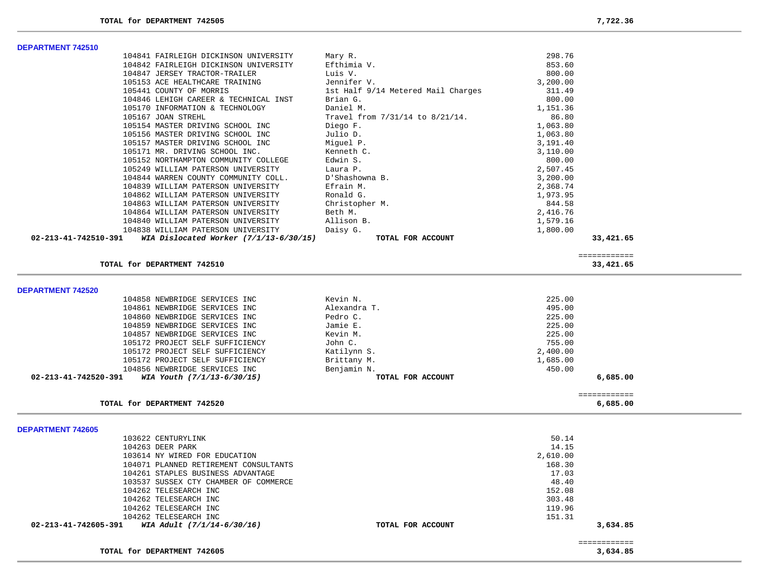**DEPARTMENT 742510** 

| 104841 FAIRLEIGH DICKINSON UNIVERSITY                       | Mary R.                            | 298.76   |              |
|-------------------------------------------------------------|------------------------------------|----------|--------------|
| 104842 FAIRLEIGH DICKINSON UNIVERSITY                       | Efthimia V.                        | 853.60   |              |
| 104847 JERSEY TRACTOR-TRAILER                               | Luis V.                            | 800.00   |              |
| 105153 ACE HEALTHCARE TRAINING                              | Jennifer V.                        | 3,200.00 |              |
| 105441 COUNTY OF MORRIS                                     | 1st Half 9/14 Metered Mail Charges | 311.49   |              |
| 104846 LEHIGH CAREER & TECHNICAL INST                       | Brian G.                           | 800.00   |              |
| 105170 INFORMATION & TECHNOLOGY                             | Daniel M.                          | 1,151.36 |              |
| 105167 JOAN STREHL                                          | Travel from 7/31/14 to 8/21/14.    | 86.80    |              |
| 105154 MASTER DRIVING SCHOOL INC                            | Diego F.                           | 1,063.80 |              |
| 105156 MASTER DRIVING SCHOOL INC                            | Julio D.                           | 1,063.80 |              |
| 105157 MASTER DRIVING SCHOOL INC                            | Miguel P.                          | 3,191.40 |              |
| 105171 MR. DRIVING SCHOOL INC.                              | Kenneth C.                         | 3,110.00 |              |
| 105152 NORTHAMPTON COMMUNITY COLLEGE                        | Edwin S.                           | 800.00   |              |
| 105249 WILLIAM PATERSON UNIVERSITY                          | Laura P.                           | 2,507.45 |              |
| 104844 WARREN COUNTY COMMUNITY COLL.                        | D'Shashowna B.                     | 3,200.00 |              |
| 104839 WILLIAM PATERSON UNIVERSITY                          | Efrain M.                          | 2,368.74 |              |
| 104862 WILLIAM PATERSON UNIVERSITY                          | Ronald G.                          | 1,973.95 |              |
| 104863 WILLIAM PATERSON UNIVERSITY                          | Christopher M.                     | 844.58   |              |
| 104864 WILLIAM PATERSON UNIVERSITY                          | Beth M.                            | 2,416.76 |              |
| 104840 WILLIAM PATERSON UNIVERSITY                          | Allison B.                         | 1,579.16 |              |
| 104838 WILLIAM PATERSON UNIVERSITY                          | Daisy G.                           | 1,800.00 |              |
| 02-213-41-742510-391 WIA Dislocated Worker (7/1/13-6/30/15) | TOTAL FOR ACCOUNT                  |          | 33,421.65    |
|                                                             |                                    |          |              |
|                                                             |                                    |          | ============ |
| TOTAL for DEPARTMENT 742510                                 |                                    |          | 33,421.65    |
|                                                             |                                    |          |              |
|                                                             |                                    |          |              |
| <b>DEPARTMENT 742520</b>                                    |                                    |          |              |
| 104858 NEWBRIDGE SERVICES INC                               | Kevin N.                           | 225.00   |              |
| 104861 NEWBRIDGE SERVICES INC                               | Alexandra T.                       | 495.00   |              |
| 104860 NEWBRIDGE SERVICES INC                               | Pedro C.                           | 225.00   |              |
| 104859 NEWBRIDGE SERVICES INC                               | Jamie E.                           | 225.00   |              |
| 104857 NEWBRIDGE SERVICES INC                               | Kevin M.                           | 225.00   |              |
| 105172 PROJECT SELF SUFFICIENCY                             | John C.                            | 755.00   |              |
| 105172 PROJECT SELF SUFFICIENCY                             | Katilynn S.                        | 2,400.00 |              |
| 105172 PROJECT SELF SUFFICIENCY                             | Brittany M.                        | 1,685.00 |              |
| 104856 NEWBRIDGE SERVICES INC                               | Benjamin N.                        | 450.00   |              |
| 02-213-41-742520-391<br>WIA Youth (7/1/13-6/30/15)          | TOTAL FOR ACCOUNT                  |          | 6,685.00     |
|                                                             |                                    |          | ============ |
| TOTAL for DEPARTMENT 742520                                 |                                    |          | 6,685.00     |
|                                                             |                                    |          |              |
| <b>DEPARTMENT 742605</b>                                    |                                    |          |              |
| 103622 CENTURYLINK                                          |                                    | 50.14    |              |
| 104263 DEER PARK                                            |                                    | 14.15    |              |
| 103614 NY WIRED FOR EDUCATION                               |                                    | 2,610.00 |              |
| 104071 PLANNED RETIREMENT CONSULTANTS                       |                                    | 168.30   |              |
| 104261 STAPLES BUSINESS ADVANTAGE                           |                                    | 17.03    |              |
| 103537 SUSSEX CTY CHAMBER OF COMMERCE                       |                                    | 48.40    |              |
| 104262 TELESEARCH INC                                       |                                    | 152.08   |              |
| 104262 TELESEARCH INC                                       |                                    | 303.48   |              |
| 104262 TELESEARCH INC                                       |                                    | 119.96   |              |
| 104262 TELESEARCH INC                                       |                                    | 151.31   |              |
| 02-213-41-742605-391<br>WIA Adult (7/1/14-6/30/16)          | TOTAL FOR ACCOUNT                  |          | 3,634.85     |
|                                                             |                                    |          | ============ |
| TOTAL for DEPARTMENT 742605                                 |                                    |          | 3.634.85     |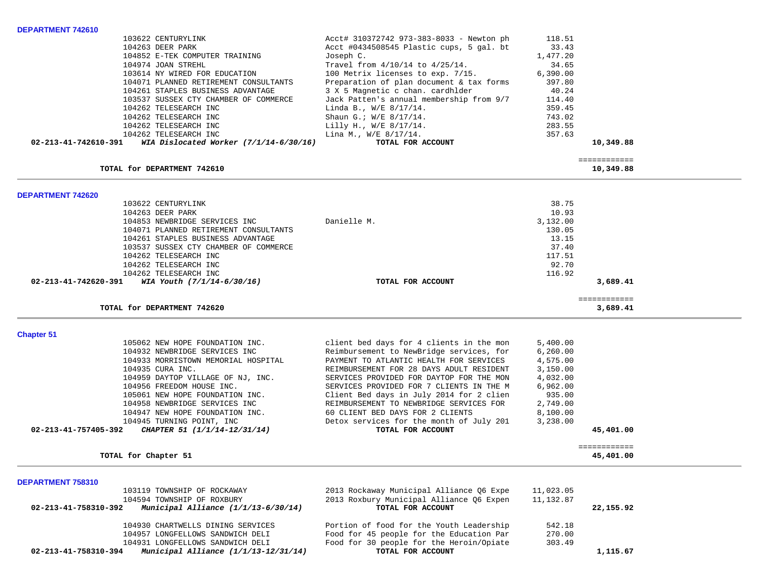| DEPARTMENT 742610                                                     |                                                                                      |                  |              |  |
|-----------------------------------------------------------------------|--------------------------------------------------------------------------------------|------------------|--------------|--|
| 103622 CENTURYLINK                                                    | Acct# 310372742 973-383-8033 - Newton ph                                             | 118.51           |              |  |
| 104263 DEER PARK                                                      | Acct #0434508545 Plastic cups, 5 gal. bt                                             | 33.43            |              |  |
| 104852 E-TEK COMPUTER TRAINING                                        | Joseph C.                                                                            | 1,477.20         |              |  |
| 104974 JOAN STREHL                                                    | Travel from 4/10/14 to 4/25/14.                                                      | 34.65            |              |  |
|                                                                       |                                                                                      | 6,390.00         |              |  |
| 103614 NY WIRED FOR EDUCATION                                         | 100 Metrix licenses to exp. 7/15.                                                    |                  |              |  |
| 104071 PLANNED RETIREMENT CONSULTANTS                                 | Preparation of plan document & tax forms                                             | 397.80           |              |  |
| 104261 STAPLES BUSINESS ADVANTAGE                                     | 3 X 5 Magnetic c chan. cardhlder                                                     | 40.24            |              |  |
| 103537 SUSSEX CTY CHAMBER OF COMMERCE                                 | Jack Patten's annual membership from 9/7                                             | 114.40           |              |  |
| 104262 TELESEARCH INC                                                 | Linda B., W/E 8/17/14.                                                               | 359.45           |              |  |
| 104262 TELESEARCH INC                                                 | Shaun G.; W/E 8/17/14.                                                               | 743.02           |              |  |
| 104262 TELESEARCH INC                                                 | Lilly H., W/E 8/17/14.                                                               | 283.55           |              |  |
| 104262 TELESEARCH INC                                                 | Lina M., W/E 8/17/14.                                                                | 357.63           |              |  |
| WIA Dislocated Worker $(7/1/14-6/30/16)$<br>02-213-41-742610-391      | TOTAL FOR ACCOUNT                                                                    |                  | 10,349.88    |  |
|                                                                       |                                                                                      |                  |              |  |
|                                                                       |                                                                                      |                  | ============ |  |
| TOTAL for DEPARTMENT 742610                                           |                                                                                      |                  | 10,349.88    |  |
|                                                                       |                                                                                      |                  |              |  |
| DEPARTMENT 742620                                                     |                                                                                      |                  |              |  |
| 103622 CENTURYLINK                                                    |                                                                                      | 38.75            |              |  |
| 104263 DEER PARK                                                      |                                                                                      | 10.93            |              |  |
| 104853 NEWBRIDGE SERVICES INC                                         | Danielle M.                                                                          | 3,132.00         |              |  |
| 104071 PLANNED RETIREMENT CONSULTANTS                                 |                                                                                      | 130.05           |              |  |
| 104261 STAPLES BUSINESS ADVANTAGE                                     |                                                                                      | 13.15            |              |  |
| 103537 SUSSEX CTY CHAMBER OF COMMERCE                                 |                                                                                      | 37.40            |              |  |
| 104262 TELESEARCH INC                                                 |                                                                                      | 117.51           |              |  |
| 104262 TELESEARCH INC                                                 |                                                                                      | 92.70            |              |  |
| 104262 TELESEARCH INC                                                 |                                                                                      | 116.92           |              |  |
| 02-213-41-742620-391<br>WIA Youth $(7/1/14-6/30/16)$                  | TOTAL FOR ACCOUNT                                                                    |                  | 3,689.41     |  |
|                                                                       |                                                                                      |                  |              |  |
|                                                                       |                                                                                      |                  | ============ |  |
| TOTAL for DEPARTMENT 742620                                           |                                                                                      |                  | 3,689.41     |  |
|                                                                       |                                                                                      |                  |              |  |
| <b>Chapter 51</b>                                                     |                                                                                      |                  |              |  |
| 105062 NEW HOPE FOUNDATION INC.                                       | client bed days for 4 clients in the mon                                             | 5,400.00         |              |  |
| 104932 NEWBRIDGE SERVICES INC                                         | Reimbursement to NewBridge services, for                                             | 6, 260.00        |              |  |
| 104933 MORRISTOWN MEMORIAL HOSPITAL                                   | PAYMENT TO ATLANTIC HEALTH FOR SERVICES                                              | 4,575.00         |              |  |
| 104935 CURA INC.                                                      | REIMBURSEMENT FOR 28 DAYS ADULT RESIDENT                                             | 3,150.00         |              |  |
| 104959 DAYTOP VILLAGE OF NJ, INC.                                     | SERVICES PROVIDED FOR DAYTOP FOR THE MON                                             | 4,032.00         |              |  |
| 104956 FREEDOM HOUSE INC.                                             | SERVICES PROVIDED FOR 7 CLIENTS IN THE M                                             | 6,962.00         |              |  |
| 105061 NEW HOPE FOUNDATION INC.                                       | Client Bed days in July 2014 for 2 clien                                             | 935.00           |              |  |
| 104958 NEWBRIDGE SERVICES INC                                         | REIMBURSEMENT TO NEWBRIDGE SERVICES FOR                                              | 2,749.00         |              |  |
| 104947 NEW HOPE FOUNDATION INC.                                       | 60 CLIENT BED DAYS FOR 2 CLIENTS                                                     | 8,100.00         |              |  |
|                                                                       |                                                                                      |                  |              |  |
| 104945 TURNING POINT, INC                                             | Detox services for the month of July 201                                             | 3,238.00         |              |  |
| 02-213-41-757405-392<br>CHAPTER 51 (1/1/14-12/31/14)                  | TOTAL FOR ACCOUNT                                                                    |                  | 45,401.00    |  |
|                                                                       |                                                                                      |                  | ============ |  |
| TOTAL for Chapter 51                                                  |                                                                                      |                  | 45,401.00    |  |
|                                                                       |                                                                                      |                  |              |  |
| DEPARTMENT 758310                                                     |                                                                                      |                  |              |  |
| 103119 TOWNSHIP OF ROCKAWAY                                           | 2013 Rockaway Municipal Alliance Q6 Expe                                             | 11,023.05        |              |  |
| 104594 TOWNSHIP OF ROXBURY                                            |                                                                                      |                  |              |  |
|                                                                       | 2013 Roxbury Municipal Alliance Q6 Expen                                             | 11,132.87        |              |  |
| Municipal Alliance (1/1/13-6/30/14)<br>02-213-41-758310-392           | TOTAL FOR ACCOUNT                                                                    |                  | 22,155.92    |  |
|                                                                       |                                                                                      |                  |              |  |
| 104930 CHARTWELLS DINING SERVICES<br>104957 LONGFELLOWS SANDWICH DELI | Portion of food for the Youth Leadership<br>Food for 45 people for the Education Par | 542.18<br>270.00 |              |  |

 **02-213-41-758310-394** *Municipal Alliance (1/1/13-12/31/14)* **TOTAL FOR ACCOUNT 1,115.67**

104931 LONGFELLOWS SANDWICH DELI Food for 30 people for the Heroin/Opiate 303.49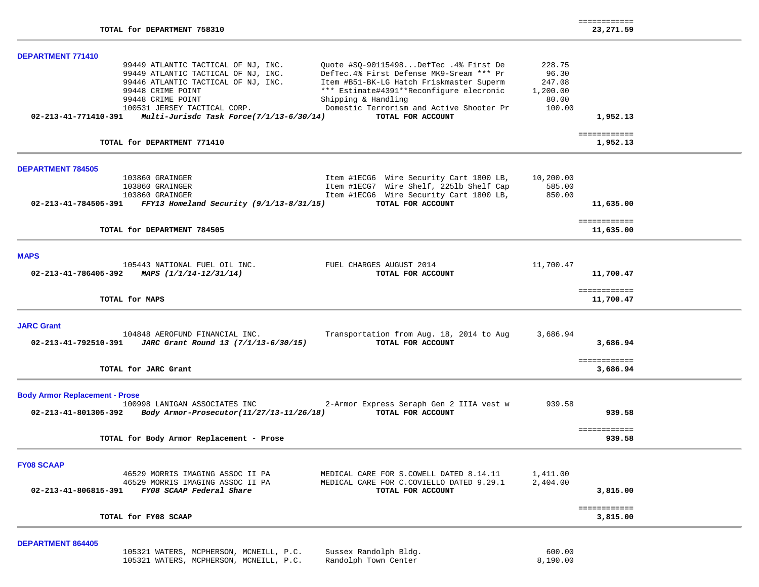| TOTAL for DEPARTMENT 758310                                                                                                                                                                                                                                                                                                                                                                                                                                                                                                          |                                                          | ============<br>23,271.59 |
|--------------------------------------------------------------------------------------------------------------------------------------------------------------------------------------------------------------------------------------------------------------------------------------------------------------------------------------------------------------------------------------------------------------------------------------------------------------------------------------------------------------------------------------|----------------------------------------------------------|---------------------------|
| <b>DEPARTMENT 771410</b>                                                                                                                                                                                                                                                                                                                                                                                                                                                                                                             |                                                          |                           |
| 99449 ATLANTIC TACTICAL OF NJ, INC.<br>Ouote #SO-90115498DefTec .4% First De<br>DefTec.4% First Defense MK9-Sream *** Pr<br>99449 ATLANTIC TACTICAL OF NJ, INC.<br>99446 ATLANTIC TACTICAL OF NJ, INC.<br>Item #B51-BK-LG Hatch Friskmaster Superm<br>*** Estimate#4391**Reconfigure elecronic<br>99448 CRIME POINT<br>99448 CRIME POINT<br>Shipping & Handling<br>Domestic Terrorism and Active Shooter Pr<br>100531 JERSEY TACTICAL CORP.<br>Multi-Jurisdc Task Force(7/1/13-6/30/14)<br>TOTAL FOR ACCOUNT<br>02-213-41-771410-391 | 228.75<br>96.30<br>247.08<br>1,200.00<br>80.00<br>100.00 | 1,952.13                  |
| TOTAL for DEPARTMENT 771410                                                                                                                                                                                                                                                                                                                                                                                                                                                                                                          |                                                          | ============<br>1,952.13  |
| <b>DEPARTMENT 784505</b>                                                                                                                                                                                                                                                                                                                                                                                                                                                                                                             |                                                          |                           |
| 103860 GRAINGER<br>Item #1ECG6 Wire Security Cart 1800 LB,<br>Item #1ECG7 Wire Shelf, 2251b Shelf Cap<br>103860 GRAINGER<br>Item #1ECG6 Wire Security Cart 1800 LB,<br>103860 GRAINGER<br>TOTAL FOR ACCOUNT<br>02-213-41-784505-391<br>$FFY13$ Homeland Security (9/1/13-8/31/15)                                                                                                                                                                                                                                                    | 10,200.00<br>585.00<br>850.00                            | 11,635.00                 |
| TOTAL for DEPARTMENT 784505                                                                                                                                                                                                                                                                                                                                                                                                                                                                                                          |                                                          | ============<br>11,635.00 |
| <b>MAPS</b>                                                                                                                                                                                                                                                                                                                                                                                                                                                                                                                          |                                                          |                           |
| 105443 NATIONAL FUEL OIL INC.<br>FUEL CHARGES AUGUST 2014<br>02-213-41-786405-392<br>MAPS (1/1/14-12/31/14)<br>TOTAL FOR ACCOUNT                                                                                                                                                                                                                                                                                                                                                                                                     | 11,700.47                                                | 11,700.47                 |
| TOTAL for MAPS                                                                                                                                                                                                                                                                                                                                                                                                                                                                                                                       |                                                          | ============<br>11,700.47 |
| <b>JARC Grant</b><br>104848 AEROFUND FINANCIAL INC.<br>Transportation from Aug. 18, 2014 to Aug                                                                                                                                                                                                                                                                                                                                                                                                                                      | 3,686.94                                                 | 3,686.94                  |
| TOTAL FOR ACCOUNT<br>02-213-41-792510-391<br>JARC Grant Round 13 (7/1/13-6/30/15)                                                                                                                                                                                                                                                                                                                                                                                                                                                    |                                                          |                           |
| TOTAL for JARC Grant                                                                                                                                                                                                                                                                                                                                                                                                                                                                                                                 |                                                          | ============<br>3,686.94  |
| 100998 LANIGAN ASSOCIATES INC<br>2-Armor Express Seraph Gen 2 IIIA vest w<br>TOTAL FOR ACCOUNT<br>02-213-41-801305-392<br>Body Armor-Prosecutor(11/27/13-11/26/18)                                                                                                                                                                                                                                                                                                                                                                   | 939.58                                                   | 939.58                    |
| TOTAL for Body Armor Replacement - Prose                                                                                                                                                                                                                                                                                                                                                                                                                                                                                             |                                                          | ============<br>939.58    |
| <b>Body Armor Replacement - Prose</b><br><b>FY08 SCAAP</b><br>46529 MORRIS IMAGING ASSOC II PA<br>MEDICAL CARE FOR S.COWELL DATED 8.14.11<br>46529 MORRIS IMAGING ASSOC II PA<br>MEDICAL CARE FOR C.COVIELLO DATED 9.29.1<br>FY08 SCAAP Federal Share<br>02-213-41-806815-391<br>TOTAL FOR ACCOUNT                                                                                                                                                                                                                                   | 1,411.00<br>2,404.00                                     | 3,815.00                  |

| 105321 WATERS, MCPHERSON, MCNEILL, P.C. | Sussex Randolph Bldg. | 600.00   |
|-----------------------------------------|-----------------------|----------|
| 105321 WATERS, MCPHERSON, MCNEILL, P.C. | Randolph Town Center  | 8,190.00 |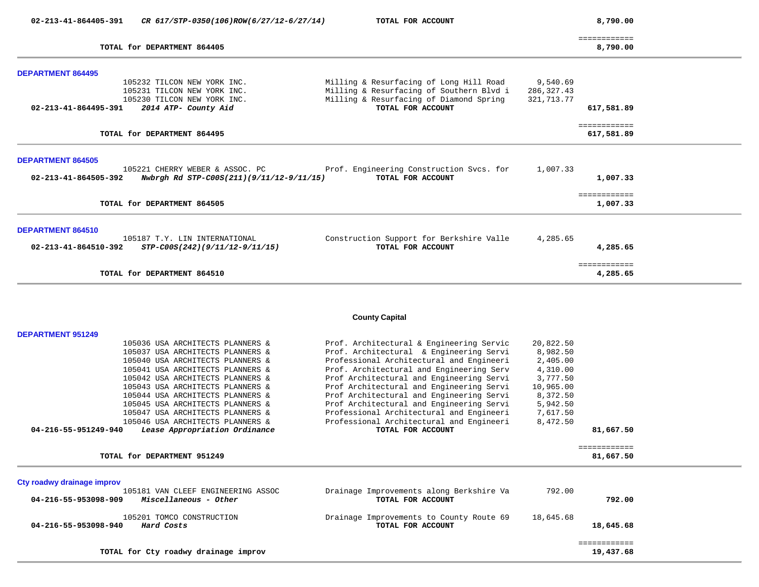| 02-213-41-864405-391     | CR 617/STP-0350(106)ROW(6/27/12-6/27/14)                             | TOTAL FOR ACCOUNT                                                                   | 8,790.00                   |  |
|--------------------------|----------------------------------------------------------------------|-------------------------------------------------------------------------------------|----------------------------|--|
|                          | TOTAL for DEPARTMENT 864405                                          |                                                                                     | ============<br>8,790.00   |  |
| <b>DEPARTMENT 864495</b> |                                                                      |                                                                                     |                            |  |
|                          | 105232 TILCON NEW YORK INC.                                          | Milling & Resurfacing of Long Hill Road                                             | 9,540.69                   |  |
|                          | 105231 TILCON NEW YORK INC.<br>105230 TILCON NEW YORK INC.           | Milling & Resurfacing of Southern Blvd i<br>Milling & Resurfacing of Diamond Spring | 286, 327.43<br>321,713.77  |  |
| 02-213-41-864495-391     | 2014 ATP- County Aid                                                 | TOTAL FOR ACCOUNT                                                                   | 617,581.89                 |  |
|                          | TOTAL for DEPARTMENT 864495                                          |                                                                                     | ============<br>617,581.89 |  |
|                          |                                                                      |                                                                                     |                            |  |
| <b>DEPARTMENT 864505</b> | 105221 CHERRY WEBER & ASSOC. PC                                      | Prof. Engineering Construction Svcs. for                                            | 1,007.33                   |  |
| 02-213-41-864505-392     | Nwbrgh Rd STP-C00S(211)(9/11/12-9/11/15)                             | TOTAL FOR ACCOUNT                                                                   | 1,007.33                   |  |
|                          |                                                                      |                                                                                     | ============               |  |
|                          | TOTAL for DEPARTMENT 864505                                          |                                                                                     | 1,007.33                   |  |
| <b>DEPARTMENT 864510</b> |                                                                      |                                                                                     |                            |  |
|                          | 105187 T.Y. LIN INTERNATIONAL                                        | Construction Support for Berkshire Valle                                            | 4,285.65                   |  |
| 02-213-41-864510-392     | STP-C00S(242)(9/11/12-9/11/15)                                       | TOTAL FOR ACCOUNT                                                                   | 4,285.65                   |  |
|                          | TOTAL for DEPARTMENT 864510                                          |                                                                                     | ============<br>4,285.65   |  |
|                          |                                                                      |                                                                                     |                            |  |
|                          |                                                                      | <b>County Capital</b>                                                               |                            |  |
| <b>DEPARTMENT 951249</b> |                                                                      |                                                                                     |                            |  |
|                          | 105036 USA ARCHITECTS PLANNERS &                                     | Prof. Architectural & Engineering Servic                                            | 20,822.50                  |  |
|                          | 105037 USA ARCHITECTS PLANNERS &<br>105040 USA ARCHITECTS PLANNERS & | Prof. Architectural & Engineering Servi<br>Professional Architectural and Engineeri | 8,982.50<br>2,405.00       |  |

**Cty roadwy drainage improv**

| 105181 VAN CLEEF ENGINEERING ASSOC<br>Miscellaneous - Other<br>04-216-55-953098-909 | Drainage Improvements along Berkshire Va<br>TOTAL FOR ACCOUNT | 792.00    | 792.00    |  |
|-------------------------------------------------------------------------------------|---------------------------------------------------------------|-----------|-----------|--|
| 105201 TOMCO CONSTRUCTION<br>04-216-55-953098-940<br>Hard Costs                     | Drainage Improvements to County Route 69<br>TOTAL FOR ACCOUNT | 18,645.68 | 18,645.68 |  |
| TOTAL for Cty roadwy drainage improv                                                |                                                               |           | 19,437.68 |  |

**TOTAL for DEPARTMENT 951249 81,667.50**

 **04-216-55-951249-940** *Lease Appropriation Ordinance* **TOTAL FOR ACCOUNT 81,667.50**

105041 USA ARCHITECTS PLANNERS & Prof. Architectural and Engineering Serv  $4,310.00$ <br>105042 USA ARCHITECTS PLANNERS & Prof Architectural and Engineering Servi 3,777.50 105042 USA ARCHITECTS PLANNERS & Prof Architectural and Engineering Servi 3,777.50<br>105043 USA ARCHITECTS PLANNERS & Prof Architectural and Engineering Servi 10,965.00 105043 USA ARCHITECTS PLANNERS & Prof Architectural and Engineering Servi 10,965.00<br>105044 USA ARCHITECTS PLANNERS & Prof Architectural and Engineering Servi 8,372.50 105044 USA ARCHITECTS PLANNERS & Prof Architectural and Engineering Servi 8,372.50<br>105045 USA ARCHITECTS PLANNERS & Prof Architectural and Engineering Servi 5,942.50 105045 USA ARCHITECTS PLANNERS & Prof Architectural and Engineering Servi 5,942.50<br>105047 USA ARCHITECTS PLANNERS & Professional Architectural and Engineeri 7,617.50 105047 USA ARCHITECTS PLANNERS & Professional Architectural and Engineeri 7,617.50

============

105046 USA ARCHITECTS PLANNERS & Professional Architectural and Engineeri<br>104-216-55-951249-940 Lease Appropriation Ordinance TOTAL FOR ACCOUNT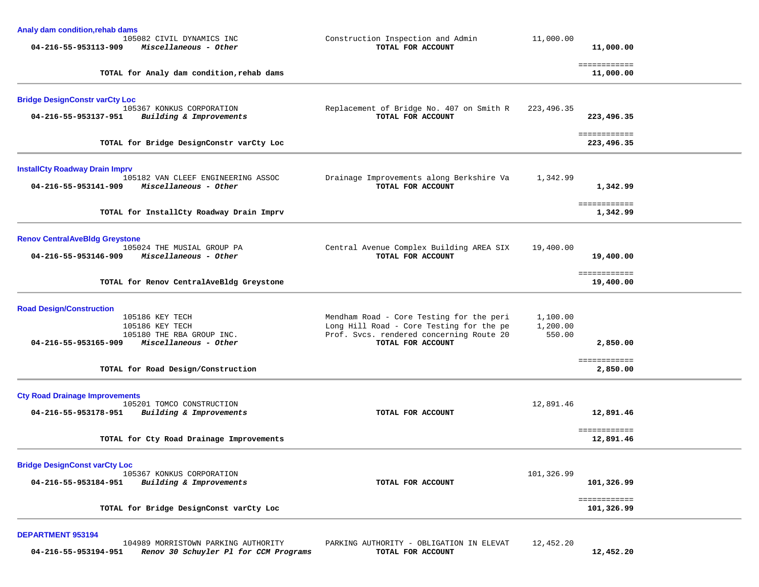| Analy dam condition, rehab dams<br>105082 CIVIL DYNAMICS INC<br>04-216-55-953113-909<br>Miscellaneous - Other                                                                             | Construction Inspection and Admin<br>TOTAL FOR ACCOUNT                                                                                                | 11,000.00<br>11,000.00                                                 |
|-------------------------------------------------------------------------------------------------------------------------------------------------------------------------------------------|-------------------------------------------------------------------------------------------------------------------------------------------------------|------------------------------------------------------------------------|
| TOTAL for Analy dam condition, rehab dams                                                                                                                                                 |                                                                                                                                                       | ============<br>11,000.00                                              |
| <b>Bridge DesignConstr varCty Loc</b><br>105367 KONKUS CORPORATION<br>04-216-55-953137-951<br>Building & Improvements<br>TOTAL for Bridge DesignConstr varCty Loc                         | Replacement of Bridge No. 407 on Smith R<br>TOTAL FOR ACCOUNT                                                                                         | 223, 496.35<br>223,496.35<br>============<br>223,496.35                |
| <b>InstallCty Roadway Drain Imprv</b><br>105182 VAN CLEEF ENGINEERING ASSOC<br>04-216-55-953141-909<br>Miscellaneous - Other<br>TOTAL for InstallCty Roadway Drain Imprv                  | Drainage Improvements along Berkshire Va<br>TOTAL FOR ACCOUNT                                                                                         | 1,342.99<br>1,342.99<br>============<br>1,342.99                       |
| <b>Renov Central AveBldg Greystone</b><br>105024 THE MUSIAL GROUP PA<br>04-216-55-953146-909<br>Miscellaneous - Other<br>TOTAL for Renov CentralAveBldg Greystone                         | Central Avenue Complex Building AREA SIX<br>TOTAL FOR ACCOUNT                                                                                         | 19,400.00<br>19,400.00<br>============<br>19,400.00                    |
| <b>Road Design/Construction</b><br>105186 KEY TECH<br>105186 KEY TECH<br>105180 THE RBA GROUP INC.<br>Miscellaneous - Other<br>04-216-55-953165-909<br>TOTAL for Road Design/Construction | Mendham Road - Core Testing for the peri<br>Long Hill Road - Core Testing for the pe<br>Prof. Svcs. rendered concerning Route 20<br>TOTAL FOR ACCOUNT | 1,100.00<br>1,200.00<br>550.00<br>2,850.00<br>============<br>2,850.00 |
| <b>Cty Road Drainage Improvements</b><br>105201 TOMCO CONSTRUCTION<br>04-216-55-953178-951<br>Building & Improvements<br>TOTAL for Cty Road Drainage Improvements                         | TOTAL FOR ACCOUNT                                                                                                                                     | 12,891.46<br>12,891.46<br>============<br>12,891.46                    |
| <b>Bridge DesignConst varCty Loc</b><br>105367 KONKUS CORPORATION<br>Building & Improvements<br>04-216-55-953184-951<br>TOTAL for Bridge DesignConst varCty Loc                           | TOTAL FOR ACCOUNT                                                                                                                                     | 101,326.99<br>101,326.99<br>============<br>101,326.99                 |

## **DEPARTMENT 953194**

 104989 MORRISTOWN PARKING AUTHORITY PARKING AUTHORITY - OBLIGATION IN ELEVAT 12,452.20  **04-216-55-953194-951** *Renov 30 Schuyler Pl for CCM Programs* **TOTAL FOR ACCOUNT 12,452.20**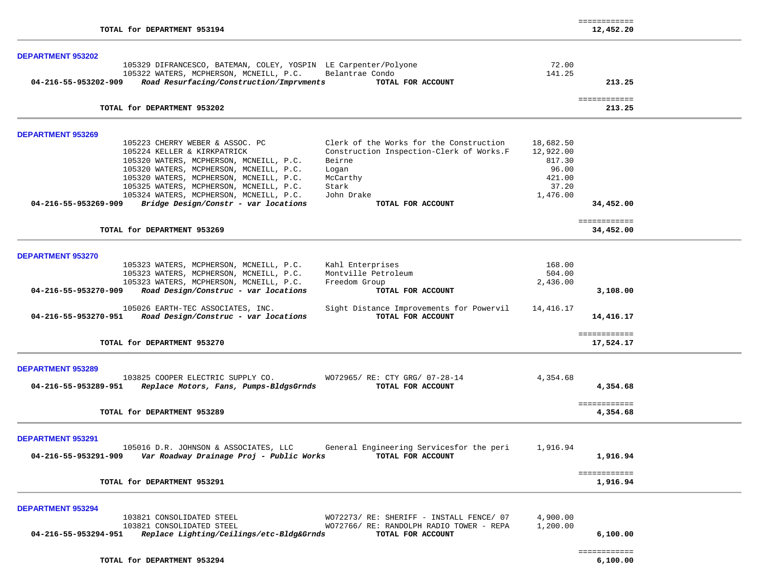| TOTAL for DEPARTMENT 953194                                                                                                                                        |                        | ============<br>12,452.20 |
|--------------------------------------------------------------------------------------------------------------------------------------------------------------------|------------------------|---------------------------|
| <b>DEPARTMENT 953202</b>                                                                                                                                           |                        |                           |
| 105329 DIFRANCESCO, BATEMAN, COLEY, YOSPIN LE Carpenter/Polyone                                                                                                    | 72.00                  |                           |
| 105322 WATERS, MCPHERSON, MCNEILL, P.C.<br>Belantrae Condo                                                                                                         | 141.25                 |                           |
| Road Resurfacing/Construction/Imprvments<br>04-216-55-953202-909<br>TOTAL FOR ACCOUNT                                                                              |                        | 213.25                    |
| TOTAL for DEPARTMENT 953202                                                                                                                                        |                        | eessessesses<br>213.25    |
|                                                                                                                                                                    |                        |                           |
| <b>DEPARTMENT 953269</b>                                                                                                                                           |                        |                           |
| 105223 CHERRY WEBER & ASSOC. PC<br>Clerk of the Works for the Construction<br>105224 KELLER & KIRKPATRICK                                                          | 18,682.50<br>12,922.00 |                           |
| Construction Inspection-Clerk of Works.F<br>105320 WATERS, MCPHERSON, MCNEILL, P.C.<br>Beirne                                                                      | 817.30                 |                           |
| 105320 WATERS, MCPHERSON, MCNEILL, P.C.<br>Logan                                                                                                                   | 96.00                  |                           |
| 105320 WATERS, MCPHERSON, MCNEILL, P.C.<br>McCarthy                                                                                                                | 421.00                 |                           |
| 105325 WATERS, MCPHERSON, MCNEILL, P.C.<br>Stark                                                                                                                   | 37.20                  |                           |
| 105324 WATERS, MCPHERSON, MCNEILL, P.C.<br>John Drake                                                                                                              | 1,476.00               |                           |
| Bridge Design/Constr - var locations<br>04-216-55-953269-909<br>TOTAL FOR ACCOUNT                                                                                  |                        | 34,452.00                 |
|                                                                                                                                                                    |                        | ============              |
| TOTAL for DEPARTMENT 953269                                                                                                                                        |                        | 34,452.00                 |
| <b>DEPARTMENT 953270</b>                                                                                                                                           |                        |                           |
| 105323 WATERS, MCPHERSON, MCNEILL, P.C.<br>Kahl Enterprises                                                                                                        | 168.00                 |                           |
| 105323 WATERS, MCPHERSON, MCNEILL, P.C.<br>Montville Petroleum                                                                                                     | 504.00                 |                           |
| 105323 WATERS, MCPHERSON, MCNEILL, P.C.<br>Freedom Group                                                                                                           | 2,436.00               |                           |
| Road Design/Construc - var locations<br>04-216-55-953270-909<br>TOTAL FOR ACCOUNT                                                                                  |                        | 3,108.00                  |
| 105026 EARTH-TEC ASSOCIATES, INC.<br>Sight Distance Improvements for Powervil<br>Road Design/Construc - var locations<br>TOTAL FOR ACCOUNT<br>04-216-55-953270-951 | 14,416.17              | 14,416.17                 |
|                                                                                                                                                                    |                        | ============              |
| TOTAL for DEPARTMENT 953270                                                                                                                                        |                        | 17,524.17                 |
| <b>DEPARTMENT 953289</b>                                                                                                                                           |                        |                           |
| 103825 COOPER ELECTRIC SUPPLY CO.<br>WO72965/ RE: CTY GRG/ 07-28-14                                                                                                | 4,354.68               |                           |
| Replace Motors, Fans, Pumps-BldgsGrnds<br>04-216-55-953289-951<br>TOTAL FOR ACCOUNT                                                                                |                        | 4,354.68                  |
|                                                                                                                                                                    |                        | ============              |
| TOTAL for DEPARTMENT 953289                                                                                                                                        |                        | 4,354.68                  |
| <b>DEPARTMENT 953291</b>                                                                                                                                           |                        |                           |
| 105016 D.R. JOHNSON & ASSOCIATES, LLC<br>General Engineering Servicesfor the peri                                                                                  | 1,916.94               |                           |
| Var Roadway Drainage Proj - Public Works<br>TOTAL FOR ACCOUNT<br>04-216-55-953291-909                                                                              |                        | 1,916.94                  |
| TOTAL for DEPARTMENT 953291                                                                                                                                        |                        | ============<br>1,916.94  |
|                                                                                                                                                                    |                        |                           |
| <b>DEPARTMENT 953294</b>                                                                                                                                           |                        |                           |
| 103821 CONSOLIDATED STEEL<br>WO72273/ RE: SHERIFF - INSTALL FENCE/ 07                                                                                              | 4,900.00               |                           |
| 103821 CONSOLIDATED STEEL<br>WO72766/ RE: RANDOLPH RADIO TOWER - REPA                                                                                              | 1,200.00               |                           |
| Replace Lighting/Ceilings/etc-Bldg&Grnds<br>04-216-55-953294-951<br>TOTAL FOR ACCOUNT                                                                              |                        | 6,100.00                  |
| TOTAL for DEPARTMENT 953294                                                                                                                                        |                        | ============              |
|                                                                                                                                                                    |                        | 6,100.00                  |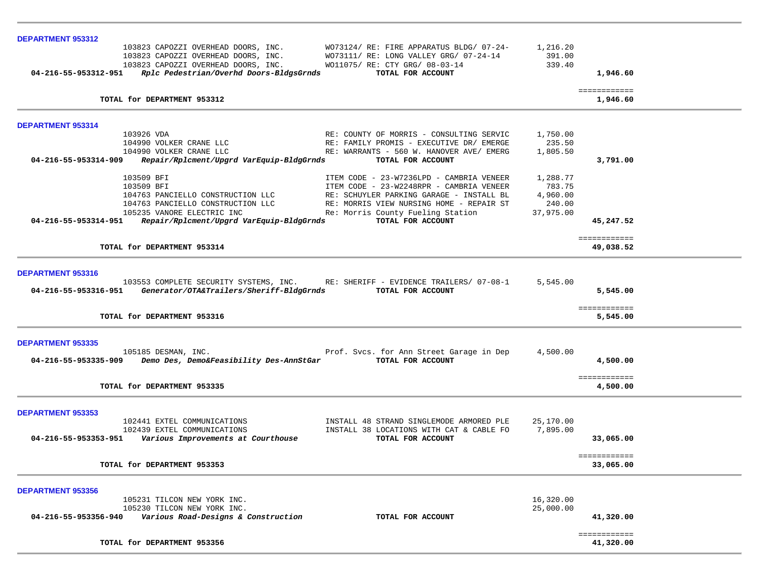| <b>DEPARTMENT 953312</b>                                                                                                                                      |           |                                |  |
|---------------------------------------------------------------------------------------------------------------------------------------------------------------|-----------|--------------------------------|--|
| 103823 CAPOZZI OVERHEAD DOORS, INC.<br>WO73124/ RE: FIRE APPARATUS BLDG/ 07-24-                                                                               | 1,216.20  |                                |  |
| 103823 CAPOZZI OVERHEAD DOORS, INC.<br>WO73111/ RE: LONG VALLEY GRG/ 07-24-14                                                                                 | 391.00    |                                |  |
| 103823 CAPOZZI OVERHEAD DOORS, INC.<br>WO11075/ RE: CTY GRG/ 08-03-14<br>Rplc Pedestrian/Overhd Doors-BldgsGrnds<br>04-216-55-953312-951<br>TOTAL FOR ACCOUNT | 339.40    | 1,946.60                       |  |
|                                                                                                                                                               |           |                                |  |
| TOTAL for DEPARTMENT 953312                                                                                                                                   |           | <b>EEEEEEEEEEE</b><br>1,946.60 |  |
|                                                                                                                                                               |           |                                |  |
| DEPARTMENT 953314                                                                                                                                             |           |                                |  |
| 103926 VDA<br>RE: COUNTY OF MORRIS - CONSULTING SERVIC                                                                                                        | 1,750.00  |                                |  |
| 104990 VOLKER CRANE LLC<br>RE: FAMILY PROMIS - EXECUTIVE DR/ EMERGE                                                                                           | 235.50    |                                |  |
| 104990 VOLKER CRANE LLC<br>RE: WARRANTS - 560 W. HANOVER AVE/ EMERG                                                                                           | 1,805.50  |                                |  |
| 04-216-55-953314-909<br>Repair/Rplcment/Upgrd VarEquip-BldgGrnds<br>TOTAL FOR ACCOUNT                                                                         |           | 3,791.00                       |  |
| 103509 BFI<br>ITEM CODE - 23-W7236LPD - CAMBRIA VENEER                                                                                                        | 1,288.77  |                                |  |
| ITEM CODE - 23-W2248RPR - CAMBRIA VENEER<br>103509 BFI                                                                                                        | 783.75    |                                |  |
| 104763 PANCIELLO CONSTRUCTION LLC<br>RE: SCHUYLER PARKING GARAGE - INSTALL BL                                                                                 | 4,960.00  |                                |  |
| 104763 PANCIELLO CONSTRUCTION LLC<br>RE: MORRIS VIEW NURSING HOME - REPAIR ST                                                                                 | 240.00    |                                |  |
| 105235 VANORE ELECTRIC INC<br>Re: Morris County Fueling Station                                                                                               | 37,975.00 |                                |  |
| Repair/Rplcment/Upgrd VarEquip-BldgGrnds<br>TOTAL FOR ACCOUNT<br>04-216-55-953314-951                                                                         |           | 45,247.52                      |  |
|                                                                                                                                                               |           | ============                   |  |
| TOTAL for DEPARTMENT 953314                                                                                                                                   |           | 49,038.52                      |  |
|                                                                                                                                                               |           |                                |  |
| DEPARTMENT 953316                                                                                                                                             |           |                                |  |
| 103553 COMPLETE SECURITY SYSTEMS, INC. RE: SHERIFF - EVIDENCE TRAILERS/ 07-08-1                                                                               | 5,545.00  |                                |  |
| Generator/OTA&Trailers/Sheriff-BldgGrnds<br>04-216-55-953316-951<br>TOTAL FOR ACCOUNT                                                                         |           | 5,545.00                       |  |
|                                                                                                                                                               |           | ============                   |  |
| TOTAL for DEPARTMENT 953316                                                                                                                                   |           | 5,545.00                       |  |
|                                                                                                                                                               |           |                                |  |
| <b>DEPARTMENT 953335</b>                                                                                                                                      |           |                                |  |
| 105185 DESMAN, INC.<br>Prof. Svcs. for Ann Street Garage in Dep                                                                                               | 4,500.00  |                                |  |
| Demo Des, Demo&Feasibility Des-AnnStGar<br>04-216-55-953335-909<br>TOTAL FOR ACCOUNT                                                                          |           | 4,500.00                       |  |
|                                                                                                                                                               |           | ============                   |  |
| TOTAL for DEPARTMENT 953335                                                                                                                                   |           | 4,500.00                       |  |
|                                                                                                                                                               |           |                                |  |
| <b>DEPARTMENT 953353</b>                                                                                                                                      |           |                                |  |
| 102441 EXTEL COMMUNICATIONS<br>INSTALL 48 STRAND SINGLEMODE ARMORED PLE                                                                                       | 25,170.00 |                                |  |
| 102439 EXTEL COMMUNICATIONS<br>INSTALL 38 LOCATIONS WITH CAT & CABLE FO                                                                                       | 7,895.00  |                                |  |
| Various Improvements at Courthouse<br>04-216-55-953353-951<br>TOTAL FOR ACCOUNT                                                                               |           | 33,065.00                      |  |
|                                                                                                                                                               |           | ============                   |  |
| TOTAL for DEPARTMENT 953353                                                                                                                                   |           | 33,065.00                      |  |
|                                                                                                                                                               |           |                                |  |
| <b>DEPARTMENT 953356</b>                                                                                                                                      |           |                                |  |
| 105231 TILCON NEW YORK INC.                                                                                                                                   | 16,320.00 |                                |  |
| 105230 TILCON NEW YORK INC.                                                                                                                                   | 25,000.00 |                                |  |
| Various Road-Designs & Construction<br>04-216-55-953356-940<br>TOTAL FOR ACCOUNT                                                                              |           | 41,320.00                      |  |
|                                                                                                                                                               |           |                                |  |
| TOTAL for DEPARTMENT 953356                                                                                                                                   |           | ============<br>41,320.00      |  |
|                                                                                                                                                               |           |                                |  |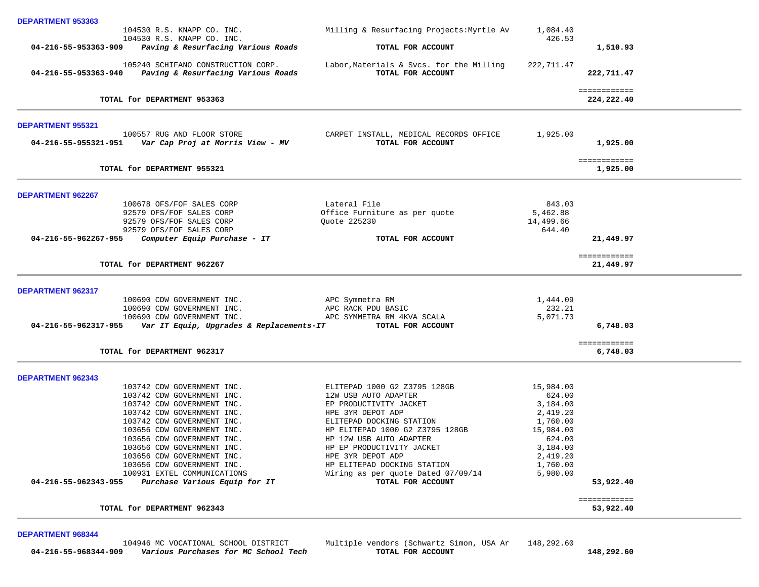|                          | 104530 R.S. KNAPP CO. INC.                                                                    | Milling & Resurfacing Projects: Myrtle Av                     | 1,084.40             |                            |
|--------------------------|-----------------------------------------------------------------------------------------------|---------------------------------------------------------------|----------------------|----------------------------|
| 04-216-55-953363-909     | 104530 R.S. KNAPP CO. INC.<br>Paving & Resurfacing Various Roads                              | TOTAL FOR ACCOUNT                                             | 426.53               | 1,510.93                   |
|                          | 105240 SCHIFANO CONSTRUCTION CORP.<br>04-216-55-953363-940 Paving & Resurfacing Various Roads | Labor, Materials & Svcs. for the Milling<br>TOTAL FOR ACCOUNT | 222,711.47           | 222,711.47                 |
|                          | TOTAL for DEPARTMENT 953363                                                                   |                                                               |                      | ============<br>224,222.40 |
| DEPARTMENT 955321        |                                                                                               |                                                               |                      |                            |
|                          | 100557 RUG AND FLOOR STORE                                                                    | CARPET INSTALL, MEDICAL RECORDS OFFICE<br>TOTAL FOR ACCOUNT   | 1,925.00             | 1,925.00                   |
|                          | TOTAL for DEPARTMENT 955321                                                                   |                                                               |                      | ============<br>1,925.00   |
| DEPARTMENT 962267        |                                                                                               |                                                               |                      |                            |
|                          | 100678 OFS/FOF SALES CORP<br>92579 OFS/FOF SALES CORP                                         | Lateral File<br>Office Furniture as per quote                 | 843.03<br>5,462.88   |                            |
|                          | 92579 OFS/FOF SALES CORP                                                                      | Quote 225230                                                  | 14,499.66            |                            |
| 04-216-55-962267-955     | 92579 OFS/FOF SALES CORP<br>Computer Equip Purchase - IT                                      | TOTAL FOR ACCOUNT                                             | 644.40               | 21,449.97                  |
|                          |                                                                                               |                                                               |                      |                            |
|                          | TOTAL for DEPARTMENT 962267                                                                   |                                                               |                      | ============<br>21,449.97  |
| <b>DEPARTMENT 962317</b> |                                                                                               |                                                               |                      |                            |
|                          | 100690 CDW GOVERNMENT INC.<br>100690 CDW GOVERNMENT INC.                                      | APC Symmetra RM<br>APC RACK PDU BASIC                         | 1,444.09<br>232.21   |                            |
|                          | 100690 CDW GOVERNMENT INC.                                                                    | APC SYMMETRA RM 4KVA SCALA                                    | 5,071.73             |                            |
| 04-216-55-962317-955     | Var IT Equip, Upgrades & Replacements-IT                                                      | TOTAL FOR ACCOUNT                                             |                      | 6,748.03                   |
|                          | TOTAL for DEPARTMENT 962317                                                                   |                                                               |                      | ============<br>6,748.03   |
| <b>DEPARTMENT 962343</b> |                                                                                               |                                                               |                      |                            |
|                          | 103742 CDW GOVERNMENT INC.                                                                    | ELITEPAD 1000 G2 Z3795 128GB                                  | 15,984.00            |                            |
|                          | 103742 CDW GOVERNMENT INC.                                                                    | 12W USB AUTO ADAPTER                                          | 624.00               |                            |
|                          | 103742 CDW GOVERNMENT INC.<br>103742 CDW GOVERNMENT INC.                                      | EP PRODUCTIVITY JACKET<br>HPE 3YR DEPOT ADP                   | 3,184.00<br>2,419.20 |                            |
|                          | 103742 CDW GOVERNMENT INC.                                                                    | ELITEPAD DOCKING STATION                                      | 1,760.00             |                            |
|                          | 103656 CDW GOVERNMENT INC.                                                                    | HP ELITEPAD 1000 G2 Z3795 128GB                               | 15,984.00            |                            |
|                          | 103656 CDW GOVERNMENT INC.                                                                    | HP 12W USB AUTO ADAPTER                                       | 624.00               |                            |
|                          | 103656 CDW GOVERNMENT INC.                                                                    | HP EP PRODUCTIVITY JACKET                                     | 3,184.00             |                            |
|                          | 103656 CDW GOVERNMENT INC.                                                                    | HPE 3YR DEPOT ADP                                             | 2,419.20             |                            |
|                          | 103656 CDW GOVERNMENT INC.                                                                    | HP ELITEPAD DOCKING STATION                                   | 1,760.00             |                            |
| 04-216-55-962343-955     | 100931 EXTEL COMMUNICATIONS<br>Purchase Various Equip for IT                                  | Wiring as per quote Dated 07/09/14<br>TOTAL FOR ACCOUNT       | 5,980.00             | 53,922.40                  |
|                          |                                                                                               |                                                               |                      | ============               |
|                          | TOTAL for DEPARTMENT 962343                                                                   |                                                               |                      | 53,922.40                  |
|                          |                                                                                               |                                                               |                      |                            |

**DEPARTMENT 968344** 

**DEPARTMENT 953363** 

104946 MC VOCATIONAL SCHOOL DISTRICT Multiple vendors (Schwartz Simon, USA Ar 148,292.60<br> **Parious Purchases for MC School Tech TOTAL FOR ACCOUNT 04-216-55-968344-909** *Various Purchases for MC School Tech* **TOTAL FOR ACCOUNT 148,292.60**